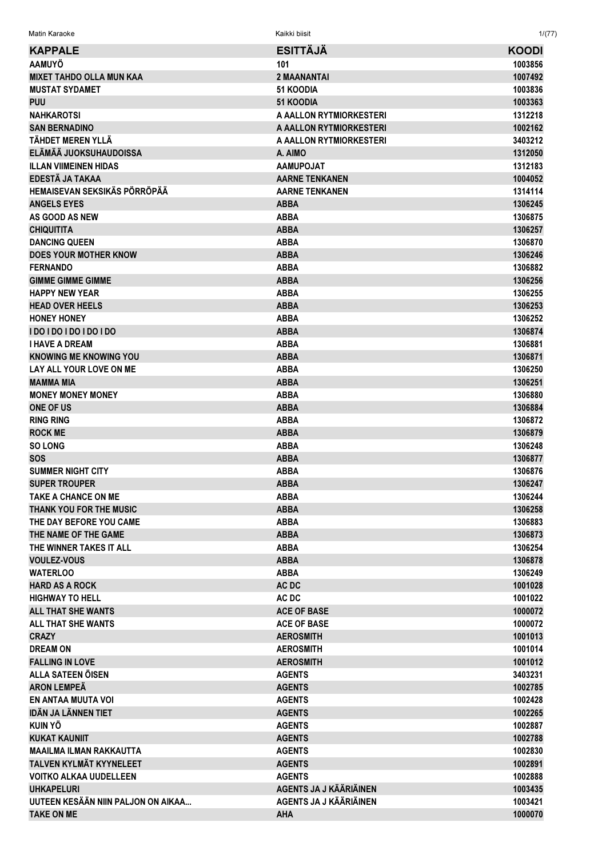Matin Karaoke Kaikki biisit 1/(77)

| <b>KAPPALE</b>                     | <b>ESITTÄJÄ</b>               | <b>KOODI</b> |
|------------------------------------|-------------------------------|--------------|
| <b>AAMUYÖ</b>                      | 101                           | 1003856      |
| <b>MIXET TAHDO OLLA MUN KAA</b>    | <b>2 MAANANTAI</b>            | 1007492      |
| <b>MUSTAT SYDAMET</b>              | <b>51 KOODIA</b>              | 1003836      |
| <b>PUU</b>                         | <b>51 KOODIA</b>              | 1003363      |
| <b>NAHKAROTSI</b>                  | A AALLON RYTMIORKESTERI       | 1312218      |
| <b>SAN BERNADINO</b>               | A AALLON RYTMIORKESTERI       | 1002162      |
| TÄHDET MEREN YLLÄ                  | A AALLON RYTMIORKESTERI       | 3403212      |
| ELÄMÄÄ JUOKSUHAUDOISSA             | A. AIMO                       | 1312050      |
| <b>ILLAN VIIMEINEN HIDAS</b>       | <b>AAMUPOJAT</b>              | 1312183      |
| EDESTÄ JA TAKAA                    | <b>AARNE TENKANEN</b>         | 1004052      |
| HEMAISEVAN SEKSIKÄS PÖRRÖPÄÄ       | <b>AARNE TENKANEN</b>         | 1314114      |
| <b>ANGELS EYES</b>                 | <b>ABBA</b>                   | 1306245      |
| AS GOOD AS NEW                     | <b>ABBA</b>                   | 1306875      |
| <b>CHIQUITITA</b>                  | <b>ABBA</b>                   | 1306257      |
| <b>DANCING QUEEN</b>               | <b>ABBA</b>                   | 1306870      |
| <b>DOES YOUR MOTHER KNOW</b>       | <b>ABBA</b>                   | 1306246      |
| <b>FERNANDO</b>                    | <b>ABBA</b>                   | 1306882      |
| <b>GIMME GIMME GIMME</b>           | <b>ABBA</b>                   | 1306256      |
| <b>HAPPY NEW YEAR</b>              | <b>ABBA</b>                   | 1306255      |
| <b>HEAD OVER HEELS</b>             | <b>ABBA</b>                   | 1306253      |
| <b>HONEY HONEY</b>                 | <b>ABBA</b>                   | 1306252      |
| <b>IDO IDO IDO IDO IDO</b>         | <b>ABBA</b>                   | 1306874      |
| <b>I HAVE A DREAM</b>              | <b>ABBA</b>                   | 1306881      |
| <b>KNOWING ME KNOWING YOU</b>      | <b>ABBA</b>                   | 1306871      |
| LAY ALL YOUR LOVE ON ME            | <b>ABBA</b>                   | 1306250      |
| <b>MAMMA MIA</b>                   | <b>ABBA</b>                   | 1306251      |
| <b>MONEY MONEY MONEY</b>           | <b>ABBA</b>                   | 1306880      |
| <b>ONE OF US</b>                   | <b>ABBA</b>                   | 1306884      |
| <b>RING RING</b>                   | <b>ABBA</b>                   | 1306872      |
| <b>ROCK ME</b>                     | <b>ABBA</b>                   | 1306879      |
| <b>SO LONG</b>                     | <b>ABBA</b>                   | 1306248      |
| <b>SOS</b>                         | <b>ABBA</b>                   | 1306877      |
| <b>SUMMER NIGHT CITY</b>           | <b>ABBA</b>                   | 1306876      |
| <b>SUPER TROUPER</b>               | <b>ABBA</b>                   | 1306247      |
| <b>TAKE A CHANCE ON ME</b>         | <b>ABBA</b>                   | 1306244      |
| THANK YOU FOR THE MUSIC            | <b>ABBA</b>                   | 1306258      |
| THE DAY BEFORE YOU CAME            | <b>ABBA</b>                   | 1306883      |
| THE NAME OF THE GAME               | <b>ABBA</b>                   | 1306873      |
| THE WINNER TAKES IT ALL            | <b>ABBA</b>                   | 1306254      |
| <b>VOULEZ-VOUS</b>                 | <b>ABBA</b>                   | 1306878      |
| <b>WATERLOO</b>                    | <b>ABBA</b>                   | 1306249      |
| <b>HARD AS A ROCK</b>              | AC DC                         | 1001028      |
| <b>HIGHWAY TO HELL</b>             | AC DC                         | 1001022      |
| <b>ALL THAT SHE WANTS</b>          | <b>ACE OF BASE</b>            | 1000072      |
| ALL THAT SHE WANTS                 | <b>ACE OF BASE</b>            | 1000072      |
| <b>CRAZY</b>                       | <b>AEROSMITH</b>              | 1001013      |
| <b>DREAM ON</b>                    | <b>AEROSMITH</b>              | 1001014      |
| <b>FALLING IN LOVE</b>             | <b>AEROSMITH</b>              | 1001012      |
| ALLA SATEEN ÖISEN                  | <b>AGENTS</b>                 | 3403231      |
| <b>ARON LEMPEÄ</b>                 | <b>AGENTS</b>                 | 1002785      |
| EN ANTAA MUUTA VOI                 | <b>AGENTS</b>                 | 1002428      |
| <b>IDÄN JA LÄNNEN TIET</b>         | <b>AGENTS</b>                 | 1002265      |
| <b>KUIN YÖ</b>                     | <b>AGENTS</b>                 | 1002887      |
| <b>KUKAT KAUNIIT</b>               | <b>AGENTS</b>                 | 1002788      |
| <b>MAAILMA ILMAN RAKKAUTTA</b>     | <b>AGENTS</b>                 | 1002830      |
| TALVEN KYLMÄT KYYNELEET            | <b>AGENTS</b>                 | 1002891      |
| <b>VOITKO ALKAA UUDELLEEN</b>      | <b>AGENTS</b>                 | 1002888      |
| <b>UHKAPELURI</b>                  | <b>AGENTS JA J KÄÄRIÄINEN</b> | 1003435      |
| UUTEEN KESÄÄN NIIN PALJON ON AIKAA | AGENTS JA J KÄÄRIÄINEN        | 1003421      |
| <b>TAKE ON ME</b>                  | AHA                           | 1000070      |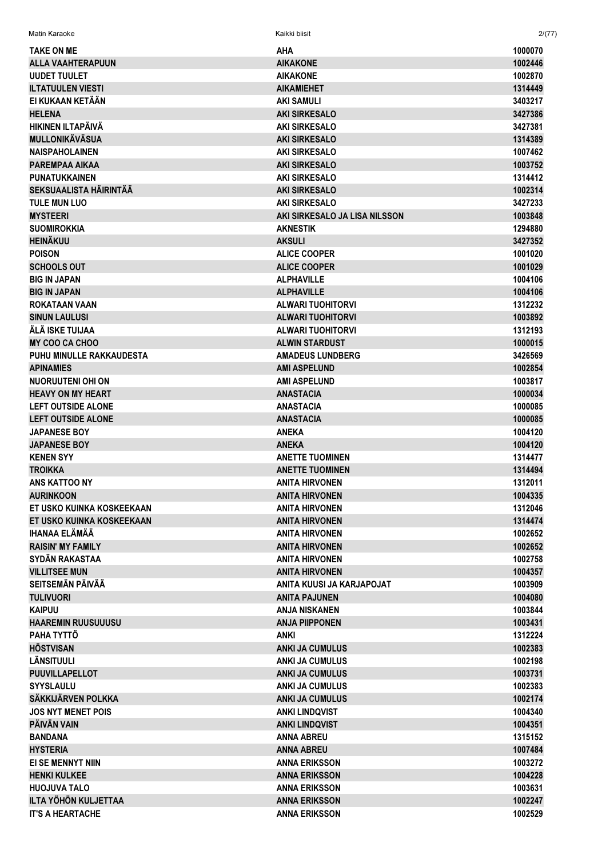| <b>TAKE ON ME</b>             | <b>AHA</b>                    | 1000070 |
|-------------------------------|-------------------------------|---------|
| ALLA VAAHTERAPUUN             | <b>AIKAKONE</b>               | 1002446 |
| <b>UUDET TUULET</b>           | <b>AIKAKONE</b>               | 1002870 |
| <b>ILTATUULEN VIESTI</b>      | <b>AIKAMIEHET</b>             | 1314449 |
| EI KUKAAN KETÄÄN              | AKI SAMULI                    | 3403217 |
| <b>HELENA</b>                 | <b>AKI SIRKESALO</b>          | 3427386 |
| <b>HIKINEN ILTAPÄIVÄ</b>      | <b>AKI SIRKESALO</b>          | 3427381 |
| <b>MULLONIKÄVÄSUA</b>         | <b>AKI SIRKESALO</b>          | 1314389 |
| <b>NAISPAHOLAINEN</b>         | <b>AKI SIRKESALO</b>          | 1007462 |
| <b>PAREMPAA AIKAA</b>         | <b>AKI SIRKESALO</b>          | 1003752 |
| <b>PUNATUKKAINEN</b>          | <b>AKI SIRKESALO</b>          | 1314412 |
| <b>SEKSUAALISTA HÄIRINTÄÄ</b> | <b>AKI SIRKESALO</b>          | 1002314 |
| <b>TULE MUN LUO</b>           | <b>AKI SIRKESALO</b>          | 3427233 |
| <b>MYSTEERI</b>               | AKI SIRKESALO JA LISA NILSSON | 1003848 |
| <b>SUOMIROKKIA</b>            | <b>AKNESTIK</b>               | 1294880 |
| <b>HEINÄKUU</b>               | <b>AKSULI</b>                 | 3427352 |
| <b>POISON</b>                 | <b>ALICE COOPER</b>           | 1001020 |
| <b>SCHOOLS OUT</b>            | <b>ALICE COOPER</b>           | 1001029 |
| <b>BIG IN JAPAN</b>           | <b>ALPHAVILLE</b>             | 1004106 |
|                               | <b>ALPHAVILLE</b>             |         |
| <b>BIG IN JAPAN</b>           |                               | 1004106 |
| ROKATAAN VAAN                 | <b>ALWARI TUOHITORVI</b>      | 1312232 |
| <b>SINUN LAULUSI</b>          | <b>ALWARI TUOHITORVI</b>      | 1003892 |
| ÄLÄ ISKE TUIJAA               | <b>ALWARI TUOHITORVI</b>      | 1312193 |
| <b>MY COO CA CHOO</b>         | <b>ALWIN STARDUST</b>         | 1000015 |
| PUHU MINULLE RAKKAUDESTA      | <b>AMADEUS LUNDBERG</b>       | 3426569 |
| <b>APINAMIES</b>              | <b>AMI ASPELUND</b>           | 1002854 |
| NUORUUTENI OHI ON             | <b>AMI ASPELUND</b>           | 1003817 |
| <b>HEAVY ON MY HEART</b>      | <b>ANASTACIA</b>              | 1000034 |
| <b>LEFT OUTSIDE ALONE</b>     | <b>ANASTACIA</b>              | 1000085 |
| <b>LEFT OUTSIDE ALONE</b>     | <b>ANASTACIA</b>              | 1000085 |
| <b>JAPANESE BOY</b>           | <b>ANEKA</b>                  | 1004120 |
| <b>JAPANESE BOY</b>           | <b>ANEKA</b>                  | 1004120 |
| <b>KENEN SYY</b>              | <b>ANETTE TUOMINEN</b>        | 1314477 |
| <b>TROIKKA</b>                | <b>ANETTE TUOMINEN</b>        | 1314494 |
| <b>ANS KATTOO NY</b>          | <b>ANITA HIRVONEN</b>         | 1312011 |
| <b>AURINKOON</b>              | <b>ANITA HIRVONEN</b>         | 1004335 |
| ET USKO KUINKA KOSKEEKAAN     | <b>ANITA HIRVONEN</b>         | 1312046 |
| ET USKO KUINKA KOSKEEKAAN     | <b>ANITA HIRVONEN</b>         | 1314474 |
| <b>IHANAA ELÄMÄÄ</b>          | <b>ANITA HIRVONEN</b>         | 1002652 |
| <b>RAISIN' MY FAMILY</b>      | <b>ANITA HIRVONEN</b>         | 1002652 |
| SYDÄN RAKASTAA                | <b>ANITA HIRVONEN</b>         | 1002758 |
| <b>VILLITSEE MUN</b>          | <b>ANITA HIRVONEN</b>         | 1004357 |
| <b>SEITSEMÄN PÄIVÄÄ</b>       | ANITA KUUSI JA KARJAPOJAT     | 1003909 |
| <b>TULIVUORI</b>              | <b>ANITA PAJUNEN</b>          | 1004080 |
| <b>KAIPUU</b>                 | <b>ANJA NISKANEN</b>          | 1003844 |
| <b>HAAREMIN RUUSUUUSU</b>     | <b>ANJA PIIPPONEN</b>         | 1003431 |
| PAHA TYTTÖ                    | <b>ANKI</b>                   | 1312224 |
| <b>HÖSTVISAN</b>              | <b>ANKI JA CUMULUS</b>        | 1002383 |
| LÄNSITUULI                    | <b>ANKI JA CUMULUS</b>        | 1002198 |
| <b>PUUVILLAPELLOT</b>         | <b>ANKI JA CUMULUS</b>        | 1003731 |
| <b>SYYSLAULU</b>              | <b>ANKI JA CUMULUS</b>        | 1002383 |
| SÄKKIJÄRVEN POLKKA            | <b>ANKI JA CUMULUS</b>        | 1002174 |
| <b>JOS NYT MENET POIS</b>     | <b>ANKI LINDQVIST</b>         | 1004340 |
| PÄIVÄN VAIN                   | <b>ANKI LINDQVIST</b>         | 1004351 |
| <b>BANDANA</b>                | ANNA ABREU                    | 1315152 |
| <b>HYSTERIA</b>               | <b>ANNA ABREU</b>             | 1007484 |
| EI SE MENNYT NIIN             | <b>ANNA ERIKSSON</b>          | 1003272 |
| <b>HENKI KULKEE</b>           | <b>ANNA ERIKSSON</b>          | 1004228 |
| <b>HUOJUVA TALO</b>           | <b>ANNA ERIKSSON</b>          | 1003631 |
| <b>ILTA YÖHÖN KULJETTAA</b>   | <b>ANNA ERIKSSON</b>          | 1002247 |

**ANNA ERIKSSON** 

**IT'S A HEARTACHE** 

Matin Karaoke

 $2/(77)$ 

1002529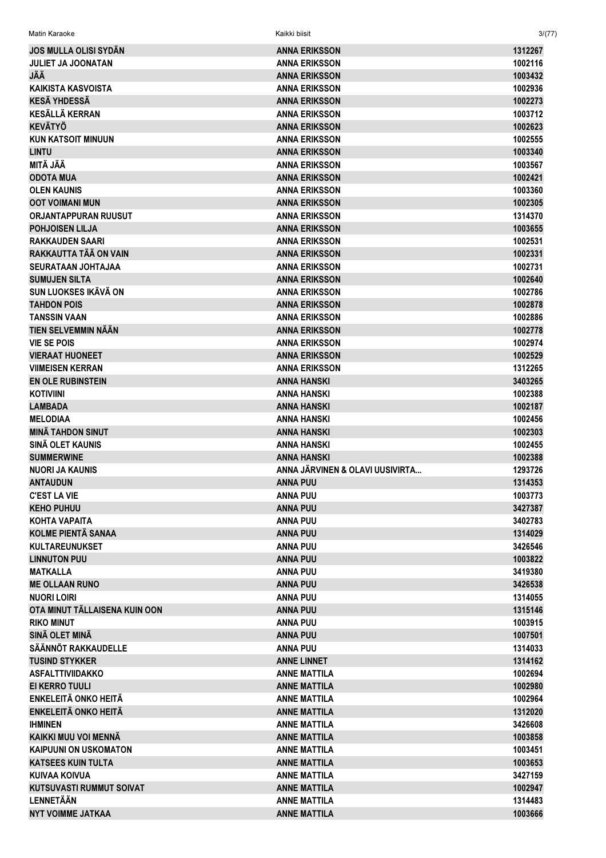| <b>JOS MULLA OLISI SYDÄN</b>    | <b>ANNA ERIKSSON</b>            | 1312267 |
|---------------------------------|---------------------------------|---------|
| <b>JULIET JA JOONATAN</b>       | <b>ANNA ERIKSSON</b>            | 1002116 |
| JÄÄ                             | <b>ANNA ERIKSSON</b>            | 1003432 |
| <b>KAIKISTA KASVOISTA</b>       | <b>ANNA ERIKSSON</b>            | 1002936 |
| <b>KESÄ YHDESSÄ</b>             | <b>ANNA ERIKSSON</b>            | 1002273 |
| <b>KESÄLLÄ KERRAN</b>           | <b>ANNA ERIKSSON</b>            | 1003712 |
| <b>KEVÄTYÖ</b>                  | <b>ANNA ERIKSSON</b>            | 1002623 |
| <b>KUN KATSOIT MINUUN</b>       | <b>ANNA ERIKSSON</b>            | 1002555 |
| <b>LINTU</b>                    | <b>ANNA ERIKSSON</b>            | 1003340 |
| MITÄ JÄÄ                        | <b>ANNA ERIKSSON</b>            | 1003567 |
| <b>ODOTA MUA</b>                | <b>ANNA ERIKSSON</b>            | 1002421 |
| <b>OLEN KAUNIS</b>              | <b>ANNA ERIKSSON</b>            | 1003360 |
| <b>OOT VOIMANI MUN</b>          | <b>ANNA ERIKSSON</b>            | 1002305 |
| <b>ORJANTAPPURAN RUUSUT</b>     | <b>ANNA ERIKSSON</b>            | 1314370 |
| <b>POHJOISEN LILJA</b>          | <b>ANNA ERIKSSON</b>            | 1003655 |
| <b>RAKKAUDEN SAARI</b>          | <b>ANNA ERIKSSON</b>            | 1002531 |
| RAKKAUTTA TÄÄ ON VAIN           | <b>ANNA ERIKSSON</b>            | 1002331 |
| <b>SEURATAAN JOHTAJAA</b>       | <b>ANNA ERIKSSON</b>            | 1002731 |
| <b>SUMUJEN SILTA</b>            | <b>ANNA ERIKSSON</b>            | 1002640 |
| SUN LUOKSES IKÄVÄ ON            | <b>ANNA ERIKSSON</b>            | 1002786 |
| <b>TAHDON POIS</b>              | <b>ANNA ERIKSSON</b>            | 1002878 |
| <b>TANSSIN VAAN</b>             | <b>ANNA ERIKSSON</b>            | 1002886 |
| TIEN SELVEMMIN NÄÄN             | <b>ANNA ERIKSSON</b>            | 1002778 |
|                                 |                                 |         |
| <b>VIE SE POIS</b>              | <b>ANNA ERIKSSON</b>            | 1002974 |
| <b>VIERAAT HUONEET</b>          | <b>ANNA ERIKSSON</b>            | 1002529 |
| <b>VIIMEISEN KERRAN</b>         | <b>ANNA ERIKSSON</b>            | 1312265 |
| <b>EN OLE RUBINSTEIN</b>        | ANNA HANSKI                     | 3403265 |
| <b>KOTIVIINI</b>                | ANNA HANSKI                     | 1002388 |
| <b>LAMBADA</b>                  | ANNA HANSKI                     | 1002187 |
| <b>MELODIAA</b>                 | <b>ANNA HANSKI</b>              | 1002456 |
| <b>MINÄ TAHDON SINUT</b>        | <b>ANNA HANSKI</b>              | 1002303 |
| SINÄ OLET KAUNIS                | ANNA HANSKI                     | 1002455 |
| <b>SUMMERWINE</b>               | <b>ANNA HANSKI</b>              | 1002388 |
| NUORI JA KAUNIS                 | ANNA JÄRVINEN & OLAVI UUSIVIRTA | 1293726 |
| <b>ANTAUDUN</b>                 | <b>ANNA PUU</b>                 | 1314353 |
| <b>C'EST LA VIE</b>             | <b>ANNA PUU</b>                 | 1003773 |
| <b>KEHO PUHUU</b>               | <b>ANNA PUU</b>                 | 3427387 |
| KOHTA VAPAITA                   | <b>ANNA PUU</b>                 | 3402783 |
| <b>KOLME PIENTÄ SANAA</b>       | <b>ANNA PUU</b>                 | 1314029 |
| <b>KULTAREUNUKSET</b>           | <b>ANNA PUU</b>                 | 3426546 |
| <b>LINNUTON PUU</b>             | <b>ANNA PUU</b>                 | 1003822 |
| <b>MATKALLA</b>                 | <b>ANNA PUU</b>                 | 3419380 |
| <b>ME OLLAAN RUNO</b>           | <b>ANNA PUU</b>                 | 3426538 |
| <b>NUORI LOIRI</b>              | <b>ANNA PUU</b>                 | 1314055 |
| OTA MINUT TÄLLAISENA KUIN OON   | <b>ANNA PUU</b>                 | 1315146 |
| <b>RIKO MINUT</b>               | <b>ANNA PUU</b>                 | 1003915 |
| SINÄ OLET MINÄ                  | <b>ANNA PUU</b>                 | 1007501 |
| SÄÄNNÖT RAKKAUDELLE             | <b>ANNA PUU</b>                 | 1314033 |
| <b>TUSIND STYKKER</b>           | <b>ANNE LINNET</b>              | 1314162 |
| <b>ASFALTTIVIIDAKKO</b>         | <b>ANNE MATTILA</b>             | 1002694 |
| EI KERRO TUULI                  | <b>ANNE MATTILA</b>             | 1002980 |
| <b>ENKELEITÄ ONKO HEITÄ</b>     | <b>ANNE MATTILA</b>             | 1002964 |
| <b>ENKELEITÄ ONKO HEITÄ</b>     | <b>ANNE MATTILA</b>             | 1312020 |
| <b>IHMINEN</b>                  | <b>ANNE MATTILA</b>             | 3426608 |
| KAIKKI MUU VOI MENNÄ            | <b>ANNE MATTILA</b>             | 1003858 |
| <b>KAIPUUNI ON USKOMATON</b>    | <b>ANNE MATTILA</b>             | 1003451 |
| <b>KATSEES KUIN TULTA</b>       | <b>ANNE MATTILA</b>             | 1003653 |
| <b>KUIVAA KOIVUA</b>            | <b>ANNE MATTILA</b>             | 3427159 |
| <b>KUTSUVASTI RUMMUT SOIVAT</b> | <b>ANNE MATTILA</b>             | 1002947 |
| LENNETÄÄN                       | <b>ANNE MATTILA</b>             | 1314483 |
| <b>NYT VOIMME JATKAA</b>        | <b>ANNE MATTILA</b>             | 1003666 |
|                                 |                                 |         |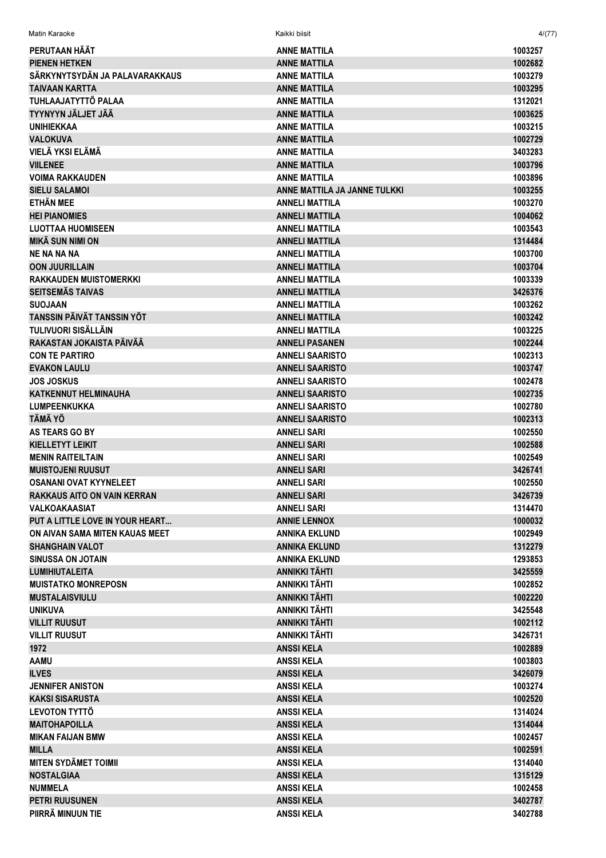| PERUTAAN HÄÄT                      | <b>ANNE MATTILA</b>          | 1003257 |
|------------------------------------|------------------------------|---------|
| <b>PIENEN HETKEN</b>               | <b>ANNE MATTILA</b>          | 1002682 |
| SÄRKYNYTSYDÄN JA PALAVARAKKAUS     | <b>ANNE MATTILA</b>          | 1003279 |
| <b>TAIVAAN KARTTA</b>              | <b>ANNE MATTILA</b>          | 1003295 |
| TUHLAAJATYTTÖ PALAA                | <b>ANNE MATTILA</b>          | 1312021 |
| <b>TYYNYYN JÄLJET JÄÄ</b>          | <b>ANNE MATTILA</b>          | 1003625 |
| <b>UNIHIEKKAA</b>                  | <b>ANNE MATTILA</b>          | 1003215 |
| <b>VALOKUVA</b>                    | <b>ANNE MATTILA</b>          | 1002729 |
| VIELÄ YKSI ELÄMÄ                   | <b>ANNE MATTILA</b>          | 3403283 |
| <b>VIILENEE</b>                    | <b>ANNE MATTILA</b>          | 1003796 |
| <b>VOIMA RAKKAUDEN</b>             | <b>ANNE MATTILA</b>          | 1003896 |
| <b>SIELU SALAMOI</b>               | ANNE MATTILA JA JANNE TULKKI | 1003255 |
| <b>ETHÄN MEE</b>                   | <b>ANNELI MATTILA</b>        | 1003270 |
| <b>HEI PIANOMIES</b>               | <b>ANNELI MATTILA</b>        | 1004062 |
| <b>LUOTTAA HUOMISEEN</b>           | <b>ANNELI MATTILA</b>        | 1003543 |
| <b>MIKÄ SUN NIMI ON</b>            | <b>ANNELI MATTILA</b>        | 1314484 |
| <b>NE NA NA NA</b>                 | <b>ANNELI MATTILA</b>        | 1003700 |
| <b>OON JUURILLAIN</b>              | <b>ANNELI MATTILA</b>        | 1003704 |
| <b>RAKKAUDEN MUISTOMERKKI</b>      | <b>ANNELI MATTILA</b>        | 1003339 |
| <b>SEITSEMÄS TAIVAS</b>            | <b>ANNELI MATTILA</b>        | 3426376 |
| <b>SUOJAAN</b>                     | <b>ANNELI MATTILA</b>        | 1003262 |
| TANSSIN PÄIVÄT TANSSIN YÖT         | <b>ANNELI MATTILA</b>        | 1003242 |
| TULIVUORI SISÄLLÄIN                | <b>ANNELI MATTILA</b>        | 1003225 |
| RAKASTAN JOKAISTA PÄIVÄÄ           | <b>ANNELI PASANEN</b>        | 1002244 |
|                                    |                              |         |
| <b>CON TE PARTIRO</b>              | <b>ANNELI SAARISTO</b>       | 1002313 |
| <b>EVAKON LAULU</b>                | <b>ANNELI SAARISTO</b>       | 1003747 |
| <b>JOS JOSKUS</b>                  | <b>ANNELI SAARISTO</b>       | 1002478 |
| <b>KATKENNUT HELMINAUHA</b>        | <b>ANNELI SAARISTO</b>       | 1002735 |
| <b>LUMPEENKUKKA</b>                | <b>ANNELI SAARISTO</b>       | 1002780 |
| <b>TÄMÄ YÖ</b>                     | <b>ANNELI SAARISTO</b>       | 1002313 |
| <b>AS TEARS GO BY</b>              | <b>ANNELI SARI</b>           | 1002550 |
| <b>KIELLETYT LEIKIT</b>            | <b>ANNELI SARI</b>           | 1002588 |
| <b>MENIN RAITEILTAIN</b>           | <b>ANNELI SARI</b>           | 1002549 |
| <b>MUISTOJENI RUUSUT</b>           | <b>ANNELI SARI</b>           | 3426741 |
| <b>OSANANI OVAT KYYNELEET</b>      | <b>ANNELI SARI</b>           | 1002550 |
| <b>RAKKAUS AITO ON VAIN KERRAN</b> | <b>ANNELI SARI</b>           | 3426739 |
| <b>VALKOAKAASIAT</b>               | <b>ANNELI SARI</b>           | 1314470 |
| PUT A LITTLE LOVE IN YOUR HEART    | <b>ANNIE LENNOX</b>          | 1000032 |
| ON AIVAN SAMA MITEN KAUAS MEET     | <b>ANNIKA EKLUND</b>         | 1002949 |
| <b>SHANGHAIN VALOT</b>             | <b>ANNIKA EKLUND</b>         | 1312279 |
| <b>SINUSSA ON JOTAIN</b>           | <b>ANNIKA EKLUND</b>         | 1293853 |
| <b>LUMIHIUTALEITA</b>              | ANNIKKI TÄHTI                | 3425559 |
| <b>MUISTATKO MONREPOSN</b>         | ANNIKKI TÄHTI                | 1002852 |
| <b>MUSTALAISVIULU</b>              | ANNIKKI TÄHTI                | 1002220 |
| <b>UNIKUVA</b>                     | <b>ANNIKKI TÄHTI</b>         | 3425548 |
| <b>VILLIT RUUSUT</b>               | <b>ANNIKKI TÄHTI</b>         | 1002112 |
| <b>VILLIT RUUSUT</b>               | ANNIKKI TÄHTI                | 3426731 |
| 1972                               | <b>ANSSIKELA</b>             | 1002889 |
| <b>AAMU</b>                        | <b>ANSSIKELA</b>             | 1003803 |
| <b>ILVES</b>                       | <b>ANSSIKELA</b>             | 3426079 |
| <b>JENNIFER ANISTON</b>            | <b>ANSSIKELA</b>             | 1003274 |
| <b>KAKSI SISARUSTA</b>             | <b>ANSSIKELA</b>             | 1002520 |
| <b>LEVOTON TYTTÖ</b>               | <b>ANSSIKELA</b>             | 1314024 |
| <b>MAITOHAPOILLA</b>               | <b>ANSSIKELA</b>             | 1314044 |
| <b>MIKAN FAIJAN BMW</b>            | <b>ANSSIKELA</b>             | 1002457 |
| <b>MILLA</b>                       | <b>ANSSIKELA</b>             | 1002591 |
| <b>MITEN SYDÄMET TOIMII</b>        | <b>ANSSIKELA</b>             | 1314040 |
| <b>NOSTALGIAA</b>                  | <b>ANSSIKELA</b>             | 1315129 |
| <b>NUMMELA</b>                     | <b>ANSSIKELA</b>             | 1002458 |
| <b>PETRI RUUSUNEN</b>              | <b>ANSSIKELA</b>             | 3402787 |
| PIIRRÄ MINUUN TIE                  | <b>ANSSIKELA</b>             | 3402788 |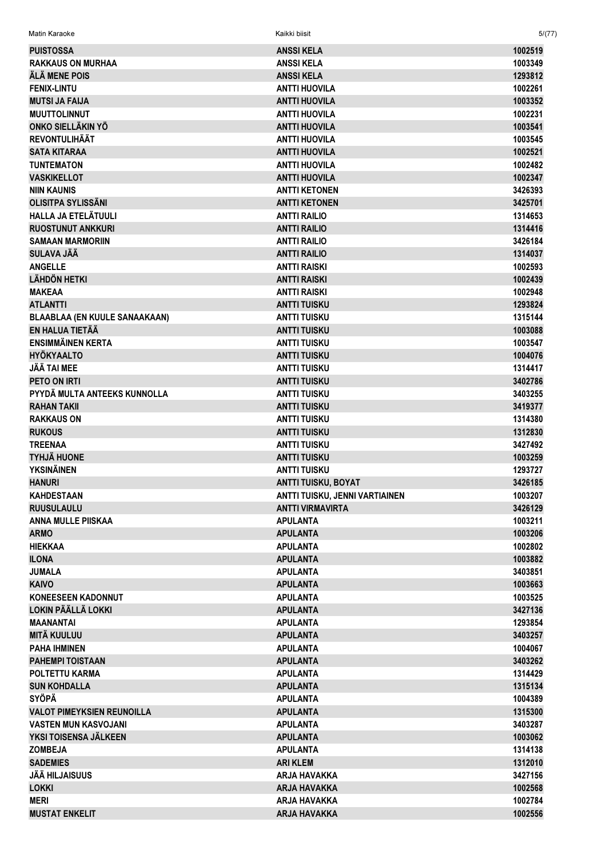| <b>PUISTOSSA</b>              | <b>ANSSIKELA</b>               | 1002519 |
|-------------------------------|--------------------------------|---------|
| RAKKAUS ON MURHAA             | <b>ANSSIKELA</b>               | 1003349 |
| ÄLÄ MENE POIS                 | <b>ANSSIKELA</b>               | 1293812 |
| <b>FENIX-LINTU</b>            | <b>ANTTI HUOVILA</b>           | 1002261 |
| <b>MUTSI JA FAIJA</b>         | <b>ANTTI HUOVILA</b>           | 1003352 |
| <b>MUUTTOLINNUT</b>           | <b>ANTTI HUOVILA</b>           | 1002231 |
| ONKO SIELLÄKIN YÖ             | <b>ANTTI HUOVILA</b>           | 1003541 |
| REVONTULIHÄÄT                 | <b>ANTTI HUOVILA</b>           | 1003545 |
| <b>SATA KITARAA</b>           | <b>ANTTI HUOVILA</b>           | 1002521 |
| <b>TUNTEMATON</b>             | <b>ANTTI HUOVILA</b>           | 1002482 |
| <b>VASKIKELLOT</b>            | <b>ANTTI HUOVILA</b>           | 1002347 |
| NIIN KAUNIS                   | <b>ANTTI KETONEN</b>           | 3426393 |
| OLISITPA SYLISSÄNI            | <b>ANTTI KETONEN</b>           | 3425701 |
| HALLA JA ETELÄTUULI           | <b>ANTTI RAILIO</b>            | 1314653 |
| <b>RUOSTUNUT ANKKURI</b>      | <b>ANTTI RAILIO</b>            | 1314416 |
| <b>SAMAAN MARMORIIN</b>       | <b>ANTTI RAILIO</b>            | 3426184 |
| SULAVA JÄÄ                    |                                | 1314037 |
|                               | <b>ANTTI RAILIO</b>            |         |
| <b>ANGELLE</b>                | <b>ANTTI RAISKI</b>            | 1002593 |
| LÄHDÖN HETKI                  | <b>ANTTI RAISKI</b>            | 1002439 |
| <b>MAKEAA</b>                 | <b>ANTTI RAISKI</b>            | 1002948 |
| <b>ATLANTTI</b>               | <b>ANTTI TUISKU</b>            | 1293824 |
| BLAABLAA (EN KUULE SANAAKAAN) | <b>ANTTI TUISKU</b>            | 1315144 |
| EN HALUA TIETÄÄ               | <b>ANTTI TUISKU</b>            | 1003088 |
| ENSIMMÄINEN KERTA             | <b>ANTTI TUISKU</b>            | 1003547 |
| HYÖKYAALTO                    | <b>ANTTI TUISKU</b>            | 1004076 |
| JÄÄ TAI MEE                   | <b>ANTTI TUISKU</b>            | 1314417 |
| PETO ON IRTI                  | <b>ANTTI TUISKU</b>            | 3402786 |
| PYYDÄ MULTA ANTEEKS KUNNOLLA  | <b>ANTTI TUISKU</b>            | 3403255 |
| <b>RAHAN TAKII</b>            | <b>ANTTI TUISKU</b>            | 3419377 |
| <b>RAKKAUS ON</b>             | <b>ANTTI TUISKU</b>            | 1314380 |
| <b>RUKOUS</b>                 | <b>ANTTI TUISKU</b>            | 1312830 |
| <b>TREENAA</b>                | <b>ANTTI TUISKU</b>            | 3427492 |
| TYHJÄ HUONE                   | <b>ANTTI TUISKU</b>            | 1003259 |
| YKSINÄINEN                    | <b>ANTTI TUISKU</b>            | 1293727 |
| <b>HANURI</b>                 | ANTTI TUISKU, BOYAT            | 3426185 |
| KAHDESTAAN                    | ANTTI TUISKU, JENNI VARTIAINEN | 1003207 |
| <b>RUUSULAULU</b>             | <b>ANTTI VIRMAVIRTA</b>        | 3426129 |
| ANNA MULLE PIISKAA            | <b>APULANTA</b>                | 1003211 |
| <b>ARMO</b>                   | <b>APULANTA</b>                | 1003206 |
| <b>HIEKKAA</b>                | <b>APULANTA</b>                | 1002802 |
| <b>ILONA</b>                  | <b>APULANTA</b>                | 1003882 |
| <b>JUMALA</b>                 | <b>APULANTA</b>                | 3403851 |
| <b>KAIVO</b>                  | <b>APULANTA</b>                | 1003663 |
| <b>KONEESEEN KADONNUT</b>     | <b>APULANTA</b>                | 1003525 |
| LOKIN PÄÄLLÄ LOKKI            | <b>APULANTA</b>                | 3427136 |
| MAANANTAI                     | <b>APULANTA</b>                | 1293854 |
| MITÄ KUULUU                   | <b>APULANTA</b>                | 3403257 |
| PAHA IHMINEN                  |                                | 1004067 |
|                               | <b>APULANTA</b>                |         |
| PAHEMPI TOISTAAN              | <b>APULANTA</b>                | 3403262 |
| POLTETTU KARMA                | <b>APULANTA</b>                | 1314429 |
| <b>SUN KOHDALLA</b>           | <b>APULANTA</b>                | 1315134 |
| SYÖPÄ                         | <b>APULANTA</b>                | 1004389 |
| VALOT PIMEYKSIEN REUNOILLA    | <b>APULANTA</b>                | 1315300 |
| VASTEN MUN KASVOJANI          | <b>APULANTA</b>                | 3403287 |
| YKSI TOISENSA JÄLKEEN         | <b>APULANTA</b>                | 1003062 |
| <b>ZOMBEJA</b>                | <b>APULANTA</b>                | 1314138 |
| <b>SADEMIES</b>               | <b>ARI KLEM</b>                | 1312010 |
| JÄÄ HILJAISUUS                | ARJA HAVAKKA                   | 3427156 |
| LOKKI                         | <b>ARJA HAVAKKA</b>            | 1002568 |
| MERI                          | <b>ARJA HAVAKKA</b>            | 1002784 |

ARJA HAVAKKA

Kaikki biisit

 $5/(77)$ 

1002556

Matin Karaoke

**MUSTAT ENKELIT**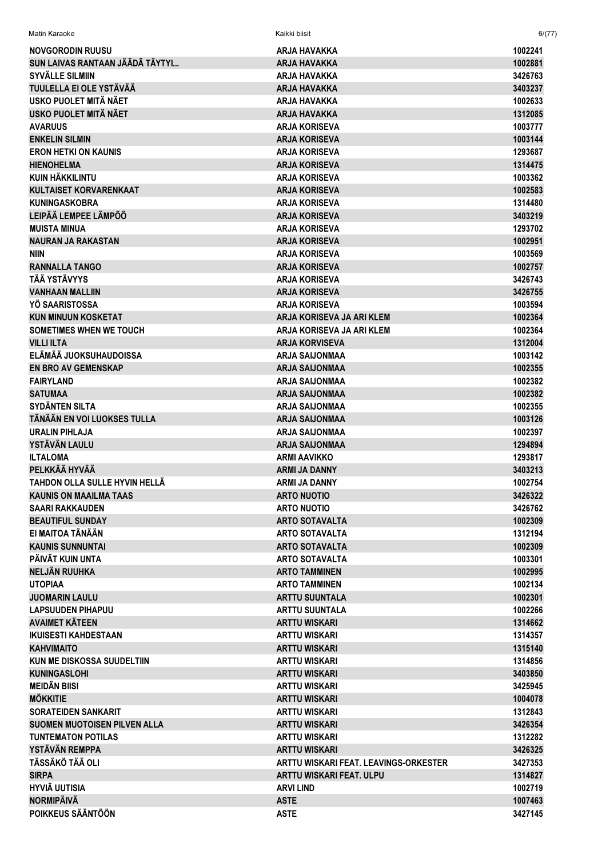| Matin Karaoke                       | Kaikki biisit                         | 6/(77)  |
|-------------------------------------|---------------------------------------|---------|
| NOVGORODIN RUUSU                    | ARJA HAVAKKA                          | 1002241 |
| SUN LAIVAS RANTAAN JÄÄDÄ TÄYTYI     | ARJA HAVAKKA                          | 1002881 |
| SYVÄLLE SILMIIN                     | ARJA HAVAKKA                          | 3426763 |
| TUULELLA EI OLE YSTÄVÄÄ             | <b>ARJA HAVAKKA</b>                   | 3403237 |
| USKO PUOLET MITÄ NÄET               | <b>ARJA HAVAKKA</b>                   | 1002633 |
| USKO PUOLET MITÄ NÄET               | <b>ARJA HAVAKKA</b>                   | 1312085 |
| <b>AVARUUS</b>                      | <b>ARJA KORISEVA</b>                  | 1003777 |
| <b>ENKELIN SILMIN</b>               | <b>ARJA KORISEVA</b>                  | 1003144 |
| <b>ERON HETKI ON KAUNIS</b>         | <b>ARJA KORISEVA</b>                  | 1293687 |
| <b>HIENOHELMA</b>                   | <b>ARJA KORISEVA</b>                  | 1314475 |
| <b>KUIN HÄKKILINTU</b>              | <b>ARJA KORISEVA</b>                  | 1003362 |
| <b>KULTAISET KORVARENKAAT</b>       | <b>ARJA KORISEVA</b>                  | 1002583 |
| <b>KUNINGASKOBRA</b>                | <b>ARJA KORISEVA</b>                  | 1314480 |
| LEIPÄÄ LEMPEE LÄMPÖÖ                | <b>ARJA KORISEVA</b>                  | 3403219 |
| <b>MUISTA MINUA</b>                 | <b>ARJA KORISEVA</b>                  | 1293702 |
| <b>NAURAN JA RAKASTAN</b>           | <b>ARJA KORISEVA</b>                  | 1002951 |
| <b>NIIN</b>                         | <b>ARJA KORISEVA</b>                  | 1003569 |
| <b>RANNALLA TANGO</b>               | <b>ARJA KORISEVA</b>                  | 1002757 |
| <b>TÄÄ YSTÄVYYS</b>                 | <b>ARJA KORISEVA</b>                  | 3426743 |
| <b>VANHAAN MALLIIN</b>              | <b>ARJA KORISEVA</b>                  | 3426755 |
| YÖ SAARISTOSSA                      | <b>ARJA KORISEVA</b>                  | 1003594 |
| <b>KUN MINUUN KOSKETAT</b>          | ARJA KORISEVA JA ARI KLEM             | 1002364 |
| <b>SOMETIMES WHEN WE TOUCH</b>      | ARJA KORISEVA JA ARI KLEM             | 1002364 |
| <b>VILLI ILTA</b>                   | <b>ARJA KORVISEVA</b>                 | 1312004 |
| ELÄMÄÄ JUOKSUHAUDOISSA              | <b>ARJA SAIJONMAA</b>                 | 1003142 |
| <b>EN BRO AV GEMENSKAP</b>          | <b>ARJA SAIJONMAA</b>                 | 1002355 |
| <b>FAIRYLAND</b>                    | ARJA SAIJONMAA                        | 1002382 |
| <b>SATUMAA</b>                      | <b>ARJA SAIJONMAA</b>                 | 1002382 |
| <b>SYDÄNTEN SILTA</b>               | <b>ARJA SAIJONMAA</b>                 | 1002355 |
| TÄNÄÄN EN VOI LUOKSES TULLA         | <b>ARJA SAIJONMAA</b>                 | 1003126 |
| <b>URALIN PIHLAJA</b>               | <b>ARJA SAIJONMAA</b>                 | 1002397 |
| YSTÄVÄN LAULU                       | <b>ARJA SAIJONMAA</b>                 | 1294894 |
| <b>ILTALOMA</b>                     | ARMI AAVIKKO                          | 1293817 |
| PELKKÄÄ HYVÄÄ                       | <b>ARMI JA DANNY</b>                  | 3403213 |
| TAHDON OLLA SULLE HYVIN HELLÄ       | ARMI JA DANNY                         | 1002754 |
| KAUNIS ON MAAILMA TAAS              | <b>ARTO NUOTIO</b>                    | 3426322 |
| <b>SAARI RAKKAUDEN</b>              | <b>ARTO NUOTIO</b>                    | 3426762 |
| <b>BEAUTIFUL SUNDAY</b>             | <b>ARTO SOTAVALTA</b>                 | 1002309 |
| EI MAITOA TÄNÄÄN                    | <b>ARTO SOTAVALTA</b>                 | 1312194 |
| <b>KAUNIS SUNNUNTAI</b>             | <b>ARTO SOTAVALTA</b>                 | 1002309 |
| PÄIVÄT KUIN UNTA                    | <b>ARTO SOTAVALTA</b>                 | 1003301 |
| <b>NELJÄN RUUHKA</b>                | <b>ARTO TAMMINEN</b>                  | 1002995 |
| <b>UTOPIAA</b>                      | <b>ARTO TAMMINEN</b>                  | 1002134 |
| <b>JUOMARIN LAULU</b>               | <b>ARTTU SUUNTALA</b>                 | 1002301 |
| <b>LAPSUUDEN PIHAPUU</b>            | <b>ARTTU SUUNTALA</b>                 | 1002266 |
| <b>AVAIMET KÄTEEN</b>               | <b>ARTTU WISKARI</b>                  | 1314662 |
| <b>IKUISESTI KAHDESTAAN</b>         | <b>ARTTU WISKARI</b>                  | 1314357 |
| <b>KAHVIMAITO</b>                   | <b>ARTTU WISKARI</b>                  | 1315140 |
| <b>KUN ME DISKOSSA SUUDELTIIN</b>   | <b>ARTTU WISKARI</b>                  | 1314856 |
| <b>KUNINGASLOHI</b>                 | <b>ARTTU WISKARI</b>                  | 3403850 |
| <b>MEIDÄN BIISI</b>                 | <b>ARTTU WISKARI</b>                  | 3425945 |
| <b>MÖKKITIE</b>                     | <b>ARTTU WISKARI</b>                  | 1004078 |
| <b>SORATEIDEN SANKARIT</b>          | <b>ARTTU WISKARI</b>                  | 1312843 |
| <b>SUOMEN MUOTOISEN PILVEN ALLA</b> | <b>ARTTU WISKARI</b>                  | 3426354 |
| <b>TUNTEMATON POTILAS</b>           | <b>ARTTU WISKARI</b>                  | 1312282 |
| YSTÄVÄN REMPPA                      | <b>ARTTU WISKARI</b>                  | 3426325 |
| TÄSSÄKÖ TÄÄ OLI                     | ARTTU WISKARI FEAT. LEAVINGS-ORKESTER | 3427353 |
| <b>SIRPA</b>                        | <b>ARTTU WISKARI FEAT, ULPU</b>       | 1314827 |
| <b>HYVIÄ UUTISIA</b>                | <b>ARVILIND</b>                       | 1002719 |
| <b>NORMIPÄIVÄ</b>                   | <b>ASTE</b>                           | 1007463 |
| POIKKEUS SÄÄNTÖÖN                   | <b>ASTE</b>                           | 3427145 |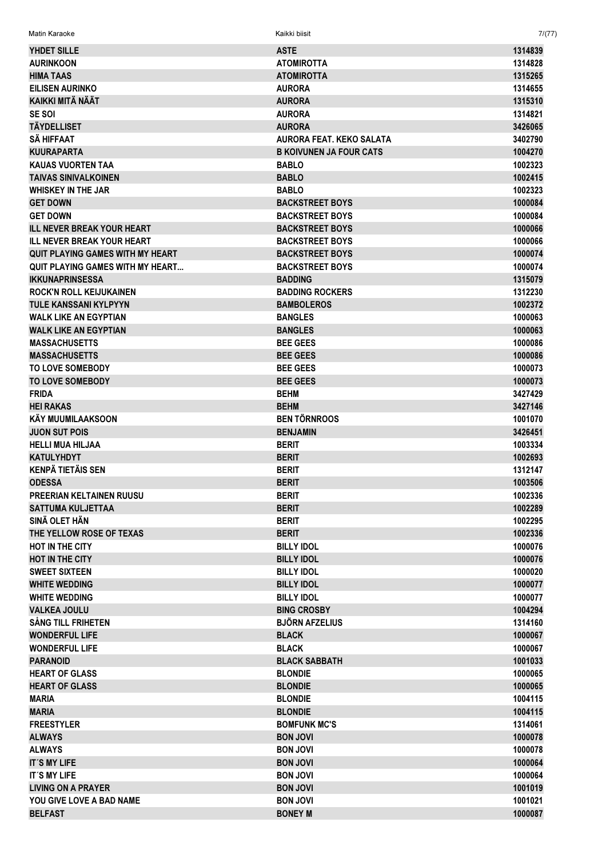YHDET SILLE ASTE 1314839 AURINKOON ATOMIROTTA 1314828 HIMA TAAS ATOMIROTTA 1315265 EILISEN AURINKO AURORA 1314655 KAIKKI MITÄ NÄÄT AURORA 1315310 SE SOI AURORA 1314821 TÄYDELLISET AURORA 3426065 SÄ HIFFAAT AURORA FEAT. KEKO SALATA 3402790 KUURAPARTA B KOIVUNEN JA FOUR CATS 1004270 KAUAS VUORTEN TAA 1002323 TAIVAS SINIVALKOINEN BABLO 1002415 WHISKEY IN THE JAR BABLO 1002323 GET DOWN BACKSTREET BOYS 1000084 GET DOWN BACKSTREET BOYS GET DOWN 1000084 ILL NEVER BREAK YOUR HEART AND REAST RESERVED BACKSTREET BOYS AND RESERVED BY A 4000066 ILL NEVER BREAK YOUR HEART THE SALE BACKSTREET BOYS THE SALE OF THE SALE OF THE SALE OF THE SALE OF THE SALE OF THE SALE OF THE SALE OF THE SALE OF THE SALE OF THE SALE OF THE SALE OF THE SALE OF THE SALE OF THE SALE OF TH QUIT PLAYING GAMES WITH MY HEART **EXECUTE A RELATION OF BACKSTREET BOYS** 1000074 QUIT PLAYING GAMES WITH MY HEART... BACKSTREET BOYS 1000074 IKKUNAPRINSESSA BADDING 1315079 ROCK'N ROLL KEIJUKAINEN BADDING ROCKERS 1312230 TULE KANSSANI KYLPYYN **BAMBOLEROS** 1002372 WALK LIKE AN EGYPTIAN BANGLES BANGLES AND LIKE AN EGYPTIAN BANGLES WALK LIKE AN EGYPTIAN BANGLES AND LOCAL CONSUMING THE RESERVE OF THE RESERVE OF THE RESERVE OF THE RESERVE OF THE RESERVE OF THE RESERVE OF THE RESERVE OF THE RESERVE OF THE RESERVE OF THE RESERVE OF THE RESERVE OF THE RES MASSACHUSETTS BEE GEES 1000086 MASSACHUSETTS 1000086 1000086 1000086 1000086 1000086 1000086 1000086 1000086 1000086 1000086 1000086 1000086 TO LOVE SOMEBODY A GALLONG THE GEES ARE GEES TO LOVE SOMEBODY A 1000073 TO LOVE SOMEBODY **A CONSIDER THE SOMEBOOT SEEMS AND SEEMS ASSESS** TO LOVE SOMEBOOT A CONSIDERATION OF THE SOME SOME FRIDA BEHM 3427429 HEI RAKAS BEHM 3427146 KÄY MUUMILAAKSOON BEN TÖRNROOS 1001070 JUON SUT POIS BENJAMIN 3426451 HELLI MUA HILJAA BERIT 1003334 KATULYHDYT BERIT 1002693 KENPÄ TIETÄIS SEN 1312147 KENPÄ TIETÄIS SEN KENPÄ TIETÄIS SEN KENPÄ TIETÄIS SEN KENPÄ TIETÄIS SEN KENPÄ TIETÄIS  $\overline{\text{ODESSA}}$  and the contract of the contract of the contract of the contract of the contract of the contract of the contract of the contract of the contract of the contract of the contract of the contract of the contrac PREERIAN KELTAINEN RUUSU ASSANTI BERIT PREERIAN KELTAINEN RUUSU ASSANTI BERIT ASSANTI BERIT ANN ANN ANN ANN AN SATTUMA KULJETTAA 1002289 ASSAM ASSAM ASSAM BERIT ASSAM ASSAM ASSAM ASSAM ASSAM ASSAM ASSAM ASSAM ASSAM ASSAM A SINÄ OLET HÄN DIA BERIT SINÄ OLET HÄN DIA SINÄ OLET HÄN DIA SINÄ OLET HÄN DIA SINÄ OLET HÄN DIA SINÄ OLET HÄN D THE YELLOW ROSE OF TEXAS AND RESIDENCE IN THE SERIT AND RESIDENCE IN THE YELLOW ROSE OF TEXAS HOT IN THE CITY AND RELOCATE SILLY IDOL THE BILLY IDOL AND RELOCATE AND MODEL TO A RELOCATE A RELOCATE AND MODEL HOT IN THE CITY AND RELEASED FOR THE CITY AND RELEASED BILLY IDOL THE CITY AND RELEASED FOR THE CITY AND RELEASED FOR THE CITY OF THE CITY OF THE CITY OF THE CITY OF THE CITY OF THE CITY OF THE CITY OF THE CITY OF THE CITY SWEET SIXTEEN 1000020 NOTE: THE SILLY IDOL THE BILLY IDOL ASSESSED AND THE SIXTEEN 1000020 WHITE WEDDING AND REALLY IDOL 2000 FOR THE RELEASED OF THE RELEASED OF THE RELEASED OF THE RELEASED OF THE RELEASED OF THE RELEASED OF THE RELEASED OF THE RELEASED OF THE RELEASED OF THE RELEASED OF THE RELEASED OF THE REL WHITE WEDDING 1000077 VALKEA JOULU 1994 1004294 SÅNG TILL FRIHETEN BJÖRN AFZELIUS 1314160 WONDERFUL LIFE 8 2000067 1000067 1000067 1000067 1000067 1000067 1000067 1000067 1000067 1000067 1000067 10000 WONDERFUL LIFE 1000067 1000067 1000067 1000067 1000067 1000067 1000067 1000067 PARANOID **BLACK SABBATH** 1001033 HEART OF GLASS BLONDIE 1000065 **HEART OF GLASS BLONDIE AND STATES AND STATES AND STATES AND STATES AND STATES AND STATES AND STATES AND STATES AND STATES AND STATES AND STATES AND STATES AND STATES AND STATES AND STATES AND STATES AND STATES AND STATES** MARIA BLONDIE 1004115 MARIA BLONDIE 1004115 **FREESTYLER 1314061** BOMFUNK MC'S **BOMEUNK MC'S** ALWAYS BON JOVI 1000078 ALWAYS BON JOVI 1000078 IT´S MY LIFE BON JOVI 1000064 IT´S MY LIFE BON JOVI 1000064 **LIVING ON A PRAYER AND RELATIONS ON A PRAYER AND RELATIONS ON A PROPERTY OF A PROPERTY OF A PROPERTY OF A PROPERTY OF A PROPERTY OF A PROPERTY OF A PROPERTY OF A PROPERTY OF A PROPERTY OF A PROPERTY OF A PROPERTY OF A PRO** YOU GIVE LOVE A BAD NAME THE ROOM OF THE BON JOVI 1001021 INCOMEDIATION OF THE ROOM OF THE ROOM OF THE ROOM OF THE ROOM OF THE ROOM OF THE ROOM OF THE ROOM OF THE ROOM OF THE ROOM OF THE ROOM OF THE ROOM OF THE ROOM OF THE

BELFAST BONEY M 1000087

Matin Karaoke Kaikki biisit 7/(77)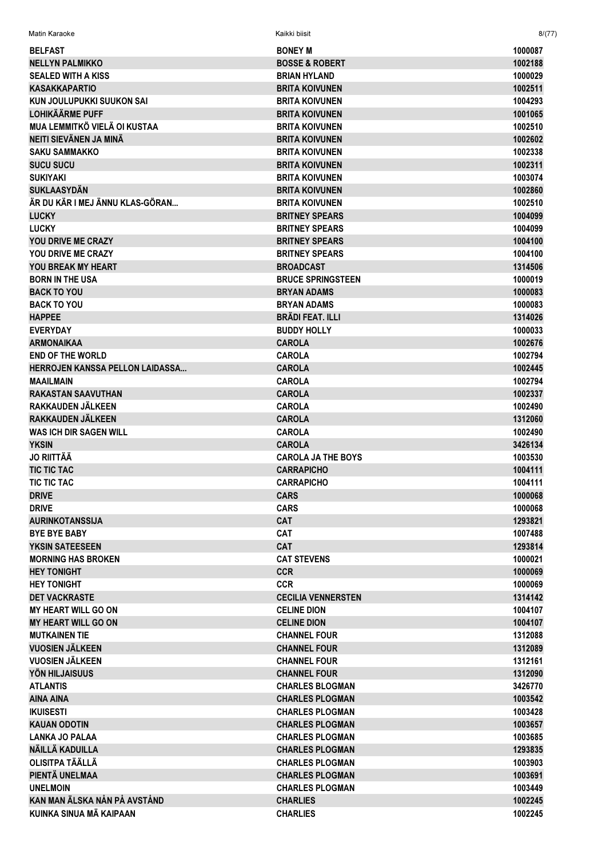| Matin Karaoke                        | Kaikki biisit                                    | 8/(77)             |
|--------------------------------------|--------------------------------------------------|--------------------|
| <b>BELFAST</b>                       | <b>BONEY M</b>                                   | 1000087            |
| <b>NELLYN PALMIKKO</b>               | <b>BOSSE &amp; ROBERT</b>                        | 1002188            |
| <b>SEALED WITH A KISS</b>            | <b>BRIAN HYLAND</b>                              | 1000029            |
| <b>KASAKKAPARTIO</b>                 | <b>BRITA KOIVUNEN</b>                            | 1002511            |
| KUN JOULUPUKKI SUUKON SAI            | <b>BRITA KOIVUNEN</b>                            | 1004293            |
| <b>LOHIKÄÄRME PUFF</b>               | <b>BRITA KOIVUNEN</b>                            | 1001065            |
| <b>MUA LEMMITKÖ VIELÄ OI KUSTAA</b>  | <b>BRITA KOIVUNEN</b>                            | 1002510            |
| NEITI SIEVÄNEN JA MINÄ               | <b>BRITA KOIVUNEN</b>                            | 1002602            |
| <b>SAKU SAMMAKKO</b>                 | <b>BRITA KOIVUNEN</b>                            | 1002338            |
| <b>SUCU SUCU</b>                     | <b>BRITA KOIVUNEN</b>                            | 1002311            |
| <b>SUKIYAKI</b>                      | <b>BRITA KOIVUNEN</b>                            | 1003074            |
| <b>SUKLAASYDÄN</b>                   | <b>BRITA KOIVUNEN</b>                            | 1002860            |
| ÄR DU KÄR I MEJ ÄNNU KLAS-GÖRAN      | <b>BRITA KOIVUNEN</b>                            | 1002510            |
| <b>LUCKY</b>                         | <b>BRITNEY SPEARS</b>                            | 1004099            |
| <b>LUCKY</b>                         | <b>BRITNEY SPEARS</b>                            | 1004099            |
| YOU DRIVE ME CRAZY                   | <b>BRITNEY SPEARS</b>                            | 1004100            |
| <b>YOU DRIVE ME CRAZY</b>            | <b>BRITNEY SPEARS</b>                            | 1004100            |
| YOU BREAK MY HEART                   | <b>BROADCAST</b>                                 | 1314506            |
| <b>BORN IN THE USA</b>               | <b>BRUCE SPRINGSTEEN</b>                         | 1000019            |
| <b>BACK TO YOU</b>                   | <b>BRYAN ADAMS</b>                               | 1000083            |
| <b>BACK TO YOU</b>                   | <b>BRYAN ADAMS</b>                               | 1000083            |
| <b>HAPPEE</b>                        | <b>BRÄDI FEAT. ILLI</b>                          | 1314026            |
| <b>EVERYDAY</b>                      | <b>BUDDY HOLLY</b>                               | 1000033            |
| <b>ARMONAIKAA</b>                    | <b>CAROLA</b>                                    | 1002676            |
| <b>END OF THE WORLD</b>              | <b>CAROLA</b>                                    | 1002794            |
| HERROJEN KANSSA PELLON LAIDASSA      | <b>CAROLA</b>                                    | 1002445            |
| <b>MAAILMAIN</b>                     | <b>CAROLA</b>                                    | 1002794            |
| <b>RAKASTAN SAAVUTHAN</b>            | <b>CAROLA</b>                                    | 1002337            |
| RAKKAUDEN JÄLKEEN                    | <b>CAROLA</b>                                    | 1002490            |
| RAKKAUDEN JÄLKEEN                    | <b>CAROLA</b>                                    | 1312060            |
| <b>WAS ICH DIR SAGEN WILL</b>        | <b>CAROLA</b>                                    | 1002490            |
| <b>YKSIN</b>                         | <b>CAROLA</b>                                    | 3426134            |
| <b>JO RIITTÄÄ</b>                    | <b>CAROLA JA THE BOYS</b>                        | 1003530            |
| <b>TIC TIC TAC</b>                   | <b>CARRAPICHO</b>                                | 1004111            |
| <b>TIC TIC TAC</b>                   | <b>CARRAPICHO</b>                                | 1004111            |
| <b>DRIVE</b>                         | <b>CARS</b>                                      | 1000068            |
| <b>DRIVE</b>                         | <b>CARS</b>                                      | 1000068            |
| <b>AURINKOTANSSIJA</b>               | <b>CAT</b>                                       | 1293821            |
| <b>BYE BYE BABY</b>                  | CAT                                              | 1007488            |
| YKSIN SATEESEEN                      | <b>CAT</b>                                       | 1293814            |
| <b>MORNING HAS BROKEN</b>            | <b>CAT STEVENS</b>                               | 1000021            |
| <b>HEY TONIGHT</b>                   | <b>CCR</b>                                       | 1000069            |
| <b>HEY TONIGHT</b>                   | <b>CCR</b>                                       | 1000069            |
| <b>DET VACKRASTE</b>                 | <b>CECILIA VENNERSTEN</b>                        | 1314142            |
| <b>MY HEART WILL GO ON</b>           | <b>CELINE DION</b>                               | 1004107            |
| <b>MY HEART WILL GO ON</b>           | <b>CELINE DION</b>                               | 1004107            |
| <b>MUTKAINEN TIE</b>                 | <b>CHANNEL FOUR</b>                              | 1312088            |
| <b>VUOSIEN JÄLKEEN</b>               | <b>CHANNEL FOUR</b>                              | 1312089            |
| VUOSIEN JÄLKEEN                      | <b>CHANNEL FOUR</b>                              | 1312161            |
| YÖN HILJAISUUS                       | <b>CHANNEL FOUR</b>                              | 1312090            |
| <b>ATLANTIS</b>                      | <b>CHARLES BLOGMAN</b>                           | 3426770            |
| <b>AINA AINA</b><br><b>IKUISESTI</b> | <b>CHARLES PLOGMAN</b><br><b>CHARLES PLOGMAN</b> | 1003542<br>1003428 |
| <b>KAUAN ODOTIN</b>                  | <b>CHARLES PLOGMAN</b>                           | 1003657            |
| <b>LANKA JO PALAA</b>                | <b>CHARLES PLOGMAN</b>                           | 1003685            |
| NÄILLÄ KADUILLA                      | <b>CHARLES PLOGMAN</b>                           | 1293835            |
| <b>OLISITPA TÄÄLLÄ</b>               | <b>CHARLES PLOGMAN</b>                           | 1003903            |
| PIENTÄ UNELMAA                       | <b>CHARLES PLOGMAN</b>                           | 1003691            |
| <b>UNELMOIN</b>                      | <b>CHARLES PLOGMAN</b>                           | 1003449            |
| KAN MAN ÄLSKA NÅN PÅ AVSTÅND         | <b>CHARLIES</b>                                  | 1002245            |
| KUINKA SINUA MÄ KAIPAAN              | <b>CHARLIES</b>                                  | 1002245            |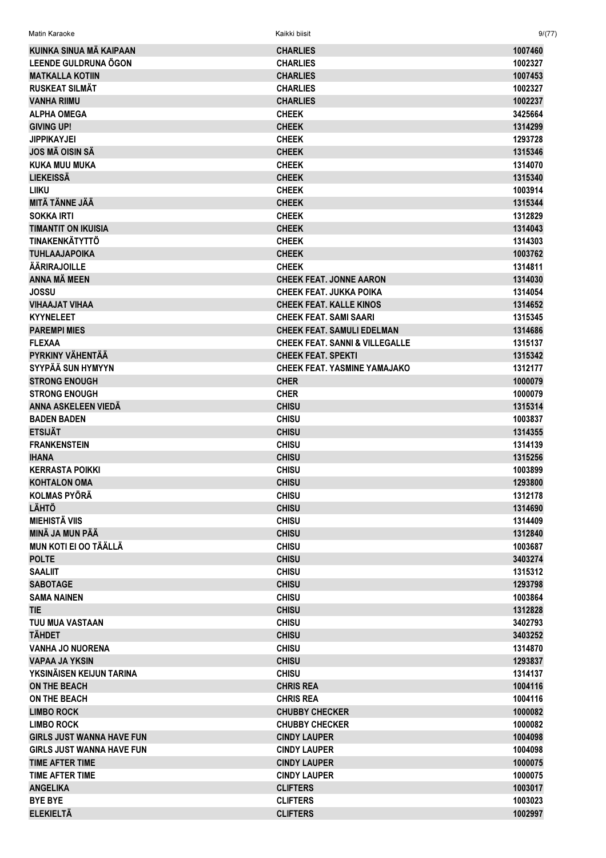| Matin Karaoke                    | Kaikki biisit                             | 9/(77)  |
|----------------------------------|-------------------------------------------|---------|
| KUINKA SINUA MÄ KAIPAAN          | <b>CHARLIES</b>                           | 1007460 |
| LEENDE GULDRUNA ÖGON             | <b>CHARLIES</b>                           | 1002327 |
| <b>MATKALLA KOTIIN</b>           | <b>CHARLIES</b>                           | 1007453 |
| <b>RUSKEAT SILMÄT</b>            | <b>CHARLIES</b>                           | 1002327 |
| <b>VANHA RIIMU</b>               | <b>CHARLIES</b>                           | 1002237 |
| <b>ALPHA OMEGA</b>               | <b>CHEEK</b>                              | 3425664 |
| <b>GIVING UP!</b>                | <b>CHEEK</b>                              | 1314299 |
| <b>JIPPIKAYJEI</b>               | <b>CHEEK</b>                              | 1293728 |
| <b>JOS MÄ OISIN SÄ</b>           | <b>CHEEK</b>                              | 1315346 |
| <b>KUKA MUU MUKA</b>             | <b>CHEEK</b>                              | 1314070 |
| <b>LIEKEISSÄ</b>                 | <b>CHEEK</b>                              | 1315340 |
| <b>LIIKU</b>                     | <b>CHEEK</b>                              | 1003914 |
| MITÄ TÄNNE JÄÄ                   | <b>CHEEK</b>                              | 1315344 |
| <b>SOKKA IRTI</b>                | <b>CHEEK</b>                              | 1312829 |
| <b>TIMANTIT ON IKUISIA</b>       | <b>CHEEK</b>                              | 1314043 |
| <b>TINAKENKÄTYTTÖ</b>            | <b>CHEEK</b>                              | 1314303 |
| <b>TUHLAAJAPOIKA</b>             | <b>CHEEK</b>                              | 1003762 |
| <b>ÄÄRIRAJOILLE</b>              | <b>CHEEK</b>                              | 1314811 |
| ANNA MÄ MEEN                     | <b>CHEEK FEAT. JONNE AARON</b>            | 1314030 |
| JOSSU                            | <b>CHEEK FEAT. JUKKA POIKA</b>            | 1314054 |
| <b>VIHAAJAT VIHAA</b>            | <b>CHEEK FEAT. KALLE KINOS</b>            | 1314652 |
| <b>KYYNELEET</b>                 | <b>CHEEK FEAT. SAMI SAARI</b>             | 1315345 |
| <b>PAREMPI MIES</b>              | <b>CHEEK FEAT. SAMULI EDELMAN</b>         | 1314686 |
| <b>FLEXAA</b>                    | <b>CHEEK FEAT. SANNI &amp; VILLEGALLE</b> | 1315137 |
| PYRKINY VÄHENTÄÄ                 | <b>CHEEK FEAT, SPEKTI</b>                 | 1315342 |
| SYYPÄÄ SUN HYMYYN                | <b>CHEEK FEAT. YASMINE YAMAJAKO</b>       | 1312177 |
| <b>STRONG ENOUGH</b>             | <b>CHER</b>                               | 1000079 |
| <b>STRONG ENOUGH</b>             | <b>CHER</b>                               | 1000079 |
| ANNA ASKELEEN VIEDÄ              | <b>CHISU</b>                              | 1315314 |
| <b>BADEN BADEN</b>               | <b>CHISU</b>                              | 1003837 |
| <b>ETSIJÄT</b>                   | <b>CHISU</b>                              | 1314355 |
| <b>FRANKENSTEIN</b>              | <b>CHISU</b>                              | 1314139 |
| <b>IHANA</b>                     | <b>CHISU</b>                              | 1315256 |
| <b>KERRASTA POIKKI</b>           | <b>CHISU</b>                              | 1003899 |
| <b>KOHTALON OMA</b>              | <b>CHISU</b>                              | 1293800 |
| <b>KOLMAS PYÖRÄ</b>              | <b>CHISU</b>                              | 1312178 |
| <b>LÄHTÖ</b>                     | <b>CHISU</b>                              | 1314690 |
| <b>MIEHISTÄ VIIS</b>             | <b>CHISU</b>                              | 1314409 |
| MINÄ JA MUN PÄÄ                  | <b>CHISU</b>                              | 1312840 |
| <b>MUN KOTI EI OO TÄÄLLÄ</b>     | <b>CHISU</b>                              | 1003687 |
| <b>POLTE</b>                     | <b>CHISU</b>                              | 3403274 |
| <b>SAALIIT</b>                   | <b>CHISU</b>                              | 1315312 |
| <b>SABOTAGE</b>                  | <b>CHISU</b>                              | 1293798 |
| <b>SAMA NAINEN</b>               | <b>CHISU</b>                              | 1003864 |
| <b>TIE</b>                       | <b>CHISU</b>                              | 1312828 |
| <b>TUU MUA VASTAAN</b>           | <b>CHISU</b>                              | 3402793 |
| <b>TÄHDET</b>                    | <b>CHISU</b>                              | 3403252 |
| <b>VANHA JO NUORENA</b>          | <b>CHISU</b>                              | 1314870 |
| <b>VAPAA JA YKSIN</b>            | <b>CHISU</b>                              | 1293837 |
| YKSINÄISEN KEIJUN TARINA         | <b>CHISU</b>                              | 1314137 |
| <b>ON THE BEACH</b>              | <b>CHRIS REA</b>                          | 1004116 |
| ON THE BEACH                     | <b>CHRIS REA</b>                          | 1004116 |
| <b>LIMBO ROCK</b>                | <b>CHUBBY CHECKER</b>                     | 1000082 |
| <b>LIMBO ROCK</b>                | <b>CHUBBY CHECKER</b>                     | 1000082 |
| <b>GIRLS JUST WANNA HAVE FUN</b> | <b>CINDY LAUPER</b>                       | 1004098 |
| <b>GIRLS JUST WANNA HAVE FUN</b> | <b>CINDY LAUPER</b>                       | 1004098 |
| <b>TIME AFTER TIME</b>           | <b>CINDY LAUPER</b>                       | 1000075 |
| <b>TIME AFTER TIME</b>           | <b>CINDY LAUPER</b>                       | 1000075 |
| <b>ANGELIKA</b>                  | <b>CLIFTERS</b>                           | 1003017 |
| <b>BYE BYE</b>                   | <b>CLIFTERS</b>                           | 1003023 |
| <b>ELEKIELTÄ</b>                 | <b>CLIFTERS</b>                           | 1002997 |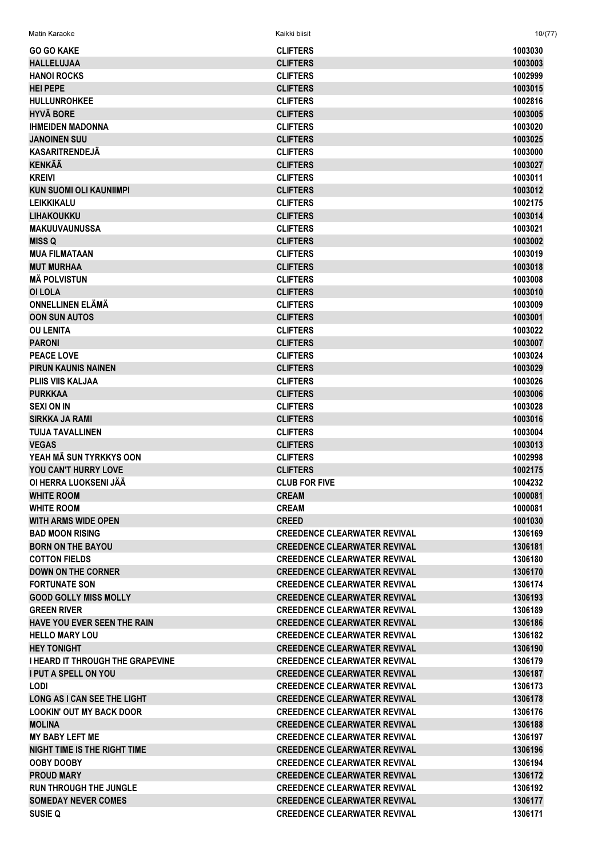| <b>GO GO KAKE</b>                   | <b>CLIFTERS</b>                     | 1003030 |
|-------------------------------------|-------------------------------------|---------|
| <b>HALLELUJAA</b>                   | <b>CLIFTERS</b>                     | 1003003 |
| <b>HANOI ROCKS</b>                  | <b>CLIFTERS</b>                     | 1002999 |
| <b>HEI PEPE</b>                     | <b>CLIFTERS</b>                     | 1003015 |
| <b>HULLUNROHKEE</b>                 | <b>CLIFTERS</b>                     | 1002816 |
| <b>HYVÄ BORE</b>                    | <b>CLIFTERS</b>                     |         |
|                                     |                                     | 1003005 |
| <b>IHMEIDEN MADONNA</b>             | <b>CLIFTERS</b>                     | 1003020 |
| <b>JANOINEN SUU</b>                 | <b>CLIFTERS</b>                     | 1003025 |
| <b>KASARITRENDEJÄ</b>               | <b>CLIFTERS</b>                     | 1003000 |
| <b>KENKÄÄ</b>                       | <b>CLIFTERS</b>                     | 1003027 |
| <b>KREIVI</b>                       | <b>CLIFTERS</b>                     | 1003011 |
| <b>KUN SUOMI OLI KAUNIIMPI</b>      | <b>CLIFTERS</b>                     | 1003012 |
| <b>LEIKKIKALU</b>                   | <b>CLIFTERS</b>                     | 1002175 |
| <b>LIHAKOUKKU</b>                   | <b>CLIFTERS</b>                     | 1003014 |
| <b>MAKUUVAUNUSSA</b>                | <b>CLIFTERS</b>                     | 1003021 |
| <b>MISS Q</b>                       | <b>CLIFTERS</b>                     | 1003002 |
| <b>MUA FILMATAAN</b>                | <b>CLIFTERS</b>                     | 1003019 |
| <b>MUT MURHAA</b>                   | <b>CLIFTERS</b>                     | 1003018 |
| <b>MÄ POLVISTUN</b>                 | <b>CLIFTERS</b>                     | 1003008 |
| <b>OI LOLA</b>                      | <b>CLIFTERS</b>                     | 1003010 |
| <b>ONNELLINEN ELÄMÄ</b>             | <b>CLIFTERS</b>                     | 1003009 |
| <b>OON SUN AUTOS</b>                | <b>CLIFTERS</b>                     | 1003001 |
| <b>OU LENITA</b>                    | <b>CLIFTERS</b>                     | 1003022 |
| <b>PARONI</b>                       | <b>CLIFTERS</b>                     | 1003007 |
| <b>PEACE LOVE</b>                   | <b>CLIFTERS</b>                     | 1003024 |
| <b>PIRUN KAUNIS NAINEN</b>          | <b>CLIFTERS</b>                     | 1003029 |
| <b>PLIIS VIIS KALJAA</b>            | <b>CLIFTERS</b>                     | 1003026 |
| <b>PURKKAA</b>                      | <b>CLIFTERS</b>                     | 1003006 |
| <b>SEXI ON IN</b>                   | <b>CLIFTERS</b>                     | 1003028 |
|                                     |                                     |         |
| <b>SIRKKA JA RAMI</b>               | <b>CLIFTERS</b>                     | 1003016 |
| <b>TUIJA TAVALLINEN</b>             | <b>CLIFTERS</b>                     | 1003004 |
| <b>VEGAS</b>                        | <b>CLIFTERS</b>                     | 1003013 |
| YEAH MÄ SUN TYRKKYS OON             | <b>CLIFTERS</b>                     | 1002998 |
| YOU CAN'T HURRY LOVE                | <b>CLIFTERS</b>                     | 1002175 |
| OI HERRA LUOKSENI JÄÄ               | <b>CLUB FOR FIVE</b>                | 1004232 |
| <b>WHITE ROOM</b>                   | <b>CREAM</b>                        | 1000081 |
| <b>WHITE ROOM</b>                   | <b>CREAM</b>                        | 1000081 |
| <b>WITH ARMS WIDE OPEN</b>          | <b>CREED</b>                        | 1001030 |
| <b>BAD MOON RISING</b>              | <b>CREEDENCE CLEARWATER REVIVAL</b> | 1306169 |
| <b>BORN ON THE BAYOU</b>            | <b>CREEDENCE CLEARWATER REVIVAL</b> | 1306181 |
| <b>COTTON FIELDS</b>                | <b>CREEDENCE CLEARWATER REVIVAL</b> | 1306180 |
| <b>DOWN ON THE CORNER</b>           | <b>CREEDENCE CLEARWATER REVIVAL</b> | 1306170 |
| <b>FORTUNATE SON</b>                | <b>CREEDENCE CLEARWATER REVIVAL</b> | 1306174 |
| <b>GOOD GOLLY MISS MOLLY</b>        | <b>CREEDENCE CLEARWATER REVIVAL</b> | 1306193 |
| <b>GREEN RIVER</b>                  | <b>CREEDENCE CLEARWATER REVIVAL</b> | 1306189 |
| <b>HAVE YOU EVER SEEN THE RAIN</b>  | <b>CREEDENCE CLEARWATER REVIVAL</b> | 1306186 |
| <b>HELLO MARY LOU</b>               | <b>CREEDENCE CLEARWATER REVIVAL</b> | 1306182 |
| <b>HEY TONIGHT</b>                  | <b>CREEDENCE CLEARWATER REVIVAL</b> | 1306190 |
| I HEARD IT THROUGH THE GRAPEVINE    | <b>CREEDENCE CLEARWATER REVIVAL</b> | 1306179 |
| <b>I PUT A SPELL ON YOU</b>         | <b>CREEDENCE CLEARWATER REVIVAL</b> | 1306187 |
| <b>LODI</b>                         | <b>CREEDENCE CLEARWATER REVIVAL</b> | 1306173 |
|                                     |                                     |         |
| <b>LONG AS I CAN SEE THE LIGHT</b>  | <b>CREEDENCE CLEARWATER REVIVAL</b> | 1306178 |
| <b>LOOKIN' OUT MY BACK DOOR</b>     | <b>CREEDENCE CLEARWATER REVIVAL</b> | 1306176 |
| <b>MOLINA</b>                       | <b>CREEDENCE CLEARWATER REVIVAL</b> | 1306188 |
| <b>MY BABY LEFT ME</b>              | <b>CREEDENCE CLEARWATER REVIVAL</b> | 1306197 |
| <b>NIGHT TIME IS THE RIGHT TIME</b> | <b>CREEDENCE CLEARWATER REVIVAL</b> | 1306196 |
| <b>OOBY DOOBY</b>                   | <b>CREEDENCE CLEARWATER REVIVAL</b> | 1306194 |
| <b>PROUD MARY</b>                   | <b>CREEDENCE CLEARWATER REVIVAL</b> | 1306172 |
| <b>RUN THROUGH THE JUNGLE</b>       | <b>CREEDENCE CLEARWATER REVIVAL</b> | 1306192 |
| <b>SOMEDAY NEVER COMES</b>          | <b>CREEDENCE CLEARWATER REVIVAL</b> | 1306177 |
| <b>SUSIE Q</b>                      | <b>CREEDENCE CLEARWATER REVIVAL</b> | 1306171 |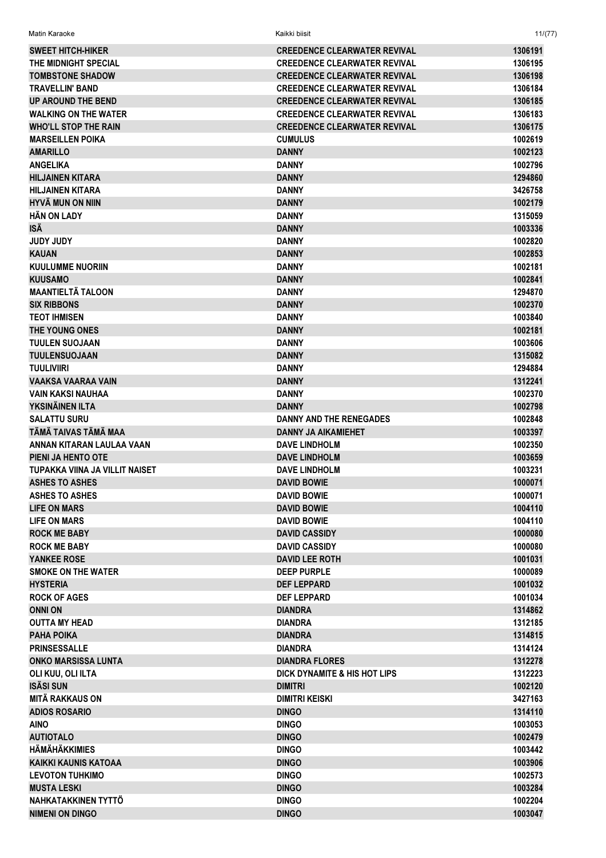| <b>SWEET HITCH-HIKER</b>       | <b>CREEDENCE CLEARWATER REVIVAL</b>     | 1306191 |
|--------------------------------|-----------------------------------------|---------|
| THE MIDNIGHT SPECIAL           | <b>CREEDENCE CLEARWATER REVIVAL</b>     | 1306195 |
|                                |                                         |         |
| <b>TOMBSTONE SHADOW</b>        | <b>CREEDENCE CLEARWATER REVIVAL</b>     | 1306198 |
| <b>TRAVELLIN' BAND</b>         | <b>CREEDENCE CLEARWATER REVIVAL</b>     | 1306184 |
| UP AROUND THE BEND             | <b>CREEDENCE CLEARWATER REVIVAL</b>     | 1306185 |
| <b>WALKING ON THE WATER</b>    | <b>CREEDENCE CLEARWATER REVIVAL</b>     | 1306183 |
| <b>WHO'LL STOP THE RAIN</b>    | <b>CREEDENCE CLEARWATER REVIVAL</b>     | 1306175 |
| <b>MARSEILLEN POIKA</b>        | <b>CUMULUS</b>                          | 1002619 |
| <b>AMARILLO</b>                | <b>DANNY</b>                            | 1002123 |
| <b>ANGELIKA</b>                | <b>DANNY</b>                            | 1002796 |
| <b>HILJAINEN KITARA</b>        | <b>DANNY</b>                            | 1294860 |
| <b>HILJAINEN KITARA</b>        | <b>DANNY</b>                            | 3426758 |
| <b>HYVÄ MUN ON NIIN</b>        | <b>DANNY</b>                            | 1002179 |
| <b>HÄN ON LADY</b>             | <b>DANNY</b>                            | 1315059 |
| ISÄ                            | <b>DANNY</b>                            | 1003336 |
| <b>YOUL YOUL</b>               | <b>DANNY</b>                            | 1002820 |
| <b>KAUAN</b>                   | <b>DANNY</b>                            | 1002853 |
| <b>KUULUMME NUORIIN</b>        | <b>DANNY</b>                            |         |
|                                |                                         | 1002181 |
| <b>KUUSAMO</b>                 | <b>DANNY</b>                            | 1002841 |
| <b>MAANTIELTÄ TALOON</b>       | <b>DANNY</b>                            | 1294870 |
| <b>SIX RIBBONS</b>             | <b>DANNY</b>                            | 1002370 |
| <b>TEOT IHMISEN</b>            | <b>DANNY</b>                            | 1003840 |
| THE YOUNG ONES                 | <b>DANNY</b>                            | 1002181 |
| <b>TUULEN SUOJAAN</b>          | <b>DANNY</b>                            | 1003606 |
| <b>TUULENSUOJAAN</b>           | <b>DANNY</b>                            | 1315082 |
| <b>TUULIVIIRI</b>              | <b>DANNY</b>                            | 1294884 |
| VAAKSA VAARAA VAIN             | <b>DANNY</b>                            | 1312241 |
| <b>VAIN KAKSI NAUHAA</b>       | <b>DANNY</b>                            | 1002370 |
| YKSINÄINEN ILTA                | <b>DANNY</b>                            | 1002798 |
| <b>SALATTU SURU</b>            | DANNY AND THE RENEGADES                 | 1002848 |
| TÄMÄ TAIVAS TÄMÄ MAA           | <b>DANNY JA AIKAMIEHET</b>              | 1003397 |
| ANNAN KITARAN LAULAA VAAN      | <b>DAVE LINDHOLM</b>                    | 1002350 |
| PIENI JA HENTO OTE             | <b>DAVE LINDHOLM</b>                    |         |
|                                |                                         | 1003659 |
| TUPAKKA VIINA JA VILLIT NAISET | <b>DAVE LINDHOLM</b>                    | 1003231 |
| <b>ASHES TO ASHES</b>          | <b>DAVID BOWIE</b>                      | 1000071 |
| <b>ASHES TO ASHES</b>          | <b>DAVID BOWIE</b>                      | 1000071 |
| <b>LIFE ON MARS</b>            | <b>DAVID BOWIE</b>                      | 1004110 |
| <b>LIFE ON MARS</b>            | <b>DAVID BOWIE</b>                      | 1004110 |
| <b>ROCK ME BABY</b>            | <b>DAVID CASSIDY</b>                    | 1000080 |
| <b>ROCK ME BABY</b>            | <b>DAVID CASSIDY</b>                    | 1000080 |
| YANKEE ROSE                    | <b>DAVID LEE ROTH</b>                   | 1001031 |
| <b>SMOKE ON THE WATER</b>      | <b>DEEP PURPLE</b>                      | 1000089 |
| <b>HYSTERIA</b>                | <b>DEF LEPPARD</b>                      | 1001032 |
| <b>ROCK OF AGES</b>            | <b>DEF LEPPARD</b>                      | 1001034 |
| <b>ONNI ON</b>                 | <b>DIANDRA</b>                          | 1314862 |
| <b>OUTTA MY HEAD</b>           | <b>DIANDRA</b>                          | 1312185 |
| <b>PAHA POIKA</b>              | <b>DIANDRA</b>                          | 1314815 |
| <b>PRINSESSALLE</b>            | <b>DIANDRA</b>                          | 1314124 |
| <b>ONKO MARSISSA LUNTA</b>     | <b>DIANDRA FLORES</b>                   | 1312278 |
|                                | <b>DICK DYNAMITE &amp; HIS HOT LIPS</b> | 1312223 |
| OLI KUU, OLI ILTA              |                                         |         |
| <b>ISÄSI SUN</b>               | <b>DIMITRI</b>                          | 1002120 |
| <b>MITÄ RAKKAUS ON</b>         | <b>DIMITRI KEISKI</b>                   | 3427163 |
| <b>ADIOS ROSARIO</b>           | <b>DINGO</b>                            | 1314110 |
| <b>AINO</b>                    | <b>DINGO</b>                            | 1003053 |
| <b>AUTIOTALO</b>               | <b>DINGO</b>                            | 1002479 |
| <b>HÄMÄHÄKKIMIES</b>           | <b>DINGO</b>                            | 1003442 |
| KAIKKI KAUNIS KATOAA           | <b>DINGO</b>                            | 1003906 |
| <b>LEVOTON TUHKIMO</b>         | <b>DINGO</b>                            | 1002573 |
| <b>MUSTA LESKI</b>             | <b>DINGO</b>                            | 1003284 |
| NAHKATAKKINEN TYTTÖ            | <b>DINGO</b>                            | 1002204 |
| <b>NIMENI ON DINGO</b>         | <b>DINGO</b>                            | 1003047 |

Matin Karaoke Kaikki biisit 11/(77)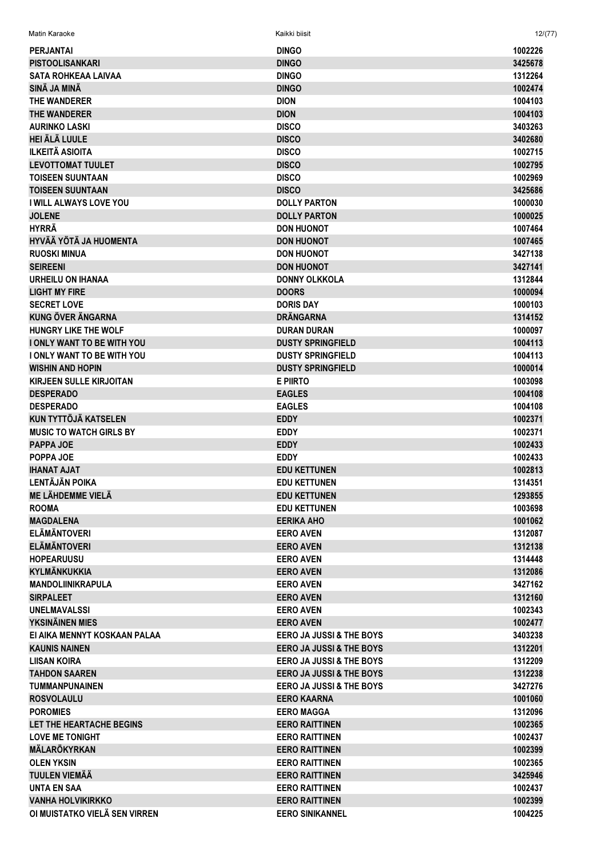| <b>PERJANTAI</b>                  | <b>DINGO</b>                        | 1002226            |
|-----------------------------------|-------------------------------------|--------------------|
| <b>PISTOOLISANKARI</b>            | <b>DINGO</b>                        | 3425678            |
| <b>SATA ROHKEAA LAIVAA</b>        | <b>DINGO</b>                        | 1312264            |
| SINÄ JA MINÄ                      | <b>DINGO</b>                        | 1002474            |
| THE WANDERER                      | <b>DION</b>                         | 1004103            |
| <b>THE WANDERER</b>               | <b>DION</b>                         | 1004103            |
| <b>AURINKO LASKI</b>              | <b>DISCO</b>                        | 3403263            |
| <b>HEI ÄLÄ LUULE</b>              | <b>DISCO</b>                        | 3402680            |
| <b>ILKEITÄ ASIOITA</b>            | <b>DISCO</b>                        | 1002715            |
| <b>LEVOTTOMAT TUULET</b>          | <b>DISCO</b>                        | 1002795            |
| <b>TOISEEN SUUNTAAN</b>           | <b>DISCO</b>                        | 1002969            |
| <b>TOISEEN SUUNTAAN</b>           | <b>DISCO</b>                        | 3425686            |
| <b>I WILL ALWAYS LOVE YOU</b>     | <b>DOLLY PARTON</b>                 | 1000030            |
| <b>JOLENE</b>                     | <b>DOLLY PARTON</b>                 | 1000025            |
| <b>HYRRÄ</b>                      | <b>DON HUONOT</b>                   | 1007464            |
| HYVÄÄ YÖTÄ JA HUOMENTA            | <b>DON HUONOT</b>                   | 1007465            |
| <b>RUOSKI MINUA</b>               | <b>DON HUONOT</b>                   | 3427138            |
| <b>SEIREENI</b>                   | <b>DON HUONOT</b>                   | 3427141            |
| <b>URHEILU ON IHANAA</b>          | <b>DONNY OLKKOLA</b>                | 1312844            |
| <b>LIGHT MY FIRE</b>              | <b>DOORS</b>                        | 1000094            |
| <b>SECRET LOVE</b>                | <b>DORIS DAY</b>                    | 1000103            |
| <b>KUNG ÖVER ÄNGARNA</b>          | <b>DRÄNGARNA</b>                    | 1314152            |
| HUNGRY LIKE THE WOLF              | <b>DURAN DURAN</b>                  | 1000097            |
| <b>I ONLY WANT TO BE WITH YOU</b> | <b>DUSTY SPRINGFIELD</b>            | 1004113            |
| <b>I ONLY WANT TO BE WITH YOU</b> | <b>DUSTY SPRINGFIELD</b>            | 1004113            |
| <b>WISHIN AND HOPIN</b>           | <b>DUSTY SPRINGFIELD</b>            | 1000014            |
| <b>KIRJEEN SULLE KIRJOITAN</b>    | <b>E PIIRTO</b>                     | 1003098            |
| <b>DESPERADO</b>                  | <b>EAGLES</b>                       | 1004108            |
| <b>DESPERADO</b>                  | <b>EAGLES</b>                       | 1004108            |
| <b>KUN TYTTÖJÄ KATSELEN</b>       | <b>EDDY</b>                         | 1002371            |
| <b>MUSIC TO WATCH GIRLS BY</b>    | <b>EDDY</b>                         | 1002371            |
| PAPPA JOE                         | <b>EDDY</b>                         | 1002433            |
| POPPA JOE                         | <b>EDDY</b>                         | 1002433            |
| <b>IHANAT AJAT</b>                | <b>EDU KETTUNEN</b>                 | 1002813            |
| <b>LENTÄJÄN POIKA</b>             | <b>EDU KETTUNEN</b>                 | 1314351            |
| <b>ME LÄHDEMME VIELÄ</b>          | <b>EDU KETTUNEN</b>                 | 1293855            |
| <b>ROOMA</b>                      | <b>EDU KETTUNEN</b>                 | 1003698            |
| <b>MAGDALENA</b>                  | <b>EERIKA AHO</b>                   | 1001062            |
| <b>ELÄMÄNTOVERI</b>               | <b>EERO AVEN</b>                    | 1312087            |
| <b>ELÄMÄNTOVERI</b>               | <b>EERO AVEN</b>                    | 1312138            |
| <b>HOPEARUUSU</b>                 | <b>EERO AVEN</b>                    | 1314448            |
| <b>KYLMÄNKUKKIA</b>               | <b>EERO AVEN</b>                    | 1312086            |
| <b>MANDOLIINIKRAPULA</b>          | <b>EERO AVEN</b>                    | 3427162            |
| <b>SIRPALEET</b>                  | <b>EERO AVEN</b>                    | 1312160            |
| <b>UNELMAVALSSI</b>               | <b>EERO AVEN</b>                    | 1002343            |
| YKSINÄINEN MIES                   | <b>EERO AVEN</b>                    | 1002477            |
| EI AIKA MENNYT KOSKAAN PALAA      | <b>EERO JA JUSSI &amp; THE BOYS</b> | 3403238            |
| <b>KAUNIS NAINEN</b>              | <b>EERO JA JUSSI &amp; THE BOYS</b> | 1312201            |
| LIISAN KOIRA                      | <b>EERO JA JUSSI &amp; THE BOYS</b> | 1312209            |
| <b>TAHDON SAAREN</b>              | <b>EERO JA JUSSI &amp; THE BOYS</b> | 1312238            |
| <b>TUMMANPUNAINEN</b>             | <b>EERO JA JUSSI &amp; THE BOYS</b> | 3427276            |
| <b>ROSVOLAULU</b>                 | <b>EERO KAARNA</b>                  | 1001060            |
| <b>POROMIES</b>                   | <b>EERO MAGGA</b>                   | 1312096            |
| LET THE HEARTACHE BEGINS          | <b>EERO RAITTINEN</b>               | 1002365            |
| <b>LOVE ME TONIGHT</b>            | <b>EERO RAITTINEN</b>               | 1002437            |
| <b>MÄLARÖKYRKAN</b>               | <b>EERO RAITTINEN</b>               | 1002399            |
| <b>OLEN YKSIN</b>                 | <b>EERO RAITTINEN</b>               | 1002365            |
| <b>TUULEN VIEMÄÄ</b>              | <b>EERO RAITTINEN</b>               | 3425946            |
| <b>UNTA EN SAA</b>                | <b>EERO RAITTINEN</b>               |                    |
| <b>VANHA HOLVIKIRKKO</b>          | <b>EERO RAITTINEN</b>               | 1002437<br>1002399 |
| OI MUISTATKO VIELÄ SEN VIRREN     | <b>EERO SINIKANNEL</b>              | 1004225            |
|                                   |                                     |                    |

Matin Karaoke Kaikki biisit 12/(77)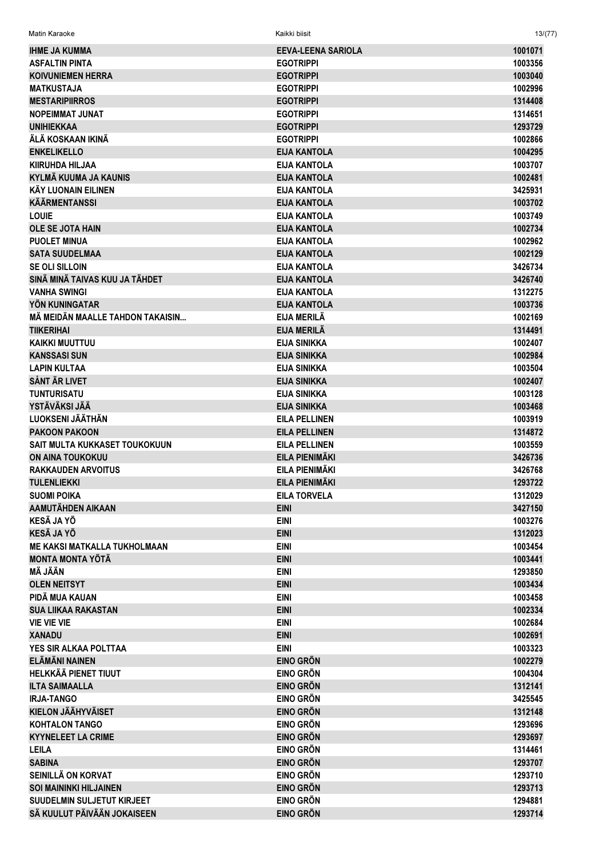Matin Karaoke

 $13/(77)$ 

| <b>IHME JA KUMMA</b>                | <b>EEVA-LEENA SARIOLA</b> | 1001071            |
|-------------------------------------|---------------------------|--------------------|
| <b>ASFALTIN PINTA</b>               | <b>EGOTRIPPI</b>          | 1003356            |
| <b>KOIVUNIEMEN HERRA</b>            | <b>EGOTRIPPI</b>          | 1003040            |
| <b>MATKUSTAJA</b>                   | <b>EGOTRIPPI</b>          | 1002996            |
| <b>MESTARIPIIRROS</b>               | <b>EGOTRIPPI</b>          | 1314408            |
| <b>NOPEIMMAT JUNAT</b>              | <b>EGOTRIPPI</b>          | 1314651            |
| <b>UNIHIEKKAA</b>                   | <b>EGOTRIPPI</b>          | 1293729            |
| ÄLÄ KOSKAAN IKINÄ                   | <b>EGOTRIPPI</b>          | 1002866            |
| <b>ENKELIKELLO</b>                  | <b>EIJA KANTOLA</b>       | 1004295            |
| <b>KIIRUHDA HILJAA</b>              | <b>EIJA KANTOLA</b>       | 1003707            |
| <b>KYLMÄ KUUMA JA KAUNIS</b>        | <b>EIJA KANTOLA</b>       | 1002481            |
| <b>KÄY LUONAIN EILINEN</b>          | <b>EIJA KANTOLA</b>       | 3425931            |
| <b>KÄÄRMENTANSSI</b>                | <b>EIJA KANTOLA</b>       | 1003702            |
| <b>LOUIE</b>                        | <b>EIJA KANTOLA</b>       | 1003749            |
| <b>OLE SE JOTA HAIN</b>             | <b>EIJA KANTOLA</b>       | 1002734            |
| <b>PUOLET MINUA</b>                 | <b>EIJA KANTOLA</b>       | 1002962            |
| <b>SATA SUUDELMAA</b>               | <b>EIJA KANTOLA</b>       | 1002129            |
| <b>SE OLI SILLOIN</b>               | <b>EIJA KANTOLA</b>       | 3426734            |
| SINÄ MINÄ TAIVAS KUU JA TÄHDET      | <b>EIJA KANTOLA</b>       | 3426740            |
| <b>VANHA SWINGI</b>                 | <b>EIJA KANTOLA</b>       | 1312275            |
| YÖN KUNINGATAR                      | <b>EIJA KANTOLA</b>       | 1003736            |
| MÄ MEIDÄN MAALLE TAHDON TAKAISIN    | <b>EIJA MERILÄ</b>        | 1002169            |
| <b>TIIKERIHAI</b>                   | EIJA MERILÄ               | 1314491            |
| <b>KAIKKI MUUTTUU</b>               | <b>EIJA SINIKKA</b>       | 1002407            |
| <b>KANSSASI SUN</b>                 | <b>EIJA SINIKKA</b>       | 1002984            |
| <b>LAPIN KULTAA</b>                 | <b>EIJA SINIKKA</b>       | 1003504            |
| <b>SÅNT ÄR LIVET</b>                | <b>EIJA SINIKKA</b>       | 1002407            |
| <b>TUNTURISATU</b>                  | <b>EIJA SINIKKA</b>       | 1003128            |
| YSTÄVÄKSI JÄÄ                       | <b>EIJA SINIKKA</b>       | 1003468            |
| LUOKSENI JÄÄTHÄN                    | <b>EILA PELLINEN</b>      | 1003919            |
| <b>PAKOON PAKOON</b>                | <b>EILA PELLINEN</b>      | 1314872            |
| SAIT MULTA KUKKASET TOUKOKUUN       | <b>EILA PELLINEN</b>      |                    |
|                                     | EILA PIENIMÄKI            | 1003559<br>3426736 |
| <b>ON AINA TOUKOKUU</b>             | EILA PIENIMÄKI            |                    |
| <b>RAKKAUDEN ARVOITUS</b>           |                           | 3426768            |
| <b>TULENLIEKKI</b>                  | EILA PIENIMÄKI            | 1293722            |
| <b>SUOMI POIKA</b>                  | <b>EILA TORVELA</b>       | 1312029            |
| AAMUTÄHDEN AIKAAN                   | <b>EINI</b>               | 3427150            |
| <b>KESÄ JA YÖ</b>                   | <b>EINI</b>               | 1003276            |
| <b>KESÄ JA YÖ</b>                   | <b>EINI</b>               | 1312023            |
| <b>ME KAKSI MATKALLA TUKHOLMAAN</b> | <b>EINI</b>               | 1003454            |
| <b>MONTA MONTA YÖTÄ</b>             | <b>EINI</b>               | 1003441            |
| <b>MÄ JÄÄN</b>                      | <b>EINI</b>               | 1293850            |
| <b>OLEN NEITSYT</b>                 | <b>EINI</b>               | 1003434            |
| PIDÄ MUA KAUAN                      | <b>EINI</b>               | 1003458            |
| <b>SUA LIIKAA RAKASTAN</b>          | <b>EINI</b>               | 1002334            |
| <b>VIE VIE VIE</b>                  | <b>EINI</b>               | 1002684            |
| <b>XANADU</b>                       | <b>EINI</b>               | 1002691            |
| YES SIR ALKAA POLTTAA               | <b>EINI</b>               | 1003323            |
| <b>ELÄMÄNI NAINEN</b>               | <b>EINO GRÖN</b>          | 1002279            |
| <b>HELKKÄÄ PIENET TIUUT</b>         | <b>EINO GRÖN</b>          | 1004304            |
| <b>ILTA SAIMAALLA</b>               | <b>EINO GRÖN</b>          | 1312141            |
| <b>IRJA-TANGO</b>                   | <b>EINO GRÖN</b>          | 3425545            |
| <b>KIELON JÄÄHYVÄISET</b>           | <b>EINO GRÖN</b>          | 1312148            |
| <b>KOHTALON TANGO</b>               | <b>EINO GRÖN</b>          | 1293696            |
| <b>KYYNELEET LA CRIME</b>           | <b>EINO GRÖN</b>          | 1293697            |
| <b>LEILA</b>                        | <b>EINO GRÖN</b>          | 1314461            |
| <b>SABINA</b>                       | <b>EINO GRÖN</b>          | 1293707            |
| SEINILLÄ ON KORVAT                  | <b>EINO GRÖN</b>          | 1293710            |
| <b>SOI MAININKI HILJAINEN</b>       | <b>EINO GRÖN</b>          | 1293713            |
| SUUDELMIN SULJETUT KIRJEET          | <b>EINO GRÖN</b>          | 1294881            |
| SÄ KUULUT PÄIVÄÄN JOKAISEEN         | <b>EINO GRÖN</b>          | 1293714            |
|                                     |                           |                    |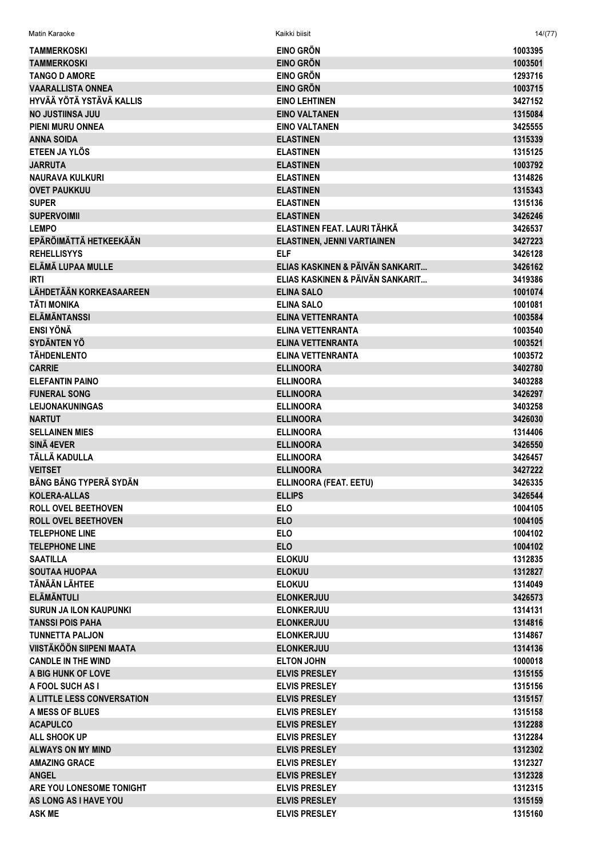| Matin Karaoke                           | Kaikki biisit                        | 14/(77)            |
|-----------------------------------------|--------------------------------------|--------------------|
| <b>TAMMERKOSKI</b>                      | EINO GRÖN                            | 1003395            |
| <b>TAMMERKOSKI</b>                      | <b>EINO GRÖN</b>                     | 1003501            |
| <b>TANGO D AMORE</b>                    | <b>EINO GRÖN</b>                     | 1293716            |
| <b>VAARALLISTA ONNEA</b>                | <b>EINO GRÖN</b>                     | 1003715            |
| HYVÄÄ YÖTÄ YSTÄVÄ KALLIS                | <b>EINO LEHTINEN</b>                 | 3427152            |
| NO JUSTIINSA JUU                        | <b>EINO VALTANEN</b>                 | 1315084            |
| <b>PIENI MURU ONNEA</b>                 | <b>EINO VALTANEN</b>                 | 3425555            |
| <b>ANNA SOIDA</b>                       | <b>ELASTINEN</b>                     | 1315339            |
| ETEEN JA YLÖS                           | <b>ELASTINEN</b>                     | 1315125            |
| <b>JARRUTA</b>                          | <b>ELASTINEN</b>                     | 1003792            |
| <b>NAURAVA KULKURI</b>                  | <b>ELASTINEN</b>                     | 1314826            |
| <b>OVET PAUKKUU</b>                     | <b>ELASTINEN</b>                     | 1315343            |
| <b>SUPER</b>                            | <b>ELASTINEN</b>                     | 1315136            |
| <b>SUPERVOIMII</b>                      | <b>ELASTINEN</b>                     | 3426246            |
| <b>LEMPO</b>                            | ELASTINEN FEAT. LAURI TÄHKÄ          | 3426537            |
| EPÄRÖIMÄTTÄ HETKEEKÄÄN                  | <b>ELASTINEN, JENNI VARTIAINEN</b>   | 3427223            |
| <b>REHELLISYYS</b>                      | <b>ELF</b>                           | 3426128            |
| ELÄMÄ LUPAA MULLE                       | ELIAS KASKINEN & PÄIVÄN SANKARIT     | 3426162            |
| <b>IRTI</b>                             | ELIAS KASKINEN & PÄIVÄN SANKARIT     | 3419386            |
| LÄHDETÄÄN KORKEASAAREEN                 | <b>ELINA SALO</b>                    | 1001074            |
| <b>TÄTI MONIKA</b>                      | <b>ELINA SALO</b>                    | 1001081            |
| <b>ELÄMÄNTANSSI</b>                     | <b>ELINA VETTENRANTA</b>             | 1003584            |
| <b>ENSI YÖNÄ</b>                        | ELINA VETTENRANTA                    | 1003540            |
| <b>SYDÄNTEN YÖ</b>                      | ELINA VETTENRANTA                    | 1003521            |
| <b>TÄHDENLENTO</b>                      | ELINA VETTENRANTA                    | 1003572            |
| <b>CARRIE</b>                           | <b>ELLINOORA</b>                     | 3402780            |
| <b>ELEFANTIN PAINO</b>                  | <b>ELLINOORA</b>                     | 3403288            |
| <b>FUNERAL SONG</b>                     | <b>ELLINOORA</b>                     | 3426297            |
| <b>LEIJONAKUNINGAS</b><br><b>NARTUT</b> | <b>ELLINOORA</b><br><b>ELLINOORA</b> | 3403258<br>3426030 |
| <b>SELLAINEN MIES</b>                   | <b>ELLINOORA</b>                     | 1314406            |
| <b>SINÄ 4EVER</b>                       | <b>ELLINOORA</b>                     | 3426550            |
| TÄLLÄ KADULLA                           | <b>ELLINOORA</b>                     | 3426457            |
| <b>VEITSET</b>                          | <b>ELLINOORA</b>                     | 3427222            |
| <b>BÄNG BÄNG TYPERÄ SYDÄN</b>           | ELLINOORA (FEAT. EETU)               | 3426335            |
| <b>KOLERA-ALLAS</b>                     | <b>ELLIPS</b>                        | 3426544            |
| <b>ROLL OVEL BEETHOVEN</b>              | <b>ELO</b>                           | 1004105            |
| <b>ROLL OVEL BEETHOVEN</b>              | <b>ELO</b>                           | 1004105            |
| <b>TELEPHONE LINE</b>                   | <b>ELO</b>                           | 1004102            |
| <b>TELEPHONE LINE</b>                   | <b>ELO</b>                           | 1004102            |
| <b>SAATILLA</b>                         | <b>ELOKUU</b>                        | 1312835            |
| <b>SOUTAA HUOPAA</b>                    | <b>ELOKUU</b>                        | 1312827            |
| TÄNÄÄN LÄHTEE                           | <b>ELOKUU</b>                        | 1314049            |
| <b>ELÄMÄNTULI</b>                       | <b>ELONKERJUU</b>                    | 3426573            |
| <b>SURUN JA ILON KAUPUNKI</b>           | <b>ELONKERJUU</b>                    | 1314131            |
| <b>TANSSI POIS PAHA</b>                 | <b>ELONKERJUU</b>                    | 1314816            |
| <b>TUNNETTA PALJON</b>                  | <b>ELONKERJUU</b>                    | 1314867            |
| VIISTÄKÖÖN SIIPENI MAATA                | <b>ELONKERJUU</b>                    | 1314136            |
| <b>CANDLE IN THE WIND</b>               | <b>ELTON JOHN</b>                    | 1000018            |
| A BIG HUNK OF LOVE                      | <b>ELVIS PRESLEY</b>                 | 1315155            |
| A FOOL SUCH AS I                        | <b>ELVIS PRESLEY</b>                 | 1315156            |
| A LITTLE LESS CONVERSATION              | <b>ELVIS PRESLEY</b>                 | 1315157            |
| A MESS OF BLUES                         | <b>ELVIS PRESLEY</b>                 | 1315158            |
| <b>ACAPULCO</b>                         | <b>ELVIS PRESLEY</b>                 | 1312288            |
| ALL SHOOK UP                            | <b>ELVIS PRESLEY</b>                 | 1312284            |
| <b>ALWAYS ON MY MIND</b>                | <b>ELVIS PRESLEY</b>                 | 1312302            |
| <b>AMAZING GRACE</b>                    | <b>ELVIS PRESLEY</b>                 | 1312327            |
| <b>ANGEL</b>                            | <b>ELVIS PRESLEY</b>                 | 1312328            |
| ARE YOU LONESOME TONIGHT                | <b>ELVIS PRESLEY</b>                 | 1312315            |
| AS LONG AS I HAVE YOU                   | <b>ELVIS PRESLEY</b>                 | 1315159            |
| <b>ASK ME</b>                           | <b>ELVIS PRESLEY</b>                 | 1315160            |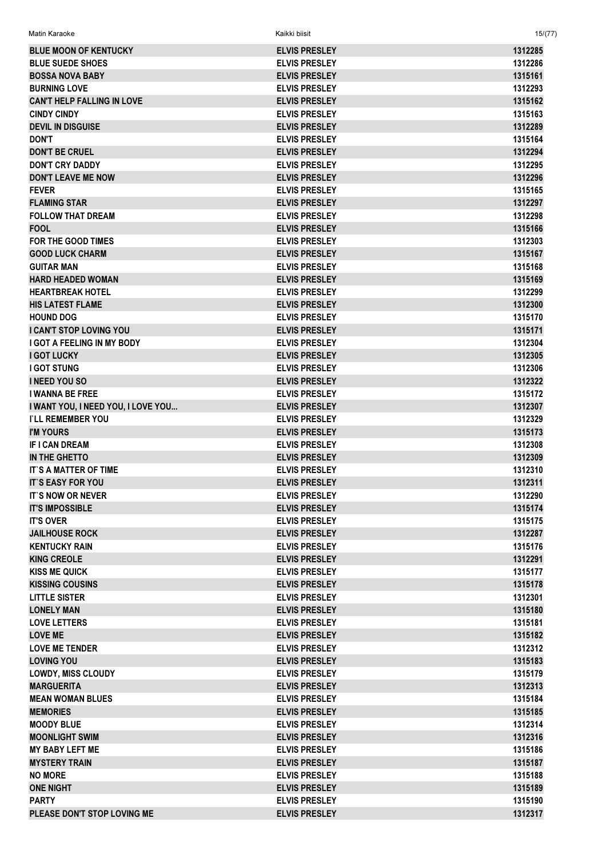| <b>BLUE MOON OF KENTUCKY</b>       | <b>ELVIS PRESLEY</b> | 1312285 |
|------------------------------------|----------------------|---------|
| <b>BLUE SUEDE SHOES</b>            | <b>ELVIS PRESLEY</b> | 1312286 |
| <b>BOSSA NOVA BABY</b>             | <b>ELVIS PRESLEY</b> | 1315161 |
| <b>BURNING LOVE</b>                | <b>ELVIS PRESLEY</b> | 1312293 |
| <b>CAN'T HELP FALLING IN LOVE</b>  | <b>ELVIS PRESLEY</b> | 1315162 |
| <b>CINDY CINDY</b>                 | <b>ELVIS PRESLEY</b> | 1315163 |
| <b>DEVIL IN DISGUISE</b>           | <b>ELVIS PRESLEY</b> | 1312289 |
| <b>DON'T</b>                       | <b>ELVIS PRESLEY</b> | 1315164 |
| <b>DON'T BE CRUEL</b>              | <b>ELVIS PRESLEY</b> | 1312294 |
| DON'T CRY DADDY                    | <b>ELVIS PRESLEY</b> | 1312295 |
| <b>DON'T LEAVE ME NOW</b>          | <b>ELVIS PRESLEY</b> | 1312296 |
| <b>FEVER</b>                       | <b>ELVIS PRESLEY</b> | 1315165 |
| <b>FLAMING STAR</b>                | <b>ELVIS PRESLEY</b> | 1312297 |
| <b>FOLLOW THAT DREAM</b>           | <b>ELVIS PRESLEY</b> | 1312298 |
| <b>FOOL</b>                        | <b>ELVIS PRESLEY</b> | 1315166 |
| FOR THE GOOD TIMES                 | <b>ELVIS PRESLEY</b> | 1312303 |
| <b>GOOD LUCK CHARM</b>             | <b>ELVIS PRESLEY</b> | 1315167 |
| <b>GUITAR MAN</b>                  | <b>ELVIS PRESLEY</b> | 1315168 |
| <b>HARD HEADED WOMAN</b>           | <b>ELVIS PRESLEY</b> | 1315169 |
| <b>HEARTBREAK HOTEL</b>            | <b>ELVIS PRESLEY</b> | 1312299 |
| <b>HIS LATEST FLAME</b>            | <b>ELVIS PRESLEY</b> | 1312300 |
|                                    |                      |         |
| <b>HOUND DOG</b>                   | <b>ELVIS PRESLEY</b> | 1315170 |
| I CAN'T STOP LOVING YOU            | <b>ELVIS PRESLEY</b> | 1315171 |
| <b>I GOT A FEELING IN MY BODY</b>  | <b>ELVIS PRESLEY</b> | 1312304 |
| <b>I GOT LUCKY</b>                 | <b>ELVIS PRESLEY</b> | 1312305 |
| <b>I GOT STUNG</b>                 | <b>ELVIS PRESLEY</b> | 1312306 |
| <b>I NEED YOU SO</b>               | <b>ELVIS PRESLEY</b> | 1312322 |
| <b>I WANNA BE FREE</b>             | <b>ELVIS PRESLEY</b> | 1315172 |
| I WANT YOU, I NEED YOU, I LOVE YOU | <b>ELVIS PRESLEY</b> | 1312307 |
| <b><i>I`LL REMEMBER YOU</i></b>    | <b>ELVIS PRESLEY</b> | 1312329 |
| <b>I'M YOURS</b>                   | <b>ELVIS PRESLEY</b> | 1315173 |
| <b>IF I CAN DREAM</b>              | <b>ELVIS PRESLEY</b> | 1312308 |
| IN THE GHETTO                      | <b>ELVIS PRESLEY</b> | 1312309 |
| IT'S A MATTER OF TIME              | <b>ELVIS PRESLEY</b> | 1312310 |
| <b>IT'S EASY FOR YOU</b>           | <b>ELVIS PRESLEY</b> | 1312311 |
| <b>IT'S NOW OR NEVER</b>           | <b>ELVIS PRESLEY</b> | 1312290 |
| <b>IT'S IMPOSSIBLE</b>             | <b>ELVIS PRESLEY</b> | 1315174 |
| <b>IT'S OVER</b>                   | <b>ELVIS PRESLEY</b> | 1315175 |
| <b>JAILHOUSE ROCK</b>              | <b>ELVIS PRESLEY</b> | 1312287 |
| <b>KENTUCKY RAIN</b>               | <b>ELVIS PRESLEY</b> | 1315176 |
| <b>KING CREOLE</b>                 | <b>ELVIS PRESLEY</b> | 1312291 |
| <b>KISS ME QUICK</b>               | <b>ELVIS PRESLEY</b> | 1315177 |
| <b>KISSING COUSINS</b>             | <b>ELVIS PRESLEY</b> | 1315178 |
| <b>LITTLE SISTER</b>               | <b>ELVIS PRESLEY</b> | 1312301 |
| <b>LONELY MAN</b>                  | <b>ELVIS PRESLEY</b> | 1315180 |
| <b>LOVE LETTERS</b>                | <b>ELVIS PRESLEY</b> | 1315181 |
| <b>LOVE ME</b>                     | <b>ELVIS PRESLEY</b> | 1315182 |
| <b>LOVE ME TENDER</b>              | <b>ELVIS PRESLEY</b> | 1312312 |
| <b>LOVING YOU</b>                  | <b>ELVIS PRESLEY</b> | 1315183 |
| <b>LOWDY, MISS CLOUDY</b>          | <b>ELVIS PRESLEY</b> | 1315179 |
| <b>MARGUERITA</b>                  | <b>ELVIS PRESLEY</b> | 1312313 |
| <b>MEAN WOMAN BLUES</b>            | <b>ELVIS PRESLEY</b> | 1315184 |
| <b>MEMORIES</b>                    | <b>ELVIS PRESLEY</b> | 1315185 |
| <b>MOODY BLUE</b>                  | <b>ELVIS PRESLEY</b> | 1312314 |
| <b>MOONLIGHT SWIM</b>              | <b>ELVIS PRESLEY</b> | 1312316 |
| <b>MY BABY LEFT ME</b>             | <b>ELVIS PRESLEY</b> | 1315186 |
| <b>MYSTERY TRAIN</b>               | <b>ELVIS PRESLEY</b> | 1315187 |
| <b>NO MORE</b>                     | <b>ELVIS PRESLEY</b> | 1315188 |
| <b>ONE NIGHT</b>                   | <b>ELVIS PRESLEY</b> | 1315189 |
| <b>PARTY</b>                       | <b>ELVIS PRESLEY</b> | 1315190 |
| PLEASE DON'T STOP LOVING ME        | <b>ELVIS PRESLEY</b> | 1312317 |
|                                    |                      |         |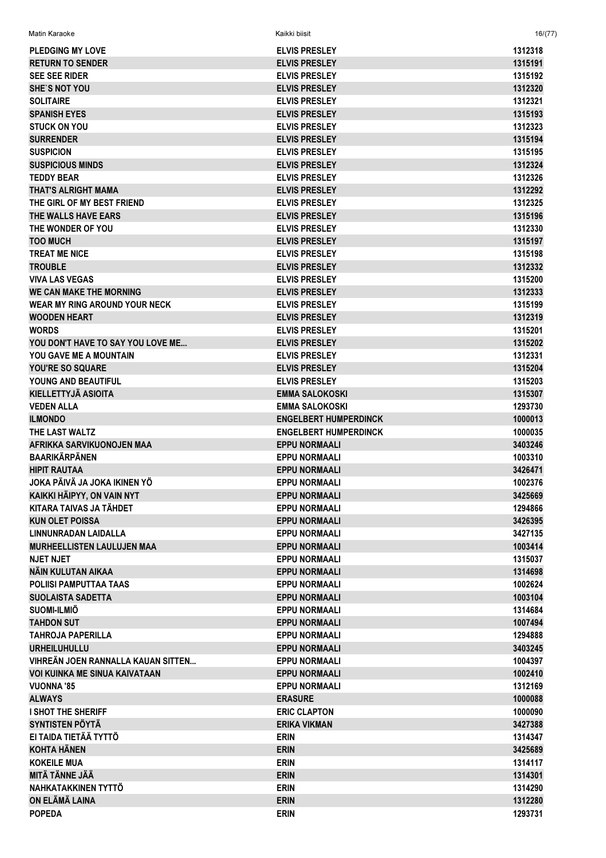| <b>PLEDGING MY LOVE</b>              | <b>ELVIS PRESLEY</b>         | 1312318 |
|--------------------------------------|------------------------------|---------|
| <b>RETURN TO SENDER</b>              | <b>ELVIS PRESLEY</b>         | 1315191 |
| <b>SEE SEE RIDER</b>                 | <b>ELVIS PRESLEY</b>         | 1315192 |
| <b>SHE'S NOT YOU</b>                 | <b>ELVIS PRESLEY</b>         | 1312320 |
| <b>SOLITAIRE</b>                     | <b>ELVIS PRESLEY</b>         | 1312321 |
| <b>SPANISH EYES</b>                  | <b>ELVIS PRESLEY</b>         | 1315193 |
| <b>STUCK ON YOU</b>                  | <b>ELVIS PRESLEY</b>         | 1312323 |
| <b>SURRENDER</b>                     | <b>ELVIS PRESLEY</b>         | 1315194 |
| <b>SUSPICION</b>                     | <b>ELVIS PRESLEY</b>         | 1315195 |
| <b>SUSPICIOUS MINDS</b>              | <b>ELVIS PRESLEY</b>         | 1312324 |
| <b>TEDDY BEAR</b>                    | <b>ELVIS PRESLEY</b>         | 1312326 |
| <b>THAT'S ALRIGHT MAMA</b>           | <b>ELVIS PRESLEY</b>         | 1312292 |
| THE GIRL OF MY BEST FRIEND           | <b>ELVIS PRESLEY</b>         | 1312325 |
| THE WALLS HAVE EARS                  | <b>ELVIS PRESLEY</b>         | 1315196 |
| THE WONDER OF YOU                    | <b>ELVIS PRESLEY</b>         | 1312330 |
| <b>TOO MUCH</b>                      | <b>ELVIS PRESLEY</b>         | 1315197 |
| <b>TREAT ME NICE</b>                 | <b>ELVIS PRESLEY</b>         | 1315198 |
| <b>TROUBLE</b>                       | <b>ELVIS PRESLEY</b>         | 1312332 |
| <b>VIVA LAS VEGAS</b>                | <b>ELVIS PRESLEY</b>         | 1315200 |
| <b>WE CAN MAKE THE MORNING</b>       | <b>ELVIS PRESLEY</b>         | 1312333 |
| <b>WEAR MY RING AROUND YOUR NECK</b> | <b>ELVIS PRESLEY</b>         | 1315199 |
| <b>WOODEN HEART</b>                  | <b>ELVIS PRESLEY</b>         | 1312319 |
|                                      |                              |         |
| <b>WORDS</b>                         | <b>ELVIS PRESLEY</b>         | 1315201 |
| YOU DON'T HAVE TO SAY YOU LOVE ME    | <b>ELVIS PRESLEY</b>         | 1315202 |
| <b>YOU GAVE ME A MOUNTAIN</b>        | <b>ELVIS PRESLEY</b>         | 1312331 |
| YOU'RE SO SQUARE                     | <b>ELVIS PRESLEY</b>         | 1315204 |
| YOUNG AND BEAUTIFUL                  | <b>ELVIS PRESLEY</b>         | 1315203 |
| <b>KIELLETTYJÄ ASIOITA</b>           | <b>EMMA SALOKOSKI</b>        | 1315307 |
| <b>VEDEN ALLA</b>                    | <b>EMMA SALOKOSKI</b>        | 1293730 |
| <b>ILMONDO</b>                       | <b>ENGELBERT HUMPERDINCK</b> | 1000013 |
| THE LAST WALTZ                       | <b>ENGELBERT HUMPERDINCK</b> | 1000035 |
| AFRIKKA SARVIKUONOJEN MAA            | <b>EPPU NORMAALI</b>         | 3403246 |
| <b>BAARIKÄRPÄNEN</b>                 | <b>EPPU NORMAALI</b>         | 1003310 |
| <b>HIPIT RAUTAA</b>                  | <b>EPPU NORMAALI</b>         | 3426471 |
| JOKA PÄIVÄ JA JOKA IKINEN YÖ         | <b>EPPU NORMAALI</b>         | 1002376 |
| KAIKKI HÄIPYY, ON VAIN NYT           | <b>EPPU NORMAALI</b>         | 3425669 |
| KITARA TAIVAS JA TÄHDET              | <b>EPPU NORMAALI</b>         | 1294866 |
| <b>KUN OLET POISSA</b>               | <b>EPPU NORMAALI</b>         | 3426395 |
| LINNUNRADAN LAIDALLA                 | <b>EPPU NORMAALI</b>         | 3427135 |
| <b>MURHEELLISTEN LAULUJEN MAA</b>    | <b>EPPU NORMAALI</b>         | 1003414 |
| <b>NJET NJET</b>                     | <b>EPPU NORMAALI</b>         | 1315037 |
| NÄIN KULUTAN AIKAA                   | <b>EPPU NORMAALI</b>         | 1314698 |
| <b>POLIISI PAMPUTTAA TAAS</b>        | <b>EPPU NORMAALI</b>         | 1002624 |
| <b>SUOLAISTA SADETTA</b>             | <b>EPPU NORMAALI</b>         | 1003104 |
| <b>SUOMI-ILMIÖ</b>                   | <b>EPPU NORMAALI</b>         | 1314684 |
| <b>TAHDON SUT</b>                    | <b>EPPU NORMAALI</b>         | 1007494 |
| <b>TAHROJA PAPERILLA</b>             | <b>EPPU NORMAALI</b>         | 1294888 |
| <b>URHEILUHULLU</b>                  | <b>EPPU NORMAALI</b>         | 3403245 |
| VIHREÄN JOEN RANNALLA KAUAN SITTEN   | <b>EPPU NORMAALI</b>         |         |
|                                      |                              | 1004397 |
| <b>VOI KUINKA ME SINUA KAIVATAAN</b> | <b>EPPU NORMAALI</b>         | 1002410 |
| <b>VUONNA '85</b>                    | <b>EPPU NORMAALI</b>         | 1312169 |
| <b>ALWAYS</b>                        | <b>ERASURE</b>               | 1000088 |
| <b>I SHOT THE SHERIFF</b>            | <b>ERIC CLAPTON</b>          | 1000090 |
| <b>SYNTISTEN PÖYTÄ</b>               | <b>ERIKA VIKMAN</b>          | 3427388 |
| EI TAIDA TIETÄÄ TYTTÖ                | <b>ERIN</b>                  | 1314347 |
| <b>KOHTA HÄNEN</b>                   | <b>ERIN</b>                  | 3425689 |
| <b>KOKEILE MUA</b>                   | <b>ERIN</b>                  | 1314117 |
| <b>MITÄ TÄNNE JÄÄ</b>                | <b>ERIN</b>                  | 1314301 |
| NAHKATAKKINEN TYTTÖ                  | <b>ERIN</b>                  | 1314290 |
| ON ELÄMÄ LAINA                       | <b>ERIN</b>                  | 1312280 |
| <b>POPEDA</b>                        | <b>ERIN</b>                  | 1293731 |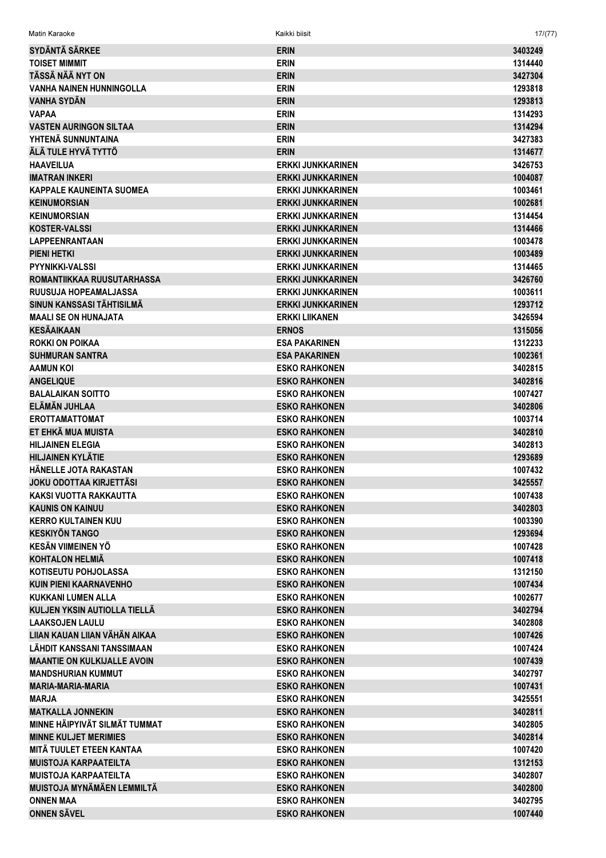Matin Karaoke Kaikki biisit 17/(77)

| <b>SYDÄNTÄ SÄRKEE</b>              | <b>ERIN</b>              | 3403249 |
|------------------------------------|--------------------------|---------|
| <b>TOISET MIMMIT</b>               | <b>ERIN</b>              | 1314440 |
| TÄSSÄ NÄÄ NYT ON                   | <b>ERIN</b>              | 3427304 |
| <b>VANHA NAINEN HUNNINGOLLA</b>    | <b>ERIN</b>              | 1293818 |
| VANHA SYDÄN                        | <b>ERIN</b>              | 1293813 |
| <b>VAPAA</b>                       | <b>ERIN</b>              | 1314293 |
| <b>VASTEN AURINGON SILTAA</b>      | <b>ERIN</b>              | 1314294 |
| YHTENÄ SUNNUNTAINA                 | <b>ERIN</b>              | 3427383 |
| ÄLÄ TULE HYVÄ TYTTÖ                | <b>ERIN</b>              | 1314677 |
| <b>HAAVEILUA</b>                   | <b>ERKKI JUNKKARINEN</b> | 3426753 |
| <b>IMATRAN INKERI</b>              | <b>ERKKI JUNKKARINEN</b> | 1004087 |
| <b>KAPPALE KAUNEINTA SUOMEA</b>    | <b>ERKKI JUNKKARINEN</b> | 1003461 |
| <b>KEINUMORSIAN</b>                | <b>ERKKI JUNKKARINEN</b> | 1002681 |
| <b>KEINUMORSIAN</b>                | <b>ERKKI JUNKKARINEN</b> | 1314454 |
| <b>KOSTER-VALSSI</b>               | <b>ERKKI JUNKKARINEN</b> | 1314466 |
| <b>LAPPEENRANTAAN</b>              | <b>ERKKI JUNKKARINEN</b> | 1003478 |
| <b>PIENI HETKI</b>                 | <b>ERKKI JUNKKARINEN</b> | 1003489 |
| PYYNIKKI-VALSSI                    | <b>ERKKI JUNKKARINEN</b> | 1314465 |
| ROMANTIIKKAA RUUSUTARHASSA         | <b>ERKKI JUNKKARINEN</b> | 3426760 |
| RUUSUJA HOPEAMALJASSA              | ERKKI JUNKKARINEN        | 1003611 |
| SINUN KANSSASI TÄHTISILMÄ          | <b>ERKKI JUNKKARINEN</b> | 1293712 |
| <b>MAALI SE ON HUNAJATA</b>        | <b>ERKKI LIIKANEN</b>    | 3426594 |
| <b>KESÄAIKAAN</b>                  | <b>ERNOS</b>             | 1315056 |
| <b>ROKKI ON POIKAA</b>             | <b>ESA PAKARINEN</b>     | 1312233 |
| <b>SUHMURAN SANTRA</b>             | <b>ESA PAKARINEN</b>     | 1002361 |
| <b>AAMUN KOI</b>                   | <b>ESKO RAHKONEN</b>     | 3402815 |
| <b>ANGELIQUE</b>                   | <b>ESKO RAHKONEN</b>     | 3402816 |
| <b>BALALAIKAN SOITTO</b>           | <b>ESKO RAHKONEN</b>     | 1007427 |
| ELÄMÄN JUHLAA                      | <b>ESKO RAHKONEN</b>     | 3402806 |
| <b>EROTTAMATTOMAT</b>              | <b>ESKO RAHKONEN</b>     | 1003714 |
| ET EHKÄ MUA MUISTA                 | <b>ESKO RAHKONEN</b>     | 3402810 |
| <b>HILJAINEN ELEGIA</b>            | <b>ESKO RAHKONEN</b>     | 3402813 |
| <b>HILJAINEN KYLÄTIE</b>           | <b>ESKO RAHKONEN</b>     | 1293689 |
| <b>HÄNELLE JOTA RAKASTAN</b>       | <b>ESKO RAHKONEN</b>     | 1007432 |
| <b>JOKU ODOTTAA KIRJETTÄSI</b>     | <b>ESKO RAHKONEN</b>     | 3425557 |
| <b>KAKSI VUOTTA RAKKAUTTA</b>      | <b>ESKO RAHKONEN</b>     | 1007438 |
| <b>KAUNIS ON KAINUU</b>            | <b>ESKO RAHKONEN</b>     | 3402803 |
| <b>KERRO KULTAINEN KUU</b>         | <b>ESKO RAHKONEN</b>     | 1003390 |
| <b>KESKIYÖN TANGO</b>              | <b>ESKO RAHKONEN</b>     | 1293694 |
| <b>KESÄN VIIMEINEN YÖ</b>          | <b>ESKO RAHKONEN</b>     | 1007428 |
| <b>KOHTALON HELMIÄ</b>             | <b>ESKO RAHKONEN</b>     | 1007418 |
| KOTISEUTU POHJOLASSA               | <b>ESKO RAHKONEN</b>     | 1312150 |
| <b>KUIN PIENI KAARNAVENHO</b>      | <b>ESKO RAHKONEN</b>     | 1007434 |
| <b>KUKKANI LUMEN ALLA</b>          | <b>ESKO RAHKONEN</b>     | 1002677 |
| KULJEN YKSIN AUTIOLLA TIELLÄ       | <b>ESKO RAHKONEN</b>     | 3402794 |
| <b>LAAKSOJEN LAULU</b>             | <b>ESKO RAHKONEN</b>     | 3402808 |
| LIIAN KAUAN LIIAN VÄHÄN AIKAA      | <b>ESKO RAHKONEN</b>     | 1007426 |
| LÄHDIT KANSSANI TANSSIMAAN         | <b>ESKO RAHKONEN</b>     | 1007424 |
| <b>MAANTIE ON KULKIJALLE AVOIN</b> | <b>ESKO RAHKONEN</b>     | 1007439 |
| <b>MANDSHURIAN KUMMUT</b>          | <b>ESKO RAHKONEN</b>     |         |
|                                    |                          | 3402797 |
| <b>MARIA-MARIA-MARIA</b>           | <b>ESKO RAHKONEN</b>     | 1007431 |
| <b>MARJA</b>                       | <b>ESKO RAHKONEN</b>     | 3425551 |
| <b>MATKALLA JONNEKIN</b>           | <b>ESKO RAHKONEN</b>     | 3402811 |
| MINNE HÄIPYIVÄT SILMÄT TUMMAT      | <b>ESKO RAHKONEN</b>     | 3402805 |
| <b>MINNE KULJET MERIMIES</b>       | <b>ESKO RAHKONEN</b>     | 3402814 |
| MITÄ TUULET ETEEN KANTAA           | <b>ESKO RAHKONEN</b>     | 1007420 |
| <b>MUISTOJA KARPAATEILTA</b>       | <b>ESKO RAHKONEN</b>     | 1312153 |
| <b>MUISTOJA KARPAATEILTA</b>       | <b>ESKO RAHKONEN</b>     | 3402807 |
| MUISTOJA MYNÄMÄEN LEMMILTÄ         | <b>ESKO RAHKONEN</b>     | 3402800 |
| <b>ONNEN MAA</b>                   | <b>ESKO RAHKONEN</b>     | 3402795 |
| <b>ONNEN SÄVEL</b>                 | <b>ESKO RAHKONEN</b>     | 1007440 |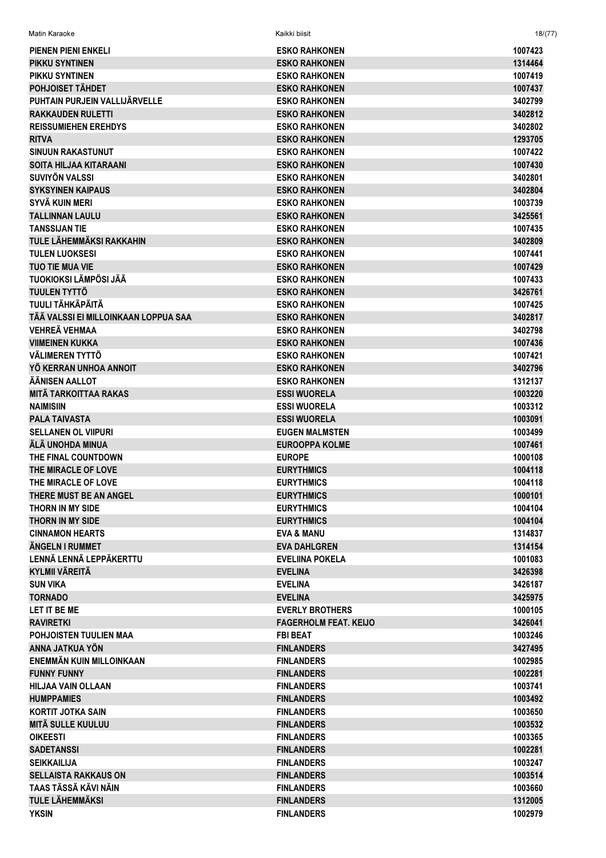| <b>PIENEN PIENI ENKELI</b>                              | <b>ESKO RAHKONEN</b>                         | 1007423            |
|---------------------------------------------------------|----------------------------------------------|--------------------|
| PIKKU SYNTINEN                                          | <b>ESKO RAHKONEN</b>                         | 1314464            |
| PIKKU SYNTINEN                                          | <b>ESKO RAHKONEN</b>                         | 1007419            |
| POHJOISET TÄHDET                                        | <b>ESKO RAHKONEN</b>                         | 1007437            |
| PUHTAIN PURJEIN VALLIJÄRVELLE                           | <b>ESKO RAHKONEN</b>                         | 3402799            |
| <b>RAKKAUDEN RULETTI</b>                                | <b>ESKO RAHKONEN</b>                         | 3402812            |
| <b>REISSUMIEHEN EREHDYS</b>                             | <b>ESKO RAHKONEN</b>                         | 3402802            |
| <b>RITVA</b>                                            | <b>ESKO RAHKONEN</b>                         | 1293705            |
| <b>SINUUN RAKASTUNUT</b>                                | <b>ESKO RAHKONEN</b>                         | 1007422            |
| <b>SOITA HILJAA KITARAANI</b>                           | <b>ESKO RAHKONEN</b>                         | 1007430            |
| <b>SUVIYÖN VALSSI</b>                                   | <b>ESKO RAHKONEN</b>                         | 3402801            |
| <b>SYKSYINEN KAIPAUS</b>                                |                                              |                    |
| SYVÄ KUIN MERI                                          | <b>ESKO RAHKONEN</b><br><b>ESKO RAHKONEN</b> | 3402804<br>1003739 |
| <b>TALLINNAN LAULU</b>                                  | <b>ESKO RAHKONEN</b>                         | 3425561            |
|                                                         |                                              |                    |
| <b>TANSSIJAN TIE</b><br><b>TULE LÄHEMMÄKSI RAKKAHIN</b> | <b>ESKO RAHKONEN</b>                         | 1007435            |
|                                                         | <b>ESKO RAHKONEN</b>                         | 3402809            |
| <b>TULEN LUOKSESI</b>                                   | <b>ESKO RAHKONEN</b>                         | 1007441            |
| <b>TUO TIE MUA VIE</b>                                  | <b>ESKO RAHKONEN</b>                         | 1007429            |
| TUOKIOKSI LÄMPÖSI JÄÄ                                   | <b>ESKO RAHKONEN</b>                         | 1007433            |
| <b>TUULEN TYTTÖ</b>                                     | <b>ESKO RAHKONEN</b>                         | 3426761            |
| TUULI TÄHKÄPÄITÄ                                        | <b>ESKO RAHKONEN</b>                         | 1007425            |
| TÄÄ VALSSI EI MILLOINKAAN LOPPUA SAA                    | <b>ESKO RAHKONEN</b>                         | 3402817            |
| <b>VEHREÄ VEHMAA</b>                                    | <b>ESKO RAHKONEN</b>                         | 3402798            |
| <b>VIIMEINEN KUKKA</b>                                  | <b>ESKO RAHKONEN</b>                         | 1007436            |
| VÄLIMEREN TYTTÖ                                         | <b>ESKO RAHKONEN</b>                         | 1007421            |
| YÖ KERRAN UNHOA ANNOIT                                  | <b>ESKO RAHKONEN</b>                         | 3402796            |
| ÄÄNISEN AALLOT                                          | <b>ESKO RAHKONEN</b>                         | 1312137            |
| <b>MITÄ TARKOITTAA RAKAS</b>                            | <b>ESSI WUORELA</b>                          | 1003220            |
| <b>NAIMISIIN</b>                                        | <b>ESSI WUORELA</b>                          | 1003312            |
| <b>PALA TAIVASTA</b>                                    | <b>ESSI WUORELA</b>                          | 1003091            |
| <b>SELLANEN OL VIIPURI</b>                              | <b>EUGEN MALMSTEN</b>                        | 1003499            |
| ÄLÄ UNOHDA MINUA                                        | <b>EUROOPPA KOLME</b>                        | 1007461            |
| THE FINAL COUNTDOWN                                     | <b>EUROPE</b>                                | 1000108            |
| THE MIRACLE OF LOVE                                     | <b>EURYTHMICS</b>                            | 1004118            |
| THE MIRACLE OF LOVE                                     | <b>EURYTHMICS</b>                            | 1004118            |
| THERE MUST BE AN ANGEL                                  | <b>EURYTHMICS</b>                            | 1000101            |
| <b>THORN IN MY SIDE</b>                                 | <b>EURYTHMICS</b>                            | 1004104            |
| <b>THORN IN MY SIDE</b>                                 | <b>EURYTHMICS</b>                            | 1004104            |
| <b>CINNAMON HEARTS</b>                                  | <b>EVA &amp; MANU</b>                        | 1314837            |
| ÄNGELN I RUMMET                                         | <b>EVA DAHLGREN</b>                          | 1314154            |
| LENNÄ LENNÄ LEPPÄKERTTU                                 | <b>EVELIINA POKELA</b>                       | 1001083            |
| <b>KYLMII VÄREITÄ</b>                                   | <b>EVELINA</b>                               | 3426398            |
| <b>SUN VIKA</b>                                         | <b>EVELINA</b>                               | 3426187            |
| <b>TORNADO</b>                                          | <b>EVELINA</b>                               | 3425975            |
| LET IT BE ME                                            | <b>EVERLY BROTHERS</b>                       | 1000105            |
| <b>RAVIRETKI</b>                                        | <b>FAGERHOLM FEAT, KEIJO</b>                 | 3426041            |
| POHJOISTEN TUULIEN MAA                                  | <b>FBI BEAT</b>                              | 1003246            |
| ANNA JATKUA YÖN                                         | <b>FINLANDERS</b>                            | 3427495            |
| ENEMMÄN KUIN MILLOINKAAN                                | <b>FINLANDERS</b>                            | 1002985            |
| <b>FUNNY FUNNY</b>                                      | <b>FINLANDERS</b>                            | 1002281            |
| <b>HILJAA VAIN OLLAAN</b>                               | <b>FINLANDERS</b>                            | 1003741            |
| <b>HUMPPAMIES</b>                                       | <b>FINLANDERS</b>                            | 1003492            |
| <b>KORTIT JOTKA SAIN</b>                                | <b>FINLANDERS</b>                            | 1003650            |
| <b>MITÄ SULLE KUULUU</b>                                | <b>FINLANDERS</b>                            | 1003532            |
| <b>OIKEESTI</b>                                         | <b>FINLANDERS</b>                            | 1003365            |
| <b>SADETANSSI</b>                                       | <b>FINLANDERS</b>                            | 1002281            |
| <b>SEIKKAILIJA</b>                                      | <b>FINLANDERS</b>                            | 1003247            |
| <b>SELLAISTA RAKKAUS ON</b>                             | <b>FINLANDERS</b>                            | 1003514            |
| TAAS TÄSSÄ KÄVI NÄIN                                    | <b>FINLANDERS</b>                            | 1003660            |
| <b>TULE LÄHEMMÄKSI</b>                                  | <b>FINLANDERS</b>                            | 1312005            |
| <b>YKSIN</b>                                            | <b>FINLANDERS</b>                            | 1002979            |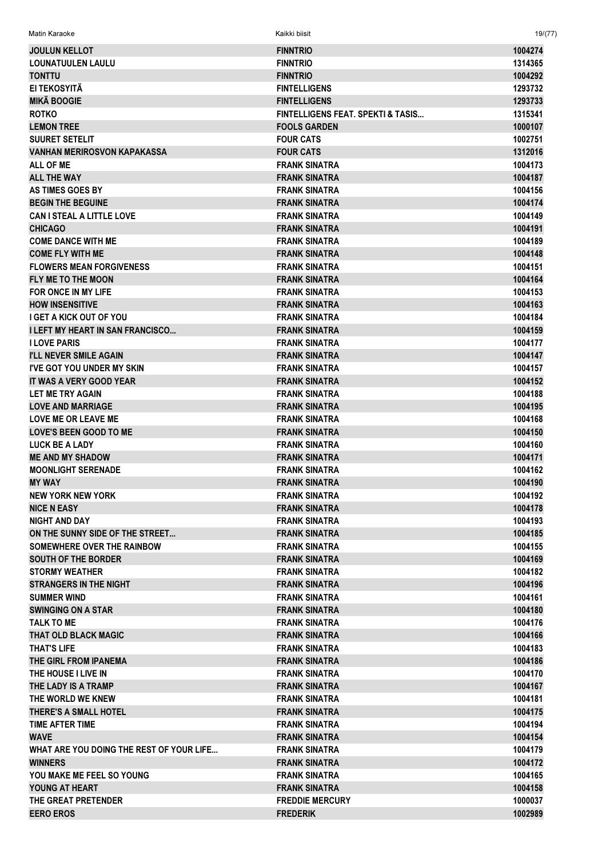| Matin Karaoke                            | Kaikki biisit                     | 19/(77) |
|------------------------------------------|-----------------------------------|---------|
| <b>JOULUN KELLOT</b>                     | <b>FINNTRIO</b>                   | 1004274 |
| <b>LOUNATUULEN LAULU</b>                 | <b>FINNTRIO</b>                   | 1314365 |
| <b>TONTTU</b>                            | <b>FINNTRIO</b>                   | 1004292 |
| EI TEKOSYITÄ                             | <b>FINTELLIGENS</b>               | 1293732 |
| <b>MIKÄ BOOGIE</b>                       | <b>FINTELLIGENS</b>               | 1293733 |
| <b>ROTKO</b>                             | FINTELLIGENS FEAT. SPEKTI & TASIS | 1315341 |
| <b>LEMON TREE</b>                        | <b>FOOLS GARDEN</b>               | 1000107 |
| <b>SUURET SETELIT</b>                    | <b>FOUR CATS</b>                  | 1002751 |
| <b>VANHAN MERIROSVON KAPAKASSA</b>       | <b>FOUR CATS</b>                  | 1312016 |
| <b>ALL OF ME</b>                         | <b>FRANK SINATRA</b>              | 1004173 |
| <b>ALL THE WAY</b>                       | <b>FRANK SINATRA</b>              | 1004187 |
| <b>AS TIMES GOES BY</b>                  | <b>FRANK SINATRA</b>              | 1004156 |
| <b>BEGIN THE BEGUINE</b>                 | <b>FRANK SINATRA</b>              | 1004174 |
| <b>CAN I STEAL A LITTLE LOVE</b>         | <b>FRANK SINATRA</b>              | 1004149 |
| <b>CHICAGO</b>                           | <b>FRANK SINATRA</b>              | 1004191 |
| <b>COME DANCE WITH ME</b>                | <b>FRANK SINATRA</b>              | 1004189 |
| <b>COME FLY WITH ME</b>                  | <b>FRANK SINATRA</b>              | 1004148 |
| <b>FLOWERS MEAN FORGIVENESS</b>          | <b>FRANK SINATRA</b>              | 1004151 |
| FLY ME TO THE MOON                       | <b>FRANK SINATRA</b>              | 1004164 |
| FOR ONCE IN MY LIFE                      | <b>FRANK SINATRA</b>              | 1004153 |
| <b>HOW INSENSITIVE</b>                   | <b>FRANK SINATRA</b>              | 1004163 |
| <b>I GET A KICK OUT OF YOU</b>           | <b>FRANK SINATRA</b>              | 1004184 |
| <b>I LEFT MY HEART IN SAN FRANCISCO</b>  | <b>FRANK SINATRA</b>              | 1004159 |
| <b>I LOVE PARIS</b>                      | <b>FRANK SINATRA</b>              | 1004177 |
| <b>I'LL NEVER SMILE AGAIN</b>            | <b>FRANK SINATRA</b>              | 1004147 |
| <b>I'VE GOT YOU UNDER MY SKIN</b>        | <b>FRANK SINATRA</b>              | 1004157 |
| IT WAS A VERY GOOD YEAR                  | <b>FRANK SINATRA</b>              | 1004152 |
| LET ME TRY AGAIN                         | <b>FRANK SINATRA</b>              | 1004188 |
| <b>LOVE AND MARRIAGE</b>                 | <b>FRANK SINATRA</b>              | 1004195 |
| <b>LOVE ME OR LEAVE ME</b>               | <b>FRANK SINATRA</b>              | 1004168 |
| <b>LOVE'S BEEN GOOD TO ME</b>            | <b>FRANK SINATRA</b>              | 1004150 |
| <b>LUCK BE A LADY</b>                    | <b>FRANK SINATRA</b>              | 1004160 |
| <b>ME AND MY SHADOW</b>                  | <b>FRANK SINATRA</b>              | 1004171 |
| <b>MOONLIGHT SERENADE</b>                | <b>FRANK SINATRA</b>              | 1004162 |
| <b>MY WAY</b>                            | <b>FRANK SINATRA</b>              | 1004190 |
| <b>NEW YORK NEW YORK</b>                 | <b>FRANK SINATRA</b>              | 1004192 |
| <b>NICE N EASY</b>                       | <b>FRANK SINATRA</b>              | 1004178 |
| <b>NIGHT AND DAY</b>                     | <b>FRANK SINATRA</b>              | 1004193 |
| ON THE SUNNY SIDE OF THE STREET          | <b>FRANK SINATRA</b>              | 1004185 |
| SOMEWHERE OVER THE RAINBOW               | <b>FRANK SINATRA</b>              | 1004155 |
| <b>SOUTH OF THE BORDER</b>               | <b>FRANK SINATRA</b>              | 1004169 |
| <b>STORMY WEATHER</b>                    | <b>FRANK SINATRA</b>              | 1004182 |
| <b>STRANGERS IN THE NIGHT</b>            | <b>FRANK SINATRA</b>              | 1004196 |
| <b>SUMMER WIND</b>                       | <b>FRANK SINATRA</b>              | 1004161 |
| <b>SWINGING ON A STAR</b>                | <b>FRANK SINATRA</b>              | 1004180 |
| <b>TALK TO ME</b>                        | <b>FRANK SINATRA</b>              | 1004176 |
| <b>THAT OLD BLACK MAGIC</b>              | <b>FRANK SINATRA</b>              | 1004166 |
| <b>THAT'S LIFE</b>                       | <b>FRANK SINATRA</b>              | 1004183 |
| THE GIRL FROM IPANEMA                    | <b>FRANK SINATRA</b>              | 1004186 |
| THE HOUSE I LIVE IN                      | <b>FRANK SINATRA</b>              | 1004170 |
| THE LADY IS A TRAMP                      | FRANK SINATRA                     | 1004167 |
| THE WORLD WE KNEW                        | <b>FRANK SINATRA</b>              | 1004181 |
| <b>THERE'S A SMALL HOTEL</b>             | <b>FRANK SINATRA</b>              | 1004175 |
| TIME AFTER TIME                          | <b>FRANK SINATRA</b>              | 1004194 |
| <b>WAVE</b>                              | <b>FRANK SINATRA</b>              | 1004154 |
| WHAT ARE YOU DOING THE REST OF YOUR LIFE | <b>FRANK SINATRA</b>              | 1004179 |
| <b>WINNERS</b>                           | FRANK SINATRA                     | 1004172 |
| YOU MAKE ME FEEL SO YOUNG                | <b>FRANK SINATRA</b>              | 1004165 |
| YOUNG AT HEART                           | <b>FRANK SINATRA</b>              | 1004158 |
| THE GREAT PRETENDER                      | <b>FREDDIE MERCURY</b>            | 1000037 |
| <b>EERO EROS</b>                         | <b>FREDERIK</b>                   | 1002989 |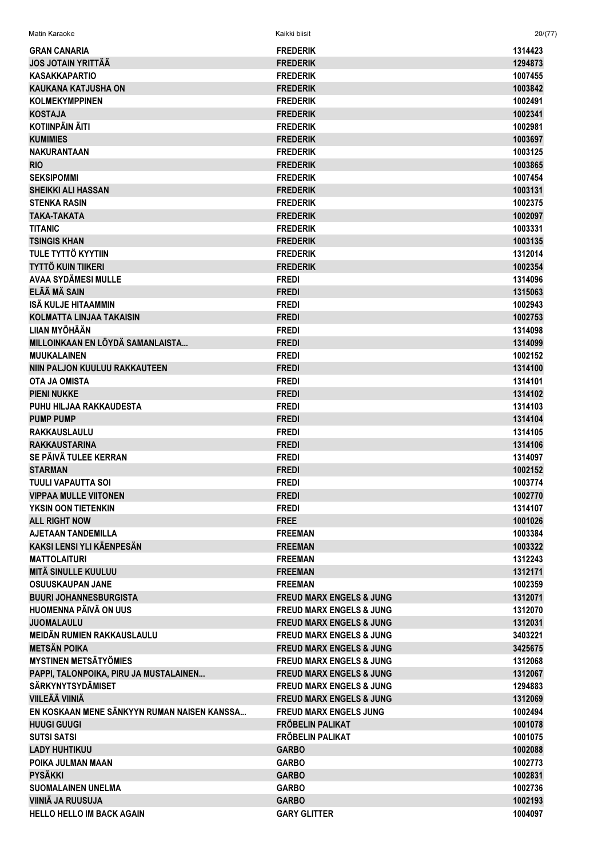| <b>GRAN CANARIA</b>                         | <b>FREDERIK</b>                     | 1314423 |
|---------------------------------------------|-------------------------------------|---------|
| <b>JOS JOTAIN YRITTÄÄ</b>                   | <b>FREDERIK</b>                     | 1294873 |
| <b>KASAKKAPARTIO</b>                        | <b>FREDERIK</b>                     | 1007455 |
|                                             |                                     |         |
| <b>KAUKANA KATJUSHA ON</b>                  | <b>FREDERIK</b>                     | 1003842 |
| <b>KOLMEKYMPPINEN</b>                       | <b>FREDERIK</b>                     | 1002491 |
| <b>KOSTAJA</b>                              | <b>FREDERIK</b>                     | 1002341 |
| <b>KOTIINPÄIN ÄITI</b>                      | <b>FREDERIK</b>                     | 1002981 |
| <b>KUMIMIES</b>                             | <b>FREDERIK</b>                     | 1003697 |
| <b>NAKURANTAAN</b>                          | <b>FREDERIK</b>                     | 1003125 |
| <b>RIO</b>                                  | <b>FREDERIK</b>                     | 1003865 |
| <b>SEKSIPOMMI</b>                           | <b>FREDERIK</b>                     | 1007454 |
| <b>SHEIKKI ALI HASSAN</b>                   | <b>FREDERIK</b>                     | 1003131 |
| <b>STENKA RASIN</b>                         | <b>FREDERIK</b>                     | 1002375 |
| <b>TAKA-TAKATA</b>                          | <b>FREDERIK</b>                     | 1002097 |
| <b>TITANIC</b>                              | <b>FREDERIK</b>                     | 1003331 |
| <b>TSINGIS KHAN</b>                         | <b>FREDERIK</b>                     | 1003135 |
| TULE TYTTÖ KYYTIIN                          | <b>FREDERIK</b>                     | 1312014 |
| <b>TYTTÖ KUIN TIIKERI</b>                   | <b>FREDERIK</b>                     | 1002354 |
| <b>AVAA SYDÄMESI MULLE</b>                  | <b>FREDI</b>                        | 1314096 |
| ELÄÄ MÄ SAIN                                | <b>FREDI</b>                        | 1315063 |
| ISÄ KULJE HITAAMMIN                         | <b>FREDI</b>                        | 1002943 |
| <b>KOLMATTA LINJAA TAKAISIN</b>             | <b>FREDI</b>                        | 1002753 |
| <b>LIIAN MYÖHÄÄN</b>                        | <b>FREDI</b>                        | 1314098 |
| MILLOINKAAN EN LÖYDÄ SAMANLAISTA            | <b>FREDI</b>                        | 1314099 |
| <b>MUUKALAINEN</b>                          | <b>FREDI</b>                        | 1002152 |
| NIIN PALJON KUULUU RAKKAUTEEN               | <b>FREDI</b>                        | 1314100 |
| <b>OTA JA OMISTA</b>                        | <b>FREDI</b>                        | 1314101 |
| <b>PIENI NUKKE</b>                          | <b>FREDI</b>                        | 1314102 |
| PUHU HILJAA RAKKAUDESTA                     | <b>FREDI</b>                        | 1314103 |
| <b>PUMP PUMP</b>                            | <b>FREDI</b>                        | 1314104 |
|                                             |                                     |         |
| <b>RAKKAUSLAULU</b>                         | <b>FREDI</b>                        | 1314105 |
| <b>RAKKAUSTARINA</b>                        | <b>FREDI</b>                        | 1314106 |
| SE PÄIVÄ TULEE KERRAN                       | <b>FREDI</b>                        | 1314097 |
| <b>STARMAN</b>                              | <b>FREDI</b>                        | 1002152 |
| <b>TUULI VAPAUTTA SOI</b>                   | <b>FREDI</b>                        | 1003774 |
| <b>VIPPAA MULLE VIITONEN</b>                | <b>FREDI</b>                        | 1002770 |
| YKSIN OON TIETENKIN                         | <b>FREDI</b>                        | 1314107 |
| <b>ALL RIGHT NOW</b>                        | <b>FREE</b>                         | 1001026 |
| <b>AJETAAN TANDEMILLA</b>                   | <b>FREEMAN</b>                      | 1003384 |
| <b>KAKSI LENSI YLI KÄENPESÄN</b>            | <b>FREEMAN</b>                      | 1003322 |
| <b>MATTOLAITURI</b>                         | <b>FREEMAN</b>                      | 1312243 |
| <b>MITÄ SINULLE KUULUU</b>                  | <b>FREEMAN</b>                      | 1312171 |
| <b>OSUUSKAUPAN JANE</b>                     | <b>FREEMAN</b>                      | 1002359 |
| <b>BUURI JOHANNESBURGISTA</b>               | <b>FREUD MARX ENGELS &amp; JUNG</b> | 1312071 |
| HUOMENNA PÄIVÄ ON UUS                       | <b>FREUD MARX ENGELS &amp; JUNG</b> | 1312070 |
| <b>JUOMALAULU</b>                           | <b>FREUD MARX ENGELS &amp; JUNG</b> | 1312031 |
| MEIDÄN RUMIEN RAKKAUSLAULU                  | <b>FREUD MARX ENGELS &amp; JUNG</b> | 3403221 |
| <b>METSÄN POIKA</b>                         | <b>FREUD MARX ENGELS &amp; JUNG</b> | 3425675 |
| <b>MYSTINEN METSÄTYÖMIES</b>                | <b>FREUD MARX ENGELS &amp; JUNG</b> | 1312068 |
| PAPPI, TALONPOIKA, PIRU JA MUSTALAINEN      | <b>FREUD MARX ENGELS &amp; JUNG</b> | 1312067 |
| <b>SÄRKYNYTSYDÄMISET</b>                    | <b>FREUD MARX ENGELS &amp; JUNG</b> | 1294883 |
| <b>VIILEÄÄ VIINIÄ</b>                       | <b>FREUD MARX ENGELS &amp; JUNG</b> | 1312069 |
| EN KOSKAAN MENE SÄNKYYN RUMAN NAISEN KANSSA | <b>FREUD MARX ENGELS JUNG</b>       | 1002494 |
| <b>HUUGI GUUGI</b>                          | FRÖBELIN PALIKAT                    | 1001078 |
|                                             |                                     |         |
| <b>SUTSI SATSI</b>                          | FRÖBELIN PALIKAT                    | 1001075 |
| <b>LADY HUHTIKUU</b>                        | <b>GARBO</b>                        | 1002088 |
| POIKA JULMAN MAAN                           | <b>GARBO</b>                        | 1002773 |
| <b>PYSÄKKI</b>                              | <b>GARBO</b>                        | 1002831 |
| <b>SUOMALAINEN UNELMA</b>                   | <b>GARBO</b>                        | 1002736 |
| VIINIÄ JA RUUSUJA                           | <b>GARBO</b>                        | 1002193 |
| <b>HELLO HELLO IM BACK AGAIN</b>            | <b>GARY GLITTER</b>                 | 1004097 |

Matin Karaoke

 $20/(77)$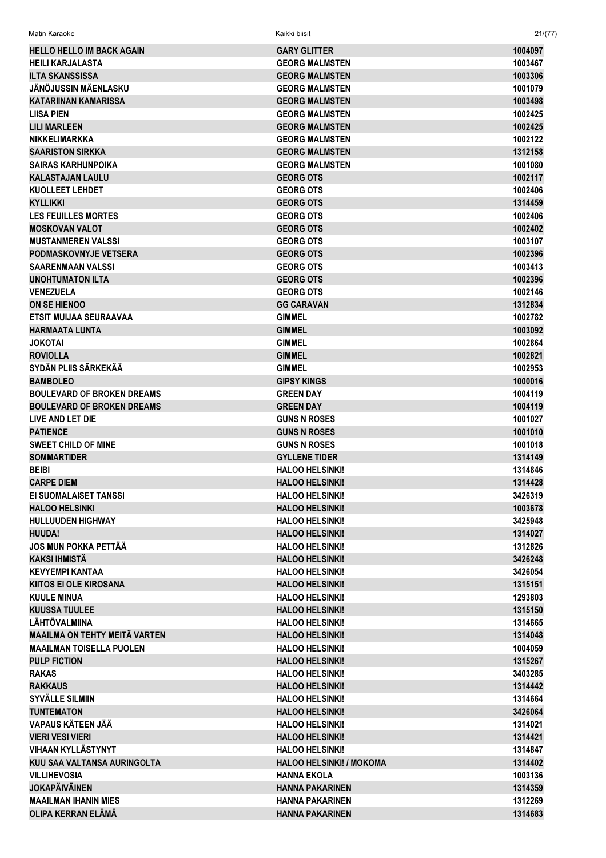| Matin Karaoke                        | Kaikki biisit                   | 21/(77) |
|--------------------------------------|---------------------------------|---------|
| <b>HELLO HELLO IM BACK AGAIN</b>     | <b>GARY GLITTER</b>             | 1004097 |
| <b>HEILI KARJALASTA</b>              | <b>GEORG MALMSTEN</b>           | 1003467 |
| <b>ILTA SKANSSISSA</b>               | <b>GEORG MALMSTEN</b>           | 1003306 |
| JÄNÖJUSSIN MÄENLASKU                 | <b>GEORG MALMSTEN</b>           | 1001079 |
| <b>KATARIINAN KAMARISSA</b>          | <b>GEORG MALMSTEN</b>           | 1003498 |
| <b>LIISA PIEN</b>                    | <b>GEORG MALMSTEN</b>           | 1002425 |
| <b>LILI MARLEEN</b>                  | <b>GEORG MALMSTEN</b>           | 1002425 |
| <b>NIKKELIMARKKA</b>                 | <b>GEORG MALMSTEN</b>           | 1002122 |
| <b>SAARISTON SIRKKA</b>              | <b>GEORG MALMSTEN</b>           | 1312158 |
| <b>SAIRAS KARHUNPOIKA</b>            | <b>GEORG MALMSTEN</b>           | 1001080 |
| <b>KALASTAJAN LAULU</b>              | <b>GEORG OTS</b>                | 1002117 |
| <b>KUOLLEET LEHDET</b>               | <b>GEORG OTS</b>                | 1002406 |
| <b>KYLLIKKI</b>                      | <b>GEORG OTS</b>                | 1314459 |
| <b>LES FEUILLES MORTES</b>           | <b>GEORG OTS</b>                | 1002406 |
| <b>MOSKOVAN VALOT</b>                | <b>GEORG OTS</b>                | 1002402 |
| <b>MUSTANMEREN VALSSI</b>            | <b>GEORG OTS</b>                | 1003107 |
| <b>PODMASKOVNYJE VETSERA</b>         | <b>GEORG OTS</b>                | 1002396 |
| <b>SAARENMAAN VALSSI</b>             | <b>GEORG OTS</b>                | 1003413 |
| <b>UNOHTUMATON ILTA</b>              | <b>GEORG OTS</b>                | 1002396 |
| <b>VENEZUELA</b>                     | <b>GEORG OTS</b>                | 1002146 |
| ON SE HIENOO                         | <b>GG CARAVAN</b>               | 1312834 |
| ETSIT MUIJAA SEURAAVAA               | <b>GIMMEL</b>                   | 1002782 |
| <b>HARMAATA LUNTA</b>                | <b>GIMMEL</b>                   | 1003092 |
| <b>JOKOTAI</b>                       | <b>GIMMEL</b>                   | 1002864 |
| <b>ROVIOLLA</b>                      | <b>GIMMEL</b>                   | 1002821 |
| SYDÄN PLIIS SÄRKEKÄÄ                 | <b>GIMMEL</b>                   | 1002953 |
| <b>BAMBOLEO</b>                      | <b>GIPSY KINGS</b>              | 1000016 |
| <b>BOULEVARD OF BROKEN DREAMS</b>    | <b>GREEN DAY</b>                | 1004119 |
| <b>BOULEVARD OF BROKEN DREAMS</b>    | <b>GREEN DAY</b>                | 1004119 |
| LIVE AND LET DIE                     | <b>GUNS N ROSES</b>             | 1001027 |
| <b>PATIENCE</b>                      | <b>GUNS N ROSES</b>             | 1001010 |
| <b>SWEET CHILD OF MINE</b>           | <b>GUNS N ROSES</b>             | 1001018 |
| <b>SOMMARTIDER</b>                   | <b>GYLLENE TIDER</b>            | 1314149 |
| <b>BEIBI</b>                         | <b>HALOO HELSINKI!</b>          | 1314846 |
| <b>CARPE DIEM</b>                    | <b>HALOO HELSINKI!</b>          | 1314428 |
| EI SUOMALAISET TANSSI                | <b>HALOO HELSINKI!</b>          | 3426319 |
| <b>HALOO HELSINKI</b>                | <b>HALOO HELSINKI!</b>          | 1003678 |
| <b>HULLUUDEN HIGHWAY</b>             | <b>HALOO HELSINKI!</b>          | 3425948 |
| <b>HUUDA!</b>                        | <b>HALOO HELSINKI!</b>          | 1314027 |
| <b>JOS MUN POKKA PETTÄÄ</b>          | <b>HALOO HELSINKI!</b>          | 1312826 |
| KAKSI IHMISTÄ                        | <b>HALOO HELSINKI!</b>          | 3426248 |
| <b>KEVYEMPI KANTAA</b>               | <b>HALOO HELSINKI!</b>          | 3426054 |
| <b>KIITOS EI OLE KIROSANA</b>        | <b>HALOO HELSINKI!</b>          | 1315151 |
| <b>KUULE MINUA</b>                   | <b>HALOO HELSINKI!</b>          | 1293803 |
| <b>KUUSSA TUULEE</b>                 | <b>HALOO HELSINKI!</b>          | 1315150 |
| LÄHTÖVALMIINA                        | <b>HALOO HELSINKI!</b>          | 1314665 |
| <b>MAAILMA ON TEHTY MEITÄ VARTEN</b> | <b>HALOO HELSINKI!</b>          | 1314048 |
| <b>MAAILMAN TOISELLA PUOLEN</b>      | <b>HALOO HELSINKI!</b>          | 1004059 |
| <b>PULP FICTION</b>                  | <b>HALOO HELSINKI!</b>          | 1315267 |
| <b>RAKAS</b>                         | <b>HALOO HELSINKI!</b>          | 3403285 |
| <b>RAKKAUS</b>                       | <b>HALOO HELSINKI!</b>          | 1314442 |
| <b>SYVÄLLE SILMIIN</b>               | <b>HALOO HELSINKI!</b>          | 1314664 |
| <b>TUNTEMATON</b>                    | <b>HALOO HELSINKI!</b>          | 3426064 |
| VAPAUS KÄTEEN JÄÄ                    | <b>HALOO HELSINKI!</b>          | 1314021 |
| <b>VIERI VESI VIERI</b>              | <b>HALOO HELSINKI!</b>          | 1314421 |
| <b>VIHAAN KYLLÄSTYNYT</b>            | <b>HALOO HELSINKI!</b>          | 1314847 |
| KUU SAA VALTANSA AURINGOLTA          | <b>HALOO HELSINKI! / MOKOMA</b> | 1314402 |
| <b>VILLIHEVOSIA</b>                  | <b>HANNA EKOLA</b>              | 1003136 |
| <b>JOKAPÄIVÄINEN</b>                 | <b>HANNA PAKARINEN</b>          | 1314359 |
| <b>MAAILMAN IHANIN MIES</b>          | <b>HANNA PAKARINEN</b>          | 1312269 |
| OLIPA KERRAN ELÄMÄ                   | <b>HANNA PAKARINEN</b>          | 1314683 |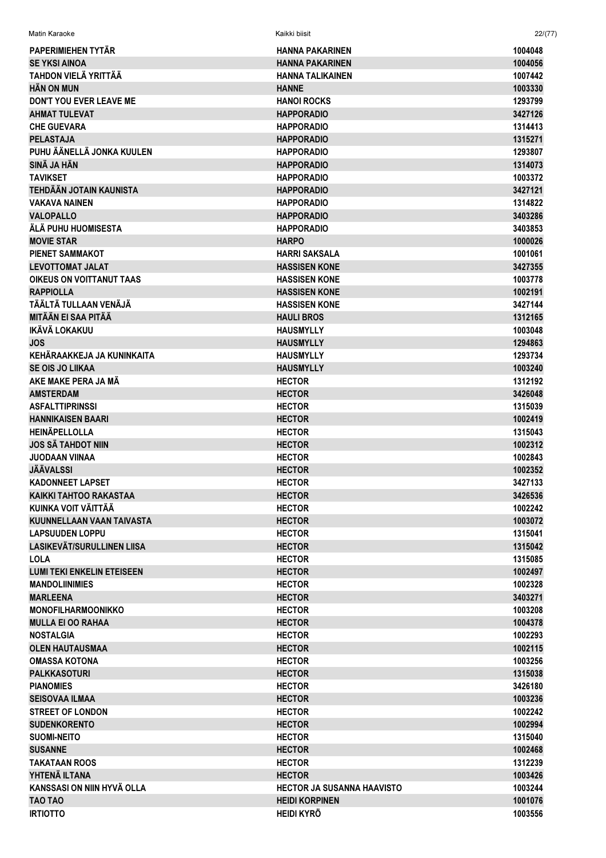| Matin Karaoke                                  | Kaikki biisit                     | 22/(77)            |
|------------------------------------------------|-----------------------------------|--------------------|
| <b>PAPERIMIEHEN TYTÄR</b>                      | <b>HANNA PAKARINEN</b>            | 1004048            |
| <b>SE YKSI AINOA</b>                           | <b>HANNA PAKARINEN</b>            | 1004056            |
| <b>TAHDON VIELÄ YRITTÄÄ</b>                    | <b>HANNA TALIKAINEN</b>           | 1007442            |
| <b>HAN ON MUN</b>                              | <b>HANNE</b>                      | 1003330            |
| <b>DON'T YOU EVER LEAVE ME</b>                 | <b>HANOI ROCKS</b>                | 1293799            |
| <b>AHMAT TULEVAT</b>                           | <b>HAPPORADIO</b>                 | 3427126            |
| <b>CHE GUEVARA</b>                             | <b>HAPPORADIO</b>                 | 1314413            |
| <b>PELASTAJA</b>                               | <b>HAPPORADIO</b>                 | 1315271            |
| PUHU ÄÄNELLÄ JONKA KUULEN                      | <b>HAPPORADIO</b>                 | 1293807            |
| SINÄ JA HÄN                                    | <b>HAPPORADIO</b>                 | 1314073            |
| <b>TAVIKSET</b>                                | <b>HAPPORADIO</b>                 | 1003372            |
| <b>TEHDÄÄN JOTAIN KAUNISTA</b>                 | <b>HAPPORADIO</b>                 | 3427121            |
| <b>VAKAVA NAINEN</b>                           | <b>HAPPORADIO</b>                 | 1314822            |
| <b>VALOPALLO</b>                               | <b>HAPPORADIO</b>                 | 3403286            |
| ÄLÄ PUHU HUOMISESTA                            | <b>HAPPORADIO</b>                 | 3403853            |
| <b>MOVIE STAR</b>                              | <b>HARPO</b>                      | 1000026            |
| <b>PIENET SAMMAKOT</b>                         | <b>HARRI SAKSALA</b>              | 1001061            |
| <b>LEVOTTOMAT JALAT</b>                        | <b>HASSISEN KONE</b>              | 3427355            |
| <b>OIKEUS ON VOITTANUT TAAS</b>                | <b>HASSISEN KONE</b>              | 1003778            |
| <b>RAPPIOLLA</b>                               | <b>HASSISEN KONE</b>              | 1002191            |
| TÄÄLTÄ TULLAAN VENÄJÄ                          | <b>HASSISEN KONE</b>              | 3427144            |
| MITÄÄN EI SAA PITÄÄ                            | <b>HAULI BROS</b>                 | 1312165            |
| IKÄVÄ LOKAKUU                                  | <b>HAUSMYLLY</b>                  | 1003048            |
| <b>JOS</b>                                     | <b>HAUSMYLLY</b>                  | 1294863            |
| KEHÄRAAKKEJA JA KUNINKAITA                     | <b>HAUSMYLLY</b>                  | 1293734            |
| <b>SE OIS JO LIIKAA</b>                        | <b>HAUSMYLLY</b>                  | 1003240            |
| AKE MAKE PERA JA MÃ                            | <b>HECTOR</b>                     | 1312192            |
| <b>AMSTERDAM</b>                               | <b>HECTOR</b>                     | 3426048            |
| <b>ASFALTTIPRINSSI</b>                         | <b>HECTOR</b>                     | 1315039            |
| <b>HANNIKAISEN BAARI</b>                       | <b>HECTOR</b>                     | 1002419            |
| <b>HEINÄPELLOLLA</b>                           | <b>HECTOR</b>                     | 1315043            |
| <b>JOS SÄ TAHDOT NIIN</b>                      | <b>HECTOR</b>                     | 1002312            |
| <b>JUODAAN VIINAA</b>                          | <b>HECTOR</b>                     | 1002843            |
| <b>JÄÄVALSSI</b>                               | <b>HECTOR</b>                     | 1002352            |
| <b>KADONNEET LAPSET</b>                        | <b>HECTOR</b>                     | 3427133            |
| <b>KAIKKI TAHTOO RAKASTAA</b>                  | <b>HECTOR</b>                     | 3426536            |
| KUINKA VOIT VÄITTÄÄ                            | <b>HECTOR</b>                     | 1002242            |
| KUUNNELLAAN VAAN TAIVASTA                      | <b>HECTOR</b>                     | 1003072            |
| <b>LAPSUUDEN LOPPU</b>                         | <b>HECTOR</b>                     | 1315041            |
| LASIKEVÄT/SURULLINEN LIISA                     | <b>HECTOR</b>                     | 1315042            |
| <b>LOLA</b>                                    | <b>HECTOR</b>                     | 1315085            |
| <b>LUMI TEKI ENKELIN ETEISEEN</b>              | <b>HECTOR</b>                     | 1002497            |
| <b>MANDOLIINIMIES</b>                          | <b>HECTOR</b>                     | 1002328            |
| <b>MARLEENA</b>                                | <b>HECTOR</b>                     | 3403271            |
| <b>MONOFILHARMOONIKKO</b>                      | <b>HECTOR</b>                     | 1003208            |
| <b>MULLA EI OO RAHAA</b>                       | <b>HECTOR</b>                     | 1004378            |
| <b>NOSTALGIA</b>                               | <b>HECTOR</b>                     | 1002293            |
| <b>OLEN HAUTAUSMAA</b>                         | <b>HECTOR</b>                     | 1002115            |
| <b>OMASSA KOTONA</b>                           | <b>HECTOR</b>                     | 1003256            |
| <b>PALKKASOTURI</b>                            | <b>HECTOR</b>                     | 1315038            |
| <b>PIANOMIES</b>                               | <b>HECTOR</b>                     | 3426180            |
| <b>SEISOVAA ILMAA</b>                          | <b>HECTOR</b>                     | 1003236            |
| <b>STREET OF LONDON</b><br><b>SUDENKORENTO</b> | <b>HECTOR</b>                     | 1002242            |
| <b>SUOMI-NEITO</b>                             | <b>HECTOR</b>                     | 1002994            |
| <b>SUSANNE</b>                                 | <b>HECTOR</b><br><b>HECTOR</b>    | 1315040<br>1002468 |
| <b>TAKATAAN ROOS</b>                           | <b>HECTOR</b>                     | 1312239            |
| YHTENÄ ILTANA                                  | <b>HECTOR</b>                     | 1003426            |
| KANSSASI ON NIIN HYVÄ OLLA                     | <b>HECTOR JA SUSANNA HAAVISTO</b> | 1003244            |
| TAO TAO                                        | <b>HEIDI KORPINEN</b>             | 1001076            |
| <b>IRTIOTTO</b>                                | <b>HEIDI KYRÖ</b>                 | 1003556            |
|                                                |                                   |                    |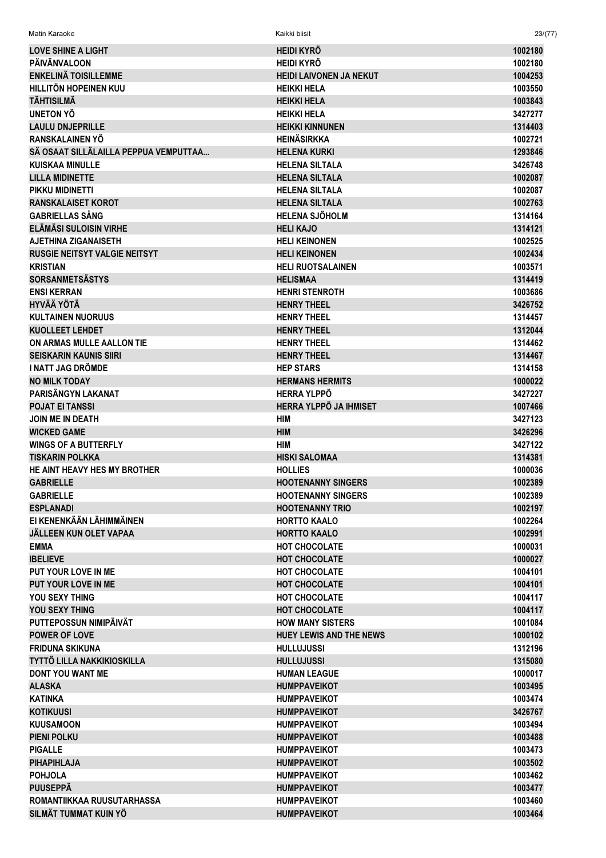| Matin Karaoke                                        | Kaikki biisit                              | 23/(77)            |
|------------------------------------------------------|--------------------------------------------|--------------------|
| <b>LOVE SHINE A LIGHT</b>                            | <b>HEIDI KYRÖ</b>                          | 1002180            |
| <b>PÄIVÄNVALOON</b>                                  | <b>HEIDI KYRÖ</b>                          | 1002180            |
| <b>ENKELINÄ TOISILLEMME</b>                          | <b>HEIDI LAIVONEN JA NEKUT</b>             | 1004253            |
| <b>HILLITÖN HOPEINEN KUU</b>                         | <b>HEIKKI HELA</b>                         | 1003550            |
| <b>TÄHTISILMÄ</b>                                    | <b>HEIKKI HELA</b>                         | 1003843            |
| UNETON YÖ                                            | <b>HEIKKI HELA</b>                         | 3427277            |
| <b>LAULU DNJEPRILLE</b>                              | <b>HEIKKI KINNUNEN</b>                     | 1314403            |
| RANSKALAINEN YÖ                                      | <b>HEINÄSIRKKA</b>                         | 1002721            |
| SÄ OSAAT SILLÄLAILLA PEPPUA VEMPUTTAA                | HELENA KURKI                               | 1293846            |
| <b>KUISKAA MINULLE</b>                               | <b>HELENA SILTALA</b>                      | 3426748            |
| <b>LILLA MIDINETTE</b>                               | <b>HELENA SILTALA</b>                      | 1002087            |
| PIKKU MIDINETTI                                      | <b>HELENA SILTALA</b>                      | 1002087            |
| <b>RANSKALAISET KOROT</b>                            | <b>HELENA SILTALA</b>                      | 1002763            |
| <b>GABRIELLAS SÅNG</b>                               | <b>HELENA SJÖHOLM</b>                      | 1314164            |
| <b>ELÄMÄSI SULOISIN VIRHE</b>                        | <b>HELI KAJO</b>                           | 1314121            |
| <b>AJETHINA ZIGANAISETH</b>                          | <b>HELI KEINONEN</b>                       | 1002525            |
| <b>RUSGIE NEITSYT VALGIE NEITSYT</b>                 | <b>HELI KEINONEN</b>                       | 1002434            |
| <b>KRISTIAN</b>                                      | <b>HELI RUOTSALAINEN</b>                   | 1003571            |
| <b>SORSANMETSÄSTYS</b>                               | <b>HELISMAA</b>                            | 1314419            |
| <b>ENSI KERRAN</b>                                   | <b>HENRI STENROTH</b>                      | 1003686            |
| <b>HYVÄÄ YÖTÄ</b>                                    | <b>HENRY THEEL</b>                         | 3426752            |
| <b>KULTAINEN NUORUUS</b>                             | <b>HENRY THEEL</b>                         | 1314457            |
| <b>KUOLLEET LEHDET</b>                               | <b>HENRY THEEL</b>                         | 1312044            |
| ON ARMAS MULLE AALLON TIE                            | <b>HENRY THEEL</b>                         | 1314462            |
| <b>SEISKARIN KAUNIS SIIRI</b>                        | <b>HENRY THEEL</b>                         | 1314467            |
| <b>I NATT JAG DRÖMDE</b>                             | <b>HEP STARS</b>                           | 1314158            |
| <b>NO MILK TODAY</b>                                 | <b>HERMANS HERMITS</b>                     | 1000022            |
| PARISÄNGYN LAKANAT                                   | <b>HERRA YLPPÖ</b>                         | 3427227            |
| <b>POJAT EI TANSSI</b>                               | HERRA YLPPÖ JA IHMISET                     | 1007466            |
| <b>JOIN ME IN DEATH</b>                              | <b>HIM</b>                                 | 3427123            |
| <b>WICKED GAME</b>                                   | <b>HIM</b>                                 | 3426296            |
| <b>WINGS OF A BUTTERFLY</b>                          | HIM                                        | 3427122            |
| <b>TISKARIN POLKKA</b>                               | <b>HISKI SALOMAA</b>                       | 1314381            |
| HE AINT HEAVY HES MY BROTHER                         | <b>HOLLIES</b>                             | 1000036            |
| <b>GABRIELLE</b>                                     | <b>HOOTENANNY SINGERS</b>                  | 1002389            |
| <b>GABRIELLE</b>                                     | <b>HOOTENANNY SINGERS</b>                  | 1002389            |
| <b>ESPLANADI</b>                                     | <b>HOOTENANNY TRIO</b>                     | 1002197            |
| EI KENENKÄÄN LÄHIMMÄINEN                             | <b>HORTTO KAALO</b>                        | 1002264            |
| <b>JÄLLEEN KUN OLET VAPAA</b>                        | <b>HORTTO KAALO</b>                        | 1002991            |
| <b>EMMA</b>                                          | <b>HOT CHOCOLATE</b>                       | 1000031            |
| <b>IBELIEVE</b>                                      | <b>HOT CHOCOLATE</b>                       | 1000027            |
| PUT YOUR LOVE IN ME                                  | <b>HOT CHOCOLATE</b>                       | 1004101            |
| <b>PUT YOUR LOVE IN ME</b>                           | HOT CHOCOLATE                              | 1004101            |
| YOU SEXY THING                                       | <b>HOT CHOCOLATE</b>                       | 1004117            |
| YOU SEXY THING                                       | HOT CHOCOLATE                              | 1004117            |
| PUTTEPOSSUN NIMIPÄIVÄT                               | <b>HOW MANY SISTERS</b>                    | 1001084            |
| <b>POWER OF LOVE</b>                                 | <b>HUEY LEWIS AND THE NEWS</b>             | 1000102            |
| <b>FRIDUNA SKIKUNA</b>                               | <b>HULLUJUSSI</b>                          | 1312196            |
| TYTTÖ LILLA NAKKIKIOSKILLA                           | <b>HULLUJUSSI</b>                          | 1315080            |
| <b>DONT YOU WANT ME</b>                              | <b>HUMAN LEAGUE</b>                        | 1000017            |
| <b>ALASKA</b>                                        | <b>HUMPPAVEIKOT</b>                        | 1003495            |
| <b>KATINKA</b>                                       | <b>HUMPPAVEIKOT</b>                        | 1003474            |
| <b>KOTIKUUSI</b>                                     | <b>HUMPPAVEIKOT</b>                        | 3426767            |
| <b>KUUSAMOON</b>                                     | <b>HUMPPAVEIKOT</b>                        | 1003494            |
| <b>PIENI POLKU</b>                                   | <b>HUMPPAVEIKOT</b>                        | 1003488            |
| <b>PIGALLE</b>                                       | <b>HUMPPAVEIKOT</b>                        | 1003473            |
| <b>PIHAPIHLAJA</b>                                   | <b>HUMPPAVEIKOT</b>                        | 1003502            |
| <b>POHJOLA</b>                                       | <b>HUMPPAVEIKOT</b>                        | 1003462            |
| <b>PUUSEPPÄ</b>                                      | <b>HUMPPAVEIKOT</b>                        | 1003477            |
| ROMANTIIKKAA RUUSUTARHASSA<br>SII MÄT TUMMAT KUIN YÖ | <b>HUMPPAVEIKOT</b><br><b>HUMPPAVFIKOT</b> | 1003460<br>1003464 |
|                                                      |                                            |                    |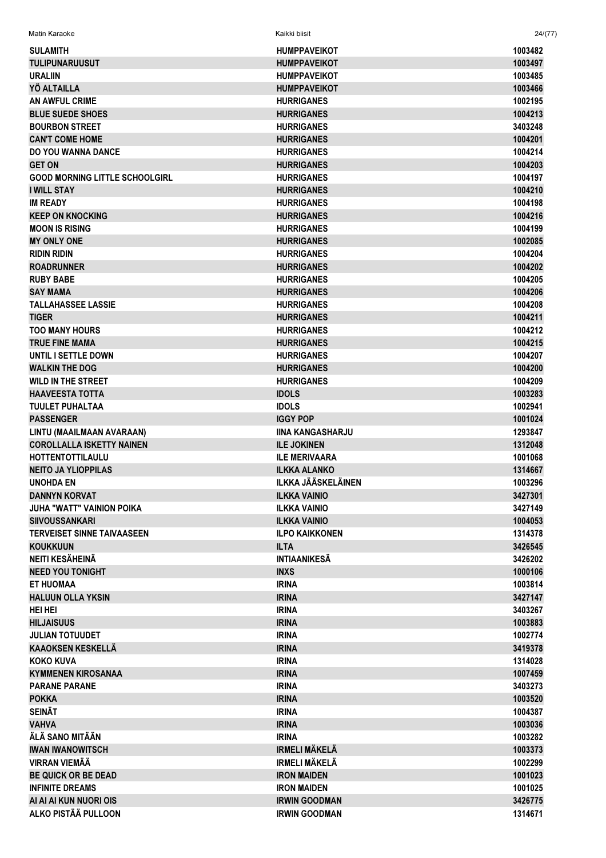|  | <b>Matin Karaoke</b> | Kaikki biisit | 24/(77) |  |
|--|----------------------|---------------|---------|--|
|--|----------------------|---------------|---------|--|

| <b>SULAMITH</b>                       | <b>HUMPPAVEIKOT</b>       | 1003482 |
|---------------------------------------|---------------------------|---------|
| <b>TULIPUNARUUSUT</b>                 | <b>HUMPPAVEIKOT</b>       | 1003497 |
| <b>URALIIN</b>                        | <b>HUMPPAVEIKOT</b>       | 1003485 |
| YÖ ALTAILLA                           | <b>HUMPPAVEIKOT</b>       | 1003466 |
| <b>AN AWFUL CRIME</b>                 | <b>HURRIGANES</b>         | 1002195 |
| <b>BLUE SUEDE SHOES</b>               | <b>HURRIGANES</b>         | 1004213 |
| <b>BOURBON STREET</b>                 | <b>HURRIGANES</b>         | 3403248 |
| <b>CAN'T COME HOME</b>                | <b>HURRIGANES</b>         | 1004201 |
| <b>DO YOU WANNA DANCE</b>             | <b>HURRIGANES</b>         | 1004214 |
| <b>GET ON</b>                         | <b>HURRIGANES</b>         | 1004203 |
| <b>GOOD MORNING LITTLE SCHOOLGIRL</b> | <b>HURRIGANES</b>         | 1004197 |
| <b>I WILL STAY</b>                    | <b>HURRIGANES</b>         | 1004210 |
| <b>IM READY</b>                       | <b>HURRIGANES</b>         | 1004198 |
| <b>KEEP ON KNOCKING</b>               |                           | 1004216 |
|                                       | <b>HURRIGANES</b>         |         |
| <b>MOON IS RISING</b>                 | <b>HURRIGANES</b>         | 1004199 |
| <b>MY ONLY ONE</b>                    | <b>HURRIGANES</b>         | 1002085 |
| <b>RIDIN RIDIN</b>                    | <b>HURRIGANES</b>         | 1004204 |
| <b>ROADRUNNER</b>                     | <b>HURRIGANES</b>         | 1004202 |
| <b>RUBY BABE</b>                      | <b>HURRIGANES</b>         | 1004205 |
| <b>SAY MAMA</b>                       | <b>HURRIGANES</b>         | 1004206 |
| <b>TALLAHASSEE LASSIE</b>             | <b>HURRIGANES</b>         | 1004208 |
| <b>TIGER</b>                          | <b>HURRIGANES</b>         | 1004211 |
| <b>TOO MANY HOURS</b>                 | <b>HURRIGANES</b>         | 1004212 |
| <b>TRUE FINE MAMA</b>                 | <b>HURRIGANES</b>         | 1004215 |
| UNTIL I SETTLE DOWN                   | <b>HURRIGANES</b>         | 1004207 |
| <b>WALKIN THE DOG</b>                 | <b>HURRIGANES</b>         | 1004200 |
| <b>WILD IN THE STREET</b>             | <b>HURRIGANES</b>         | 1004209 |
| <b>HAAVEESTA TOTTA</b>                | <b>IDOLS</b>              | 1003283 |
| <b>TUULET PUHALTAA</b>                | <b>IDOLS</b>              | 1002941 |
| <b>PASSENGER</b>                      | <b>IGGY POP</b>           | 1001024 |
| LINTU (MAAILMAAN AVARAAN)             | <b>IINA KANGASHARJU</b>   | 1293847 |
| <b>COROLLALLA ISKETTY NAINEN</b>      | <b>ILE JOKINEN</b>        | 1312048 |
| <b>HOTTENTOTTILAULU</b>               | <b>ILE MERIVAARA</b>      | 1001068 |
| <b>NEITO JA YLIOPPILAS</b>            | <b>ILKKA ALANKO</b>       | 1314667 |
| <b>UNOHDA EN</b>                      | <b>ILKKA JÄÄSKELÄINEN</b> | 1003296 |
| <b>DANNYN KORVAT</b>                  | <b>ILKKA VAINIO</b>       | 3427301 |
|                                       | <b>ILKKA VAINIO</b>       | 3427149 |
| <b>JUHA "WATT" VAINION POIKA</b>      |                           |         |
| <b>SIIVOUSSANKARI</b>                 | <b>ILKKA VAINIO</b>       | 1004053 |
| <b>TERVEISET SINNE TAIVAASEEN</b>     | <b>ILPO KAIKKONEN</b>     | 1314378 |
| <b>KOUKKUUN</b>                       | <b>ILTA</b>               | 3426545 |
| NEITI KESÄHEINÄ                       | <b>INTIAANIKESÄ</b>       | 3426202 |
| <b>NEED YOU TONIGHT</b>               | <b>INXS</b>               | 1000106 |
| <b>ET HUOMAA</b>                      | <b>IRINA</b>              | 1003814 |
| <b>HALUUN OLLA YKSIN</b>              | <b>IRINA</b>              | 3427147 |
| <b>HEI HEI</b>                        | <b>IRINA</b>              | 3403267 |
| <b>HILJAISUUS</b>                     | <b>IRINA</b>              | 1003883 |
| <b>JULIAN TOTUUDET</b>                | <b>IRINA</b>              | 1002774 |
| <b>KAAOKSEN KESKELLÄ</b>              | <b>IRINA</b>              | 3419378 |
| <b>KOKO KUVA</b>                      | <b>IRINA</b>              | 1314028 |
| <b>KYMMENEN KIROSANAA</b>             | <b>IRINA</b>              | 1007459 |
| <b>PARANE PARANE</b>                  | <b>IRINA</b>              | 3403273 |
| <b>POKKA</b>                          | <b>IRINA</b>              | 1003520 |
| <b>SEINÄT</b>                         | <b>IRINA</b>              | 1004387 |
| <b>VAHVA</b>                          | <b>IRINA</b>              | 1003036 |
| ÄLÄ SANO MITÄÄN                       | <b>IRINA</b>              | 1003282 |
| <b>IWAN IWANOWITSCH</b>               | <b>IRMELI MÄKELÄ</b>      | 1003373 |
| <b>VIRRAN VIEMÄÄ</b>                  | <b>IRMELI MÄKELÄ</b>      | 1002299 |
| <b>BE QUICK OR BE DEAD</b>            | <b>IRON MAIDEN</b>        | 1001023 |
|                                       |                           |         |
| <b>INFINITE DREAMS</b>                | <b>IRON MAIDEN</b>        | 1001025 |
| AI AI AI KUN NUORI OIS                | <b>IRWIN GOODMAN</b>      | 3426775 |
| ALKO PISTÄÄ PULLOON                   | <b>IRWIN GOODMAN</b>      | 1314671 |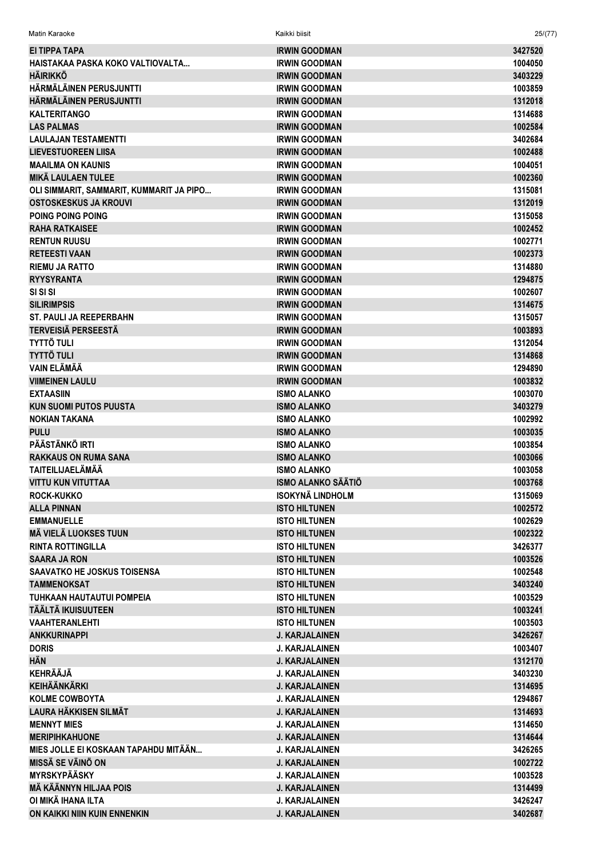| Matin Karaoke                            | Kaikki biisit             | 25/(77) |
|------------------------------------------|---------------------------|---------|
| EI TIPPA TAPA                            | <b>IRWIN GOODMAN</b>      | 3427520 |
| HAISTAKAA PASKA KOKO VALTIOVALTA         | <b>IRWIN GOODMAN</b>      | 1004050 |
| <b>HÄIRIKKÖ</b>                          | <b>IRWIN GOODMAN</b>      | 3403229 |
| HÄRMÄLÄINEN PERUSJUNTTI                  | <b>IRWIN GOODMAN</b>      | 1003859 |
| HÄRMÄLÄINEN PERUSJUNTTI                  | <b>IRWIN GOODMAN</b>      | 1312018 |
| <b>KALTERITANGO</b>                      | <b>IRWIN GOODMAN</b>      | 1314688 |
| <b>LAS PALMAS</b>                        | <b>IRWIN GOODMAN</b>      | 1002584 |
| <b>LAULAJAN TESTAMENTTI</b>              | <b>IRWIN GOODMAN</b>      | 3402684 |
| <b>LIEVESTUOREEN LIISA</b>               | <b>IRWIN GOODMAN</b>      | 1002488 |
| <b>MAAILMA ON KAUNIS</b>                 | <b>IRWIN GOODMAN</b>      | 1004051 |
| <b>MIKÄ LAULAEN TULEE</b>                | <b>IRWIN GOODMAN</b>      | 1002360 |
| OLI SIMMARIT, SAMMARIT, KUMMARIT JA PIPO | <b>IRWIN GOODMAN</b>      | 1315081 |
| OSTOSKESKUS JA KROUVI                    | <b>IRWIN GOODMAN</b>      | 1312019 |
| POING POING POING                        | <b>IRWIN GOODMAN</b>      | 1315058 |
| <b>RAHA RATKAISEE</b>                    | <b>IRWIN GOODMAN</b>      | 1002452 |
| <b>RENTUN RUUSU</b>                      | <b>IRWIN GOODMAN</b>      | 1002771 |
| <b>RETEESTI VAAN</b>                     | <b>IRWIN GOODMAN</b>      | 1002373 |
| <b>RIEMU JA RATTO</b>                    | <b>IRWIN GOODMAN</b>      | 1314880 |
| <b>RYYSYRANTA</b>                        | <b>IRWIN GOODMAN</b>      | 1294875 |
| SI SI SI                                 | <b>IRWIN GOODMAN</b>      | 1002607 |
| <b>SILIRIMPSIS</b>                       | <b>IRWIN GOODMAN</b>      | 1314675 |
| <b>ST. PAULI JA REEPERBAHN</b>           | <b>IRWIN GOODMAN</b>      | 1315057 |
| <b>TERVEISIÄ PERSEESTÄ</b>               | <b>IRWIN GOODMAN</b>      | 1003893 |
| <b>TYTTÖ TULI</b>                        | <b>IRWIN GOODMAN</b>      | 1312054 |
| <b>TYTTÖ TULI</b>                        | <b>IRWIN GOODMAN</b>      | 1314868 |
| <b>VAIN ELÄMÄÄ</b>                       | <b>IRWIN GOODMAN</b>      | 1294890 |
| <b>VIIMEINEN LAULU</b>                   | <b>IRWIN GOODMAN</b>      | 1003832 |
| <b>EXTAASIIN</b>                         | <b>ISMO ALANKO</b>        | 1003070 |
| <b>KUN SUOMI PUTOS PUUSTA</b>            | <b>ISMO ALANKO</b>        | 3403279 |
| <b>NOKIAN TAKANA</b>                     | <b>ISMO ALANKO</b>        | 1002992 |
| <b>PULU</b>                              | <b>ISMO ALANKO</b>        | 1003035 |
| PÄÄSTÄNKÖ IRTI                           | <b>ISMO ALANKO</b>        | 1003854 |
| <b>RAKKAUS ON RUMA SANA</b>              | <b>ISMO ALANKO</b>        | 1003066 |
| <b>TAITEILIJAELÄMÄÄ</b>                  | <b>ISMO ALANKO</b>        | 1003058 |
| <b>VITTU KUN VITUTTAA</b>                | <b>ISMO ALANKO SAATIO</b> | 1003768 |
| <b>ROCK-KUKKO</b>                        | <b>ISOKYNÄ LINDHOLM</b>   | 1315069 |
| <b>ALLA PINNAN</b>                       | <b>ISTO HILTUNEN</b>      | 1002572 |
| <b>EMMANUELLE</b>                        | <b>ISTO HILTUNEN</b>      | 1002629 |
| <b>MÄ VIELÄ LUOKSES TUUN</b>             | <b>ISTO HILTUNEN</b>      | 1002322 |
| <b>RINTA ROTTINGILLA</b>                 | <b>ISTO HILTUNEN</b>      | 3426377 |
| <b>SAARA JA RON</b>                      | <b>ISTO HILTUNEN</b>      | 1003526 |
| <b>SAAVATKO HE JOSKUS TOISENSA</b>       | <b>ISTO HILTUNEN</b>      | 1002548 |
| <b>TAMMENOKSAT</b>                       | <b>ISTO HILTUNEN</b>      | 3403240 |
| <b>TUHKAAN HAUTAUTUI POMPEIA</b>         | <b>ISTO HILTUNEN</b>      | 1003529 |
| TÄÄLTÄ IKUISUUTEEN                       | <b>ISTO HILTUNEN</b>      | 1003241 |
| <b>VAAHTERANLEHTI</b>                    | <b>ISTO HILTUNEN</b>      | 1003503 |
| <b>ANKKURINAPPI</b>                      | <b>J. KARJALAINEN</b>     | 3426267 |
| <b>DORIS</b>                             | <b>J. KARJALAINEN</b>     | 1003407 |
| HÄN                                      | <b>J. KARJALAINEN</b>     | 1312170 |
| <b>KEHRÄÄJÄ</b>                          | <b>J. KARJALAINEN</b>     | 3403230 |
| <b>KEIHÄÄNKÄRKI</b>                      | <b>J. KARJALAINEN</b>     | 1314695 |
| <b>KOLME COWBOYTA</b>                    | <b>J. KARJALAINEN</b>     | 1294867 |
| <b>LAURA HÄKKISEN SILMÄT</b>             | <b>J. KARJALAINEN</b>     | 1314693 |
| <b>MENNYT MIES</b>                       | <b>J. KARJALAINEN</b>     | 1314650 |
| <b>MERIPIHKAHUONE</b>                    | <b>J. KARJALAINEN</b>     | 1314644 |
| MIES JOLLE EI KOSKAAN TAPAHDU MITÄÄN     | <b>J. KARJALAINEN</b>     | 3426265 |
| <b>MISSÄ SE VÄINÖ ON</b>                 | <b>J. KARJALAINEN</b>     | 1002722 |
| <b>MYRSKYPÄÄSKY</b>                      | <b>J. KARJALAINEN</b>     | 1003528 |
| <b>MÄ KÄÄNNYN HILJAA POIS</b>            | <b>J. KARJALAINEN</b>     | 1314499 |
| OI MIKÄ IHANA ILTA                       | <b>J. KARJALAINEN</b>     | 3426247 |
| ON KAIKKI NIIN KUIN ENNENKIN             | <b>J. KARJALAINEN</b>     | 3402687 |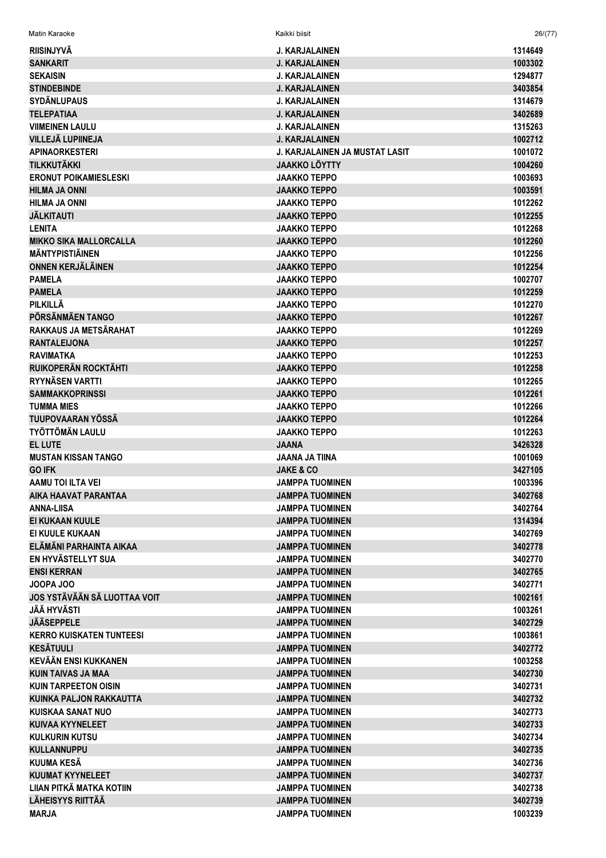| <b>RIISINJYVÄ</b>               | J. KARJALAINEN                        | 1314649 |
|---------------------------------|---------------------------------------|---------|
| <b>SANKARIT</b>                 | <b>J. KARJALAINEN</b>                 | 1003302 |
| <b>SEKAISIN</b>                 | <b>J. KARJALAINEN</b>                 | 1294877 |
| <b>STINDEBINDE</b>              | <b>J. KARJALAINEN</b>                 | 3403854 |
| <b>SYDÄNLUPAUS</b>              | <b>J. KARJALAINEN</b>                 | 1314679 |
| <b>TELEPATIAA</b>               | <b>J. KARJALAINEN</b>                 | 3402689 |
| <b>VIIMEINEN LAULU</b>          | J. KARJALAINEN                        | 1315263 |
| VILLEJÄ LUPIINEJA               | <b>J. KARJALAINEN</b>                 | 1002712 |
| <b>APINAORKESTERI</b>           | <b>J. KARJALAINEN JA MUSTAT LASIT</b> | 1001072 |
| <b>TILKKUTÄKKI</b>              | <b>JAAKKO LÖYTTY</b>                  | 1004260 |
| <b>ERONUT POIKAMIESLESKI</b>    | <b>JAAKKO TEPPO</b>                   | 1003693 |
| <b>HILMA JA ONNI</b>            | <b>JAAKKO TEPPO</b>                   | 1003591 |
| <b>HILMA JA ONNI</b>            | <b>JAAKKO TEPPO</b>                   | 1012262 |
| <b>JÄLKITAUTI</b>               | <b>JAAKKO TEPPO</b>                   | 1012255 |
| <b>LENITA</b>                   | <b>JAAKKO TEPPO</b>                   | 1012268 |
| <b>MIKKO SIKA MALLORCALLA</b>   | <b>JAAKKO TEPPO</b>                   | 1012260 |
| <b>MÄNTYPISTIÄINEN</b>          | <b>JAAKKO TEPPO</b>                   | 1012256 |
| <b>ONNEN KERJÄLÄINEN</b>        | <b>JAAKKO TEPPO</b>                   | 1012254 |
| <b>PAMELA</b>                   | <b>JAAKKO TEPPO</b>                   | 1002707 |
| <b>PAMELA</b>                   | <b>JAAKKO TEPPO</b>                   | 1012259 |
| PILKILLÄ                        | <b>JAAKKO TEPPO</b>                   | 1012270 |
| PÖRSÄNMÄEN TANGO                | <b>JAAKKO TEPPO</b>                   | 1012267 |
| RAKKAUS JA METSÄRAHAT           | <b>JAAKKO TEPPO</b>                   | 1012269 |
| <b>RANTALEIJONA</b>             | <b>JAAKKO TEPPO</b>                   | 1012257 |
| <b>RAVIMATKA</b>                | <b>JAAKKO TEPPO</b>                   | 1012253 |
| RUIKOPERÄN ROCKTÄHTI            | <b>JAAKKO TEPPO</b>                   | 1012258 |
| RYYNÄSEN VARTTI                 | <b>JAAKKO TEPPO</b>                   | 1012265 |
| <b>SAMMAKKOPRINSSI</b>          | <b>JAAKKO TEPPO</b>                   | 1012261 |
| <b>TUMMA MIES</b>               | <b>JAAKKO TEPPO</b>                   | 1012266 |
| TUUPOVAARAN YÖSSÄ               | <b>JAAKKO TEPPO</b>                   | 1012264 |
| <b>TYÖTTÖMÄN LAULU</b>          | <b>JAAKKO TEPPO</b>                   | 1012263 |
| <b>EL LUTE</b>                  | <b>JAANA</b>                          | 3426328 |
| <b>MUSTAN KISSAN TANGO</b>      | <b>JAANA JA TIINA</b>                 | 1001069 |
| <b>GO IFK</b>                   | <b>JAKE &amp; CO</b>                  | 3427105 |
| AAMU TOI ILTA VEI               | <b>JAMPPA TUOMINEN</b>                | 1003396 |
| AIKA HAAVAT PARANTAA            | <b>JAMPPA TUOMINEN</b>                | 3402768 |
| <b>ANNA-LIISA</b>               | <b>JAMPPA TUOMINEN</b>                | 3402764 |
| <b>EI KUKAAN KUULE</b>          | <b>JAMPPA TUOMINEN</b>                | 1314394 |
| EI KUULE KUKAAN                 | <b>JAMPPA TUOMINEN</b>                | 3402769 |
| ELÄMÄNI PARHAINTA AIKAA         | <b>JAMPPA TUOMINEN</b>                | 3402778 |
| EN HYVÄSTELLYT SUA              | <b>JAMPPA TUOMINEN</b>                | 3402770 |
| <b>ENSI KERRAN</b>              | <b>JAMPPA TUOMINEN</b>                | 3402765 |
| JOOPA JOO                       | <b>JAMPPA TUOMINEN</b>                | 3402771 |
| JOS YSTÄVÄÄN SÄ LUOTTAA VOIT    | <b>JAMPPA TUOMINEN</b>                | 1002161 |
| <b>JÄÄ HYVÄSTI</b>              | <b>JAMPPA TUOMINEN</b>                | 1003261 |
| <b>JÄÄSEPPELE</b>               | <b>JAMPPA TUOMINEN</b>                | 3402729 |
| <b>KERRO KUISKATEN TUNTEESI</b> | <b>JAMPPA TUOMINEN</b>                | 1003861 |
| <b>KESÄTUULI</b>                | <b>JAMPPA TUOMINEN</b>                | 3402772 |
| KEVÄÄN ENSI KUKKANEN            | <b>JAMPPA TUOMINEN</b>                | 1003258 |
| <b>KUIN TAIVAS JA MAA</b>       | <b>JAMPPA TUOMINEN</b>                | 3402730 |
| <b>KUIN TARPEETON OISIN</b>     | <b>JAMPPA TUOMINEN</b>                | 3402731 |
| <b>KUINKA PALJON RAKKAUTTA</b>  | <b>JAMPPA TUOMINEN</b>                | 3402732 |
| <b>KUISKAA SANAT NUO</b>        | <b>JAMPPA TUOMINEN</b>                | 3402773 |
| <b>KUIVAA KYYNELEET</b>         | JAMPPA TUOMINEN                       | 3402733 |
| <b>KULKURIN KUTSU</b>           | JAMPPA TUOMINEN                       | 3402734 |
| <b>KULLANNUPPU</b>              | <b>JAMPPA TUOMINEN</b>                | 3402735 |
| KUUMA KESÄ                      | <b>JAMPPA TUOMINEN</b>                | 3402736 |
| <b>KUUMAT KYYNELEET</b>         | <b>JAMPPA TUOMINEN</b>                | 3402737 |
| LIIAN PITKÄ MATKA KOTIIN        | <b>JAMPPA TUOMINEN</b>                | 3402738 |
| <b>LÄHEISYYS RIITTÄÄ</b>        | <b>JAMPPA TUOMINEN</b>                | 3402739 |
| <b>MARJA</b>                    | <b>JAMPPA TUOMINEN</b>                | 1003239 |

Matin Karaoke Kaikki biisit 26/(77)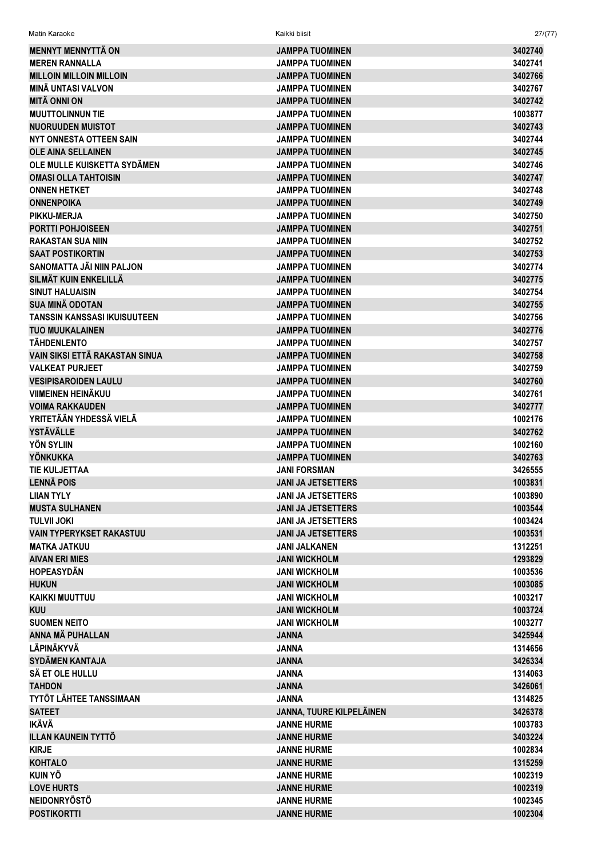| <b>MENNYT MENNYTTÄ ON</b>                              | <b>JAMPPA TUOMINEN</b>                       | 3402740            |
|--------------------------------------------------------|----------------------------------------------|--------------------|
| <b>MEREN RANNALLA</b>                                  | <b>JAMPPA TUOMINEN</b>                       | 3402741            |
| <b>MILLOIN MILLOIN MILLOIN</b>                         | <b>JAMPPA TUOMINEN</b>                       | 3402766            |
| <b>MINÄ UNTASI VALVON</b>                              | <b>JAMPPA TUOMINEN</b>                       | 3402767            |
| <b>MITÄ ONNI ON</b>                                    | <b>JAMPPA TUOMINEN</b>                       | 3402742            |
| <b>MUUTTOLINNUN TIE</b>                                | <b>JAMPPA TUOMINEN</b>                       | 1003877            |
| <b>NUORUUDEN MUISTOT</b>                               | <b>JAMPPA TUOMINEN</b>                       | 3402743            |
| <b>NYT ONNESTA OTTEEN SAIN</b>                         | <b>JAMPPA TUOMINEN</b>                       | 3402744            |
| <b>OLE AINA SELLAINEN</b>                              | <b>JAMPPA TUOMINEN</b>                       | 3402745            |
| OLE MULLE KUISKETTA SYDÄMEN                            | <b>JAMPPA TUOMINEN</b>                       | 3402746            |
| <b>OMASI OLLA TAHTOISIN</b>                            | <b>JAMPPA TUOMINEN</b>                       | 3402747            |
| <b>ONNEN HETKET</b>                                    | <b>JAMPPA TUOMINEN</b>                       | 3402748            |
| <b>ONNENPOIKA</b>                                      | <b>JAMPPA TUOMINEN</b>                       | 3402749            |
| <b>PIKKU-MERJA</b>                                     | <b>JAMPPA TUOMINEN</b>                       | 3402750            |
| <b>PORTTI POHJOISEEN</b>                               | <b>JAMPPA TUOMINEN</b>                       | 3402751            |
| <b>RAKASTAN SUA NIIN</b>                               | <b>JAMPPA TUOMINEN</b>                       | 3402752            |
| <b>SAAT POSTIKORTIN</b>                                | <b>JAMPPA TUOMINEN</b>                       | 3402753            |
| SANOMATTA JÄI NIIN PALJON                              | <b>JAMPPA TUOMINEN</b>                       | 3402774            |
| SILMÄT KUIN ENKELILLÄ                                  | <b>JAMPPA TUOMINEN</b>                       | 3402775            |
| <b>SINUT HALUAISIN</b>                                 | <b>JAMPPA TUOMINEN</b>                       | 3402754            |
| <b>SUA MINÄ ODOTAN</b>                                 | <b>JAMPPA TUOMINEN</b>                       | 3402755            |
| <b>TANSSIN KANSSASI IKUISUUTEEN</b>                    | <b>JAMPPA TUOMINEN</b>                       | 3402756            |
| <b>TUO MUUKALAINEN</b>                                 | <b>JAMPPA TUOMINEN</b>                       | 3402776            |
| <b>TÄHDENLENTO</b>                                     | <b>JAMPPA TUOMINEN</b>                       | 3402757            |
| VAIN SIKSI ETTÄ RAKASTAN SINUA                         | <b>JAMPPA TUOMINEN</b>                       | 3402758            |
| <b>VALKEAT PURJEET</b>                                 | <b>JAMPPA TUOMINEN</b>                       | 3402759            |
| <b>VESIPISAROIDEN LAULU</b>                            | <b>JAMPPA TUOMINEN</b>                       | 3402760            |
| VIIMEINEN HEINÄKUU                                     | <b>JAMPPA TUOMINEN</b>                       | 3402761            |
| <b>VOIMA RAKKAUDEN</b>                                 | <b>JAMPPA TUOMINEN</b>                       | 3402777            |
| YRITETÄÄN YHDESSÄ VIELÄ                                | <b>JAMPPA TUOMINEN</b>                       | 1002176            |
| <b>YSTÄVÄLLE</b>                                       | <b>JAMPPA TUOMINEN</b>                       | 3402762            |
| <b>YÖN SYLIIN</b>                                      | <b>JAMPPA TUOMINEN</b>                       | 1002160            |
| YÖNKUKKA                                               | <b>JAMPPA TUOMINEN</b>                       | 3402763            |
| TIE KULJETTAA                                          | <b>JANI FORSMAN</b>                          | 3426555            |
| <b>LENNÄ POIS</b>                                      | <b>JANI JA JETSETTERS</b>                    | 1003831            |
| LIIAN TYLY                                             | <b>JANI JA JETSETTERS</b>                    | 1003890            |
| <b>MUSTA SULHANEN</b><br><b>TULVII JOKI</b>            | <b>JANI JA JETSETTERS</b>                    | 1003544            |
|                                                        | <b>JANI JA JETSETTERS</b>                    | 1003424            |
| <b>VAIN TYPERYKSET RAKASTUU</b><br><b>MATKA JATKUU</b> | <b>JANI JA JETSETTERS</b>                    | 1003531            |
|                                                        | JANI JALKANEN                                | 1312251<br>1293829 |
| <b>AIVAN ERI MIES</b><br><b>HOPEASYDÄN</b>             | <b>JANI WICKHOLM</b>                         |                    |
|                                                        | <b>JANI WICKHOLM</b>                         | 1003536            |
| <b>HUKUN</b><br><b>KAIKKI MUUTTUU</b>                  | <b>JANI WICKHOLM</b>                         | 1003085            |
|                                                        | <b>JANI WICKHOLM</b>                         | 1003217            |
| <b>KUU</b>                                             | <b>JANI WICKHOLM</b><br><b>JANI WICKHOLM</b> | 1003724            |
| <b>SUOMEN NEITO</b>                                    |                                              | 1003277            |
| ANNA MÄ PUHALLAN<br>LÄPINÄKYVÄ                         | <b>JANNA</b>                                 | 3425944            |
|                                                        | <b>JANNA</b>                                 | 1314656            |
| <b>SYDÄMEN KANTAJA</b>                                 | <b>JANNA</b>                                 | 3426334            |
| SÄ ET OLE HULLU                                        | <b>JANNA</b>                                 | 1314063            |
| <b>TAHDON</b>                                          | <b>JANNA</b>                                 | 3426061            |
| TYTÖT LÄHTEE TANSSIMAAN                                | <b>JANNA</b>                                 | 1314825            |
| <b>SATEET</b>                                          | JANNA, TUURE KILPELÄINEN                     | 3426378            |
| <b>IKÄVÄ</b>                                           | <b>JANNE HURME</b>                           | 1003783            |
| <b>ILLAN KAUNEIN TYTTÖ</b>                             | <b>JANNE HURME</b>                           | 3403224            |
| <b>KIRJE</b>                                           | <b>JANNE HURME</b>                           | 1002834            |
| <b>KOHTALO</b>                                         | <b>JANNE HURME</b>                           | 1315259            |
| <b>KUIN YÖ</b>                                         | <b>JANNE HURME</b>                           | 1002319            |
| <b>LOVE HURTS</b>                                      | <b>JANNE HURME</b>                           | 1002319            |
| <b>NEIDONRYÖSTÖ</b>                                    | <b>JANNE HURME</b>                           | 1002345            |

**JANNE HURME** 

Kaikki biisit

 $27/(77)$ 

1002304

Matin Karaoke

**POSTIKORTTI**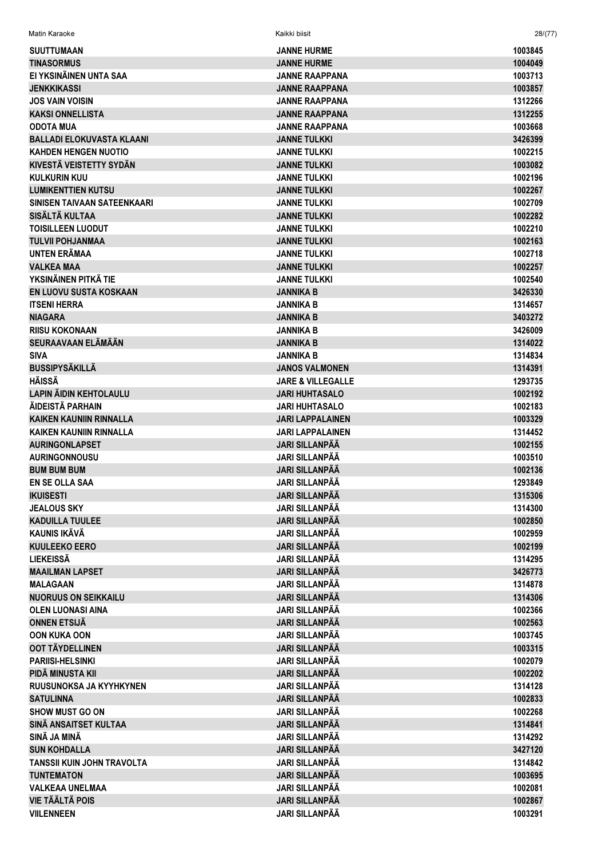| Matin Karaoke                     | Kaikki biisit                | 28/     |
|-----------------------------------|------------------------------|---------|
| <b>SUUTTUMAAN</b>                 | <b>JANNE HURME</b>           | 1003845 |
| <b>TINASORMUS</b>                 | <b>JANNE HURME</b>           | 1004049 |
| EI YKSINÄINEN UNTA SAA            | <b>JANNE RAAPPANA</b>        | 1003713 |
| <b>JENKKIKASSI</b>                | <b>JANNE RAAPPANA</b>        | 1003857 |
| <b>JOS VAIN VOISIN</b>            | <b>JANNE RAAPPANA</b>        | 1312266 |
| <b>KAKSI ONNELLISTA</b>           | <b>JANNE RAAPPANA</b>        | 1312255 |
| <b>ODOTA MUA</b>                  | <b>JANNE RAAPPANA</b>        | 1003668 |
| <b>BALLADI ELOKUVASTA KLAANI</b>  | <b>JANNE TULKKI</b>          | 3426399 |
| <b>KAHDEN HENGEN NUOTIO</b>       | <b>JANNE TULKKI</b>          | 1002215 |
| KIVESTÄ VEISTETTY SYDÄN           | <b>JANNE TULKKI</b>          | 1003082 |
| <b>KULKURIN KUU</b>               | <b>JANNE TULKKI</b>          | 1002196 |
| <b>LUMIKENTTIEN KUTSU</b>         | <b>JANNE TULKKI</b>          | 1002267 |
| SINISEN TAIVAAN SATEENKAARI       | <b>JANNE TULKKI</b>          | 1002709 |
| SISÄLTÄ KULTAA                    | <b>JANNE TULKKI</b>          | 1002282 |
| <b>TOISILLEEN LUODUT</b>          | <b>JANNE TULKKI</b>          | 1002210 |
| <b>TULVII POHJANMAA</b>           | <b>JANNE TULKKI</b>          | 1002163 |
| <b>UNTEN ERÄMAA</b>               | <b>JANNE TULKKI</b>          | 1002718 |
| <b>VALKEA MAA</b>                 | <b>JANNE TULKKI</b>          | 1002257 |
| YKSINÄINEN PITKÄ TIE              | <b>JANNE TULKKI</b>          | 1002540 |
| EN LUOVU SUSTA KOSKAAN            | <b>JANNIKA B</b>             | 3426330 |
| <b>ITSENI HERRA</b>               | <b>JANNIKA B</b>             | 1314657 |
| <b>NIAGARA</b>                    | <b>JANNIKA B</b>             | 3403272 |
| <b>RIISU KOKONAAN</b>             | <b>JANNIKA B</b>             | 3426009 |
| SEURAAVAAN ELÄMÄÄN                | <b>JANNIKA B</b>             | 1314022 |
| <b>SIVA</b>                       | <b>JANNIKA B</b>             | 1314834 |
| <b>BUSSIPYSÄKILLÄ</b>             | <b>JANOS VALMONEN</b>        | 1314391 |
| <b>HÄISSÄ</b>                     | <b>JARE &amp; VILLEGALLE</b> | 1293735 |
| <b>LAPIN ÄIDIN KEHTOLAULU</b>     | <b>JARI HUHTASALO</b>        | 1002192 |
| ÄIDEISTÄ PARHAIN                  | <b>JARI HUHTASALO</b>        | 1002183 |
| <b>KAIKEN KAUNIIN RINNALLA</b>    | <b>JARI LAPPALAINEN</b>      | 1003329 |
| <b>KAIKEN KAUNIIN RINNALLA</b>    | <b>JARI LAPPALAINEN</b>      | 1314452 |
| <b>AURINGONLAPSET</b>             | <b>JARI SILLANPÄÄ</b>        | 1002155 |
| <b>AURINGONNOUSU</b>              | <b>JARI SILLANPÄÄ</b>        | 1003510 |
| <b>BUM BUM BUM</b>                | <b>JARI SILLANPÄÄ</b>        | 1002136 |
| EN SE OLLA SAA                    | <b>JARI SILLANPÄÄ</b>        | 1293849 |
| <b>IKUISESTI</b>                  | <b>JARI SILLANPÄÄ</b>        | 1315306 |
| <b>JEALOUS SKY</b>                | <b>JARI SILLANPÄÄ</b>        | 1314300 |
| <b>KADUILLA TUULEE</b>            | <b>JARI SILLANPÄÄ</b>        | 1002850 |
| <b>KAUNIS IKÄVÄ</b>               | <b>JARI SILLANPÄÄ</b>        | 1002959 |
| <b>KUULEEKO EERO</b>              | <b>JARI SILLANPÄÄ</b>        | 1002199 |
| <b>LIEKEISSÄ</b>                  | <b>JARI SILLANPÄÄ</b>        | 1314295 |
| <b>MAAILMAN LAPSET</b>            | <b>JARI SILLANPÄÄ</b>        | 3426773 |
| <b>MALAGAAN</b>                   | <b>JARI SILLANPÄÄ</b>        | 1314878 |
| <b>NUORUUS ON SEIKKAILU</b>       | <b>JARI SILLANPÄÄ</b>        | 1314306 |
| <b>OLEN LUONASI AINA</b>          | <b>JARI SILLANPÄÄ</b>        | 1002366 |
| <b>ONNEN ETSIJÄ</b>               | <b>JARI SILLANPÄÄ</b>        | 1002563 |
| <b>OON KUKA OON</b>               | <b>JARI SILLANPÄÄ</b>        | 1003745 |
| OOT TÄYDELLINEN                   | <b>JARI SILLANPÄÄ</b>        | 1003315 |
| <b>PARIISI-HELSINKI</b>           | <b>JARI SILLANPÄÄ</b>        | 1002079 |
| PIDÄ MINUSTA KII                  | <b>JARI SILLANPÄÄ</b>        | 1002202 |
| RUUSUNOKSA JA KYYHKYNEN           | <b>JARI SILLANPÄÄ</b>        | 1314128 |
| <b>SATULINNA</b>                  | <b>JARI SILLANPÄÄ</b>        | 1002833 |
| <b>SHOW MUST GO ON</b>            | <b>JARI SILLANPÄÄ</b>        | 1002268 |
| SINÄ ANSAITSET KULTAA             | <b>JARI SILLANPÄÄ</b>        | 1314841 |
| SINÄ JA MINÄ                      | <b>JARI SILLANPÄÄ</b>        | 1314292 |
| <b>SUN KOHDALLA</b>               | <b>JARI SILLANPÄÄ</b>        | 3427120 |
| <b>TANSSII KUIN JOHN TRAVOLTA</b> | <b>JARI SILLANPÄÄ</b>        | 1314842 |
| <b>TUNTEMATON</b>                 | <b>JARI SILLANPÄÄ</b>        | 1003695 |
| <b>VALKEAA UNELMAA</b>            | <b>JARI SILLANPÄÄ</b>        | 1002081 |
| <b>VIE TÄÄLTÄ POIS</b>            | <b>JARI SILLANPÄÄ</b>        | 1002867 |
| <b>VIILENNEEN</b>                 | <b>JARI SILLANPÄÄ</b>        | 1003291 |
|                                   |                              |         |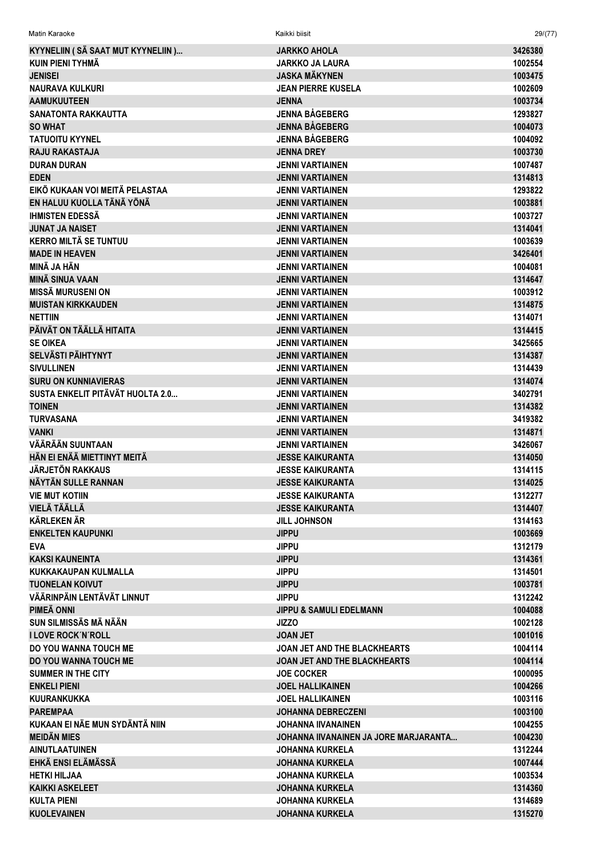| Matin Karaoke                                     | Kaikki biisit                                   | 29/(77)            |
|---------------------------------------------------|-------------------------------------------------|--------------------|
| KYYNELIIN (SÄ SAAT MUT KYYNELIIN)                 | <b>JARKKO AHOLA</b>                             | 3426380            |
| KUIN PIENI TYHMÄ                                  | <b>JARKKO JA LAURA</b>                          | 1002554            |
| <b>JENISEI</b>                                    | <b>JASKA MÄKYNEN</b>                            | 1003475            |
| <b>NAURAVA KULKURI</b>                            | <b>JEAN PIERRE KUSELA</b>                       | 1002609            |
| <b>AAMUKUUTEEN</b>                                | <b>JENNA</b>                                    | 1003734            |
| <b>SANATONTA RAKKAUTTA</b>                        | <b>JENNA BÅGEBERG</b>                           | 1293827            |
| <b>SO WHAT</b>                                    | <b>JENNA BÅGEBERG</b>                           | 1004073            |
| <b>TATUOITU KYYNEL</b>                            | <b>JENNA BÅGEBERG</b>                           | 1004092            |
| <b>RAJU RAKASTAJA</b>                             | <b>JENNA DREY</b>                               | 1003730            |
| <b>DURAN DURAN</b>                                | <b>JENNI VARTIAINEN</b>                         | 1007487            |
| <b>EDEN</b>                                       | <b>JENNI VARTIAINEN</b>                         | 1314813            |
| EIKÖ KUKAAN VOI MEITÄ PELASTAA                    | <b>JENNI VARTIAINEN</b>                         | 1293822            |
| EN HALUU KUOLLA TÄNÄ YÖNÄ                         | <b>JENNI VARTIAINEN</b>                         | 1003881            |
| <b>IHMISTEN EDESSÄ</b>                            | <b>JENNI VARTIAINEN</b>                         | 1003727            |
| <b>JUNAT JA NAISET</b>                            | <b>JENNI VARTIAINEN</b>                         | 1314041            |
| <b>KERRO MILTÄ SE TUNTUU</b>                      | <b>JENNI VARTIAINEN</b>                         | 1003639            |
| <b>MADE IN HEAVEN</b>                             | <b>JENNI VARTIAINEN</b>                         | 3426401            |
| MINÄ JA HÄN                                       | <b>JENNI VARTIAINEN</b>                         | 1004081            |
| <b>MINÄ SINUA VAAN</b>                            | <b>JENNI VARTIAINEN</b>                         | 1314647            |
| <b>MISSÄ MURUSENI ON</b>                          | <b>JENNI VARTIAINEN</b>                         | 1003912            |
| <b>MUISTAN KIRKKAUDEN</b>                         | <b>JENNI VARTIAINEN</b>                         | 1314875            |
| <b>NETTIIN</b>                                    | <b>JENNI VARTIAINEN</b>                         | 1314071            |
| PÄIVÄT ON TÄÄLLÄ HITAITA                          | <b>JENNI VARTIAINEN</b>                         | 1314415            |
| <b>SE OIKEA</b>                                   | <b>JENNI VARTIAINEN</b>                         | 3425665            |
| <b>SELVÄSTI PÄIHTYNYT</b>                         | <b>JENNI VARTIAINEN</b>                         | 1314387            |
| <b>SIVULLINEN</b>                                 | <b>JENNI VARTIAINEN</b>                         | 1314439            |
| <b>SURU ON KUNNIAVIERAS</b>                       | <b>JENNI VARTIAINEN</b>                         | 1314074            |
| SUSTA ENKELIT PITÄVÄT HUOLTA 2.0                  | <b>JENNI VARTIAINEN</b>                         | 3402791            |
| <b>TOINEN</b>                                     | <b>JENNI VARTIAINEN</b>                         | 1314382            |
| <b>TURVASANA</b>                                  | <b>JENNI VARTIAINEN</b>                         | 3419382            |
| <b>VANKI</b>                                      | <b>JENNI VARTIAINEN</b>                         | 1314871            |
| VÄÄRÄÄN SUUNTAAN                                  | <b>JENNI VARTIAINEN</b>                         | 3426067            |
| HÄN EI ENÄÄ MIETTINYT MEITÄ                       | <b>JESSE KAIKURANTA</b>                         | 1314050            |
| <b>JÄRJETÖN RAKKAUS</b>                           | <b>JESSE KAIKURANTA</b>                         | 1314115            |
| NÄYTÄN SULLE RANNAN                               | <b>JESSE KAIKURANTA</b>                         | 1314025            |
| <b>VIE MUT KOTIIN</b>                             | <b>JESSE KAIKURANTA</b>                         | 1312277            |
| <b>VIELÄ TÄÄLLÄ</b>                               | <b>JESSE KAIKURANTA</b>                         | 1314407            |
| <b>KÄRLEKEN ÄR</b>                                | <b>JILL JOHNSON</b>                             | 1314163            |
| <b>ENKELTEN KAUPUNKI</b>                          | <b>JIPPU</b>                                    | 1003669            |
| <b>EVA</b>                                        | <b>JIPPU</b>                                    | 1312179            |
| <b>KAKSI KAUNEINTA</b>                            | <b>JIPPU</b>                                    | 1314361            |
| <b>KUKKAKAUPAN KULMALLA</b>                       | <b>JIPPU</b>                                    | 1314501            |
| <b>TUONELAN KOIVUT</b>                            | <b>JIPPU</b>                                    | 1003781            |
| VÄÄRINPÄIN LENTÄVÄT LINNUT                        | <b>JIPPU</b>                                    | 1312242            |
| PIMEÄ ONNI                                        | <b>JIPPU &amp; SAMULI EDELMANN</b>              | 1004088            |
| SUN SILMISSÄS MÄ NÄÄN                             | <b>JIZZO</b>                                    | 1002128            |
| <b>I LOVE ROCK N'ROLL</b>                         | <b>JOAN JET</b>                                 | 1001016            |
| DO YOU WANNA TOUCH ME                             | <b>JOAN JET AND THE BLACKHEARTS</b>             | 1004114            |
| DO YOU WANNA TOUCH ME                             | JOAN JET AND THE BLACKHEARTS                    | 1004114            |
| <b>SUMMER IN THE CITY</b>                         | <b>JOE COCKER</b>                               | 1000095            |
| <b>ENKELI PIENI</b>                               | <b>JOEL HALLIKAINEN</b>                         | 1004266            |
| KUURANKUKKA                                       | <b>JOEL HALLIKAINEN</b>                         | 1003116            |
| <b>PAREMPAA</b><br>KUKAAN EI NÄE MUN SYDÄNTÄ NIIN | <b>JOHANNA DEBRECZENI</b><br>JOHANNA IIVANAINEN | 1003100<br>1004255 |
| <b>MEIDÄN MIES</b>                                | JOHANNA IIVANAINEN JA JORE MARJARANTA           |                    |
| <b>AINUTLAATUINEN</b>                             |                                                 | 1004230<br>1312244 |
| EHKÄ ENSI ELÄMÄSSÄ                                | JOHANNA KURKELA<br><b>JOHANNA KURKELA</b>       | 1007444            |
| <b>HETKI HILJAA</b>                               | <b>JOHANNA KURKELA</b>                          | 1003534            |
| <b>KAIKKI ASKELEET</b>                            | <b>JOHANNA KURKELA</b>                          | 1314360            |
| <b>KULTA PIENI</b>                                | <b>JOHANNA KURKELA</b>                          | 1314689            |
| <b>KUOLEVAINEN</b>                                | <b>JOHANNA KURKELA</b>                          | 1315270            |
|                                                   |                                                 |                    |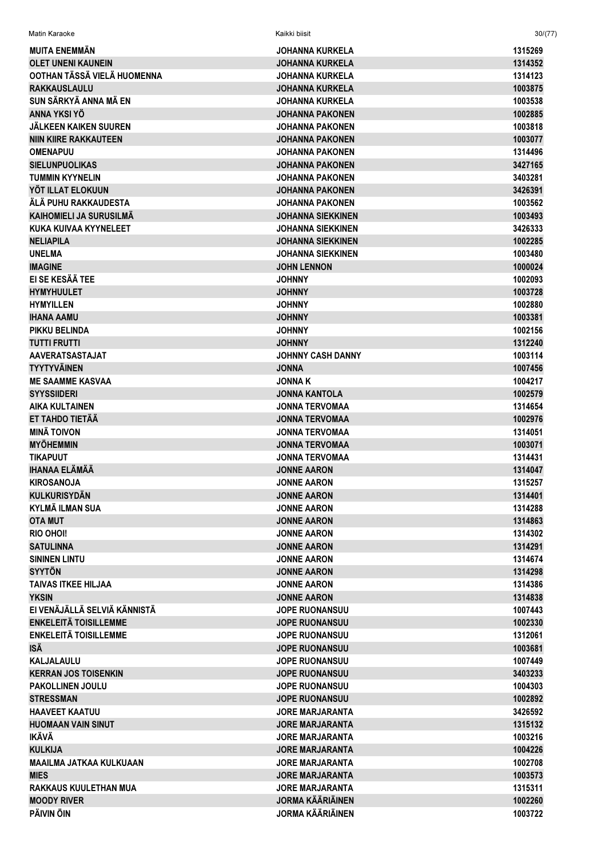| Matin Karaoke                                | Kaikki biisit            | 30/(77)            |
|----------------------------------------------|--------------------------|--------------------|
| <b>MUITA ENEMMÄN</b>                         | JOHANNA KURKELA          | 1315269            |
| <b>OLET UNENI KAUNEIN</b>                    | <b>JOHANNA KURKELA</b>   | 1314352            |
| OOTHAN TÄSSÄ VIELÄ HUOMENNA                  | JOHANNA KURKELA          | 1314123            |
| <b>RAKKAUSLAULU</b>                          | <b>JOHANNA KURKELA</b>   | 1003875            |
| SUN SÄRKYÄ ANNA MÄ EN                        | <b>JOHANNA KURKELA</b>   | 1003538            |
| ANNA YKSI YÖ                                 | <b>JOHANNA PAKONEN</b>   | 1002885            |
| <b>JÄLKEEN KAIKEN SUUREN</b>                 | JOHANNA PAKONEN          | 1003818            |
| <b>NIIN KIIRE RAKKAUTEEN</b>                 | JOHANNA PAKONEN          | 1003077            |
| <b>OMENAPUU</b>                              | JOHANNA PAKONEN          | 1314496            |
| <b>SIELUNPUOLIKAS</b>                        | <b>JOHANNA PAKONEN</b>   | 3427165            |
| <b>TUMMIN KYYNELIN</b>                       | JOHANNA PAKONEN          | 3403281            |
| YÖT ILLAT ELOKUUN                            | <b>JOHANNA PAKONEN</b>   | 3426391            |
| ÁLÁ PUHU RAKKAUDESTA                         | JOHANNA PAKONEN          | 1003562            |
| KAIHOMIELI JA SURUSILMÄ                      | <b>JOHANNA SIEKKINEN</b> | 1003493            |
| KUKA KUIVAA KYYNELEET                        | JOHANNA SIEKKINEN        | 3426333            |
| <b>NELIAPILA</b>                             | <b>JOHANNA SIEKKINEN</b> | 1002285            |
| <b>UNELMA</b>                                | <b>JOHANNA SIEKKINEN</b> | 1003480            |
| <b>IMAGINE</b>                               | <b>JOHN LENNON</b>       | 1000024            |
| EI SE KESÄÄ TEE                              | <b>YNNHOL</b>            | 1002093            |
| <b>HYMYHUULET</b>                            | <b>JOHNNY</b>            | 1003728            |
| <b>HYMYILLEN</b>                             | <b>JOHNNY</b>            | 1002880            |
| <b>IHANA AAMU</b>                            | <b>JOHNNY</b>            | 1003381            |
| PIKKU BELINDA                                | <b>JOHNNY</b>            | 1002156            |
| <b>TUTTI FRUTTI</b>                          | <b>JOHNNY</b>            | 1312240            |
| <b>AAVERATSASTAJAT</b>                       | <b>JOHNNY CASH DANNY</b> | 1003114            |
| <b>TYYTYVÄINEN</b>                           | <b>JONNA</b>             | 1007456            |
| <b>ME SAAMME KASVAA</b>                      | <b>JONNAK</b>            | 1004217            |
| <b>SYYSSIIDERI</b>                           | <b>JONNA KANTOLA</b>     | 1002579            |
| <b>AIKA KULTAINEN</b>                        | <b>JONNA TERVOMAA</b>    | 1314654            |
| ET TAHDO TIETÄÄ                              | <b>JONNA TERVOMAA</b>    | 1002976            |
| <b>MINÄ TOIVON</b>                           | <b>JONNA TERVOMAA</b>    | 1314051            |
| <b>MYÖHEMMIN</b>                             | <b>JONNA TERVOMAA</b>    | 1003071            |
| <b>TIKAPUUT</b>                              | JONNA TERVOMAA           | 1314431            |
| <b>IHANAA ELÄMÄÄ</b>                         | <b>JONNE AARON</b>       | 1314047            |
| <b>KIROSANOJA</b>                            | <b>JONNE AARON</b>       | 1315257            |
| <b>KULKURISYDÄN</b>                          | <b>JONNE AARON</b>       | 1314401            |
| <b>KYLMÄ ILMAN SUA</b>                       | <b>JONNE AARON</b>       | 1314288            |
|                                              | <b>JONNE AARON</b>       |                    |
| <b>OTA MUT</b><br><b>RIO OHOI!</b>           | <b>JONNE AARON</b>       | 1314863<br>1314302 |
| <b>SATULINNA</b>                             | <b>JONNE AARON</b>       | 1314291            |
| <b>SININEN LINTU</b>                         | <b>JONNE AARON</b>       | 1314674            |
| <b>SYYTÖN</b>                                | <b>JONNE AARON</b>       |                    |
| <b>TAIVAS ITKEE HILJAA</b>                   | <b>JONNE AARON</b>       | 1314298            |
|                                              |                          | 1314386            |
| <b>YKSIN</b><br>EI VENÄJÄLLÄ SELVIÄ KÄNNISTÄ | <b>JONNE AARON</b>       | 1314838            |
|                                              | <b>JOPE RUONANSUU</b>    | 1007443            |
| <b>ENKELEITÄ TOISILLEMME</b>                 | <b>JOPE RUONANSUU</b>    | 1002330            |
| <b>ENKELEITÄ TOISILLEMME</b>                 | JOPE RUONANSUU           | 1312061            |
| ISÄ                                          | <b>JOPE RUONANSUU</b>    | 1003681            |
| <b>KALJALAULU</b>                            | <b>JOPE RUONANSUU</b>    | 1007449            |
| <b>KERRAN JOS TOISENKIN</b>                  | <b>JOPE RUONANSUU</b>    | 3403233            |
| <b>PAKOLLINEN JOULU</b>                      | <b>JOPE RUONANSUU</b>    | 1004303            |
| <b>STRESSMAN</b>                             | <b>JOPE RUONANSUU</b>    | 1002892            |
| <b>HAAVEET KAATUU</b>                        | <b>JORE MARJARANTA</b>   | 3426592            |
| <b>HUOMAAN VAIN SINUT</b>                    | JORE MARJARANTA          | 1315132            |
| IKÄVÄ                                        | JORE MARJARANTA          | 1003216            |
| <b>KULKIJA</b>                               | <b>JORE MARJARANTA</b>   | 1004226            |
| <b>MAAILMA JATKAA KULKUAAN</b>               | <b>JORE MARJARANTA</b>   | 1002708            |
| <b>MIES</b>                                  | JORE MARJARANTA          | 1003573            |
| <b>RAKKAUS KUULETHAN MUA</b>                 | <b>JORE MARJARANTA</b>   | 1315311            |
| <b>MOODY RIVER</b>                           | <b>JORMA KÄÄRIÄINEN</b>  | 1002260            |
| PÄIVIN ÖIN                                   | <b>JORMA KÄÄRIÄINEN</b>  | 1003722            |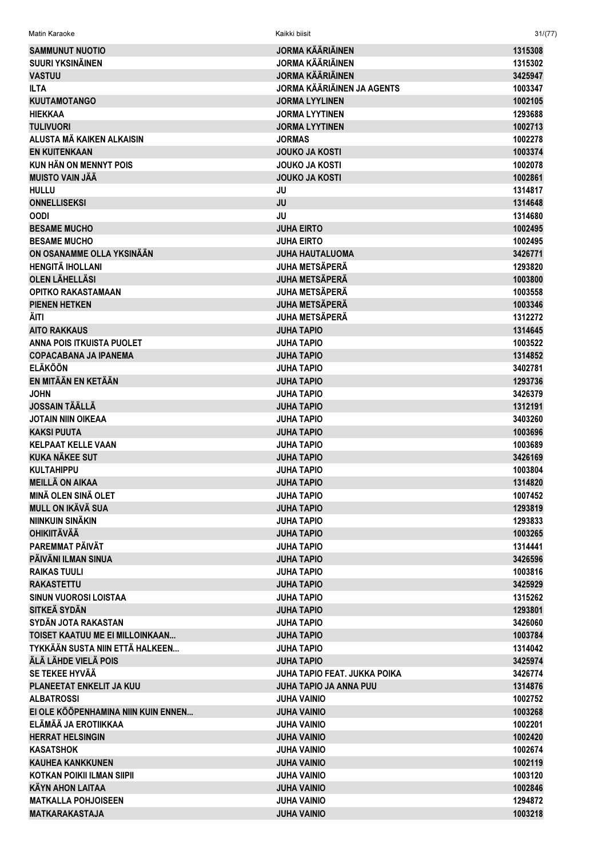| Matin Karaoke                       | Kaikki biisit                     | 31/(77) |
|-------------------------------------|-----------------------------------|---------|
| <b>SAMMUNUT NUOTIO</b>              | JORMA KÄÄRIÄINEN                  | 1315308 |
| <b>SUURI YKSINÄINEN</b>             | <b>JORMA KÄÄRIÄINEN</b>           | 1315302 |
| <b>VASTUU</b>                       | <b>JORMA KÄÄRIÄINEN</b>           | 3425947 |
| <b>ILTA</b>                         | <b>JORMA KÄÄRIÄINEN JA AGENTS</b> | 1003347 |
| <b>KUUTAMOTANGO</b>                 | <b>JORMA LYYLINEN</b>             | 1002105 |
| <b>HIEKKAA</b>                      | <b>JORMA LYYTINEN</b>             | 1293688 |
| <b>TULIVUORI</b>                    | <b>JORMA LYYTINEN</b>             | 1002713 |
| ALUSTA MÄ KAIKEN ALKAISIN           | <b>JORMAS</b>                     | 1002278 |
| <b>EN KUITENKAAN</b>                | <b>JOUKO JA KOSTI</b>             | 1003374 |
| <b>KUN HÄN ON MENNYT POIS</b>       | <b>JOUKO JA KOSTI</b>             | 1002078 |
| <b>MUISTO VAIN JÄÄ</b>              | <b>JOUKO JA KOSTI</b>             | 1002861 |
| <b>HULLU</b>                        | JU                                | 1314817 |
| <b>ONNELLISEKSI</b>                 | JU                                | 1314648 |
| <b>OODI</b>                         | JU                                | 1314680 |
| <b>BESAME MUCHO</b>                 | <b>JUHA EIRTO</b>                 | 1002495 |
| <b>BESAME MUCHO</b>                 | <b>JUHA EIRTO</b>                 | 1002495 |
| ON OSANAMME OLLA YKSINÄÄN           | <b>JUHA HAUTALUOMA</b>            | 3426771 |
| <b>HENGITÄ IHOLLANI</b>             | <b>JUHA METSÄPERÄ</b>             | 1293820 |
| <b>OLEN LÄHELLÄSI</b>               | <b>JUHA METSÄPERÄ</b>             | 1003800 |
| <b>OPITKO RAKASTAMAAN</b>           | <b>JUHA METSÄPERÄ</b>             | 1003558 |
| <b>PIENEN HETKEN</b>                | JUHA METSÄPERÄ                    | 1003346 |
| ÄITI                                | <b>JUHA METSÄPERÄ</b>             | 1312272 |
| <b>AITO RAKKAUS</b>                 | <b>JUHA TAPIO</b>                 | 1314645 |
| ANNA POIS ITKUISTA PUOLET           | <b>JUHA TAPIO</b>                 | 1003522 |
| <b>COPACABANA JA IPANEMA</b>        | <b>JUHA TAPIO</b>                 | 1314852 |
| <b>ELÄKÖÖN</b>                      | JUHA TAPIO                        | 3402781 |
| EN MITÄÄN EN KETÄÄN                 | <b>JUHA TAPIO</b>                 | 1293736 |
| <b>JOHN</b>                         | JUHA TAPIO                        | 3426379 |
| <b>JOSSAIN TÄÄLLÄ</b>               | <b>JUHA TAPIO</b>                 | 1312191 |
| <b>JOTAIN NIIN OIKEAA</b>           | JUHA TAPIO                        | 3403260 |
| <b>KAKSI PUUTA</b>                  | <b>JUHA TAPIO</b>                 | 1003696 |
| <b>KELPAAT KELLE VAAN</b>           | JUHA TAPIO                        | 1003689 |
| <b>KUKA NÄKEE SUT</b>               | <b>JUHA TAPIO</b>                 | 3426169 |
| <b>KULTAHIPPU</b>                   | <b>JUHA TAPIO</b>                 | 1003804 |
| <b>MEILLÄ ON AIKAA</b>              | <b>JUHA TAPIO</b>                 | 1314820 |
| <b>MINÄ OLEN SINÄ OLET</b>          | <b>JUHA TAPIO</b>                 | 1007452 |
| MULL ON IKÄVÄ SUA                   | <b>JUHA TAPIO</b>                 | 1293819 |
| NIINKUIN SINÄKIN                    | <b>JUHA TAPIO</b>                 | 1293833 |
| <b>OHIKIITÄVÄÄ</b>                  | <b>JUHA TAPIO</b>                 | 1003265 |
| PAREMMAT PÄIVÄT                     | <b>JUHA TAPIO</b>                 | 1314441 |
| PÄIVÄNI ILMAN SINUA                 | <b>JUHA TAPIO</b>                 | 3426596 |
| <b>RAIKAS TUULI</b>                 | JUHA TAPIO                        | 1003816 |
| <b>RAKASTETTU</b>                   | <b>JUHA TAPIO</b>                 | 3425929 |
| <b>SINUN VUOROSI LOISTAA</b>        | <b>JUHA TAPIO</b>                 | 1315262 |
| <b>SITKEÄ SYDÄN</b>                 | <b>JUHA TAPIO</b>                 | 1293801 |
| SYDÄN JOTA RAKASTAN                 | <b>JUHA TAPIO</b>                 | 3426060 |
| TOISET KAATUU ME EI MILLOINKAAN     | <b>JUHA TAPIO</b>                 | 1003784 |
| TYKKÄÄN SUSTA NIIN ETTÄ HALKEEN     | <b>JUHA TAPIO</b>                 | 1314042 |
| ÄLÄ LÄHDE VIELÄ POIS                | <b>JUHA TAPIO</b>                 | 3425974 |
| SE TEKEE HYVÄÄ                      | JUHA TAPIO FEAT. JUKKA POIKA      | 3426774 |
| PLANEETAT ENKELIT JA KUU            | <b>JUHA TAPIO JA ANNA PUU</b>     | 1314876 |
| <b>ALBATROSSI</b>                   | <b>JUHA VAINIO</b>                | 1002752 |
| EI OLE KÖÖPENHAMINA NIIN KUIN ENNEN | <b>JUHA VAINIO</b>                | 1003268 |
| ELÄMÄÄ JA EROTIIKKAA                | JUHA VAINIO                       | 1002201 |
| <b>HERRAT HELSINGIN</b>             | <b>JUHA VAINIO</b>                | 1002420 |
| <b>KASATSHOK</b>                    | <b>JUHA VAINIO</b>                | 1002674 |
| <b>KAUHEA KANKKUNEN</b>             | <b>JUHA VAINIO</b>                | 1002119 |
| <b>KOTKAN POIKII ILMAN SIIPII</b>   | <b>JUHA VAINIO</b>                | 1003120 |
| <b>KÄYN AHON LAITAA</b>             | <b>JUHA VAINIO</b>                | 1002846 |
| <b>MATKALLA POHJOISEEN</b>          | <b>JUHA VAINIO</b>                | 1294872 |
| <b>MATKARAKASTAJA</b>               | <b>JUHA VAINIO</b>                | 1003218 |
|                                     |                                   |         |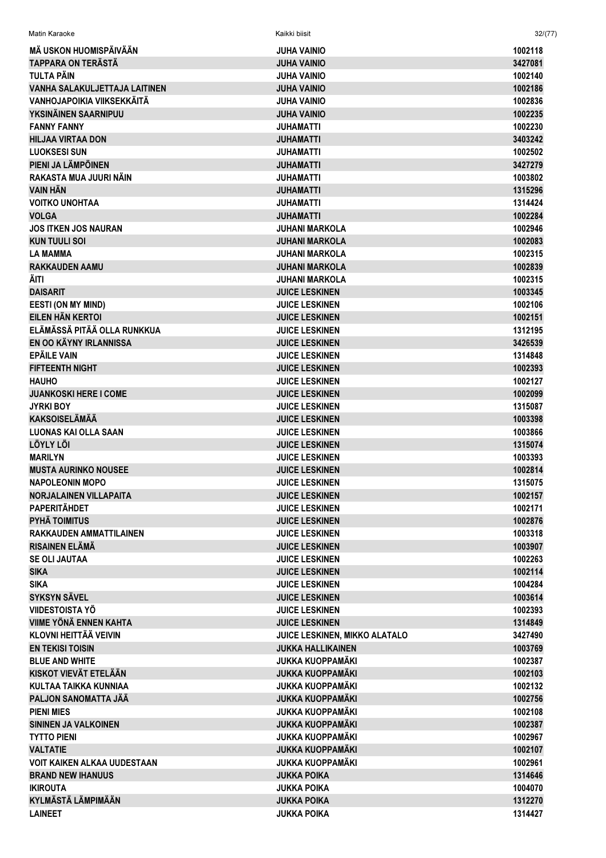| Matin Karaoke                        | Kaikki biisit                        | 32/(77) |
|--------------------------------------|--------------------------------------|---------|
| MÄ USKON HUOMISPÄIVÄÄN               | <b>JUHA VAINIO</b>                   | 1002118 |
| <b>TAPPARA ON TERÄSTÄ</b>            | JUHA VAINIO                          | 3427081 |
| TULTA PÄIN                           | <b>JUHA VAINIO</b>                   | 1002140 |
| <b>VANHA SALAKULJETTAJA LAITINEN</b> | <b>JUHA VAINIO</b>                   | 1002186 |
| VANHOJAPOIKIA VIIKSEKKÄITÄ           | JUHA VAINIO                          | 1002836 |
| YKSINÄINEN SAARNIPUU                 | <b>JUHA VAINIO</b>                   | 1002235 |
| <b>FANNY FANNY</b>                   | JUHAMATTI                            | 1002230 |
| <b>HILJAA VIRTAA DON</b>             | <b>JUHAMATTI</b>                     | 3403242 |
| <b>LUOKSESI SUN</b>                  | JUHAMATTI                            | 1002502 |
| PIENI JA LÄMPÖINEN                   | JUHAMATTI                            | 3427279 |
| RAKASTA MUA JUURI NÄIN               | JUHAMATTI                            | 1003802 |
| <b>VAIN HÄN</b>                      | <b>JUHAMATTI</b>                     | 1315296 |
| <b>VOITKO UNOHTAA</b>                | <b>JUHAMATTI</b>                     | 1314424 |
| <b>VOLGA</b>                         | <b>JUHAMATTI</b>                     | 1002284 |
| <b>JOS ITKEN JOS NAURAN</b>          | <b>JUHANI MARKOLA</b>                | 1002946 |
| <b>KUN TUULI SOI</b>                 | <b>JUHANI MARKOLA</b>                | 1002083 |
| <b>LA MAMMA</b>                      | JUHANI MARKOLA                       | 1002315 |
| <b>RAKKAUDEN AAMU</b>                | <b>JUHANI MARKOLA</b>                | 1002839 |
| ÄITI                                 | <b>JUHANI MARKOLA</b>                | 1002315 |
| <b>DAISARIT</b>                      | <b>JUICE LESKINEN</b>                | 1003345 |
| <b>EESTI (ON MY MIND)</b>            | <b>JUICE LESKINEN</b>                | 1002106 |
| EILEN HÄN KERTOI                     | <b>JUICE LESKINEN</b>                | 1002151 |
| ELÄMÄSSÄ PITÄÄ OLLA RUNKKUA          | <b>JUICE LESKINEN</b>                | 1312195 |
| EN OO KÄYNY IRLANNISSA               | <b>JUICE LESKINEN</b>                | 3426539 |
| <b>EPÄILE VAIN</b>                   | <b>JUICE LESKINEN</b>                | 1314848 |
| <b>FIFTEENTH NIGHT</b>               | <b>JUICE LESKINEN</b>                | 1002393 |
| <b>HAUHO</b>                         | <b>JUICE LESKINEN</b>                | 1002127 |
| <b>JUANKOSKI HERE I COME</b>         | <b>JUICE LESKINEN</b>                | 1002099 |
| <b>JYRKI BOY</b>                     | <b>JUICE LESKINEN</b>                | 1315087 |
| <b>KAKSOISELÄMÄÄ</b>                 | <b>JUICE LESKINEN</b>                | 1003398 |
| <b>LUONAS KAI OLLA SAAN</b>          | <b>JUICE LESKINEN</b>                | 1003866 |
| <b>LÖYLY LÖI</b>                     | <b>JUICE LESKINEN</b>                | 1315074 |
| <b>MARILYN</b>                       | <b>JUICE LESKINEN</b>                | 1003393 |
| <b>MUSTA AURINKO NOUSEE</b>          | <b>JUICE LESKINEN</b>                | 1002814 |
| <b>NAPOLEONIN MOPO</b>               | <b>JUICE LESKINEN</b>                | 1315075 |
| <b>NORJALAINEN VILLAPAITA</b>        | <b>JUICE LESKINEN</b>                | 1002157 |
| <b>PAPERITÄHDET</b>                  | <b>JUICE LESKINEN</b>                | 1002171 |
| <b>PYHÄ TOIMITUS</b>                 | <b>JUICE LESKINEN</b>                | 1002876 |
| <b>RAKKAUDEN AMMATTILAINEN</b>       | <b>JUICE LESKINEN</b>                | 1003318 |
| <b>RISAINEN ELÄMÄ</b>                | <b>JUICE LESKINEN</b>                | 1003907 |
| <b>SE OLI JAUTAA</b>                 | <b>JUICE LESKINEN</b>                | 1002263 |
| <b>SIKA</b>                          | <b>JUICE LESKINEN</b>                | 1002114 |
| <b>SIKA</b>                          | <b>JUICE LESKINEN</b>                | 1004284 |
| <b>SYKSYN SÄVEL</b>                  | <b>JUICE LESKINEN</b>                | 1003614 |
| <b>VIIDESTOISTA YÖ</b>               | <b>JUICE LESKINEN</b>                | 1002393 |
| <b>VIIME YÖNÄ ENNEN KAHTA</b>        | <b>JUICE LESKINEN</b>                | 1314849 |
| <b>KLOVNI HEITTÄÄ VEIVIN</b>         | <b>JUICE LESKINEN, MIKKO ALATALO</b> | 3427490 |
| <b>EN TEKISI TOISIN</b>              | <b>JUKKA HALLIKAINEN</b>             | 1003769 |
| <b>BLUE AND WHITE</b>                | <b>JUKKA KUOPPAMÄKI</b>              | 1002387 |
| <b>KISKOT VIEVÄT ETELÄÄN</b>         | <b>JUKKA KUOPPAMÄKI</b>              | 1002103 |
| KULTAA TAIKKA KUNNIAA                | <b>JUKKA KUOPPAMÄKI</b>              | 1002132 |
| PALJON SANOMATTA JÄÄ                 | <b>JUKKA KUOPPAMÄKI</b>              | 1002756 |
| <b>PIENI MIES</b>                    | <b>JUKKA KUOPPAMÄKI</b>              | 1002108 |
| <b>SININEN JA VALKOINEN</b>          | <b>JUKKA KUOPPAMÄKI</b>              | 1002387 |
| <b>TYTTO PIENI</b>                   | <b>JUKKA KUOPPAMÄKI</b>              | 1002967 |
| <b>VALTATIE</b>                      | <b>JUKKA KUOPPAMÄKI</b>              | 1002107 |
| <b>VOIT KAIKEN ALKAA UUDESTAAN</b>   | <b>JUKKA KUOPPAMÄKI</b>              | 1002961 |
| <b>BRAND NEW IHANUUS</b>             | <b>JUKKA POIKA</b>                   | 1314646 |
| <b>IKIROUTA</b>                      | <b>JUKKA POIKA</b>                   | 1004070 |
| <b>KYLMÄSTÄ LÄMPIMÄÄN</b>            | <b>JUKKA POIKA</b>                   | 1312270 |
| <b>LAINEET</b>                       | <b>JUKKA POIKA</b>                   | 1314427 |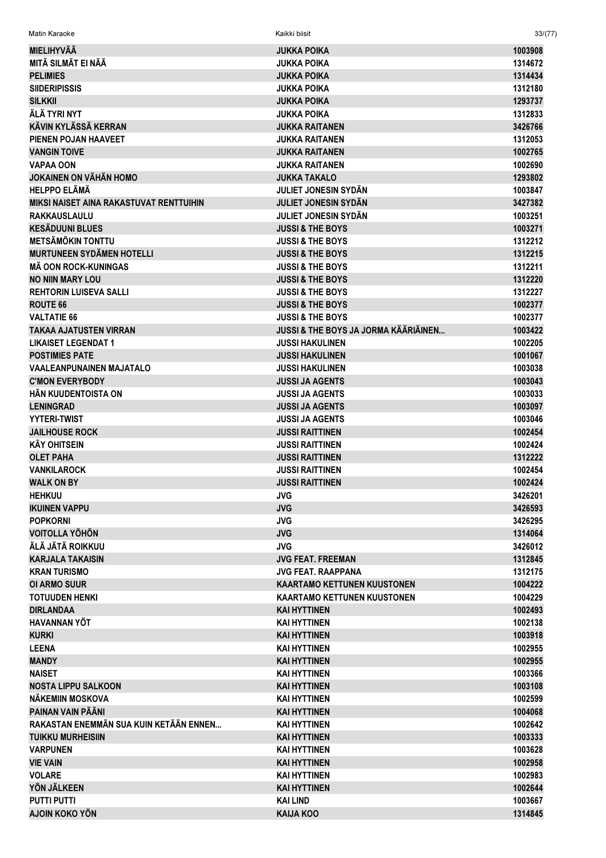| Matin Karaoke                                               | Kaikki biisit                                   | 33/(77)            |
|-------------------------------------------------------------|-------------------------------------------------|--------------------|
| <b>MIELIHYVÄÄ</b>                                           | <b>JUKKA POIKA</b>                              | 1003908            |
| MITÄ SILMÄT EI NÄÄ                                          | <b>JUKKA POIKA</b>                              | 1314672            |
| <b>PELIMIES</b>                                             | <b>JUKKA POIKA</b>                              | 1314434            |
| <b>SIIDERIPISSIS</b>                                        | <b>JUKKA POIKA</b>                              | 1312180            |
| <b>SILKKII</b>                                              | <b>JUKKA POIKA</b>                              | 1293737            |
| ÄLÄ TYRI NYT                                                | <b>JUKKA POIKA</b>                              | 1312833            |
| KÄVIN KYLÄSSÄ KERRAN                                        | <b>JUKKA RAITANEN</b>                           | 3426766            |
| PIENEN POJAN HAAVEET                                        | <b>JUKKA RAITANEN</b>                           | 1312053            |
| <b>VANGIN TOIVE</b>                                         | <b>JUKKA RAITANEN</b>                           | 1002765            |
| <b>VAPAA OON</b>                                            | <b>JUKKA RAITANEN</b>                           | 1002690            |
| <b>JOKAINEN ON VÄHÄN HOMO</b>                               | <b>JUKKA TAKALO</b>                             | 1293802            |
| <b>HELPPO ELÄMÄ</b>                                         | <b>JULIET JONESIN SYDÄN</b>                     | 1003847            |
| <b>MIKSI NAISET AINA RAKASTUVAT RENTTUIHIN</b>              | <b>JULIET JONESIN SYDÄN</b>                     | 3427382            |
| RAKKAUSLAULU                                                | <b>JULIET JONESIN SYDÄN</b>                     | 1003251            |
| <b>KESÄDUUNI BLUES</b>                                      | <b>JUSSI &amp; THE BOYS</b>                     | 1003271            |
| <b>METSÄMÖKIN TONTTU</b>                                    | <b>JUSSI &amp; THE BOYS</b>                     | 1312212            |
| <b>MURTUNEEN SYDÄMEN HOTELLI</b>                            | <b>JUSSI &amp; THE BOYS</b>                     | 1312215            |
| <b>MÄ OON ROCK-KUNINGAS</b>                                 | <b>JUSSI &amp; THE BOYS</b>                     | 1312211            |
| <b>NO NIIN MARY LOU</b>                                     | <b>JUSSI &amp; THE BOYS</b>                     | 1312220            |
| <b>REHTORIN LUISEVA SALLI</b>                               | <b>JUSSI &amp; THE BOYS</b>                     | 1312227            |
| <b>ROUTE 66</b>                                             | <b>JUSSI &amp; THE BOYS</b>                     | 1002377            |
| <b>VALTATIE 66</b>                                          | <b>JUSSI &amp; THE BOYS</b>                     | 1002377            |
| <b>TAKAA AJATUSTEN VIRRAN</b>                               | <b>JUSSI &amp; THE BOYS JA JORMA KÄÄRIÄINEN</b> | 1003422            |
| <b>LIKAISET LEGENDAT 1</b>                                  | <b>JUSSI HAKULINEN</b>                          | 1002205            |
| <b>POSTIMIES PATE</b>                                       | <b>JUSSI HAKULINEN</b>                          | 1001067            |
| <b>VAALEANPUNAINEN MAJATALO</b>                             | <b>JUSSI HAKULINEN</b>                          | 1003038            |
| <b>C'MON EVERYBODY</b>                                      | <b>JUSSI JA AGENTS</b>                          | 1003043            |
| HÄN KUUDENTOISTA ON                                         | <b>JUSSI JA AGENTS</b>                          | 1003033            |
| <b>LENINGRAD</b>                                            | <b>JUSSI JA AGENTS</b>                          | 1003097            |
| <b>YYTERI-TWIST</b>                                         | <b>JUSSI JA AGENTS</b>                          | 1003046            |
| <b>JAILHOUSE ROCK</b>                                       | <b>JUSSI RAITTINEN</b>                          | 1002454            |
| <b>KÄY OHITSEIN</b>                                         | <b>JUSSI RAITTINEN</b>                          | 1002424            |
| <b>OLET PAHA</b>                                            | <b>JUSSI RAITTINEN</b>                          | 1312222            |
| <b><i>VANKILAROCK</i></b>                                   | <b>JUSSI RAITTINEN</b>                          | 1002454            |
| <b>WALK ON BY</b>                                           | <b>JUSSI RAITTINEN</b>                          | 1002424            |
| <b>HEHKUU</b>                                               | <b>JVG</b>                                      | 3426201            |
| <b>IKUINEN VAPPU</b>                                        | <b>JVG</b>                                      | 3426593            |
| <b>POPKORNI</b>                                             | <b>JVG</b>                                      | 3426295            |
| <b>VOITOLLA YÖHÖN</b>                                       | <b>JVG</b>                                      | 1314064            |
| ÄLÄ JÄTÄ ROIKKUU                                            | <b>JVG</b>                                      | 3426012            |
| <b>KARJALA TAKAISIN</b>                                     | <b>JVG FEAT, FREEMAN</b>                        | 1312845            |
| <b>KRAN TURISMO</b>                                         | <b>JVG FEAT, RAAPPANA</b>                       | 1312175            |
| <b>OI ARMO SUUR</b>                                         | <b>KAARTAMO KETTUNEN KUUSTONEN</b>              | 1004222            |
| <b>TOTUUDEN HENKI</b>                                       | <b>KAARTAMO KETTUNEN KUUSTONEN</b>              | 1004229            |
| <b>DIRLANDAA</b>                                            | <b>KAI HYTTINEN</b>                             | 1002493            |
| HAVANNAN YÖT                                                | <b>KAI HYTTINEN</b>                             | 1002138            |
| <b>KURKI</b>                                                | <b>KAI HYTTINEN</b>                             | 1003918            |
| <b>LEENA</b>                                                | <b>KAI HYTTINEN</b>                             | 1002955            |
| <b>MANDY</b>                                                | <b>KAI HYTTINEN</b>                             | 1002955            |
| <b>NAISET</b>                                               | <b>KAI HYTTINEN</b>                             | 1003366            |
| <b>NOSTA LIPPU SALKOON</b>                                  | <b>KAI HYTTINEN</b>                             | 1003108            |
| NÄKEMIIN MOSKOVA                                            | <b>KAI HYTTINEN</b>                             | 1002599            |
| PAINAN VAIN PÄÄNI<br>RAKASTAN ENEMMÄN SUA KUIN KETÄÄN ENNEN | <b>KAI HYTTINEN</b>                             | 1004068            |
|                                                             | <b>KAI HYTTINEN</b>                             | 1002642            |
| <b>TUIKKU MURHEISIIN</b>                                    | <b>KAI HYTTINEN</b>                             | 1003333            |
| <b>VARPUNEN</b>                                             | <b>KAI HYTTINEN</b>                             | 1003628            |
| <b>VIE VAIN</b><br><b>VOLARE</b>                            | <b>KAI HYTTINEN</b><br><b>KAI HYTTINEN</b>      | 1002958            |
| YÖN JÄLKEEN                                                 |                                                 | 1002983            |
| <b>PUTTI PUTTI</b>                                          | <b>KAI HYTTINEN</b><br><b>KAI LIND</b>          | 1002644<br>1003667 |
| AJOIN KOKO YÖN                                              | <b>KAIJA KOO</b>                                | 1314845            |
|                                                             |                                                 |                    |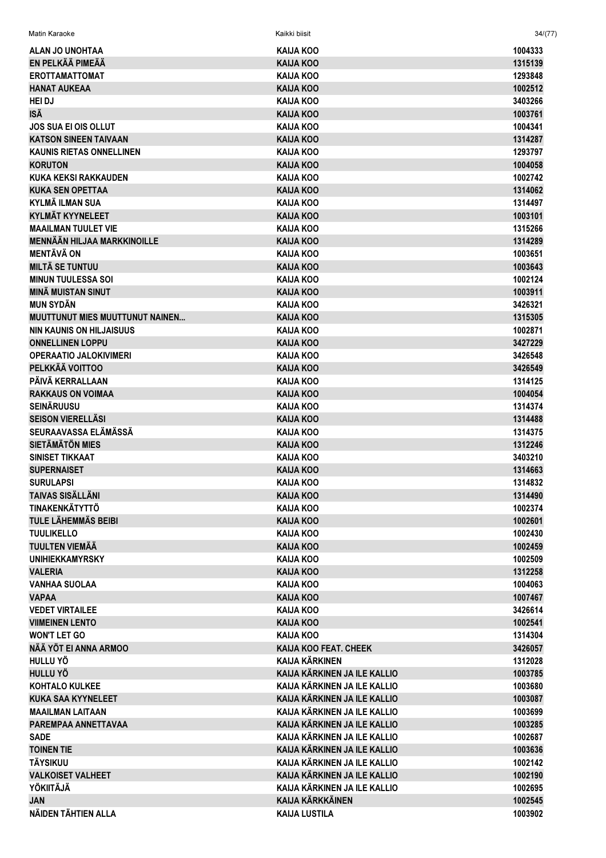| Matin Karaoke                                   | Kaikki biisit                 | 34/(77)            |
|-------------------------------------------------|-------------------------------|--------------------|
| ALAN JO UNOHTAA                                 | <b>KAIJA KOO</b>              | 1004333            |
| EN PELKÄÄ PIMEÄÄ                                | KAIJA KOO                     | 1315139            |
| <b>EROTTAMATTOMAT</b>                           | KAIJA KOO                     | 1293848            |
| <b>HANAT AUKEAA</b>                             | <b>KAIJA KOO</b>              | 1002512            |
| <b>HEI DJ</b>                                   | KAIJA KOO                     | 3403266            |
| ISÄ                                             | <b>KAIJA KOO</b>              | 1003761            |
| <b>JOS SUA EI OIS OLLUT</b>                     | <b>KAIJA KOO</b>              | 1004341            |
| <b>KATSON SINEEN TAIVAAN</b>                    | <b>KAIJA KOO</b>              | 1314287            |
| <b>KAUNIS RIETAS ONNELLINEN</b>                 | KAIJA KOO                     | 1293797            |
| <b>KORUTON</b>                                  | <b>KAIJA KOO</b>              | 1004058            |
| KUKA KEKSI RAKKAUDEN                            | <b>KAIJA KOO</b>              | 1002742            |
| <b>KUKA SEN OPETTAA</b>                         | KAIJA KOO                     | 1314062            |
| KYLMÄ ILMAN SUA                                 | KAIJA KOO                     | 1314497            |
| <b>KYLMÄT KYYNELEET</b>                         | KAIJA KOO                     | 1003101            |
| <b>MAAILMAN TUULET VIE</b>                      | <b>KAIJA KOO</b>              | 1315266            |
| <b>MENNÄÄN HILJAA MARKKINOILLE</b>              | <b>KAIJA KOO</b>              | 1314289            |
| <b>MENTÄVÄ ON</b>                               | <b>KAIJA KOO</b>              | 1003651            |
| <b>MILTÄ SE TUNTUU</b>                          | <b>KAIJA KOO</b>              | 1003643            |
| <b>MINUN TUULESSA SOI</b>                       | <b>KAIJA KOO</b>              | 1002124            |
| <b>MINÄ MUISTAN SINUT</b>                       | <b>KAIJA KOO</b>              | 1003911            |
| <b>MUN SYDÄN</b>                                | <b>KAIJA KOO</b>              | 3426321            |
| <b>MUUTTUNUT MIES MUUTTUNUT NAINEN</b>          | <b>KAIJA KOO</b>              | 1315305            |
| <b>NIN KAUNIS ON HILJAISUUS</b>                 | <b>KAIJA KOO</b>              | 1002871            |
| <b>ONNELLINEN LOPPU</b>                         | <b>KAIJA KOO</b>              | 3427229            |
| <b>OPERAATIO JALOKIVIMERI</b>                   | <b>KAIJA KOO</b>              | 3426548            |
| PELKKÄÄ VOITTOO                                 | KAIJA KOO                     | 3426549            |
| PÄIVÄ KERRALLAAN                                | KAIJA KOO                     | 1314125            |
| <b>RAKKAUS ON VOIMAA</b>                        | <b>KAIJA KOO</b>              | 1004054            |
| <b>SEINÄRUUSU</b>                               | <b>KAIJA KOO</b>              | 1314374            |
| <b>SEISON VIERELLÄSI</b>                        | <b>KAIJA KOO</b>              | 1314488            |
| SEURAAVASSA ELÄMÄSSÄ                            | <b>KAIJA KOO</b>              | 1314375            |
| <b>SIETÄMÄTÖN MIES</b>                          | <b>KAIJA KOO</b>              | 1312246            |
| SINISET TIKKAAT                                 | <b>KAIJA KOO</b>              | 3403210            |
| <b>SUPERNAISET</b>                              | <b>KAIJA KOO</b>              | 1314663            |
| <b>SURULAPSI</b>                                | <b>KAIJA KOO</b>              | 1314832            |
| <b>TAIVAS SISÄLLÄNI</b>                         | <b>KAIJA KOO</b>              | 1314490            |
| TINAKENKÄTYTTÖ                                  | <b>KAIJA KOO</b>              | 1002374            |
| <b>TULE LÄHEMMÄS BEIBI</b>                      | <b>KAIJA KOO</b>              | 1002601            |
| <b>TUULIKELLO</b>                               | <b>KAIJA KOO</b>              | 1002430<br>1002459 |
| <b>TUULTEN VIEMÄÄ</b><br><b>UNIHIEKKAMYRSKY</b> | KAIJA KOO<br><b>KAIJA KOO</b> | 1002509            |
| <b>VALERIA</b>                                  | <b>KAIJA KOO</b>              | 1312258            |
| <b>VANHAA SUOLAA</b>                            | <b>KAIJA KOO</b>              |                    |
| <b>VAPAA</b>                                    | <b>KAIJA KOO</b>              | 1004063<br>1007467 |
| <b>VEDET VIRTAILEE</b>                          | KAIJA KOO                     | 3426614            |
| <b>VIIMEINEN LENTO</b>                          | <b>KAIJA KOO</b>              | 1002541            |
| <b>WON'T LET GO</b>                             | KAIJA KOO                     | 1314304            |
| NÄÄ YÖT EI ANNA ARMOO                           | KAIJA KOO FEAT. CHEEK         | 3426057            |
| HULLU YÖ                                        | <b>KAIJA KÄRKINEN</b>         | 1312028            |
| HULLU YÖ                                        | KAIJA KÄRKINEN JA ILE KALLIO  | 1003785            |
| <b>KOHTALO KULKEE</b>                           | KAIJA KÄRKINEN JA ILE KALLIO  | 1003680            |
| <b>KUKA SAA KYYNELEET</b>                       | KAIJA KÄRKINEN JA ILE KALLIO  | 1003087            |
| <b>MAAILMAN LAITAAN</b>                         | KAIJA KÄRKINEN JA ILE KALLIO  | 1003699            |
| PAREMPAA ANNETTAVAA                             | KAIJA KÄRKINEN JA ILE KALLIO  | 1003285            |
| <b>SADE</b>                                     | KAIJA KÄRKINEN JA ILE KALLIO  | 1002687            |
| <b>TOINEN TIE</b>                               | KAIJA KÄRKINEN JA ILE KALLIO  | 1003636            |
| <b>TÄYSIKUU</b>                                 | KAIJA KÄRKINEN JA ILE KALLIO  | 1002142            |
| <b>VALKOISET VALHEET</b>                        | KAIJA KÄRKINEN JA ILE KALLIO  | 1002190            |
| <b>YÖKIITÄJÄ</b>                                | KAIJA KÄRKINEN JA ILE KALLIO  | 1002695            |
| <b>JAN</b>                                      | <b>KAIJA KÄRKKÄINEN</b>       | 1002545            |
| NÄIDEN TÄHTIEN ALLA                             | <b>KAIJA LUSTILA</b>          | 1003902            |
|                                                 |                               |                    |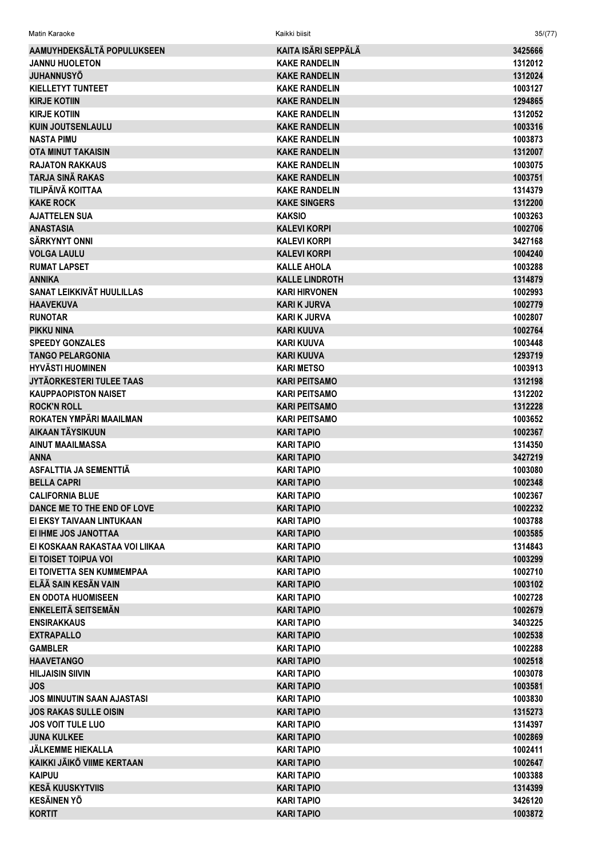| Matin Karaoke                     | Kaikki biisit         | 35/(77) |
|-----------------------------------|-----------------------|---------|
| AAMUYHDEKSÄLTÄ POPULUKSEEN        | KAITA ISÄRI SEPPÄLÄ   | 3425666 |
| <b>JANNU HUOLETON</b>             | <b>KAKE RANDELIN</b>  | 1312012 |
| <b>JUHANNUSYÖ</b>                 | <b>KAKE RANDELIN</b>  | 1312024 |
| <b>KIELLETYT TUNTEET</b>          | <b>KAKE RANDELIN</b>  | 1003127 |
| <b>KIRJE KOTIIN</b>               | <b>KAKE RANDELIN</b>  | 1294865 |
| <b>KIRJE KOTIIN</b>               | <b>KAKE RANDELIN</b>  | 1312052 |
| <b>KUIN JOUTSENLAULU</b>          | <b>KAKE RANDELIN</b>  | 1003316 |
| <b>NASTA PIMU</b>                 | <b>KAKE RANDELIN</b>  | 1003873 |
| <b>OTA MINUT TAKAISIN</b>         | <b>KAKE RANDELIN</b>  | 1312007 |
| <b>RAJATON RAKKAUS</b>            | <b>KAKE RANDELIN</b>  | 1003075 |
| TARJA SINÄ RAKAS                  | <b>KAKE RANDELIN</b>  | 1003751 |
| TILIPÄIVÄ KOITTAA                 | <b>KAKE RANDELIN</b>  | 1314379 |
| <b>KAKE ROCK</b>                  | <b>KAKE SINGERS</b>   | 1312200 |
| <b>AJATTELEN SUA</b>              | <b>KAKSIO</b>         | 1003263 |
| <b>ANASTASIA</b>                  | <b>KALEVI KORPI</b>   | 1002706 |
| <b>SÄRKYNYT ONNI</b>              | <b>KALEVI KORPI</b>   | 3427168 |
| <b>VOLGA LAULU</b>                | <b>KALEVI KORPI</b>   | 1004240 |
| <b>RUMAT LAPSET</b>               | <b>KALLE AHOLA</b>    | 1003288 |
| <b>ANNIKA</b>                     | <b>KALLE LINDROTH</b> | 1314879 |
| <b>SANAT LEIKKIVÄT HUULILLAS</b>  | <b>KARI HIRVONEN</b>  | 1002993 |
| <b>HAAVEKUVA</b>                  | <b>KARI K JURVA</b>   | 1002779 |
| <b>RUNOTAR</b>                    | <b>KARI K JURVA</b>   | 1002807 |
| <b>PIKKU NINA</b>                 | <b>KARI KUUVA</b>     | 1002764 |
| <b>SPEEDY GONZALES</b>            | <b>KARI KUUVA</b>     | 1003448 |
| <b>TANGO PELARGONIA</b>           | <b>KARI KUUVA</b>     | 1293719 |
| <b>HYVÄSTI HUOMINEN</b>           | <b>KARI METSO</b>     | 1003913 |
| JYTÄORKESTERI TULEE TAAS          | <b>KARI PEITSAMO</b>  | 1312198 |
| <b>KAUPPAOPISTON NAISET</b>       | <b>KARI PEITSAMO</b>  | 1312202 |
| <b>ROCK'N ROLL</b>                | <b>KARI PEITSAMO</b>  | 1312228 |
| ROKATEN YMPÄRI MAAILMAN           | <b>KARI PEITSAMO</b>  | 1003652 |
| AIKAAN TÄYSIKUUN                  | <b>KARI TAPIO</b>     | 1002367 |
| <b>AINUT MAAILMASSA</b>           | <b>KARI TAPIO</b>     | 1314350 |
| <b>ANNA</b>                       | <b>KARI TAPIO</b>     | 3427219 |
| ASFALTTIA JA SEMENTTIÄ            | <b>KARI TAPIO</b>     | 1003080 |
| <b>BELLA CAPRI</b>                | <b>KARI TAPIO</b>     | 1002348 |
| <b>CALIFORNIA BLUE</b>            | <b>KARI TAPIO</b>     | 1002367 |
| DANCE ME TO THE END OF LOVE       | <b>KARI TAPIO</b>     | 1002232 |
| EI EKSY TAIVAAN LINTUKAAN         | <b>KARI TAPIO</b>     | 1003788 |
| EI IHME JOS JANOTTAA              | <b>KARI TAPIO</b>     | 1003585 |
| EI KOSKAAN RAKASTAA VOI LIIKAA    | <b>KARI TAPIO</b>     | 1314843 |
| EI TOISET TOIPUA VOI              | <b>KARI TAPIO</b>     | 1003299 |
| EI TOIVETTA SEN KUMMEMPAA         | <b>KARI TAPIO</b>     | 1002710 |
| ELÄÄ SAIN KESÄN VAIN              | <b>KARI TAPIO</b>     | 1003102 |
| <b>EN ODOTA HUOMISEEN</b>         | <b>KARI TAPIO</b>     | 1002728 |
| <b>ENKELEITÄ SEITSEMÄN</b>        | <b>KARI TAPIO</b>     | 1002679 |
| <b>ENSIRAKKAUS</b>                | <b>KARI TAPIO</b>     | 3403225 |
| <b>EXTRAPALLO</b>                 | <b>KARI TAPIO</b>     | 1002538 |
| <b>GAMBLER</b>                    | KARI TAPIO            | 1002288 |
| <b>HAAVETANGO</b>                 | <b>KARI TAPIO</b>     | 1002518 |
| <b>HILJAISIN SIIVIN</b>           | KARI TAPIO            | 1003078 |
| JOS.                              | <b>KARI TAPIO</b>     | 1003581 |
| <b>JOS MINUUTIN SAAN AJASTASI</b> | <b>KARI TAPIO</b>     | 1003830 |
| <b>JOS RAKAS SULLE OISIN</b>      | <b>KARI TAPIO</b>     | 1315273 |
| <b>JOS VOIT TULE LUO</b>          | <b>KARI TAPIO</b>     | 1314397 |
| <b>JUNA KULKEE</b>                | <b>KARI TAPIO</b>     | 1002869 |
| JÄLKEMME HIEKALLA                 | <b>KARI TAPIO</b>     | 1002411 |
| KAIKKI JÄIKÖ VIIME KERTAAN        | <b>KARI TAPIO</b>     | 1002647 |
| <b>KAIPUU</b>                     | <b>KARI TAPIO</b>     | 1003388 |
| <b>KESÄ KUUSKYTVIIS</b>           | <b>KARI TAPIO</b>     | 1314399 |
| <b>KESÄINEN YÖ</b>                | <b>KARI TAPIO</b>     | 3426120 |
| <b>KORTIT</b>                     | <b>KARI TAPIO</b>     | 1003872 |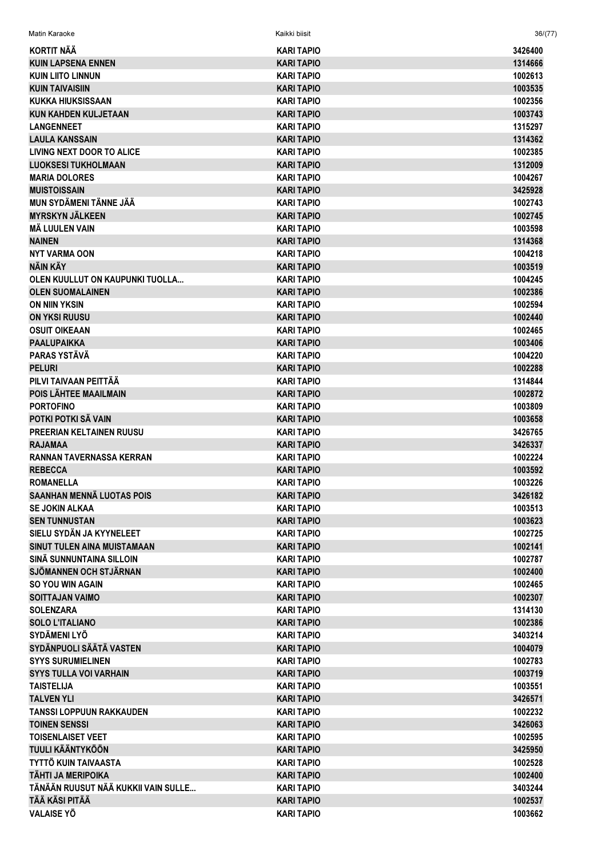| Matin Karaoke                       | Kaikki biisit     | 36/(77) |
|-------------------------------------|-------------------|---------|
| <b>KORTIT NÄÄ</b>                   | <b>KARI TAPIO</b> | 3426400 |
| <b>KUIN LAPSENA ENNEN</b>           | <b>KARI TAPIO</b> | 1314666 |
| <b>KUIN LIITO LINNUN</b>            | <b>KARI TAPIO</b> | 1002613 |
| <b>KUIN TAIVAISIIN</b>              | <b>KARI TAPIO</b> | 1003535 |
| KUKKA HIUKSISSAAN                   | <b>KARI TAPIO</b> | 1002356 |
| <b>KUN KAHDEN KULJETAAN</b>         | <b>KARI TAPIO</b> | 1003743 |
| <b>LANGENNEET</b>                   | <b>KARI TAPIO</b> | 1315297 |
| <b>LAULA KANSSAIN</b>               | <b>KARI TAPIO</b> | 1314362 |
| LIVING NEXT DOOR TO ALICE           | <b>KARI TAPIO</b> | 1002385 |
| <b>LUOKSESI TUKHOLMAAN</b>          | <b>KARI TAPIO</b> | 1312009 |
| <b>MARIA DOLORES</b>                | <b>KARI TAPIO</b> | 1004267 |
| <b>MUISTOISSAIN</b>                 | <b>KARI TAPIO</b> | 3425928 |
| MUN SYDÄMENI TÄNNE JÄÄ              | <b>KARI TAPIO</b> | 1002743 |
| <b>MYRSKYN JÄLKEEN</b>              | <b>KARI TAPIO</b> | 1002745 |
| <b>MÄ LUULEN VAIN</b>               | <b>KARI TAPIO</b> | 1003598 |
| <b>NAINEN</b>                       | <b>KARI TAPIO</b> | 1314368 |
| <b>NYT VARMA OON</b>                | <b>KARI TAPIO</b> | 1004218 |
| NÄIN KÄY                            | <b>KARI TAPIO</b> | 1003519 |
| OLEN KUULLUT ON KAUPUNKI TUOLLA     | <b>KARI TAPIO</b> | 1004245 |
| <b>OLEN SUOMALAINEN</b>             | <b>KARI TAPIO</b> | 1002386 |
| <b>ON NIIN YKSIN</b>                | <b>KARI TAPIO</b> | 1002594 |
| <b>ON YKSI RUUSU</b>                | <b>KARI TAPIO</b> | 1002440 |
| <b>OSUIT OIKEAAN</b>                | KARI TAPIO        | 1002465 |
| <b>PAALUPAIKKA</b>                  | <b>KARI TAPIO</b> | 1003406 |
| <b>PARAS YSTÄVÄ</b>                 | <b>KARI TAPIO</b> | 1004220 |
| <b>PELURI</b>                       | <b>KARI TAPIO</b> | 1002288 |
| PILVI TAIVAAN PEITTÄÄ               | <b>KARI TAPIO</b> | 1314844 |
| POIS LÄHTEE MAAILMAIN               | <b>KARI TAPIO</b> | 1002872 |
| <b>PORTOFINO</b>                    | <b>KARI TAPIO</b> | 1003809 |
| POTKI POTKI SÄ VAIN                 | <b>KARI TAPIO</b> | 1003658 |
| <b>PREERIAN KELTAINEN RUUSU</b>     | <b>KARI TAPIO</b> | 3426765 |
| <b>RAJAMAA</b>                      | <b>KARI TAPIO</b> | 3426337 |
| <b>RANNAN TAVERNASSA KERRAN</b>     | <b>KARI TAPIO</b> | 1002224 |
| <b>REBECCA</b>                      | <b>KARI TAPIO</b> | 1003592 |
| <b>ROMANELLA</b>                    | KARI TAPIO        | 1003226 |
| <b>SAANHAN MENNÄ LUOTAS POIS</b>    | <b>KARI TAPIO</b> | 3426182 |
| <b>SE JOKIN ALKAA</b>               | <b>KARI TAPIO</b> | 1003513 |
| <b>SEN TUNNUSTAN</b>                | <b>KARI TAPIO</b> | 1003623 |
| SIELU SYDÄN JA KYYNELEET            | <b>KARI TAPIO</b> | 1002725 |
| <b>SINUT TULEN AINA MUISTAMAAN</b>  | <b>KARI TAPIO</b> | 1002141 |
| SINÄ SUNNUNTAINA SILLOIN            | <b>KARI TAPIO</b> | 1002787 |
| SJÖMANNEN OCH STJÄRNAN              | <b>KARI TAPIO</b> | 1002400 |
| <b>SO YOU WIN AGAIN</b>             | <b>KARI TAPIO</b> | 1002465 |
| <b>SOITTAJAN VAIMO</b>              | <b>KARI TAPIO</b> | 1002307 |
| <b>SOLENZARA</b>                    | <b>KARI TAPIO</b> | 1314130 |
| <b>SOLO L'ITALIANO</b>              | <b>KARI TAPIO</b> | 1002386 |
| <b>SYDÄMENI LYÖ</b>                 | KARI TAPIO        | 3403214 |
| SYDÄNPUOLI SÄÄTÄ VASTEN             | <b>KARI TAPIO</b> | 1004079 |
| <b>SYYS SURUMIELINEN</b>            | <b>KARI TAPIO</b> | 1002783 |
| <b>SYYS TULLA VOI VARHAIN</b>       | <b>KARI TAPIO</b> | 1003719 |
| <b>TAISTELIJA</b>                   | <b>KARI TAPIO</b> | 1003551 |
| <b>TALVEN YLI</b>                   | <b>KARI TAPIO</b> | 3426571 |
| TANSSI LOPPUUN RAKKAUDEN            | <b>KARI TAPIO</b> | 1002232 |
| <b>TOINEN SENSSI</b>                | <b>KARI TAPIO</b> | 3426063 |
| <b>TOISENLAISET VEET</b>            | <b>KARI TAPIO</b> | 1002595 |
| <b>TUULI KÄÄNTYKÖÖN</b>             | <b>KARI TAPIO</b> | 3425950 |
| TYTTÖ KUIN TAIVAASTA                | <b>KARI TAPIO</b> | 1002528 |
| TÄHTI JA MERIPOIKA                  | <b>KARI TAPIO</b> | 1002400 |
| TÄNÄÄN RUUSUT NÄÄ KUKKII VAIN SULLE | <b>KARI TAPIO</b> | 3403244 |
| TÄÄ KÄSI PITÄÄ                      | <b>KARI TAPIO</b> | 1002537 |
| <b>VALAISE YÖ</b>                   | <b>KARI TAPIO</b> | 1003662 |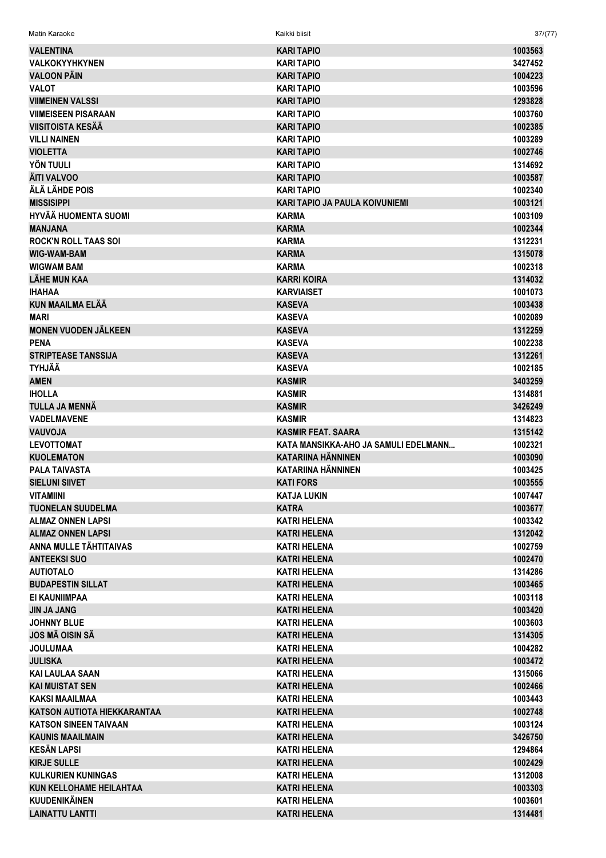| <b>VALENTINA</b>                             | <b>KARI TAPIO</b>                     | 1003563            |
|----------------------------------------------|---------------------------------------|--------------------|
| <b>VALKOKYYHKYNEN</b>                        | <b>KARI TAPIO</b>                     | 3427452            |
| <b>VALOON PÄIN</b>                           | <b>KARI TAPIO</b>                     | 1004223            |
| <b>VALOT</b>                                 | <b>KARI TAPIO</b>                     | 1003596            |
| <b>VIIMEINEN VALSSI</b>                      | <b>KARI TAPIO</b>                     | 1293828            |
| <b>VIIMEISEEN PISARAAN</b>                   | <b>KARI TAPIO</b>                     | 1003760            |
| <b>VIISITOISTA KESÄÄ</b>                     | <b>KARI TAPIO</b>                     | 1002385            |
| <b>VILLI NAINEN</b>                          | <b>KARI TAPIO</b>                     | 1003289            |
| <b>VIOLETTA</b>                              | <b>KARI TAPIO</b>                     | 1002746            |
| YÖN TUULI                                    | <b>KARI TAPIO</b>                     | 1314692            |
| ÄITI VALVOO                                  | <b>KARI TAPIO</b>                     | 1003587            |
| ÄLÄ LÄHDE POIS                               | <b>KARI TAPIO</b>                     | 1002340            |
| <b>MISSISIPPI</b>                            | <b>KARI TAPIO JA PAULA KOIVUNIEMI</b> | 1003121            |
| HYVÄÄ HUOMENTA SUOMI                         | <b>KARMA</b>                          | 1003109            |
| <b>MANJANA</b>                               | <b>KARMA</b>                          | 1002344            |
| <b>ROCK'N ROLL TAAS SOI</b>                  | <b>KARMA</b>                          | 1312231            |
| <b>WIG-WAM-BAM</b>                           | <b>KARMA</b>                          | 1315078            |
|                                              |                                       |                    |
| <b>WIGWAM BAM</b>                            | <b>KARMA</b>                          | 1002318            |
| <b>LÄHE MUN KAA</b>                          | <b>KARRI KOIRA</b>                    | 1314032            |
| <b>IHAHAA</b>                                | <b>KARVIAISET</b>                     | 1001073            |
| <b>KUN MAAILMA ELÄÄ</b>                      | <b>KASEVA</b>                         | 1003438            |
| <b>MARI</b>                                  | <b>KASEVA</b>                         | 1002089            |
| <b>MONEN VUODEN JÄLKEEN</b>                  | <b>KASEVA</b>                         | 1312259            |
| <b>PENA</b>                                  | <b>KASEVA</b>                         | 1002238            |
| <b>STRIPTEASE TANSSIJA</b>                   | <b>KASEVA</b>                         | 1312261            |
| <b>TYHJÄÄ</b>                                | <b>KASEVA</b>                         | 1002185            |
| <b>AMEN</b>                                  | <b>KASMIR</b>                         | 3403259            |
| <b>IHOLLA</b>                                | <b>KASMIR</b>                         | 1314881            |
| TULLA JA MENNÄ                               | <b>KASMIR</b>                         | 3426249            |
| <b>VADELMAVENE</b>                           | <b>KASMIR</b>                         | 1314823            |
| <b>NLOVUAV</b>                               | <b>KASMIR FEAT, SAARA</b>             | 1315142            |
| <b>LEVOTTOMAT</b>                            | KATA MANSIKKA-AHO JA SAMULI EDELMANN  | 1002321            |
| <b>KUOLEMATON</b>                            | <b>KATARIINA HÄNNINEN</b>             | 1003090            |
| <b>PALA TAIVASTA</b>                         | <b>KATARIINA HÄNNINEN</b>             | 1003425            |
| <b>SIELUNI SIIVET</b>                        | <b>KATI FORS</b>                      | 1003555            |
| <b>VITAMIINI</b>                             | <b>KATJA LUKIN</b>                    | 1007447            |
| <b>TUONELAN SUUDELMA</b>                     | <b>KATRA</b>                          | 1003677            |
| <b>ALMAZ ONNEN LAPSI</b>                     | <b>KATRI HELENA</b>                   | 1003342            |
| <b>ALMAZ ONNEN LAPSI</b>                     | <b>KATRI HELENA</b>                   | 1312042            |
| ANNA MULLE TÄHTITAIVAS                       | KATRI HELENA                          | 1002759            |
| <b>ANTEEKSI SUO</b>                          | <b>KATRI HELENA</b>                   | 1002470            |
|                                              |                                       |                    |
| <b>AUTIOTALO</b><br><b>BUDAPESTIN SILLAT</b> |                                       |                    |
|                                              | <b>KATRI HELENA</b>                   | 1314286            |
|                                              | <b>KATRI HELENA</b>                   | 1003465            |
| EI KAUNIIMPAA                                | <b>KATRI HELENA</b>                   | 1003118            |
| <b>JIN JA JANG</b>                           | <b>KATRI HELENA</b>                   | 1003420            |
| <b>JOHNNY BLUE</b>                           | <b>KATRI HELENA</b>                   | 1003603            |
| JOS MÄ OISIN SÄ                              | <b>KATRI HELENA</b>                   | 1314305            |
| <b>JOULUMAA</b>                              | KATRI HELENA                          | 1004282            |
| <b>JULISKA</b>                               | <b>KATRI HELENA</b>                   | 1003472            |
| <b>KAI LAULAA SAAN</b>                       | <b>KATRI HELENA</b>                   | 1315066            |
| <b>KAI MUISTAT SEN</b>                       | <b>KATRI HELENA</b>                   | 1002466            |
| <b>KAKSI MAAILMAA</b>                        | <b>KATRI HELENA</b>                   | 1003443            |
| <b>KATSON AUTIOTA HIEKKARANTAA</b>           | <b>KATRI HELENA</b>                   | 1002748            |
| <b>KATSON SINEEN TAIVAAN</b>                 | <b>KATRI HELENA</b>                   | 1003124            |
| <b>KAUNIS MAAILMAIN</b>                      | <b>KATRI HELENA</b>                   | 3426750            |
| <b>KESÄN LAPSI</b>                           | <b>KATRI HELENA</b>                   | 1294864            |
| <b>KIRJE SULLE</b>                           | <b>KATRI HELENA</b>                   | 1002429            |
| <b>KULKURIEN KUNINGAS</b>                    | <b>KATRI HELENA</b>                   | 1312008            |
| <b>KUN KELLOHAME HEILAHTAA</b>               | <b>KATRI HELENA</b>                   |                    |
| <b>KUUDENIKÄINEN</b>                         | <b>KATRI HELENA</b>                   | 1003303<br>1003601 |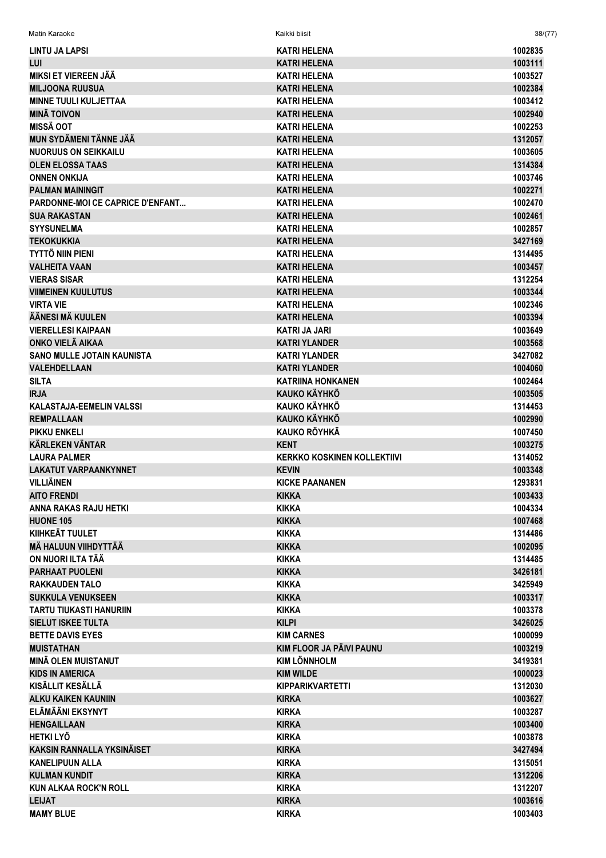| Matin Karaoke                     | Kaikki biisit                      | 38/(77) |
|-----------------------------------|------------------------------------|---------|
| LINTU JA LAPSI                    | <b>KATRI HELENA</b>                | 1002835 |
| LUI                               | <b>KATRI HELENA</b>                | 1003111 |
| <b>MIKSI ET VIEREEN JÄÄ</b>       | <b>KATRI HELENA</b>                | 1003527 |
| <b>MILJOONA RUUSUA</b>            | <b>KATRI HELENA</b>                | 1002384 |
| <b>MINNE TUULI KULJETTAA</b>      | <b>KATRI HELENA</b>                | 1003412 |
| <b>MINÄ TOIVON</b>                | <b>KATRI HELENA</b>                | 1002940 |
| <b>MISSÄ OOT</b>                  | <b>KATRI HELENA</b>                | 1002253 |
| MUN SYDÄMENI TÄNNE JÄÄ            | <b>KATRI HELENA</b>                | 1312057 |
| <b>NUORUUS ON SEIKKAILU</b>       | <b>KATRI HELENA</b>                | 1003605 |
| <b>OLEN ELOSSA TAAS</b>           | <b>KATRI HELENA</b>                | 1314384 |
| <b>ONNEN ONKIJA</b>               | <b>KATRI HELENA</b>                | 1003746 |
| <b>PALMAN MAININGIT</b>           | <b>KATRI HELENA</b>                | 1002271 |
| PARDONNE-MOI CE CAPRICE D'ENFANT  | <b>KATRI HELENA</b>                | 1002470 |
| <b>SUA RAKASTAN</b>               | <b>KATRI HELENA</b>                | 1002461 |
| <b>SYYSUNELMA</b>                 | <b>KATRI HELENA</b>                | 1002857 |
| <b>TEKOKUKKIA</b>                 | <b>KATRI HELENA</b>                | 3427169 |
| <b>TYTTÖ NIIN PIENI</b>           | <b>KATRI HELENA</b>                | 1314495 |
| <b>VALHEITA VAAN</b>              | <b>KATRI HELENA</b>                | 1003457 |
| <b>VIERAS SISAR</b>               | <b>KATRI HELENA</b>                | 1312254 |
| <b>VIIMEINEN KUULUTUS</b>         | <b>KATRI HELENA</b>                | 1003344 |
| <b>VIRTA VIE</b>                  | <b>KATRI HELENA</b>                | 1002346 |
| ÄÄNESI MÄ KUULEN                  | <b>KATRI HELENA</b>                | 1003394 |
| <b>VIERELLESI KAIPAAN</b>         | <b>KATRI JA JARI</b>               | 1003649 |
| ONKO VIELÄ AIKAA                  | <b>KATRI YLANDER</b>               | 1003568 |
| <b>SANO MULLE JOTAIN KAUNISTA</b> | <b>KATRI YLANDER</b>               | 3427082 |
| <b>VALEHDELLAAN</b>               | <b>KATRI YLANDER</b>               | 1004060 |
| <b>SILTA</b>                      | KATRIINA HONKANEN                  | 1002464 |
| <b>IRJA</b>                       | <b>KAUKO KÄYHKÖ</b>                | 1003505 |
| <b>KALASTAJA-EEMELIN VALSSI</b>   | KAUKO KÄYHKÖ                       | 1314453 |
| <b>REMPALLAAN</b>                 | <b>KAUKO KÄYHKÖ</b>                | 1002990 |
| <b>PIKKU ENKELI</b>               | <b>KAUKO RÖYHKÄ</b>                | 1007450 |
| <b>KÄRLEKEN VÄNTAR</b>            | <b>KENT</b>                        | 1003275 |
| <b>LAURA PALMER</b>               | <b>KERKKO KOSKINEN KOLLEKTIIVI</b> | 1314052 |
| <b>LAKATUT VARPAANKYNNET</b>      | <b>KEVIN</b>                       | 1003348 |
| <b>VILLIÄINEN</b>                 | <b>KICKE PAANANEN</b>              | 1293831 |
| <b>AITO FRENDI</b>                | <b>KIKKA</b>                       | 1003433 |
| <b>ANNA RAKAS RAJU HETKI</b>      | <b>KIKKA</b>                       | 1004334 |
| <b>HUONE 105</b>                  | <b>KIKKA</b>                       | 1007468 |
| KIIHKEÄT TUULET                   | <b>KIKKA</b>                       | 1314486 |
| <b>MÄ HALUUN VIIHDYTTÄÄ</b>       | <b>KIKKA</b>                       | 1002095 |
| ON NUORI ILTA TÄÄ                 | <b>KIKKA</b>                       | 1314485 |
| <b>PARHAAT PUOLENI</b>            | <b>KIKKA</b>                       | 3426181 |
| <b>RAKKAUDEN TALO</b>             | <b>KIKKA</b>                       | 3425949 |
| <b>SUKKULA VENUKSEEN</b>          | <b>KIKKA</b>                       | 1003317 |
| <b>TARTU TIUKASTI HANURIIN</b>    | <b>KIKKA</b>                       | 1003378 |
| <b>SIELUT ISKEE TULTA</b>         | <b>KILPI</b>                       | 3426025 |
| <b>BETTE DAVIS EYES</b>           | <b>KIM CARNES</b>                  | 1000099 |
| <b>MUISTATHAN</b>                 | KIM FLOOR JA PÄIVI PAUNU           | 1003219 |
| <b>MINÄ OLEN MUISTANUT</b>        | <b>KIM LÖNNHOLM</b>                | 3419381 |
| <b>KIDS IN AMERICA</b>            | <b>KIM WILDE</b>                   | 1000023 |
| KISÄLLIT KESÄLLÄ                  | <b>KIPPARIKVARTETTI</b>            | 1312030 |
| <b>ALKU KAIKEN KAUNIIN</b>        | <b>KIRKA</b>                       | 1003627 |
| <b>ELÄMÄÄNI EKSYNYT</b>           | <b>KIRKA</b>                       | 1003287 |
| <b>HENGAILLAAN</b>                | <b>KIRKA</b>                       | 1003400 |
| <b>HETKILYÖ</b>                   | <b>KIRKA</b>                       | 1003878 |
| <b>KAKSIN RANNALLA YKSINÄISET</b> | <b>KIRKA</b>                       | 3427494 |
| <b>KANELIPUUN ALLA</b>            | <b>KIRKA</b>                       | 1315051 |
| <b>KULMAN KUNDIT</b>              | <b>KIRKA</b>                       | 1312206 |
| <b>KUN ALKAA ROCK'N ROLL</b>      | <b>KIRKA</b>                       | 1312207 |
| <b>LEIJAT</b>                     | <b>KIRKA</b>                       | 1003616 |
| <b>MAMY BLUE</b>                  | <b>KIRKA</b>                       | 1003403 |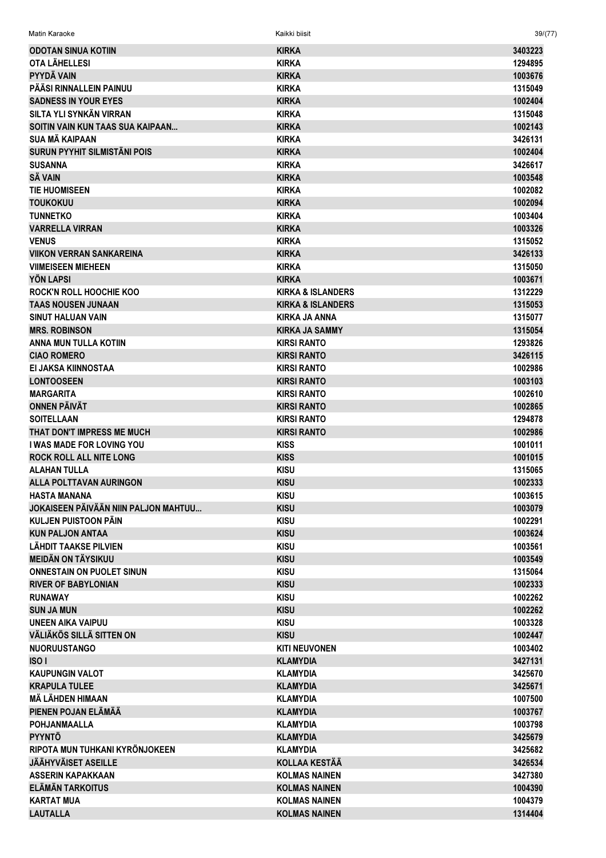Matin Karaoke Kaikki biisit 39/(77)

| <b>ODOTAN SINUA KOTIIN</b>           | <b>KIRKA</b>                 | 3403223 |
|--------------------------------------|------------------------------|---------|
| OTA LÄHELLESI                        | <b>KIRKA</b>                 | 1294895 |
| <b>PYYDÄ VAIN</b>                    | <b>KIRKA</b>                 | 1003676 |
| PÄÄSI RINNALLEIN PAINUU              | <b>KIRKA</b>                 | 1315049 |
| <b>SADNESS IN YOUR EYES</b>          | <b>KIRKA</b>                 | 1002404 |
| SILTA YLI SYNKÄN VIRRAN              | <b>KIRKA</b>                 | 1315048 |
| SOITIN VAIN KUN TAAS SUA KAIPAAN     | <b>KIRKA</b>                 | 1002143 |
| SUA MÄ KAIPAAN                       | <b>KIRKA</b>                 | 3426131 |
| <b>SURUN PYYHIT SILMISTÄNI POIS</b>  | <b>KIRKA</b>                 | 1002404 |
| <b>SUSANNA</b>                       | <b>KIRKA</b>                 | 3426617 |
| <b>SÄ VAIN</b>                       | <b>KIRKA</b>                 | 1003548 |
| <b>TIE HUOMISEEN</b>                 | <b>KIRKA</b>                 | 1002082 |
| <b>TOUKOKUU</b>                      | <b>KIRKA</b>                 | 1002094 |
| <b>TUNNETKO</b>                      | <b>KIRKA</b>                 | 1003404 |
| <b>VARRELLA VIRRAN</b>               | <b>KIRKA</b>                 | 1003326 |
| <b>VENUS</b>                         | <b>KIRKA</b>                 | 1315052 |
| <b>VIIKON VERRAN SANKAREINA</b>      | <b>KIRKA</b>                 | 3426133 |
| <b>VIIMEISEEN MIEHEEN</b>            | <b>KIRKA</b>                 | 1315050 |
| YÖN LAPSI                            | <b>KIRKA</b>                 | 1003671 |
| <b>ROCK'N ROLL HOOCHIE KOO</b>       | <b>KIRKA &amp; ISLANDERS</b> | 1312229 |
| <b>TAAS NOUSEN JUNAAN</b>            | <b>KIRKA &amp; ISLANDERS</b> | 1315053 |
| <b>SINUT HALUAN VAIN</b>             | <b>KIRKA JA ANNA</b>         | 1315077 |
| <b>MRS. ROBINSON</b>                 | <b>KIRKA JA SAMMY</b>        | 1315054 |
| ANNA MUN TULLA KOTIIN                | <b>KIRSI RANTO</b>           | 1293826 |
| <b>CIAO ROMERO</b>                   | <b>KIRSI RANTO</b>           | 3426115 |
| EI JAKSA KIINNOSTAA                  | <b>KIRSI RANTO</b>           | 1002986 |
| <b>LONTOOSEEN</b>                    | <b>KIRSI RANTO</b>           | 1003103 |
| <b>MARGARITA</b>                     | <b>KIRSI RANTO</b>           | 1002610 |
| <b>ONNEN PÄIVÄT</b>                  | <b>KIRSI RANTO</b>           | 1002865 |
|                                      |                              |         |
| <b>SOITELLAAN</b>                    | <b>KIRSI RANTO</b>           | 1294878 |
| THAT DON'T IMPRESS ME MUCH           | <b>KIRSI RANTO</b>           | 1002986 |
| <b>I WAS MADE FOR LOVING YOU</b>     | <b>KISS</b>                  | 1001011 |
| <b>ROCK ROLL ALL NITE LONG</b>       | <b>KISS</b>                  | 1001015 |
| <b>ALAHAN TULLA</b>                  | <b>KISU</b>                  | 1315065 |
| <b>ALLA POLTTAVAN AURINGON</b>       | <b>KISU</b>                  | 1002333 |
| <b>HASTA MANANA</b>                  | <b>KISU</b>                  | 1003615 |
| JOKAISEEN PÄIVÄÄN NIIN PALJON MAHTUU | <b>KISU</b>                  | 1003079 |
| KULJEN PUISTOON PÄIN                 | <b>KISU</b>                  | 1002291 |
| <b>KUN PALJON ANTAA</b>              | <b>KISU</b>                  | 1003624 |
| <b>LÄHDIT TAAKSE PILVIEN</b>         | <b>KISU</b>                  | 1003561 |
| <b>MEIDÄN ON TÄYSIKUU</b>            | <b>KISU</b>                  | 1003549 |
| <b>ONNESTAIN ON PUOLET SINUN</b>     | <b>KISU</b>                  | 1315064 |
| <b>RIVER OF BABYLONIAN</b>           | <b>KISU</b>                  | 1002333 |
| <b>RUNAWAY</b>                       | <b>KISU</b>                  | 1002262 |
| <b>SUN JA MUN</b>                    | <b>KISU</b>                  | 1002262 |
| <b>UNEEN AIKA VAIPUU</b>             | <b>KISU</b>                  | 1003328 |
| <b>VÄLIÄKÖS SILLÄ SITTEN ON</b>      | <b>KISU</b>                  | 1002447 |
| <b>NUORUUSTANGO</b>                  | <b>KITI NEUVONEN</b>         | 1003402 |
| ISO <sub>I</sub>                     | <b>KLAMYDIA</b>              | 3427131 |
| <b>KAUPUNGIN VALOT</b>               | <b>KLAMYDIA</b>              | 3425670 |
| <b>KRAPULA TULEE</b>                 | <b>KLAMYDIA</b>              | 3425671 |
| MÄ LÄHDEN HIMAAN                     | <b>KLAMYDIA</b>              | 1007500 |
| PIENEN POJAN ELÄMÄÄ                  | <b>KLAMYDIA</b>              | 1003767 |
| <b>POHJANMAALLA</b>                  | <b>KLAMYDIA</b>              | 1003798 |
| <b>PYYNTÖ</b>                        | <b>KLAMYDIA</b>              | 3425679 |
| RIPOTA MUN TUHKANI KYRÖNJOKEEN       | <b>KLAMYDIA</b>              | 3425682 |
| <b>JÄÄHYVÄISET ASEILLE</b>           | <b>KOLLAA KESTÄÄ</b>         | 3426534 |
| <b>ASSERIN KAPAKKAAN</b>             | <b>KOLMAS NAINEN</b>         | 3427380 |
| <b>ELÄMÄN TARKOITUS</b>              | <b>KOLMAS NAINEN</b>         | 1004390 |
| <b>KARTAT MUA</b>                    | <b>KOLMAS NAINEN</b>         | 1004379 |
| <b>LAUTALLA</b>                      | <b>KOLMAS NAINEN</b>         | 1314404 |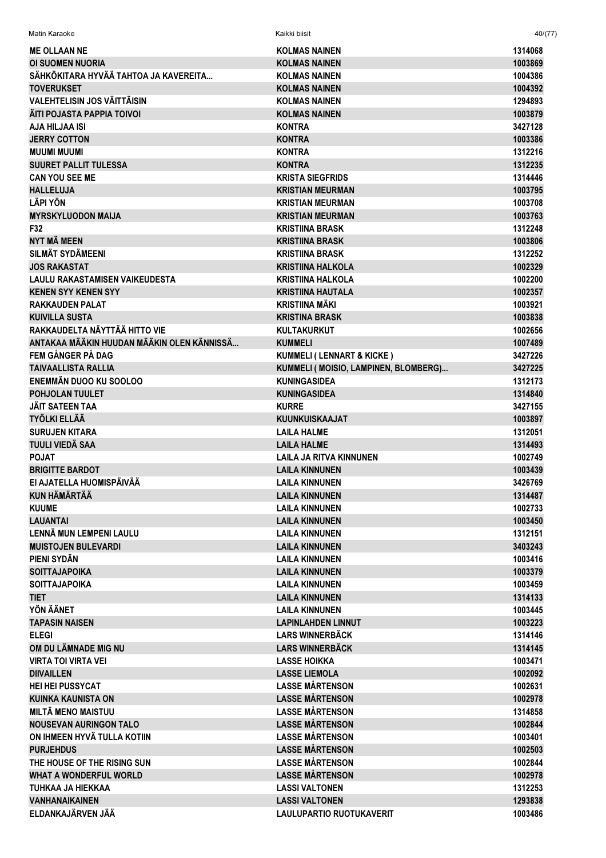| Matin Karaoke                              | Kaikki biisit                                  | 40/(77)            |
|--------------------------------------------|------------------------------------------------|--------------------|
| <b>ME OLLAAN NE</b>                        | <b>KOLMAS NAINEN</b>                           | 1314068            |
| <b>OI SUOMEN NUORIA</b>                    | <b>KOLMAS NAINEN</b>                           | 1003869            |
| SÄHKÖKITARA HYVÄÄ TAHTOA JA KAVEREITA      | <b>KOLMAS NAINEN</b>                           | 1004386            |
| <b>TOVERUKSET</b>                          | <b>KOLMAS NAINEN</b>                           | 1004392            |
| <b>VALEHTELISIN JOS VÄITTÄISIN</b>         | <b>KOLMAS NAINEN</b>                           | 1294893            |
| ÄITI POJASTA PAPPIA TOIVOI                 | <b>KOLMAS NAINEN</b>                           | 1003879            |
| AJA HILJAA ISI                             | <b>KONTRA</b>                                  | 3427128            |
| <b>JERRY COTTON</b>                        | <b>KONTRA</b>                                  | 1003386            |
| <b>MUUMI MUUMI</b>                         | <b>KONTRA</b>                                  | 1312216            |
| <b>SUURET PALLIT TULESSA</b>               | <b>KONTRA</b>                                  | 1312235            |
| <b>CAN YOU SEE ME</b>                      | <b>KRISTA SIEGFRIDS</b>                        | 1314446            |
| <b>HALLELUJA</b>                           | <b>KRISTIAN MEURMAN</b>                        | 1003795            |
| <b>LÄPI YÖN</b>                            | <b>KRISTIAN MEURMAN</b>                        | 1003708            |
| <b>MYRSKYLUODON MAIJA</b>                  | <b>KRISTIAN MEURMAN</b>                        | 1003763            |
| F32                                        | <b>KRISTIINA BRASK</b>                         | 1312248            |
| NYT MÄ MEEN                                | <b>KRISTIINA BRASK</b>                         | 1003806            |
| <b>SILMÄT SYDÄMEENI</b>                    | <b>KRISTIINA BRASK</b>                         | 1312252            |
| <b>JOS RAKASTAT</b>                        | <b>KRISTIINA HALKOLA</b>                       | 1002329            |
| <b>LAULU RAKASTAMISEN VAIKEUDESTA</b>      | <b>KRISTIINA HALKOLA</b>                       | 1002200            |
| <b>KENEN SYY KENEN SYY</b>                 | <b>KRISTIINA HAUTALA</b>                       | 1002357            |
| <b>RAKKAUDEN PALAT</b>                     | <b>KRISTIINA MÄKI</b>                          | 1003921            |
| <b>KUIVILLA SUSTA</b>                      | <b>KRISTINA BRASK</b>                          | 1003838            |
| RAKKAUDELTA NÄYTTÄÄ HITTO VIE              | <b>KULTAKURKUT</b>                             | 1002656            |
| ANTAKAA MÄÄKIN HUUDAN MÄÄKIN OLEN KÄNNISSÄ | <b>KUMMELI</b>                                 | 1007489            |
| FEM GÅNGER PÅ DAG                          | <b>KUMMELI (LENNART &amp; KICKE)</b>           | 3427226            |
| <b>TAIVAALLISTA RALLIA</b>                 | KUMMELI ( MOISIO, LAMPINEN, BLOMBERG)          | 3427225            |
| <b>ENEMMÄN DUOO KU SOOLOO</b>              | <b>KUNINGASIDEA</b>                            | 1312173            |
| POHJOLAN TUULET                            | <b>KUNINGASIDEA</b>                            | 1314840            |
| JÄIT SATEEN TAA                            | <b>KURRE</b>                                   | 3427155            |
| <b>TYÖLKI ELLÄÄ</b>                        | <b>KUUNKUISKAAJAT</b>                          | 1003897            |
| <b>SURUJEN KITARA</b>                      | <b>LAILA HALME</b>                             | 1312051            |
| <b>TUULI VIEDÄ SAA</b>                     | <b>LAILA HALME</b>                             | 1314493            |
| <b>POJAT</b>                               | LAILA JA RITVA KINNUNEN                        | 1002749            |
| <b>BRIGITTE BARDOT</b>                     | <b>LAILA KINNUNEN</b>                          | 1003439            |
| EI AJATELLA HUOMISPÄIVÄÄ                   | <b>LAILA KINNUNEN</b>                          | 3426769            |
| <b>KUN HÄMÄRTÄÄ</b>                        | <b>LAILA KINNUNEN</b>                          | 1314487            |
| <b>KUUME</b>                               | <b>LAILA KINNUNEN</b>                          | 1002733            |
| <b>LAUANTAI</b>                            | <b>LAILA KINNUNEN</b>                          | 1003450            |
| LENNÄ MUN LEMPENI LAULU                    | <b>LAILA KINNUNEN</b>                          | 1312151            |
| <b>MUISTOJEN BULEVARDI</b><br>PIENI SYDÄN  | <b>LAILA KINNUNEN</b>                          | 3403243<br>1003416 |
| <b>SOITTAJAPOIKA</b>                       | <b>LAILA KINNUNEN</b>                          |                    |
| <b>SOITTAJAPOIKA</b>                       | <b>LAILA KINNUNEN</b><br><b>LAILA KINNUNEN</b> | 1003379<br>1003459 |
| <b>TIET</b>                                | <b>LAILA KINNUNEN</b>                          | 1314133            |
| YÖN ÄÄNET                                  | <b>LAILA KINNUNEN</b>                          | 1003445            |
| <b>TAPASIN NAISEN</b>                      | <b>LAPINLAHDEN LINNUT</b>                      | 1003223            |
| <b>ELEGI</b>                               | <b>LARS WINNERBÄCK</b>                         | 1314146            |
| OM DU LÄMNADE MIG NU                       | <b>LARS WINNERBÄCK</b>                         | 1314145            |
| <b>VIRTA TOI VIRTA VEI</b>                 | <b>LASSE HOIKKA</b>                            | 1003471            |
| <b>DIIVAILLEN</b>                          | <b>LASSE LIEMOLA</b>                           | 1002092            |
| <b>HEI HEI PUSSYCAT</b>                    | <b>LASSE MÅRTENSON</b>                         | 1002631            |
| <b>KUINKA KAUNISTA ON</b>                  | <b>LASSE MÅRTENSON</b>                         | 1002978            |
| <b>MILTÄ MENO MAISTUU</b>                  | <b>LASSE MÅRTENSON</b>                         | 1314858            |
| <b>NOUSEVAN AURINGON TALO</b>              | <b>LASSE MÅRTENSON</b>                         | 1002844            |
| ON IHMEEN HYVÄ TULLA KOTIIN                | <b>LASSE MÅRTENSON</b>                         | 1003401            |
| <b>PURJEHDUS</b>                           | <b>LASSE MÅRTENSON</b>                         | 1002503            |
| THE HOUSE OF THE RISING SUN                | <b>LASSE MÅRTENSON</b>                         | 1002844            |
| <b>WHAT A WONDERFUL WORLD</b>              | <b>LASSE MÅRTENSON</b>                         | 1002978            |
| <b>TUHKAA JA HIEKKAA</b>                   | <b>LASSI VALTONEN</b>                          | 1312253            |
| <b><i>VANHANAIKAINEN</i></b>               | <b>LASSI VALTONEN</b>                          | 1293838            |
| ELDANKAJÄRVEN JÄÄ                          | <b>LAULUPARTIO RUOTUKAVERIT</b>                | 1003486            |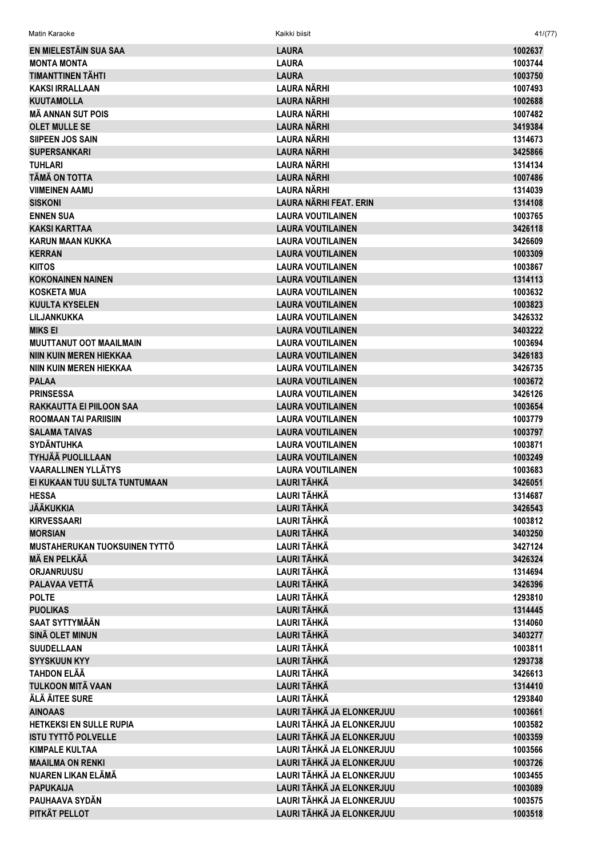| Matin Karaoke                            | Kaikki biisit                            | 41/(77)            |
|------------------------------------------|------------------------------------------|--------------------|
| EN MIELESTÄIN SUA SAA                    | <b>LAURA</b>                             | 1002637            |
| <b>MONTA MONTA</b>                       | <b>LAURA</b>                             | 1003744            |
| <b>TIMANTTINEN TÄHTI</b>                 | <b>LAURA</b>                             | 1003750            |
| <b>KAKSI IRRALLAAN</b>                   | <b>LAURA NÄRHI</b>                       | 1007493            |
| <b>KUUTAMOLLA</b>                        | <b>LAURA NÄRHI</b>                       | 1002688            |
| <b>MÃ ANNAN SUT POIS</b>                 | LAURA NÄRHI                              | 1007482            |
| <b>OLET MULLE SE</b>                     | <b>LAURA NÄRHI</b>                       | 3419384            |
| <b>SIIPEEN JOS SAIN</b>                  | <b>LAURA NÄRHI</b>                       | 1314673            |
| <b>SUPERSANKARI</b>                      | <b>LAURA NÄRHI</b>                       | 3425866            |
| <b>TUHLARI</b>                           | <b>LAURA NÄRHI</b>                       | 1314134            |
| <b>TÄMÄ ON TOTTA</b>                     | <b>LAURA NÄRHI</b>                       | 1007486            |
| <b>VIIMEINEN AAMU</b>                    | LAURA NÄRHI                              | 1314039            |
| <b>SISKONI</b>                           | <b>LAURA NÄRHI FEAT. ERIN</b>            | 1314108            |
| <b>ENNEN SUA</b>                         | <b>LAURA VOUTILAINEN</b>                 | 1003765            |
| <b>KAKSI KARTTAA</b>                     | <b>LAURA VOUTILAINEN</b>                 | 3426118            |
| <b>KARUN MAAN KUKKA</b>                  | <b>LAURA VOUTILAINEN</b>                 | 3426609            |
| <b>KERRAN</b>                            | <b>LAURA VOUTILAINEN</b>                 | 1003309            |
| <b>KIITOS</b>                            | <b>LAURA VOUTILAINEN</b>                 | 1003867            |
| <b>KOKONAINEN NAINEN</b>                 | <b>LAURA VOUTILAINEN</b>                 | 1314113            |
| <b>KOSKETA MUA</b>                       | <b>LAURA VOUTILAINEN</b>                 | 1003632            |
| <b>KUULTA KYSELEN</b>                    | <b>LAURA VOUTILAINEN</b>                 | 1003823            |
| LILJANKUKKA                              | <b>LAURA VOUTILAINEN</b>                 | 3426332            |
| <b>MIKS EI</b>                           | <b>LAURA VOUTILAINEN</b>                 | 3403222            |
| <b>MUUTTANUT OOT MAAILMAIN</b>           | <b>LAURA VOUTILAINEN</b>                 | 1003694            |
| <b>NIIN KUIN MEREN HIEKKAA</b>           | <b>LAURA VOUTILAINEN</b>                 | 3426183            |
| NIIN KUIN MEREN HIEKKAA                  | <b>LAURA VOUTILAINEN</b>                 | 3426735            |
| <b>PALAA</b>                             | <b>LAURA VOUTILAINEN</b>                 | 1003672            |
| <b>PRINSESSA</b>                         | <b>LAURA VOUTILAINEN</b>                 | 3426126            |
| <b>RAKKAUTTA EI PIILOON SAA</b>          | <b>LAURA VOUTILAINEN</b>                 | 1003654            |
| <b>ROOMAAN TAI PARIISIIN</b>             | <b>LAURA VOUTILAINEN</b>                 | 1003779            |
| <b>SALAMA TAIVAS</b>                     | <b>LAURA VOUTILAINEN</b>                 | 1003797            |
| <b>SYDÄNTUHKA</b>                        | <b>LAURA VOUTILAINEN</b>                 | 1003871            |
| TYHJÄÄ PUOLILLAAN                        | <b>LAURA VOUTILAINEN</b>                 | 1003249            |
| <b>VAARALLINEN YLLÄTYS</b>               | <b>LAURA VOUTILAINEN</b>                 | 1003683            |
| EI KUKAAN TUU SULTA TUNTUMAAN            | <b>LAURI TÄHKÄ</b>                       | 3426051            |
| <b>HESSA</b>                             | <b>LAURI TÄHKÄ</b>                       | 1314687            |
| <b>JÄÄKUKKIA</b>                         | <b>LAURI TÄHKÄ</b>                       | 3426543            |
| <b>KIRVESSAARI</b>                       | <b>LAURI TÄHKÄ</b>                       | 1003812            |
| <b>MORSIAN</b>                           | <b>LAURI TÄHKÄ</b>                       | 3403250            |
| MUSTAHERUKAN TUOKSUINEN TYTTÖ            | <b>LAURI TÄHKÄ</b>                       | 3427124            |
| <b>MÄ EN PELKÄÄ</b>                      | <b>LAURI TÄHKÄ</b>                       | 3426324            |
| <b>ORJANRUUSU</b>                        | <b>LAURI TÄHKÄ</b><br><b>LAURI TÄHKÄ</b> | 1314694            |
| PALAVAA VETTÄ                            | <b>LAURI TÄHKÄ</b>                       | 3426396            |
| <b>POLTE</b>                             | <b>LAURI TÄHKÄ</b>                       | 1293810            |
| <b>PUOLIKAS</b><br><b>SAAT SYTTYMÄÄN</b> | <b>LAURI TÄHKÄ</b>                       | 1314445            |
| <b>SINÄ OLET MINUN</b>                   | <b>LAURI TÄHKÄ</b>                       | 1314060<br>3403277 |
| <b>SUUDELLAAN</b>                        | <b>LAURI TÄHKÄ</b>                       | 1003811            |
| <b>SYYSKUUN KYY</b>                      | <b>LAURI TÄHKÄ</b>                       | 1293738            |
| <b>TAHDON ELÄÄ</b>                       | <b>LAURI TÄHKÄ</b>                       | 3426613            |
| <b>TULKOON MITÄ VAAN</b>                 | <b>LAURI TÄHKÄ</b>                       | 1314410            |
| ÄLÄ ÄITEE SURE                           | <b>LAURI TÄHKÄ</b>                       | 1293840            |
| <b>AINOAAS</b>                           | LAURI TÄHKÄ JA ELONKERJUU                | 1003661            |
| <b>HETKEKSI EN SULLE RUPIA</b>           | LAURI TÄHKÄ JA ELONKERJUU                | 1003582            |
| <b>ISTU TYTTÖ POLVELLE</b>               | LAURI TÄHKÄ JA ELONKERJUU                | 1003359            |
| <b>KIMPALE KULTAA</b>                    | LAURI TÄHKÄ JA ELONKERJUU                | 1003566            |
| <b>MAAILMA ON RENKI</b>                  | LAURI TÄHKÄ JA ELONKERJUU                | 1003726            |
| NUAREN LIKAN ELÄMÄ                       | LAURI TÄHKÄ JA ELONKERJUU                | 1003455            |
| <b>PAPUKAIJA</b>                         | LAURI TÄHKÄ JA ELONKERJUU                | 1003089            |
| PAUHAAVA SYDÄN                           | LAURI TÄHKÄ JA ELONKERJUU                | 1003575            |
| PITKÄT PELLOT                            | LAURI TÄHKÄ JA ELONKERJUU                | 1003518            |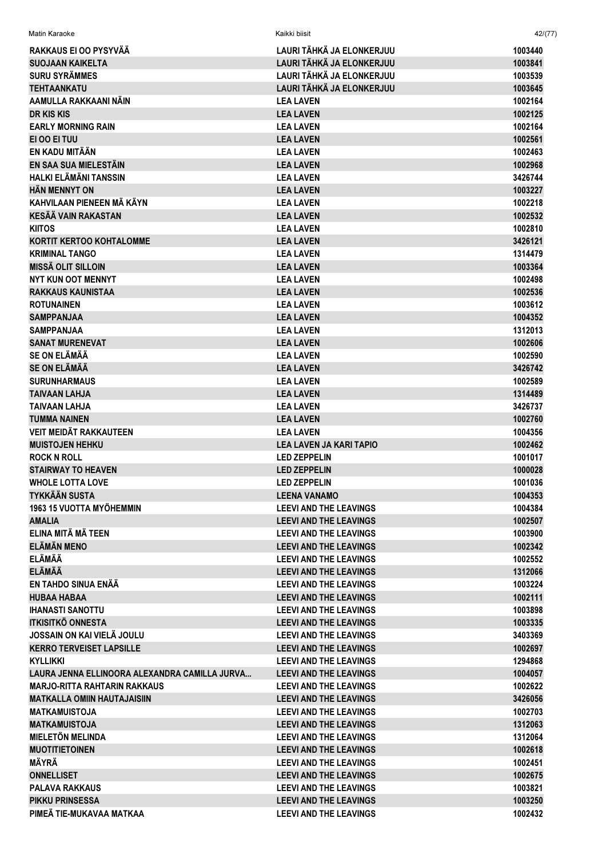| RAKKAUS EI OO PYSYVÄÄ                         | LAURI TÄHKÄ JA ELONKERJUU      | 1003440 |
|-----------------------------------------------|--------------------------------|---------|
| <b>SUOJAAN KAIKELTA</b>                       | LAURI TÄHKÄ JA ELONKERJUU      | 1003841 |
| <b>SURU SYRÄMMES</b>                          | LAURI TÄHKÄ JA ELONKERJUU      | 1003539 |
| <b>TEHTAANKATU</b>                            | LAURI TÄHKÄ JA ELONKERJUU      | 1003645 |
| AAMULLA RAKKAANI NÄIN                         | <b>LEA LAVEN</b>               | 1002164 |
| DR KIS KIS                                    | <b>LEA LAVEN</b>               | 1002125 |
| <b>EARLY MORNING RAIN</b>                     | <b>LEA LAVEN</b>               | 1002164 |
| EI OO EI TUU                                  | <b>LEA LAVEN</b>               | 1002561 |
| EN KADU MITÄÄN                                | <b>LEA LAVEN</b>               | 1002463 |
| EN SAA SUA MIELESTÄIN                         | <b>LEA LAVEN</b>               | 1002968 |
| HALKI ELÄMÄNI TANSSIN                         | <b>LEA LAVEN</b>               | 3426744 |
| <b>HÄN MENNYT ON</b>                          | <b>LEA LAVEN</b>               | 1003227 |
| KAHVILAAN PIENEEN MÄ KÄYN                     | <b>LEA LAVEN</b>               | 1002218 |
| <b>KESÄÄ VAIN RAKASTAN</b>                    | <b>LEA LAVEN</b>               | 1002532 |
| <b>KIITOS</b>                                 | <b>LEA LAVEN</b>               | 1002810 |
| <b>KORTIT KERTOO KOHTALOMME</b>               | <b>LEA LAVEN</b>               | 3426121 |
| <b>KRIMINAL TANGO</b>                         | <b>LEA LAVEN</b>               | 1314479 |
| <b>MISSÄ OLIT SILLOIN</b>                     | <b>LEA LAVEN</b>               | 1003364 |
| <b>NYT KUN OOT MENNYT</b>                     | <b>LEA LAVEN</b>               | 1002498 |
| <b>RAKKAUS KAUNISTAA</b>                      | <b>LEA LAVEN</b>               | 1002536 |
| <b>ROTUNAINEN</b>                             | <b>LEA LAVEN</b>               | 1003612 |
| <b>SAMPPANJAA</b>                             | <b>LEA LAVEN</b>               | 1004352 |
| <b>SAMPPANJAA</b>                             | <b>LEA LAVEN</b>               | 1312013 |
| <b>SANAT MURENEVAT</b>                        | <b>LEA LAVEN</b>               | 1002606 |
| <b>SE ON ELÄMÄÄ</b>                           | <b>LEA LAVEN</b>               | 1002590 |
| <b>SE ON ELÄMÄÄ</b>                           | <b>LEA LAVEN</b>               | 3426742 |
| <b>SURUNHARMAUS</b>                           | <b>LEA LAVEN</b>               | 1002589 |
| <b>TAIVAAN LAHJA</b>                          | <b>LEA LAVEN</b>               | 1314489 |
| TAIVAAN LAHJA                                 | <b>LEA LAVEN</b>               | 3426737 |
| <b>TUMMA NAINEN</b>                           | <b>LEA LAVEN</b>               | 1002760 |
| VEIT MEIDÄT RAKKAUTEEN                        | <b>LEA LAVEN</b>               | 1004356 |
| <b>MUISTOJEN HEHKU</b>                        | <b>LEA LAVEN JA KARI TAPIO</b> | 1002462 |
| <b>ROCK N ROLL</b>                            | <b>LED ZEPPELIN</b>            | 1001017 |
| <b>STAIRWAY TO HEAVEN</b>                     | <b>LED ZEPPELIN</b>            | 1000028 |
| <b>WHOLE LOTTA LOVE</b>                       | <b>LED ZEPPELIN</b>            | 1001036 |
| TYKKÄÄN SUSTA                                 | <b>LEENA VANAMO</b>            | 1004353 |
| 1963 15 VUOTTA MYÖHEMMIN                      | <b>LEEVI AND THE LEAVINGS</b>  | 1004384 |
| <b>AMALIA</b>                                 | <b>LEEVI AND THE LEAVINGS</b>  | 1002507 |
| ELINA MITÄ MÄ TEEN                            | <b>LEEVI AND THE LEAVINGS</b>  | 1003900 |
| <b>ELÄMÄN MENO</b>                            | <b>LEEVI AND THE LEAVINGS</b>  | 1002342 |
| ELÄMÄÄ                                        | <b>LEEVI AND THE LEAVINGS</b>  | 1002552 |
| <b>ELÄMÄÄ</b>                                 | <b>LEEVI AND THE LEAVINGS</b>  | 1312066 |
| EN TAHDO SINUA ENÄÄ                           | <b>LEEVI AND THE LEAVINGS</b>  | 1003224 |
| <b>HUBAA HABAA</b>                            | <b>LEEVI AND THE LEAVINGS</b>  | 1002111 |
| <b>IHANASTI SANOTTU</b>                       | <b>LEEVI AND THE LEAVINGS</b>  | 1003898 |
| <b>ITKISITKÖ ONNESTA</b>                      | <b>LEEVI AND THE LEAVINGS</b>  | 1003335 |
| JOSSAIN ON KAI VIELÄ JOULU                    | <b>LEEVI AND THE LEAVINGS</b>  | 3403369 |
| <b>KERRO TERVEISET LAPSILLE</b>               | <b>LEEVI AND THE LEAVINGS</b>  | 1002697 |
| KYLLIKKI                                      | <b>LEEVI AND THE LEAVINGS</b>  | 1294868 |
| LAURA JENNA ELLINOORA ALEXANDRA CAMILLA JURVA | <b>LEEVI AND THE LEAVINGS</b>  | 1004057 |
| MARJO-RITTA RAHTARIN RAKKAUS                  | <b>LEEVI AND THE LEAVINGS</b>  | 1002622 |
| <b>MATKALLA OMIIN HAUTAJAISIIN</b>            | <b>LEEVI AND THE LEAVINGS</b>  | 3426056 |
| <b>MATKAMUISTOJA</b>                          | <b>LEEVI AND THE LEAVINGS</b>  | 1002703 |
| <b>MATKAMUISTOJA</b>                          | <b>LEEVI AND THE LEAVINGS</b>  | 1312063 |
| <b>MIELETÖN MELINDA</b>                       | <b>LEEVI AND THE LEAVINGS</b>  | 1312064 |
| <b>MUOTITIETOINEN</b>                         | <b>LEEVI AND THE LEAVINGS</b>  | 1002618 |
| MÄYRÄ                                         | <b>LEEVI AND THE LEAVINGS</b>  | 1002451 |
| <b>ONNELLISET</b>                             | <b>LEEVI AND THE LEAVINGS</b>  | 1002675 |
| <b>PALAVA RAKKAUS</b>                         | <b>LEEVI AND THE LEAVINGS</b>  | 1003821 |
| <b>PIKKU PRINSESSA</b>                        | <b>LEEVI AND THE LEAVINGS</b>  | 1003250 |
| PIMEÄ TIE-MUKAVAA MATKAA                      | <b>LEEVI AND THE LEAVINGS</b>  | 1002432 |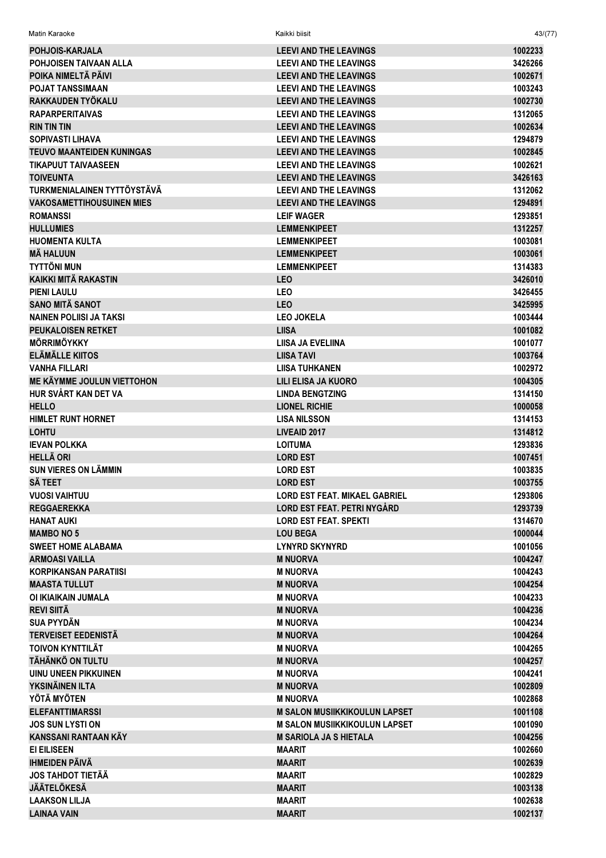| Matin Karaoke                    | Kaikki biisit                        | 43/(77) |
|----------------------------------|--------------------------------------|---------|
| <b>POHJOIS-KARJALA</b>           | <b>LEEVI AND THE LEAVINGS</b>        | 1002233 |
| POHJOISEN TAIVAAN ALLA           | <b>LEEVI AND THE LEAVINGS</b>        | 3426266 |
| POIKA NIMELTÄ PÄIVI              | <b>LEEVI AND THE LEAVINGS</b>        | 1002671 |
| <b>POJAT TANSSIMAAN</b>          | <b>LEEVI AND THE LEAVINGS</b>        | 1003243 |
| RAKKAUDEN TYÖKALU                | <b>LEEVI AND THE LEAVINGS</b>        | 1002730 |
| <b>RAPARPERITAIVAS</b>           | <b>LEEVI AND THE LEAVINGS</b>        | 1312065 |
| <b>RIN TIN TIN</b>               | <b>LEEVI AND THE LEAVINGS</b>        | 1002634 |
| <b>SOPIVASTI LIHAVA</b>          | <b>LEEVI AND THE LEAVINGS</b>        | 1294879 |
| <b>TEUVO MAANTEIDEN KUNINGAS</b> | <b>LEEVI AND THE LEAVINGS</b>        | 1002845 |
| <b>TIKAPUUT TAIVAASEEN</b>       | <b>LEEVI AND THE LEAVINGS</b>        | 1002621 |
| <b>TOIVEUNTA</b>                 | <b>LEEVI AND THE LEAVINGS</b>        | 3426163 |
| TURKMENIALAINEN TYTTÖYSTÄVÄ      | <b>LEEVI AND THE LEAVINGS</b>        | 1312062 |
| <b>VAKOSAMETTIHOUSUINEN MIES</b> | <b>LEEVI AND THE LEAVINGS</b>        | 1294891 |
| <b>ROMANSSI</b>                  | <b>LEIF WAGER</b>                    | 1293851 |
| <b>HULLUMIES</b>                 | <b>LEMMENKIPEET</b>                  | 1312257 |
| <b>HUOMENTA KULTA</b>            | <b>LEMMENKIPEET</b>                  | 1003081 |
| <b>MÄ HALUUN</b>                 | <b>LEMMENKIPEET</b>                  | 1003061 |
| <b>TYTTÖNI MUN</b>               | <b>LEMMENKIPEET</b>                  | 1314383 |
| <b>KAIKKI MITÄ RAKASTIN</b>      | <b>LEO</b>                           | 3426010 |
| <b>PIENI LAULU</b>               | <b>LEO</b>                           | 3426455 |
| <b>SANO MITÄ SANOT</b>           | <b>LEO</b>                           | 3425995 |
| <b>NAINEN POLIISI JA TAKSI</b>   | <b>LEO JOKELA</b>                    | 1003444 |
| <b>PEUKALOISEN RETKET</b>        | <b>LIISA</b>                         | 1001082 |
| <b>MÖRRIMÖYKKY</b>               | LIISA JA EVELIINA                    | 1001077 |
| ELÄMÄLLE KIITOS                  | <b>LIISA TAVI</b>                    | 1003764 |
| <b>VANHA FILLARI</b>             | <b>LIISA TUHKANEN</b>                | 1002972 |
| ME KÄYMME JOULUN VIETTOHON       | LILI ELISA JA KUORO                  | 1004305 |
| HUR SVÅRT KAN DET VA             | <b>LINDA BENGTZING</b>               | 1314150 |
| <b>HELLO</b>                     | <b>LIONEL RICHIE</b>                 | 1000058 |
| <b>HIMLET RUNT HORNET</b>        | <b>LISA NILSSON</b>                  | 1314153 |
| <b>LOHTU</b>                     | LIVEAID 2017                         | 1314812 |
| <b>IEVAN POLKKA</b>              | <b>LOITUMA</b>                       | 1293836 |
| <b>HELLÄ ORI</b>                 | <b>LORD EST</b>                      | 1007451 |
| <b>SUN VIERES ON LÄMMIN</b>      | <b>LORD EST</b>                      | 1003835 |
| SÄ TEET                          | <b>LORD EST</b>                      | 1003755 |
| <b>VUOSI VAIHTUU</b>             | <b>LORD EST FEAT. MIKAEL GABRIEL</b> | 1293806 |
| <b>REGGAEREKKA</b>               | <b>LORD EST FEAT. PETRI NYGÁRD</b>   | 1293739 |
| <b>HANAT AUKI</b>                | <b>LORD EST FEAT. SPEKTI</b>         | 1314670 |
| <b>MAMBO NO 5</b>                | <b>LOU BEGA</b>                      | 1000044 |
| <b>SWEET HOME ALABAMA</b>        | <b>LYNYRD SKYNYRD</b>                | 1001056 |
| <b>ARMOASI VAILLA</b>            | <b>M NUORVA</b>                      | 1004247 |
| <b>KORPIKANSAN PARATIISI</b>     | <b>M NUORVA</b>                      | 1004243 |
| <b>MAASTA TULLUT</b>             | <b>M NUORVA</b>                      | 1004254 |
| OI IKIAIKAIN JUMALA              | <b>M NUORVA</b>                      | 1004233 |
| <b>REVI SIITÄ</b>                | <b>M NUORVA</b>                      | 1004236 |
| <b>SUA PYYDÄN</b>                | <b>M NUORVA</b>                      | 1004234 |
| <b>TERVEISET EEDENISTÄ</b>       | <b>M NUORVA</b>                      | 1004264 |
| <b>TOIVON KYNTTILÄT</b>          | <b>M NUORVA</b>                      | 1004265 |
| TÄHÄNKÖ ON TULTU                 | <b>M NUORVA</b>                      | 1004257 |
| <b>UINU UNEEN PIKKUINEN</b>      | <b>M NUORVA</b>                      | 1004241 |
| YKSINÄINEN ILTA                  | <b>M NUORVA</b>                      | 1002809 |
| YÖTÄ MYÖTEN                      | <b>M NUORVA</b>                      | 1002868 |
| <b>ELEFANTTIMARSSI</b>           | <b>M SALON MUSIIKKIKOULUN LAPSET</b> | 1001108 |
| <b>JOS SUN LYSTI ON</b>          | <b>M SALON MUSIIKKIKOULUN LAPSET</b> | 1001090 |
| KANSSANI RANTAAN KÄY             | <b>M SARIOLA JA S HIETALA</b>        | 1004256 |
| EI EILISEEN                      | <b>MAARIT</b>                        | 1002660 |
| <b>IHMEIDEN PÄIVÄ</b>            | <b>MAARIT</b>                        | 1002639 |
| <b>JOS TAHDOT TIETÄÄ</b>         | <b>MAARIT</b>                        | 1002829 |
| <b>JÄÄTELÖKESÄ</b>               | <b>MAARIT</b>                        | 1003138 |
| <b>LAAKSON LILJA</b>             | <b>MAARIT</b>                        | 1002638 |
| <b>LAINAA VAIN</b>               | <b>MAARIT</b>                        | 1002137 |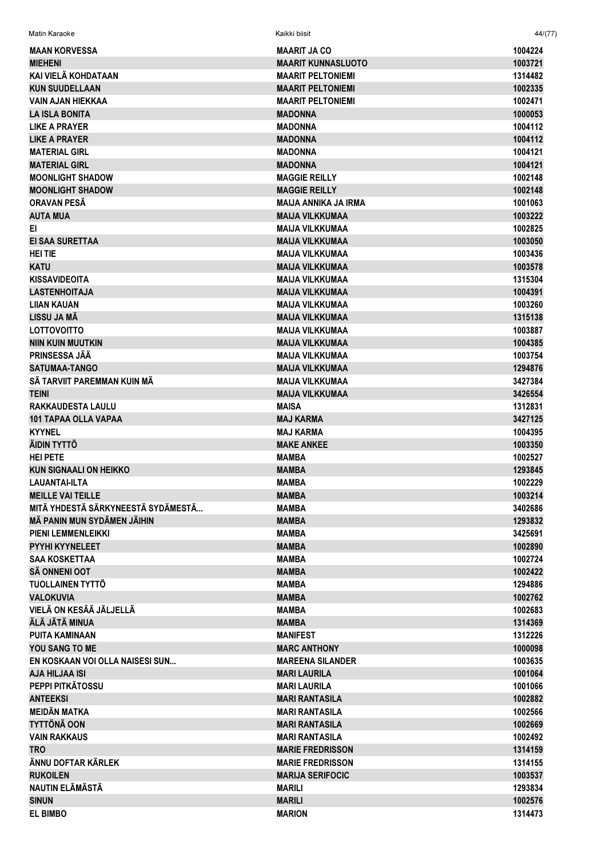| Matin Karaoke                                    | Kaikki biisit             | 44/(77) |
|--------------------------------------------------|---------------------------|---------|
| <b>MAAN KORVESSA</b>                             | <b>MAARIT JA CO</b>       | 1004224 |
| <b>MIEHENI</b>                                   | <b>MAARIT KUNNASLUOTO</b> | 1003721 |
| KAI VIELÄ KOHDATAAN                              | <b>MAARIT PELTONIEMI</b>  | 1314482 |
| <b>KUN SUUDELLAAN</b>                            | <b>MAARIT PELTONIEMI</b>  | 1002335 |
| <b>VAIN AJAN HIEKKAA</b>                         | <b>MAARIT PELTONIEMI</b>  | 1002471 |
| <b>LA ISLA BONITA</b>                            | <b>MADONNA</b>            | 1000053 |
| <b>LIKE A PRAYER</b>                             | <b>MADONNA</b>            | 1004112 |
| LIKE A PRAYER                                    | <b>MADONNA</b>            | 1004112 |
| <b>MATERIAL GIRL</b>                             | <b>MADONNA</b>            | 1004121 |
| <b>MATERIAL GIRL</b>                             | <b>MADONNA</b>            | 1004121 |
| <b>MOONLIGHT SHADOW</b>                          | <b>MAGGIE REILLY</b>      | 1002148 |
| <b>MOONLIGHT SHADOW</b>                          | <b>MAGGIE REILLY</b>      | 1002148 |
| <b>ORAVAN PESA</b>                               | MAIJA ANNIKA JA IRMA      | 1001063 |
| <b>AUTA MUA</b>                                  | <b>MAIJA VILKKUMAA</b>    | 1003222 |
| EI.                                              | <b>MAIJA VILKKUMAA</b>    | 1002825 |
| <b>EI SAA SURETTAA</b>                           | <b>MAIJA VILKKUMAA</b>    | 1003050 |
| <b>HEITIE</b>                                    | <b>MAIJA VILKKUMAA</b>    | 1003436 |
| <b>KATU</b>                                      | <b>MAIJA VILKKUMAA</b>    | 1003578 |
| KISSAVIDEOITA                                    | <b>MAIJA VILKKUMAA</b>    | 1315304 |
| <b>LASTENHOITAJA</b>                             | <b>MAIJA VILKKUMAA</b>    | 1004391 |
| LIIAN KAUAN                                      | <b>MAIJA VILKKUMAA</b>    | 1003260 |
| LISSU JA MÄ                                      | <b>MAIJA VILKKUMAA</b>    | 1315138 |
| <b>LOTTOVOITTO</b>                               | <b>MAIJA VILKKUMAA</b>    | 1003887 |
| <b>NIIN KUIN MUUTKIN</b>                         | <b>MAIJA VILKKUMAA</b>    | 1004385 |
| <b>PRINSESSA JÄÄ</b>                             | <b>MAIJA VILKKUMAA</b>    | 1003754 |
| <b>SATUMAA-TANGO</b>                             | <b>MAIJA VILKKUMAA</b>    | 1294876 |
| SÄ TARVIIT PAREMMAN KUIN MÄ                      | <b>MAIJA VILKKUMAA</b>    | 3427384 |
| <b>TEINI</b>                                     | <b>MAIJA VILKKUMAA</b>    | 3426554 |
| <b>RAKKAUDESTA LAULU</b>                         | <b>MAISA</b>              | 1312831 |
| <b>101 TAPAA OLLA VAPAA</b>                      | <b>MAJ KARMA</b>          | 3427125 |
| <b>KYYNEL</b>                                    | <b>MAJ KARMA</b>          | 1004395 |
| ÄIDIN TYTTÖ                                      | <b>MAKE ANKEE</b>         | 1003350 |
| <b>HEI PETE</b>                                  | MAMBA                     | 1002527 |
| <b>KUN SIGNAALI ON HEIKKO</b>                    |                           | 1293845 |
|                                                  | <b>MAMBA</b>              |         |
| <b>LAUANTAI-ILTA</b><br><b>MEILLE VAI TEILLE</b> | <b>MAMBA</b>              | 1002229 |
| MITÄ YHDESTÄ SÄRKYNEESTÄ SYDÄMESTÄ               | <b>MAMBA</b>              | 1003214 |
|                                                  | <b>MAMBA</b>              | 3402686 |
| MÄ PANIN MUN SYDÄMEN JÄIHIN                      | <b>MAMBA</b>              | 1293832 |
| <b>PIENI LEMMENLEIKKI</b>                        | <b>MAMBA</b>              | 3425691 |
| <b>PYYHI KYYNELEET</b>                           | <b>MAMBA</b>              | 1002890 |
| <b>SAA KOSKETTAA</b>                             | <b>MAMBA</b>              | 1002724 |
| <b>SÄ ONNENI OOT</b>                             | <b>MAMBA</b>              | 1002422 |
| <b>TUOLLAINEN TYTTÖ</b>                          | <b>MAMBA</b>              | 1294886 |
| <b>VALOKUVIA</b>                                 | <b>MAMBA</b>              | 1002762 |
| VIELÄ ON KESÄÄ JÄLJELLÄ                          | MAMBA                     | 1002683 |
| ÄLÄ JÄTÄ MINUA                                   | <b>MAMBA</b>              | 1314369 |
| <b>PUITA KAMINAAN</b>                            | <b>MANIFEST</b>           | 1312226 |
| <b>YOU SANG TO ME</b>                            | <b>MARC ANTHONY</b>       | 1000098 |
| EN KOSKAAN VOI OLLA NAISESI SUN                  | <b>MAREENA SILANDER</b>   | 1003635 |
| <b>AJA HILJAA ISI</b>                            | <b>MARI LAURILA</b>       | 1001064 |
| PEPPI PITKÄTOSSU                                 | <b>MARI LAURILA</b>       | 1001066 |
| <b>ANTEEKSI</b>                                  | <b>MARI RANTASILA</b>     | 1002882 |
| <b>MEIDÄN MATKA</b>                              | <b>MARI RANTASILA</b>     | 1002566 |
| <b>TYTTÖNÄ OON</b>                               | <b>MARI RANTASILA</b>     | 1002669 |
| <b>VAIN RAKKAUS</b>                              | <b>MARI RANTASILA</b>     | 1002492 |
| <b>TRO</b>                                       | <b>MARIE FREDRISSON</b>   | 1314159 |
| ÄNNU DOFTAR KÄRLEK                               | <b>MARIE FREDRISSON</b>   | 1314155 |
| <b>RUKOILEN</b>                                  | <b>MARIJA SERIFOCIC</b>   | 1003537 |
| NAUTIN ELÄMÄSTÄ                                  | <b>MARILI</b>             | 1293834 |
| <b>SINUN</b>                                     | <b>MARILI</b>             | 1002576 |
| <b>EL BIMBO</b>                                  | <b>MARION</b>             | 1314473 |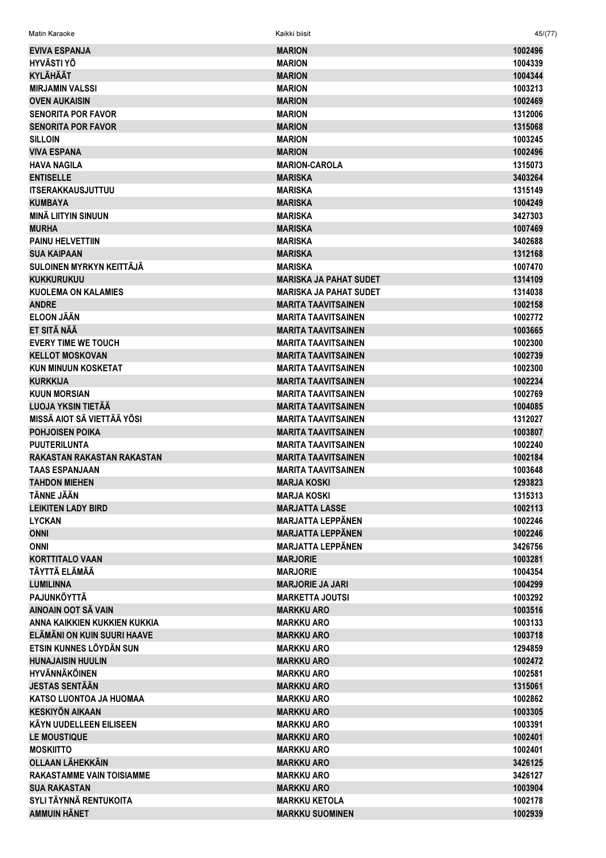| <b>EVIVA ESPANJA</b>             | <b>MARION</b>                 | 1002496 |
|----------------------------------|-------------------------------|---------|
| <b>HYVÄSTI YÖ</b>                | <b>MARION</b>                 | 1004339 |
| <b>KYLÄHÄÄT</b>                  | <b>MARION</b>                 | 1004344 |
| <b>MIRJAMIN VALSSI</b>           | <b>MARION</b>                 | 1003213 |
| <b>OVEN AUKAISIN</b>             | <b>MARION</b>                 | 1002469 |
| <b>SENORITA POR FAVOR</b>        | <b>MARION</b>                 | 1312006 |
| <b>SENORITA POR FAVOR</b>        | <b>MARION</b>                 | 1315068 |
| <b>SILLOIN</b>                   | <b>MARION</b>                 | 1003245 |
| <b>VIVA ESPANA</b>               | <b>MARION</b>                 | 1002496 |
| <b>HAVA NAGILA</b>               | <b>MARION-CAROLA</b>          | 1315073 |
| <b>ENTISELLE</b>                 | <b>MARISKA</b>                | 3403264 |
| <b>ITSERAKKAUSJUTTUU</b>         | <b>MARISKA</b>                | 1315149 |
| <b>KUMBAYA</b>                   | <b>MARISKA</b>                | 1004249 |
| <b>MINÄ LIITYIN SINUUN</b>       | <b>MARISKA</b>                | 3427303 |
| <b>MURHA</b>                     | <b>MARISKA</b>                | 1007469 |
| <b>PAINU HELVETTIIN</b>          | <b>MARISKA</b>                | 3402688 |
| <b>SUA KAIPAAN</b>               | <b>MARISKA</b>                | 1312168 |
| SULOINEN MYRKYN KEITTÄJÄ         | <b>MARISKA</b>                | 1007470 |
| <b>KUKKURUKUU</b>                | <b>MARISKA JA PAHAT SUDET</b> | 1314109 |
| <b>KUOLEMA ON KALAMIES</b>       | <b>MARISKA JA PAHAT SUDET</b> | 1314038 |
| <b>ANDRE</b>                     | <b>MARITA TAAVITSAINEN</b>    | 1002158 |
| <b>ELOON JÄÄN</b>                | <b>MARITA TAAVITSAINEN</b>    | 1002772 |
| ET SITÄ NÄÄ                      | <b>MARITA TAAVITSAINEN</b>    | 1003665 |
| <b>EVERY TIME WE TOUCH</b>       | <b>MARITA TAAVITSAINEN</b>    | 1002300 |
|                                  |                               |         |
| <b>KELLOT MOSKOVAN</b>           | <b>MARITA TAAVITSAINEN</b>    | 1002739 |
| <b>KUN MINUUN KOSKETAT</b>       | <b>MARITA TAAVITSAINEN</b>    | 1002300 |
| <b>KURKKIJA</b>                  | <b>MARITA TAAVITSAINEN</b>    | 1002234 |
| <b>KUUN MORSIAN</b>              | <b>MARITA TAAVITSAINEN</b>    | 1002769 |
| LUOJA YKSIN TIETÄÄ               | <b>MARITA TAAVITSAINEN</b>    | 1004085 |
| MISSÄ AIOT SÄ VIETTÄÄ YÖSI       | <b>MARITA TAAVITSAINEN</b>    | 1312027 |
| <b>POHJOISEN POIKA</b>           | <b>MARITA TAAVITSAINEN</b>    | 1003807 |
| <b>PUUTERILUNTA</b>              | <b>MARITA TAAVITSAINEN</b>    | 1002240 |
| RAKASTAN RAKASTAN RAKASTAN       | <b>MARITA TAAVITSAINEN</b>    | 1002184 |
| <b>TAAS ESPANJAAN</b>            | <b>MARITA TAAVITSAINEN</b>    | 1003648 |
| <b>TAHDON MIEHEN</b>             | <b>MARJA KOSKI</b>            | 1293823 |
| <b>TÄNNE JÄÄN</b>                | <b>MARJA KOSKI</b>            | 1315313 |
| <b>LEIKITEN LADY BIRD</b>        | <b>MARJATTA LASSE</b>         | 1002113 |
| <b>LYCKAN</b>                    | <b>MARJATTA LEPPÄNEN</b>      | 1002246 |
| <b>ONNI</b>                      | <b>MARJATTA LEPPÄNEN</b>      | 1002246 |
| <b>ONNI</b>                      | <b>MARJATTA LEPPÄNEN</b>      | 3426756 |
| <b>KORTTITALO VAAN</b>           | <b>MARJORIE</b>               | 1003281 |
| TÄYTTÄ ELÄMÄÄ                    | <b>MARJORIE</b>               | 1004354 |
| <b>LUMILINNA</b>                 | <b>MARJORIE JA JARI</b>       | 1004299 |
| PAJUNKÖYTTÄ                      | <b>MARKETTA JOUTSI</b>        | 1003292 |
| AINOAIN OOT SÄ VAIN              | <b>MARKKU ARO</b>             | 1003516 |
| ANNA KAIKKIEN KUKKIEN KUKKIA     | <b>MARKKU ARO</b>             | 1003133 |
| ELÄMÄNI ON KUIN SUURI HAAVE      | <b>MARKKU ARO</b>             | 1003718 |
| ETSIN KUNNES LÖYDÄN SUN          | <b>MARKKU ARO</b>             | 1294859 |
| <b>HUNAJAISIN HUULIN</b>         | <b>MARKKU ARO</b>             | 1002472 |
| <b>HYVÄNNÄKÖINEN</b>             | <b>MARKKU ARO</b>             | 1002581 |
| <b>JESTAS SENTÄÄN</b>            | <b>MARKKU ARO</b>             | 1315061 |
| KATSO LUONTOA JA HUOMAA          | <b>MARKKU ARO</b>             | 1002862 |
| <b>KESKIYÖN AIKAAN</b>           | <b>MARKKU ARO</b>             | 1003305 |
| KÄYN UUDELLEEN EILISEEN          | <b>MARKKU ARO</b>             | 1003391 |
| <b>LE MOUSTIQUE</b>              | <b>MARKKU ARO</b>             | 1002401 |
| <b>MOSKIITTO</b>                 | <b>MARKKU ARO</b>             | 1002401 |
| <b>OLLAAN LÄHEKKÄIN</b>          | <b>MARKKU ARO</b>             | 3426125 |
| <b>RAKASTAMME VAIN TOISIAMME</b> | <b>MARKKU ARO</b>             | 3426127 |
| <b>SUA RAKASTAN</b>              | <b>MARKKU ARO</b>             | 1003904 |
| SYLI TÄYNNÄ RENTUKOITA           | <b>MARKKU KETOLA</b>          | 1002178 |
| <b>AMMUIN HÄNET</b>              | <b>MARKKU SUOMINEN</b>        | 1002939 |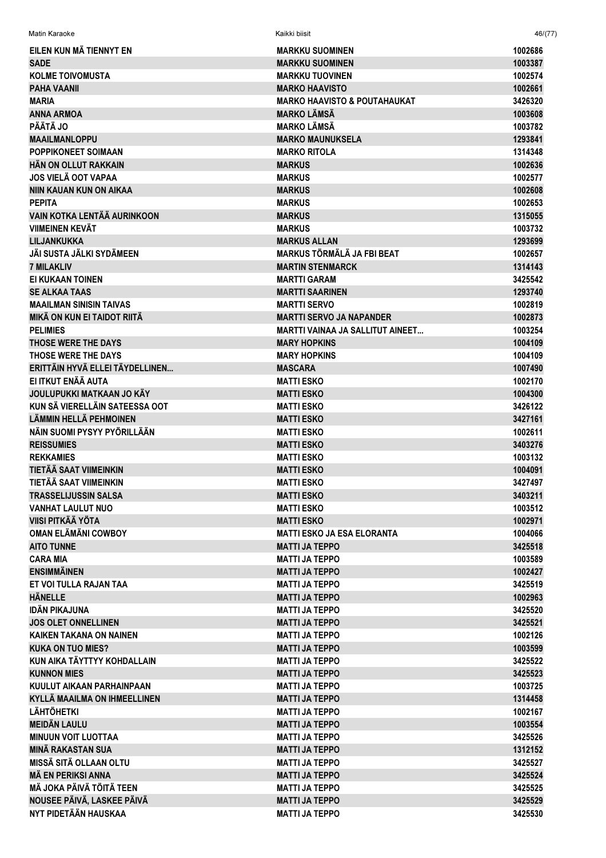| Matin Karaoke                      | Kaikki biisit                                          | 46/(77)            |
|------------------------------------|--------------------------------------------------------|--------------------|
| EILEN KUN MÄ TIENNYT EN            | <b>MARKKU SUOMINEN</b>                                 | 1002686            |
| <b>SADE</b>                        | <b>MARKKU SUOMINEN</b>                                 | 1003387            |
| <b>KOLME TOIVOMUSTA</b>            | <b>MARKKU TUOVINEN</b>                                 | 1002574            |
| <b>PAHA VAANII</b>                 | <b>MARKO HAAVISTO</b>                                  | 1002661            |
| <b>MARIA</b>                       | <b>MARKO HAAVISTO &amp; POUTAHAUKAT</b>                | 3426320            |
| <b>ANNA ARMOA</b>                  | <b>MARKO LÄMSÄ</b>                                     | 1003608            |
| <b>PÄÄTÄ JO</b>                    | <b>MARKO LÄMSÄ</b>                                     | 1003782            |
| <b>MAAILMANLOPPU</b>               | <b>MARKO MAUNUKSELA</b>                                | 1293841            |
| <b>POPPIKONEET SOIMAAN</b>         | <b>MARKO RITOLA</b>                                    | 1314348            |
| HÄN ON OLLUT RAKKAIN               | <b>MARKUS</b>                                          | 1002636            |
| <b>JOS VIELÄ OOT VAPAA</b>         | <b>MARKUS</b>                                          | 1002577            |
| <b>NIIN KAUAN KUN ON AIKAA</b>     | <b>MARKUS</b>                                          | 1002608            |
| <b>PEPITA</b>                      | <b>MARKUS</b>                                          | 1002653            |
| <b>VAIN KOTKA LENTÄÄ AURINKOON</b> | <b>MARKUS</b>                                          | 1315055            |
| <b>VIIMEINEN KEVÄT</b>             | <b>MARKUS</b>                                          | 1003732            |
| <b>LILJANKUKKA</b>                 | <b>MARKUS ALLAN</b>                                    | 1293699            |
| JÄI SUSTA JÄLKI SYDÄMEEN           | <b>MARKUS TÖRMÄLÄ JA FBI BEAT</b>                      | 1002657            |
| <b>7 MILAKLIV</b>                  | <b>MARTIN STENMARCK</b>                                | 1314143            |
| EI KUKAAN TOINEN                   | <b>MARTTI GARAM</b>                                    | 3425542            |
| <b>SE ALKAA TAAS</b>               | <b>MARTTI SAARINEN</b>                                 | 1293740            |
| <b>MAAILMAN SINISIN TAIVAS</b>     | <b>MARTTI SERVO</b>                                    | 1002819            |
| MIKÄ ON KUN EI TAIDOT RIITÄ        | <b>MARTTI SERVO JA NAPANDER</b>                        | 1002873            |
| <b>PELIMIES</b>                    | <b>MARTTI VAINAA JA SALLITUT AINEET</b>                | 1003254            |
| THOSE WERE THE DAYS                | <b>MARY HOPKINS</b>                                    | 1004109            |
| THOSE WERE THE DAYS                | <b>MARY HOPKINS</b>                                    | 1004109            |
| ERITTÄIN HYVÄ ELLEI TÄYDELLINEN    | <b>MASCARA</b>                                         | 1007490            |
| EI ITKUT ENÄÄ AUTA                 | <b>MATTI ESKO</b>                                      | 1002170            |
| JOULUPUKKI MATKAAN JO KÄY          | <b>MATTI ESKO</b>                                      | 1004300            |
| KUN SÄ VIERELLÄIN SATEESSA OOT     | <b>MATTI ESKO</b>                                      | 3426122            |
| LÄMMIN HELLÄ PEHMOINEN             | <b>MATTI ESKO</b>                                      | 3427161            |
| NÄIN SUOMI PYSYY PYÖRILLÄÄN        | <b>MATTI ESKO</b>                                      | 1002611            |
| <b>REISSUMIES</b>                  | <b>MATTI ESKO</b>                                      | 3403276            |
| <b>REKKAMIES</b>                   | <b>MATTI ESKO</b>                                      | 1003132            |
| TIETÄÄ SAAT VIIMEINKIN             | <b>MATTI ESKO</b>                                      | 1004091            |
| TIETÄÄ SAAT VIIMEINKIN             | <b>MATTI ESKO</b>                                      | 3427497            |
| <b>TRASSELIJUSSIN SALSA</b>        | <b>MATTI ESKO</b>                                      | 3403211            |
| <b>VANHAT LAULUT NUO</b>           | <b>MATTI ESKO</b>                                      | 1003512            |
| <b>VIISI PITKÄÄ YÖTA</b>           |                                                        |                    |
| <b>OMAN ELÄMÄNI COWBOY</b>         | <b>MATTI ESKO</b><br><b>MATTI ESKO JA ESA ELORANTA</b> | 1002971            |
| <b>AITO TUNNE</b>                  | <b>MATTI JA TEPPO</b>                                  | 1004066<br>3425518 |
|                                    |                                                        |                    |
| <b>CARA MIA</b>                    | <b>MATTI JA TEPPO</b>                                  | 1003589            |
| <b>ENSIMMÄINEN</b>                 | <b>MATTI JA TEPPO</b>                                  | 1002427            |
| ET VOI TULLA RAJAN TAA             | <b>MATTI JA TEPPO</b>                                  | 3425519            |
| <b>HÄNELLE</b>                     | <b>MATTI JA TEPPO</b>                                  | 1002963            |
| <b>IDÄN PIKAJUNA</b>               | <b>MATTI JA TEPPO</b>                                  | 3425520            |
| <b>JOS OLET ONNELLINEN</b>         | <b>MATTI JA TEPPO</b>                                  | 3425521            |
| <b>KAIKEN TAKANA ON NAINEN</b>     | <b>MATTI JA TEPPO</b>                                  | 1002126            |
| <b>KUKA ON TUO MIES?</b>           | <b>MATTI JA TEPPO</b>                                  | 1003599            |
| KUN AIKA TÄYTTYY KOHDALLAIN        | <b>MATTI JA TEPPO</b>                                  | 3425522            |
| <b>KUNNON MIES</b>                 | <b>MATTI JA TEPPO</b>                                  | 3425523            |
| KUULUT AIKAAN PARHAINPAAN          | <b>MATTI JA TEPPO</b>                                  | 1003725            |
| KYLLÄ MAAILMA ON IHMEELLINEN       | <b>MATTI JA TEPPO</b>                                  | 1314458            |
| <b>LÄHTÖHETKI</b>                  | <b>MATTI JA TEPPO</b>                                  | 1002167            |
| <b>MEIDÄN LAULU</b>                | <b>MATTI JA TEPPO</b>                                  | 1003554            |
| <b>MINUUN VOIT LUOTTAA</b>         | <b>MATTI JA TEPPO</b>                                  | 3425526            |
| <b>MINÄ RAKASTAN SUA</b>           | <b>MATTI JA TEPPO</b>                                  | 1312152            |
| MISSÄ SITÄ OLLAAN OLTU             | <b>MATTI JA TEPPO</b>                                  | 3425527            |
| <b>MÄ EN PERIKSI ANNA</b>          | <b>MATTI JA TEPPO</b>                                  | 3425524            |
| MÄ JOKA PÄIVÄ TÖITÄ TEEN           | <b>MATTI JA TEPPO</b>                                  | 3425525            |
| NOUSEE PÄIVÄ, LASKEE PÄIVÄ         | <b>MATTI JA TEPPO</b>                                  | 3425529            |
| NYT PIDETÄÄN HAUSKAA               | <b>MATTI JA TEPPO</b>                                  | 3425530            |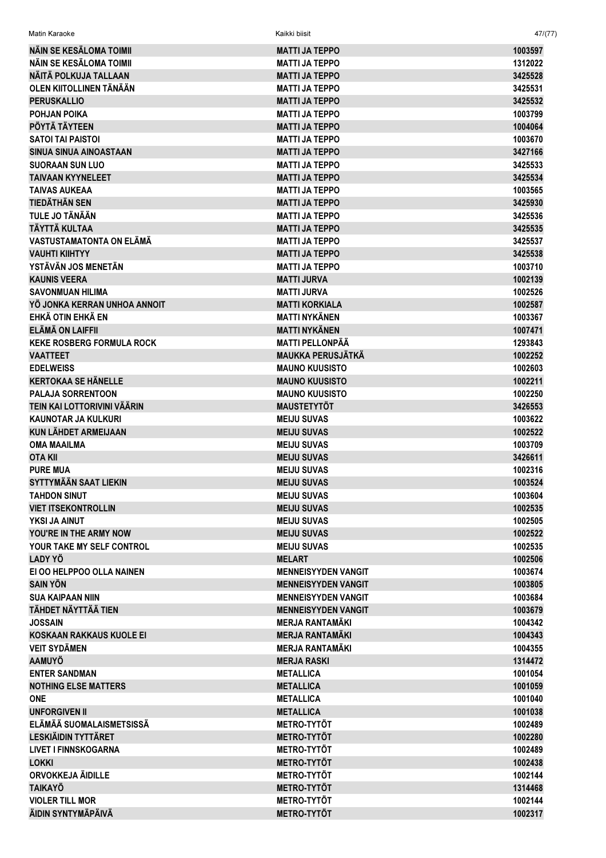| Matin Karaoke                                 | Kaikki biisit                                  | 47/(77)            |
|-----------------------------------------------|------------------------------------------------|--------------------|
| NAIN SE KESALOMA TOIMII                       | <b>MATTI JA TEPPO</b>                          | 1003597            |
| NÄIN SE KESÄLOMA TOIMII                       | <b>MATTI JA TEPPO</b>                          | 1312022            |
| NÄITÄ POLKUJA TALLAAN                         | <b>MATTI JA TEPPO</b>                          | 3425528            |
| OLEN KIITOLLINEN TÄNÄÄN                       | <b>MATTI JA TEPPO</b>                          | 3425531            |
| <b>PERUSKALLIO</b>                            | <b>MATTI JA TEPPO</b>                          | 3425532            |
| POHJAN POIKA                                  | <b>MATTI JA TEPPO</b>                          | 1003799            |
| PÖYTÄ TÄYTEEN                                 | <b>MATTI JA TEPPO</b>                          | 1004064            |
| <b>SATOI TAI PAISTOI</b>                      | <b>MATTI JA TEPPO</b>                          | 1003670            |
| SINUA SINUA AINOASTAAN                        | <b>MATTI JA TEPPO</b>                          | 3427166            |
| <b>SUORAAN SUN LUO</b>                        | <b>MATTI JA TEPPO</b>                          | 3425533            |
| <b>TAIVAAN KYYNELEET</b>                      | <b>MATTI JA TEPPO</b>                          | 3425534            |
| <b>TAIVAS AUKEAA</b>                          | <b>MATTI JA TEPPO</b>                          | 1003565            |
| <b>TIEDÄTHÄN SEN</b><br><b>TULE JO TÄNÄÄN</b> | <b>MATTI JA TEPPO</b>                          | 3425930            |
| <b>TÄYTTÄ KULTAA</b>                          | <b>MATTI JA TEPPO</b>                          | 3425536            |
| VASTUSTAMATONTA ON ELÄMÄ                      | <b>MATTI JA TEPPO</b><br><b>MATTI JA TEPPO</b> | 3425535<br>3425537 |
| <b>VAUHTI KIIHTYY</b>                         | <b>MATTI JA TEPPO</b>                          | 3425538            |
| YSTÄVÄN JOS MENETÄN                           | <b>MATTI JA TEPPO</b>                          | 1003710            |
| <b>KAUNIS VEERA</b>                           | <b>MATTI JURVA</b>                             | 1002139            |
| <b>SAVONMUAN HILIMA</b>                       | <b>MATTI JURVA</b>                             | 1002526            |
| YÖ JONKA KERRAN UNHOA ANNOIT                  | <b>MATTI KORKIALA</b>                          | 1002587            |
| EHKÄ OTIN EHKÄ EN                             | <b>MATTI NYKÄNEN</b>                           | 1003367            |
| <b>ELÄMÄ ON LAIFFII</b>                       | <b>MATTI NYKÄNEN</b>                           | 1007471            |
| <b>KEKE ROSBERG FORMULA ROCK</b>              | <b>MATTI PELLONPÄÄ</b>                         | 1293843            |
| <b>VAATTEET</b>                               | <b>MAUKKA PERUSJÄTKÄ</b>                       | 1002252            |
| <b>EDELWEISS</b>                              | <b>MAUNO KUUSISTO</b>                          | 1002603            |
| <b>KERTOKAA SE HÄNELLE</b>                    | <b>MAUNO KUUSISTO</b>                          | 1002211            |
| <b>PALAJA SORRENTOON</b>                      | <b>MAUNO KUUSISTO</b>                          | 1002250            |
| TEIN KAI LOTTORIVINI VÄÄRIN                   | <b>MAUSTETYTÖT</b>                             | 3426553            |
| KAUNOTAR JA KULKURI                           | <b>MEIJU SUVAS</b>                             | 1003622            |
| <b>KUN LÄHDET ARMEIJAAN</b>                   | <b>MEIJU SUVAS</b>                             | 1002522            |
| <b>OMA MAAILMA</b>                            | <b>MEIJU SUVAS</b>                             | 1003709            |
| <b>OTA KII</b>                                | <b>MEIJU SUVAS</b>                             | 3426611            |
| <b>PURE MUA</b>                               | <b>MEIJU SUVAS</b>                             | 1002316            |
| SYTTYMÄÄN SAAT LIEKIN                         | <b>MEIJU SUVAS</b>                             | 1003524            |
| <b>TAHDON SINUT</b>                           | <b>MEIJU SUVAS</b>                             | 1003604            |
| <b>VIET ITSEKONTROLLIN</b>                    | <b>MEIJU SUVAS</b>                             | 1002535            |
| YKSI JA AINUT                                 | <b>MEIJU SUVAS</b>                             | 1002505            |
| YOU'RE IN THE ARMY NOW                        | <b>MEIJU SUVAS</b>                             | 1002522            |
| YOUR TAKE MY SELF CONTROL                     | <b>MEIJU SUVAS</b>                             | 1002535            |
| LADY YÖ                                       | <b>MELART</b>                                  | 1002506            |
| EI OO HELPPOO OLLA NAINEN                     | <b>MENNEISYYDEN VANGIT</b>                     | 1003674            |
| <b>SAIN YÖN</b>                               | <b>MENNEISYYDEN VANGIT</b>                     | 1003805            |
| <b>SUA KAIPAAN NIIN</b>                       | <b>MENNEISYYDEN VANGIT</b>                     | 1003684            |
| TÄHDET NÄYTTÄÄ TIEN                           | <b>MENNEISYYDEN VANGIT</b>                     | 1003679            |
| <b>JOSSAIN</b>                                | <b>MERJA RANTAMÄKI</b>                         | 1004342            |
| <b>KOSKAAN RAKKAUS KUOLE EI</b>               | <b>MERJA RANTAMÄKI</b>                         | 1004343            |
| <b>VEIT SYDÄMEN</b>                           | <b>MERJA RANTAMÄKI</b>                         | 1004355            |
| <b>AAMUYÖ</b>                                 | <b>MERJA RASKI</b>                             | 1314472            |
| <b>ENTER SANDMAN</b>                          | <b>METALLICA</b>                               | 1001054            |
| <b>NOTHING ELSE MATTERS</b>                   | <b>METALLICA</b>                               | 1001059            |
| <b>ONE</b>                                    | <b>METALLICA</b>                               | 1001040            |
| <b>UNFORGIVEN II</b>                          | <b>METALLICA</b>                               | 1001038            |
| ELÄMÄÄ SUOMALAISMETSISSÄ                      | <b>METRO-TYTÖT</b>                             | 1002489            |
| <b>LESKIÄIDIN TYTTÄRET</b>                    | <b>METRO-TYTÖT</b>                             | 1002280            |
| <b>LIVET I FINNSKOGARNA</b>                   | <b>METRO-TYTÖT</b>                             | 1002489            |
| <b>LOKKI</b>                                  | <b>METRO-TYTÖT</b>                             | 1002438            |
| ORVOKKEJA ÄIDILLE                             | <b>METRO-TYTÖT</b>                             | 1002144            |
| <b>TAIKAYÖ</b>                                | <b>METRO-TYTÖT</b>                             | 1314468            |
| <b>VIOLER TILL MOR</b>                        | <b>METRO-TYTÖT</b>                             | 1002144            |
| ÄIDIN SYNTYMÄPÄIVÄ                            | <b>METRO-TYTÖT</b>                             | 1002317            |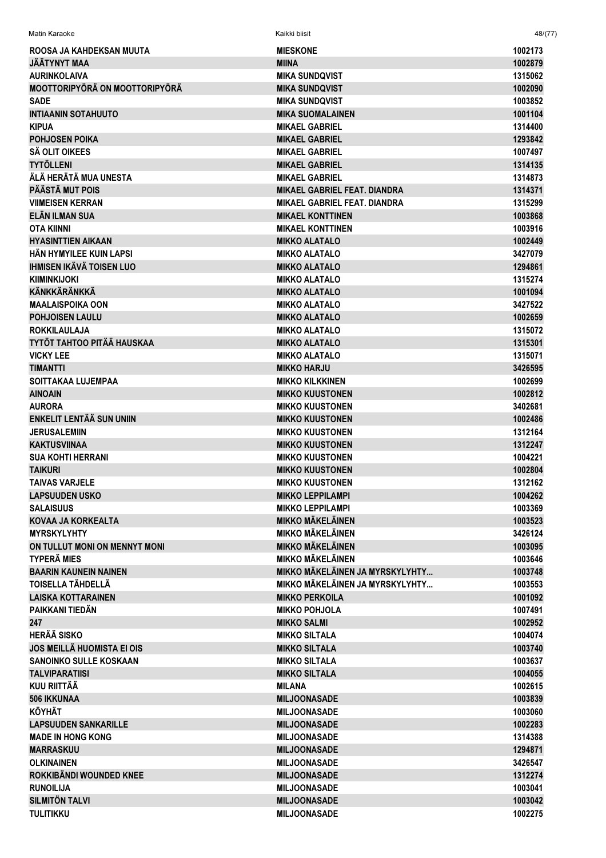| Matin Karaoke                         | Kaikki biisit                       | 48/(77)            |
|---------------------------------------|-------------------------------------|--------------------|
| ROOSA JA KAHDEKSAN MUUTA              | <b>MIESKONE</b>                     | 1002173            |
| <b>JÄÄTYNYT MAA</b>                   | <b>MIINA</b>                        | 1002879            |
| <b>AURINKOLAIVA</b>                   | <b>MIKA SUNDQVIST</b>               | 1315062            |
| <b>MOOTTORIPYÖRÄ ON MOOTTORIPYÖRÄ</b> | <b>MIKA SUNDQVIST</b>               | 1002090            |
| <b>SADE</b>                           | <b>MIKA SUNDQVIST</b>               | 1003852            |
| <b>INTIAANIN SOTAHUUTO</b>            | <b>MIKA SUOMALAINEN</b>             | 1001104            |
| <b>KIPUA</b>                          | <b>MIKAEL GABRIEL</b>               | 1314400            |
| <b>POHJOSEN POIKA</b>                 | <b>MIKAEL GABRIEL</b>               | 1293842            |
| <b>SÄ OLIT OIKEES</b>                 | <b>MIKAEL GABRIEL</b>               | 1007497            |
| <b>TYTÖLLENI</b>                      | <b>MIKAEL GABRIEL</b>               | 1314135            |
| ÄLÄ HERÄTÄ MUA UNESTA                 | <b>MIKAEL GABRIEL</b>               | 1314873            |
| PÄÄSTÄ MUT POIS                       | <b>MIKAEL GABRIEL FEAT, DIANDRA</b> | 1314371            |
| <b>VIIMEISEN KERRAN</b>               | <b>MIKAEL GABRIEL FEAT. DIANDRA</b> | 1315299            |
| ELÄN ILMAN SUA                        | <b>MIKAEL KONTTINEN</b>             | 1003868            |
| <b>OTA KIINNI</b>                     | <b>MIKAEL KONTTINEN</b>             | 1003916            |
| <b>HYASINTTIEN AIKAAN</b>             | <b>MIKKO ALATALO</b>                | 1002449            |
| HÄN HYMYILEE KUIN LAPSI               | <b>MIKKO ALATALO</b>                | 3427079            |
| <b>IHMISEN IKÄVÄ TOISEN LUO</b>       | <b>MIKKO ALATALO</b>                | 1294861            |
| <b>KIIMINKIJOKI</b>                   | <b>MIKKO ALATALO</b>                | 1315274            |
| <b>KÄNKKÄRÄNKKÄ</b>                   | <b>MIKKO ALATALO</b>                | 1001094            |
| <b>MAALAISPOIKA OON</b>               | <b>MIKKO ALATALO</b>                | 3427522            |
| <b>POHJOISEN LAULU</b>                | <b>MIKKO ALATALO</b>                |                    |
| <b>ROKKILAULAJA</b>                   |                                     | 1002659<br>1315072 |
|                                       | <b>MIKKO ALATALO</b>                |                    |
| TYTÖT TAHTOO PITÄÄ HAUSKAA            | <b>MIKKO ALATALO</b>                | 1315301            |
| <b>VICKY LEE</b>                      | <b>MIKKO ALATALO</b>                | 1315071            |
| <b>TIMANTTI</b>                       | <b>MIKKO HARJU</b>                  | 3426595            |
| <b>SOITTAKAA LUJEMPAA</b>             | <b>MIKKO KILKKINEN</b>              | 1002699            |
| <b>AINOAIN</b>                        | <b>MIKKO KUUSTONEN</b>              | 1002812            |
| <b>AURORA</b>                         | <b>MIKKO KUUSTONEN</b>              | 3402681            |
| <b>ENKELIT LENTÄÄ SUN UNIIN</b>       | <b>MIKKO KUUSTONEN</b>              | 1002486            |
| <b>JERUSALEMIIN</b>                   | <b>MIKKO KUUSTONEN</b>              | 1312164            |
| <b>KAKTUSVIINAA</b>                   | <b>MIKKO KUUSTONEN</b>              | 1312247            |
| <b>SUA KOHTI HERRANI</b>              | <b>MIKKO KUUSTONEN</b>              | 1004221            |
| <b>TAIKURI</b>                        | <b>MIKKO KUUSTONEN</b>              | 1002804            |
| <b>TAIVAS VARJELE</b>                 | <b>MIKKO KUUSTONEN</b>              | 1312162            |
| <b>LAPSUUDEN USKO</b>                 | <b>MIKKO LEPPILAMPI</b>             | 1004262            |
| <b>SALAISUUS</b>                      | <b>MIKKO LEPPILAMPI</b>             | 1003369            |
| KOVAA JA KORKEALTA                    | <b>MIKKO MÄKELÄINEN</b>             | 1003523            |
| <b>MYRSKYLYHTY</b>                    | <b>MIKKO MÄKELÄINEN</b>             | 3426124            |
| ON TULLUT MONI ON MENNYT MONI         | <b>MIKKO MÄKELÄINEN</b>             | 1003095            |
| <b>TYPERÄ MIES</b>                    | <b>MIKKO MÄKELÄINEN</b>             | 1003646            |
| <b>BAARIN KAUNEIN NAINEN</b>          | MIKKO MÄKELÄINEN JA MYRSKYLYHTY     | 1003748            |
| TOISELLA TÄHDELLÄ                     | MIKKO MÄKELÄINEN JA MYRSKYLYHTY     | 1003553            |
| <b>LAISKA KOTTARAINEN</b>             | <b>MIKKO PERKOILA</b>               | 1001092            |
| PAIKKANI TIEDÄN                       | <b>MIKKO POHJOLA</b>                | 1007491            |
| 247                                   | <b>MIKKO SALMI</b>                  | 1002952            |
| <b>HERÄÄ SISKO</b>                    | <b>MIKKO SILTALA</b>                | 1004074            |
| <b>JOS MEILLÄ HUOMISTA EI OIS</b>     | <b>MIKKO SILTALA</b>                | 1003740            |
| <b>SANOINKO SULLE KOSKAAN</b>         | <b>MIKKO SILTALA</b>                | 1003637            |
| <b>TALVIPARATIISI</b>                 | <b>MIKKO SILTALA</b>                | 1004055            |
| <b>KUU RIITTÄÄ</b>                    | <b>MILANA</b>                       | 1002615            |
| <b>506 IKKUNAA</b>                    | <b>MILJOONASADE</b>                 | 1003839            |
| <b>KÖYHÄT</b>                         | <b>MILJOONASADE</b>                 | 1003060            |
| <b>LAPSUUDEN SANKARILLE</b>           | <b>MILJOONASADE</b>                 | 1002283            |
| <b>MADE IN HONG KONG</b>              | <b>MILJOONASADE</b>                 | 1314388            |
| <b>MARRASKUU</b>                      | <b>MILJOONASADE</b>                 | 1294871            |
| <b>OLKINAINEN</b>                     | <b>MILJOONASADE</b>                 | 3426547            |
| ROKKIBÄNDI WOUNDED KNEE               | <b>MILJOONASADE</b>                 | 1312274            |
| <b>RUNOILIJA</b>                      | <b>MILJOONASADE</b>                 | 1003041            |
| <b>SILMITÖN TALVI</b>                 | <b>MILJOONASADE</b>                 | 1003042            |
| <b>TULITIKKU</b>                      | <b>MILJOONASADE</b>                 | 1002275            |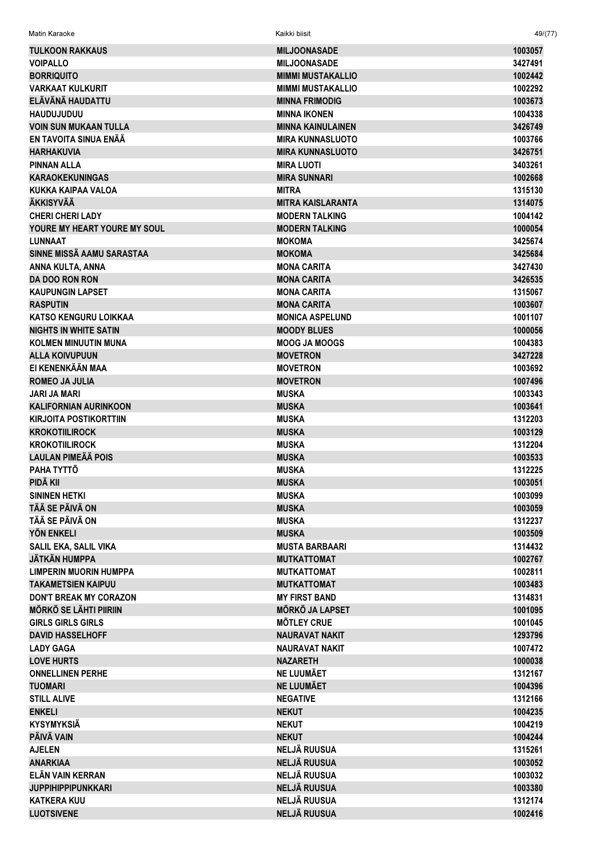| Matin Karaoke                 | Kaikki biisit            | 49/(77) |
|-------------------------------|--------------------------|---------|
| <b>TULKOON RAKKAUS</b>        | <b>MILJOONASADE</b>      | 1003057 |
| <b>VOIPALLO</b>               | <b>MILJOONASADE</b>      | 3427491 |
| <b>BORRIQUITO</b>             | <b>MIMMI MUSTAKALLIO</b> | 1002442 |
| <b>VARKAAT KULKURIT</b>       | <b>MIMMI MUSTAKALLIO</b> | 1002292 |
| ELÄVÄNÄ HAUDATTU              | <b>MINNA FRIMODIG</b>    | 1003673 |
| <b>HAUDUJUDUU</b>             | <b>MINNA IKONEN</b>      | 1004338 |
| <b>VOIN SUN MUKAAN TULLA</b>  | <b>MINNA KAINULAINEN</b> | 3426749 |
| EN TAVOITA SINUA ENÄÄ         | <b>MIRA KUNNASLUOTO</b>  | 1003766 |
| <b>HARHAKUVIA</b>             | <b>MIRA KUNNASLUOTO</b>  | 3426751 |
| <b>PINNAN ALLA</b>            | <b>MIRA LUOTI</b>        | 3403261 |
| <b>KARAOKEKUNINGAS</b>        | <b>MIRA SUNNARI</b>      | 1002668 |
| KUKKA KAIPAA VALOA            | <b>MITRA</b>             | 1315130 |
| <b>ÄKKISYVÄÄ</b>              | <b>MITRA KAISLARANTA</b> | 1314075 |
| <b>CHERI CHERI LADY</b>       | <b>MODERN TALKING</b>    | 1004142 |
| YOURE MY HEART YOURE MY SOUL  | <b>MODERN TALKING</b>    | 1000054 |
| <b>LUNNAAT</b>                | <b>MOKOMA</b>            | 3425674 |
| SINNE MISSÄ AAMU SARASTAA     | <b>MOKOMA</b>            | 3425684 |
| ANNA KULTA, ANNA              | <b>MONA CARITA</b>       | 3427430 |
| DA DOO RON RON                | <b>MONA CARITA</b>       | 3426535 |
| <b>KAUPUNGIN LAPSET</b>       | <b>MONA CARITA</b>       | 1315067 |
| <b>RASPUTIN</b>               | <b>MONA CARITA</b>       | 1003607 |
| <b>KATSO KENGURU LOIKKAA</b>  | <b>MONICA ASPELUND</b>   | 1001107 |
| <b>NIGHTS IN WHITE SATIN</b>  | <b>MOODY BLUES</b>       | 1000056 |
| <b>KOLMEN MINUUTIN MUNA</b>   | <b>MOOG JA MOOGS</b>     | 1004383 |
| <b>ALLA KOIVUPUUN</b>         | <b>MOVETRON</b>          | 3427228 |
| EI KENENKÄÄN MAA              | <b>MOVETRON</b>          | 1003692 |
| <b>ROMEO JA JULIA</b>         | <b>MOVETRON</b>          | 1007496 |
| <b>JARI JA MARI</b>           | <b>MUSKA</b>             | 1003343 |
| <b>KALIFORNIAN AURINKOON</b>  | <b>MUSKA</b>             | 1003641 |
| <b>KIRJOITA POSTIKORTTIIN</b> | <b>MUSKA</b>             | 1312203 |
| <b>KROKOTIILIROCK</b>         | <b>MUSKA</b>             | 1003129 |
| <b>KROKOTIILIROCK</b>         | <b>MUSKA</b>             | 1312204 |
| <b>LAULAN PIMEÄÄ POIS</b>     | <b>MUSKA</b>             | 1003533 |
| PAHA TYTTÖ                    | <b>MUSKA</b>             | 1312225 |
| PIDÄ KII                      | <b>MUSKA</b>             | 1003051 |
| <b>SININEN HETKI</b>          | <b>MUSKA</b>             | 1003099 |
| TÄÄ SE PÄIVÄ ON               | <b>MUSKA</b>             | 1003059 |
| TÄÄ SE PÄIVÄ ON               | <b>MUSKA</b>             | 1312237 |
| <b>YÖN ENKELI</b>             | <b>MUSKA</b>             | 1003509 |
| SALIL EKA, SALIL VIKA         | <b>MUSTA BARBAARI</b>    | 1314432 |
| <b>JÄTKÄN HUMPPA</b>          | <b>MUTKATTOMAT</b>       | 1002767 |
| <b>LIMPERIN MUORIN HUMPPA</b> | <b>MUTKATTOMAT</b>       | 1002811 |
| <b>TAKAMETSIEN KAIPUU</b>     | <b>MUTKATTOMAT</b>       | 1003483 |
| DON'T BREAK MY CORAZON        | <b>MY FIRST BAND</b>     | 1314831 |
| <b>MÖRKÖ SE LÄHTI PIIRIIN</b> | <b>MÖRKÖ JA LAPSET</b>   | 1001095 |
| <b>GIRLS GIRLS GIRLS</b>      | <b>MÖTLEY CRUE</b>       | 1001045 |
| <b>DAVID HASSELHOFF</b>       | <b>NAURAVAT NAKIT</b>    | 1293796 |
| <b>LADY GAGA</b>              | <b>NAURAVAT NAKIT</b>    | 1007472 |
| <b>LOVE HURTS</b>             | <b>NAZARETH</b>          | 1000038 |
| <b>ONNELLINEN PERHE</b>       | <b>NE LUUMÄET</b>        | 1312167 |
| <b>TUOMARI</b>                | <b>NE LUUMÄET</b>        | 1004396 |
| <b>STILL ALIVE</b>            | <b>NEGATIVE</b>          | 1312166 |
| <b>ENKELI</b>                 | <b>NEKUT</b>             | 1004235 |
| <b>KYSYMYKSIÄ</b>             | <b>NEKUT</b>             | 1004219 |
| PÄIVÄ VAIN                    | <b>NEKUT</b>             | 1004244 |
| <b>AJELEN</b>                 | <b>NELJÄ RUUSUA</b>      | 1315261 |
| <b>ANARKIAA</b>               | <b>NELJÄ RUUSUA</b>      | 1003052 |
| ELÄN VAIN KERRAN              | NELJÄ RUUSUA             | 1003032 |
| <b>JUPPIHIPPIPUNKKARI</b>     | <b>NELJÄ RUUSUA</b>      | 1003380 |
| <b>KATKERA KUU</b>            | <b>NELJÄ RUUSUA</b>      | 1312174 |
| <b>LUOTSIVENE</b>             | <b>NELJÄ RUUSUA</b>      | 1002416 |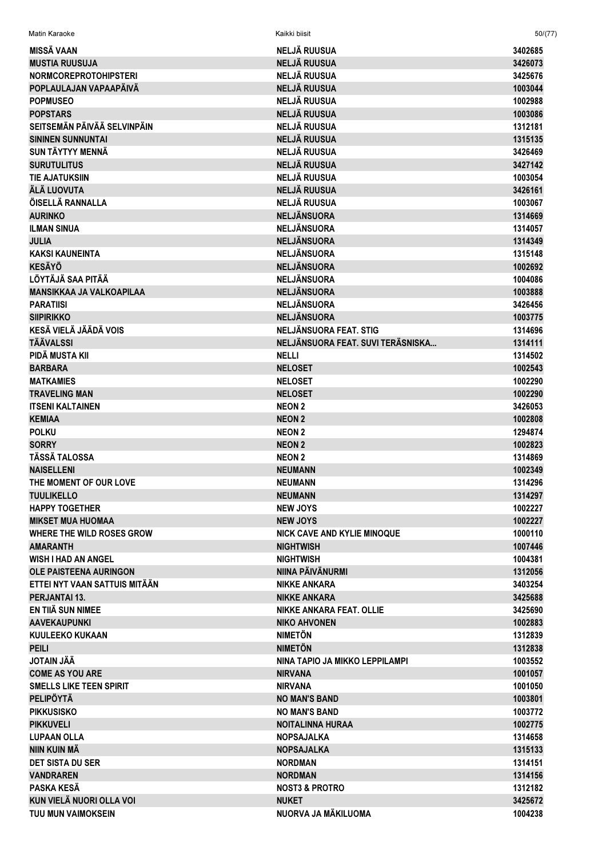| <b>MISSÄ VAAN</b>                                     | <b>NELJÄ RUUSUA</b>                | 3402685 |
|-------------------------------------------------------|------------------------------------|---------|
| <b>MUSTIA RUUSUJA</b>                                 | <b>NELJÄ RUUSUA</b>                | 3426073 |
| <b>NORMCOREPROTOHIPSTERI</b>                          | <b>NELJÄ RUUSUA</b>                | 3425676 |
| POPLAULAJAN VAPAAPÄIVÄ                                | <b>NELJÄ RUUSUA</b>                | 1003044 |
| <b>POPMUSEO</b>                                       | <b>NELJÄ RUUSUA</b>                | 1002988 |
| <b>POPSTARS</b>                                       | <b>NELJÄ RUUSUA</b>                | 1003086 |
| SEITSEMÄN PÄIVÄÄ SELVINPÄIN                           | <b>NELJÄ RUUSUA</b>                | 1312181 |
| <b>SININEN SUNNUNTAI</b>                              | <b>NELJÄ RUUSUA</b>                | 1315135 |
| <b>SUN TÄYTYY MENNÄ</b>                               | <b>NELJÄ RUUSUA</b>                | 3426469 |
| <b>SURUTULITUS</b>                                    | <b>NELJÄ RUUSUA</b>                | 3427142 |
| <b>TIE AJATUKSIIN</b>                                 | <b>NELJÄ RUUSUA</b>                | 1003054 |
| ÄLÄ LUOVUTA                                           | <b>NELJÄ RUUSUA</b>                | 3426161 |
| ÖISELLÄ RANNALLA                                      | <b>NELJÄ RUUSUA</b>                | 1003067 |
| <b>AURINKO</b>                                        | <b>NELJÄNSUORA</b>                 | 1314669 |
| <b>ILMAN SINUA</b>                                    | <b>NELJÄNSUORA</b>                 | 1314057 |
| <b>JULIA</b>                                          | <b>NELJÄNSUORA</b>                 | 1314349 |
| <b>KAKSI KAUNEINTA</b>                                | <b>NELJÄNSUORA</b>                 | 1315148 |
| <b>KESÄYÖ</b>                                         | <b>NELJÄNSUORA</b>                 | 1002692 |
| LÖYTÄJÄ SAA PITÄÄ                                     | <b>NELJÄNSUORA</b>                 | 1004086 |
| <b>MANSIKKAA JA VALKOAPILAA</b>                       | <b>NELJÄNSUORA</b>                 | 1003888 |
|                                                       |                                    |         |
| <b>PARATIISI</b>                                      | <b>NELJÄNSUORA</b>                 | 3426456 |
| <b>SIIPIRIKKO</b>                                     | <b>NELJÄNSUORA</b>                 | 1003775 |
| KESÄ VIELÄ JÄÄDÄ VOIS                                 | NELJÄNSUORA FEAT. STIG             | 1314696 |
| <b>TÄÄVALSSI</b>                                      | NELJÄNSUORA FEAT. SUVI TERÄSNISKA  | 1314111 |
| PIDÄ MUSTA KII                                        | <b>NELLI</b>                       | 1314502 |
| <b>BARBARA</b>                                        | <b>NELOSET</b>                     | 1002543 |
| <b>MATKAMIES</b>                                      | <b>NELOSET</b>                     | 1002290 |
| <b>TRAVELING MAN</b>                                  | <b>NELOSET</b>                     | 1002290 |
| <b>ITSENI KALTAINEN</b>                               | <b>NEON 2</b>                      | 3426053 |
| <b>KEMIAA</b>                                         | <b>NEON 2</b>                      | 1002808 |
| <b>POLKU</b>                                          | <b>NEON 2</b>                      | 1294874 |
| <b>SORRY</b>                                          | <b>NEON 2</b>                      | 1002823 |
| <b>TÄSSÄ TALOSSA</b>                                  | <b>NEON 2</b>                      | 1314869 |
| <b>NAISELLENI</b>                                     | <b>NEUMANN</b>                     | 1002349 |
| THE MOMENT OF OUR LOVE                                | <b>NEUMANN</b>                     | 1314296 |
| <b>TUULIKELLO</b>                                     | <b>NEUMANN</b>                     | 1314297 |
| <b>HAPPY TOGETHER</b>                                 | <b>NEW JOYS</b>                    | 1002227 |
|                                                       |                                    | 1002227 |
| <b>MIKSET MUA HUOMAA</b><br>WHERE THE WILD ROSES GROW | <b>NEW JOYS</b>                    |         |
|                                                       | <b>NICK CAVE AND KYLIE MINOQUE</b> | 1000110 |
| <b>AMARANTH</b>                                       | <b>NIGHTWISH</b>                   | 1007446 |
| <b>WISH I HAD AN ANGEL</b>                            | <b>NIGHTWISH</b>                   | 1004381 |
| <b>OLE PAISTEENA AURINGON</b>                         | NIINA PÄIVÄNURMI                   | 1312056 |
| ETTEI NYT VAAN SATTUIS MITÄÄN                         | <b>NIKKE ANKARA</b>                | 3403254 |
| <b>PERJANTAI 13.</b>                                  | <b>NIKKE ANKARA</b>                | 3425688 |
| EN TIIÄ SUN NIMEE                                     | <b>NIKKE ANKARA FEAT, OLLIE</b>    | 3425690 |
| <b>AAVEKAUPUNKI</b>                                   | <b>NIKO AHVONEN</b>                | 1002883 |
| <b>KUULEEKO KUKAAN</b>                                | <b>NIMETÖN</b>                     | 1312839 |
| <b>PEILI</b>                                          | <b>NIMETÖN</b>                     | 1312838 |
| <b>JOTAIN JÄÄ</b>                                     | NINA TAPIO JA MIKKO LEPPILAMPI     | 1003552 |
| <b>COME AS YOU ARE</b>                                | <b>NIRVANA</b>                     | 1001057 |
| <b>SMELLS LIKE TEEN SPIRIT</b>                        | <b>NIRVANA</b>                     | 1001050 |
| <b>PELIPÖYTÄ</b>                                      | <b>NO MAN'S BAND</b>               | 1003801 |
| <b>PIKKUSISKO</b>                                     | <b>NO MAN'S BAND</b>               | 1003772 |
| <b>PIKKUVELI</b>                                      | <b>NOITALINNA HURAA</b>            | 1002775 |
| <b>LUPAAN OLLA</b>                                    | <b>NOPSAJALKA</b>                  | 1314658 |
| NIIN KUIN MÄ                                          | <b>NOPSAJALKA</b>                  | 1315133 |
| <b>DET SISTA DU SER</b>                               | <b>NORDMAN</b>                     | 1314151 |
| <b>VANDRAREN</b>                                      |                                    | 1314156 |
|                                                       | <b>NORDMAN</b>                     |         |
| PASKA KESÄ                                            | <b>NOST3 &amp; PROTRO</b>          | 1312182 |
| KUN VIELÄ NUORI OLLA VOI                              | <b>NUKET</b>                       | 3425672 |
| TUU MUN VAIMOKSEIN                                    | NUORVA JA MÄKILUOMA                | 1004238 |

Matin Karaoke Kaikki biisit 50/(77)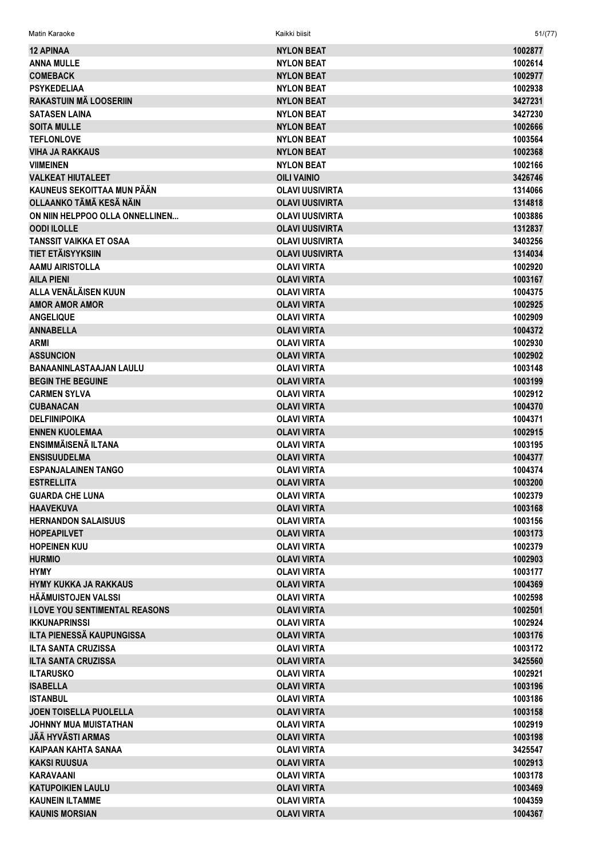| <b>12 APINAA</b>                      | <b>NYLON BEAT</b>      | 1002877 |
|---------------------------------------|------------------------|---------|
| <b>ANNA MULLE</b>                     | <b>NYLON BEAT</b>      | 1002614 |
| <b>COMEBACK</b>                       | <b>NYLON BEAT</b>      | 1002977 |
| <b>PSYKEDELIAA</b>                    | <b>NYLON BEAT</b>      | 1002938 |
| <b>RAKASTUIN MÄ LOOSERIIN</b>         | <b>NYLON BEAT</b>      | 3427231 |
| <b>SATASEN LAINA</b>                  | <b>NYLON BEAT</b>      | 3427230 |
| <b>SOITA MULLE</b>                    | <b>NYLON BEAT</b>      | 1002666 |
| <b>TEFLONLOVE</b>                     | <b>NYLON BEAT</b>      | 1003564 |
| <b>VIHA JA RAKKAUS</b>                | <b>NYLON BEAT</b>      | 1002368 |
| <b>VIIMEINEN</b>                      | <b>NYLON BEAT</b>      | 1002166 |
| <b>VALKEAT HIUTALEET</b>              | <b>OILI VAINIO</b>     | 3426746 |
| KAUNEUS SEKOITTAA MUN PÄÄN            | <b>OLAVI UUSIVIRTA</b> | 1314066 |
| OLLAANKO TÄMÄ KESÄ NÄIN               | <b>OLAVI UUSIVIRTA</b> | 1314818 |
| ON NIIN HELPPOO OLLA ONNELLINEN       | <b>OLAVI UUSIVIRTA</b> | 1003886 |
| <b>OODI ILOLLE</b>                    | <b>OLAVI UUSIVIRTA</b> | 1312837 |
| <b>TANSSIT VAIKKA ET OSAA</b>         | <b>OLAVI UUSIVIRTA</b> | 3403256 |
| TIET ETÄISYYKSIIN                     | <b>OLAVI UUSIVIRTA</b> | 1314034 |
| <b>AAMU AIRISTOLLA</b>                | <b>OLAVI VIRTA</b>     | 1002920 |
| <b>AILA PIENI</b>                     | <b>OLAVI VIRTA</b>     | 1003167 |
| ALLA VENÄLÄISEN KUUN                  | <b>OLAVI VIRTA</b>     | 1004375 |
| <b>AMOR AMOR AMOR</b>                 | <b>OLAVI VIRTA</b>     | 1002925 |
| <b>ANGELIQUE</b>                      | <b>OLAVI VIRTA</b>     | 1002909 |
| <b>ANNABELLA</b>                      | <b>OLAVI VIRTA</b>     | 1004372 |
| <b>ARMI</b>                           | <b>OLAVI VIRTA</b>     | 1002930 |
| <b>ASSUNCION</b>                      | <b>OLAVI VIRTA</b>     | 1002902 |
| <b>BANAANINLASTAAJAN LAULU</b>        | <b>OLAVI VIRTA</b>     | 1003148 |
| <b>BEGIN THE BEGUINE</b>              | <b>OLAVI VIRTA</b>     | 1003199 |
| <b>CARMEN SYLVA</b>                   | <b>OLAVI VIRTA</b>     | 1002912 |
| <b>CUBANACAN</b>                      | <b>OLAVI VIRTA</b>     | 1004370 |
| <b>DELFIINIPOIKA</b>                  | <b>OLAVI VIRTA</b>     | 1004371 |
| <b>ENNEN KUOLEMAA</b>                 | <b>OLAVI VIRTA</b>     | 1002915 |
| <b>ENSIMMÄISENÄ ILTANA</b>            | <b>OLAVI VIRTA</b>     | 1003195 |
| <b>ENSISUUDELMA</b>                   | <b>OLAVI VIRTA</b>     | 1004377 |
| <b>ESPANJALAINEN TANGO</b>            | <b>OLAVI VIRTA</b>     | 1004374 |
| <b>ESTRELLITA</b>                     | <b>OLAVI VIRTA</b>     | 1003200 |
| <b>GUARDA CHE LUNA</b>                | <b>OLAVI VIRTA</b>     | 1002379 |
| <b>HAAVEKUVA</b>                      | <b>OLAVI VIRTA</b>     | 1003168 |
| <b>HERNANDON SALAISUUS</b>            | <b>OLAVI VIRTA</b>     | 1003156 |
| <b>HOPEAPILVET</b>                    | <b>OLAVI VIRTA</b>     | 1003173 |
| <b>HOPEINEN KUU</b>                   | <b>OLAVI VIRTA</b>     | 1002379 |
| <b>HURMIO</b>                         | <b>OLAVI VIRTA</b>     | 1002903 |
| <b>HYMY</b>                           | <b>OLAVI VIRTA</b>     | 1003177 |
| <b>HYMY KUKKA JA RAKKAUS</b>          | <b>OLAVI VIRTA</b>     | 1004369 |
| HÄÄMUISTOJEN VALSSI                   | <b>OLAVI VIRTA</b>     | 1002598 |
| <b>I LOVE YOU SENTIMENTAL REASONS</b> | <b>OLAVI VIRTA</b>     | 1002501 |
| <b>IKKUNAPRINSSI</b>                  | <b>OLAVI VIRTA</b>     | 1002924 |
| <b>ILTA PIENESSÄ KAUPUNGISSA</b>      | <b>OLAVI VIRTA</b>     | 1003176 |
| <b>ILTA SANTA CRUZISSA</b>            | <b>OLAVI VIRTA</b>     | 1003172 |
| <b>ILTA SANTA CRUZISSA</b>            | <b>OLAVI VIRTA</b>     | 3425560 |
| <b>ILTARUSKO</b>                      | <b>OLAVI VIRTA</b>     | 1002921 |
| <b>ISABELLA</b>                       | <b>OLAVI VIRTA</b>     | 1003196 |
| <b>ISTANBUL</b>                       | <b>OLAVI VIRTA</b>     | 1003186 |
| <b>JOEN TOISELLA PUOLELLA</b>         | <b>OLAVI VIRTA</b>     | 1003158 |
| <b>JOHNNY MUA MUISTATHAN</b>          | <b>OLAVI VIRTA</b>     | 1002919 |
| <b>JÄÄ HYVÄSTI ARMAS</b>              | <b>OLAVI VIRTA</b>     | 1003198 |
| KAIPAAN KAHTA SANAA                   | <b>OLAVI VIRTA</b>     | 3425547 |
| <b>KAKSI RUUSUA</b>                   | <b>OLAVI VIRTA</b>     | 1002913 |
| <b>KARAVAANI</b>                      | <b>OLAVI VIRTA</b>     | 1003178 |
| <b>KATUPOIKIEN LAULU</b>              |                        |         |
|                                       | <b>OLAVI VIRTA</b>     | 1003469 |
| <b>KAUNEIN ILTAMME</b>                | <b>OLAVI VIRTA</b>     | 1004359 |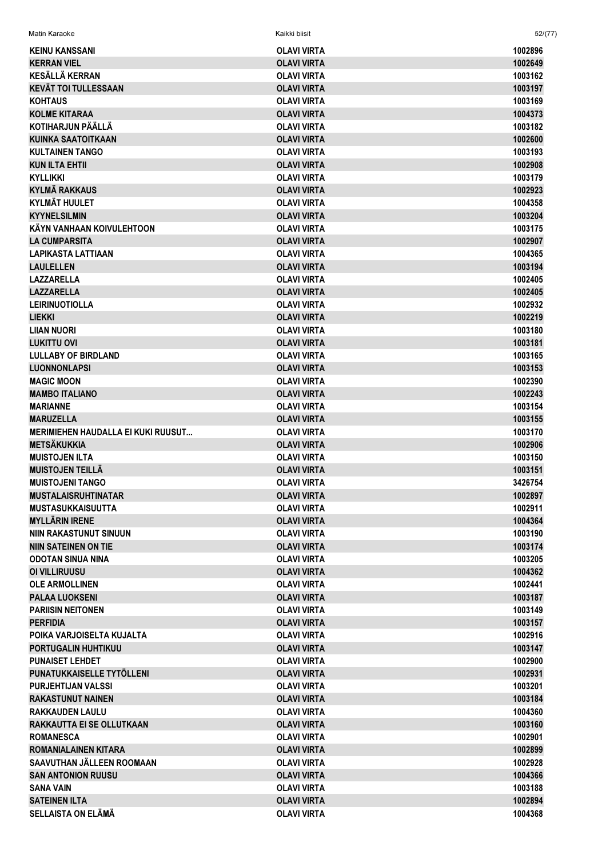| Matin Karaoke                             | Kaikki biisit      | 52/(77) |
|-------------------------------------------|--------------------|---------|
| <b>KEINU KANSSANI</b>                     | OLAVI VIRTA        | 1002896 |
| <b>KERRAN VIEL</b>                        | <b>OLAVI VIRTA</b> | 1002649 |
| <b>KESÄLLÄ KERRAN</b>                     | <b>OLAVI VIRTA</b> | 1003162 |
| <b>KEVÄT TOI TULLESSAAN</b>               | <b>OLAVI VIRTA</b> | 1003197 |
| <b>KOHTAUS</b>                            | <b>OLAVI VIRTA</b> | 1003169 |
| <b>KOLME KITARAA</b>                      | <b>OLAVI VIRTA</b> | 1004373 |
| KOTIHARJUN PÄÄLLÄ                         | <b>OLAVI VIRTA</b> | 1003182 |
| <b>KUINKA SAATOITKAAN</b>                 | <b>OLAVI VIRTA</b> | 1002600 |
| <b>KULTAINEN TANGO</b>                    | <b>OLAVI VIRTA</b> | 1003193 |
| <b>KUN ILTA EHTII</b>                     | <b>OLAVI VIRTA</b> | 1002908 |
| <b>KYLLIKKI</b>                           | <b>OLAVI VIRTA</b> | 1003179 |
| <b>KYLMÄ RAKKAUS</b>                      | <b>OLAVI VIRTA</b> | 1002923 |
| <b>KYLMÄT HUULET</b>                      | <b>OLAVI VIRTA</b> | 1004358 |
| <b>KYYNELSILMIN</b>                       | <b>OLAVI VIRTA</b> | 1003204 |
| KÄYN VANHAAN KOIVULEHTOON                 | <b>OLAVI VIRTA</b> | 1003175 |
| <b>LA CUMPARSITA</b>                      | <b>OLAVI VIRTA</b> | 1002907 |
| <b>LAPIKASTA LATTIAAN</b>                 | <b>OLAVI VIRTA</b> | 1004365 |
| <b>LAULELLEN</b>                          | <b>OLAVI VIRTA</b> | 1003194 |
| <b>LAZZARELLA</b>                         | <b>OLAVI VIRTA</b> | 1002405 |
| <b>LAZZARELLA</b>                         | <b>OLAVI VIRTA</b> | 1002405 |
| <b>LEIRINUOTIOLLA</b>                     | <b>OLAVI VIRTA</b> | 1002932 |
| <b>LIEKKI</b>                             | <b>OLAVI VIRTA</b> | 1002219 |
| <b>LIIAN NUORI</b>                        | <b>OLAVI VIRTA</b> | 1003180 |
| LUKITTU OVI                               | <b>OLAVI VIRTA</b> | 1003181 |
| <b>LULLABY OF BIRDLAND</b>                | <b>OLAVI VIRTA</b> | 1003165 |
| <b>LUONNONLAPSI</b>                       | <b>OLAVI VIRTA</b> | 1003153 |
| <b>MAGIC MOON</b>                         | <b>OLAVI VIRTA</b> | 1002390 |
| <b>MAMBO ITALIANO</b>                     | <b>OLAVI VIRTA</b> | 1002243 |
| <b>MARIANNE</b>                           | <b>OLAVI VIRTA</b> | 1003154 |
| <b>MARUZELLA</b>                          | <b>OLAVI VIRTA</b> | 1003155 |
| <b>MERIMIEHEN HAUDALLA EI KUKI RUUSUT</b> | <b>OLAVI VIRTA</b> | 1003170 |
| <b>METSÄKUKKIA</b>                        | <b>OLAVI VIRTA</b> | 1002906 |
| <b>MUISTOJEN ILTA</b>                     | <b>OLAVI VIRTA</b> | 1003150 |
| <b>MUISTOJEN TEILLÄ</b>                   | <b>OLAVI VIRTA</b> | 1003151 |
| <b>MUISTOJENI TANGO</b>                   | <b>OLAVI VIRTA</b> | 3426754 |
| <b>MUSTALAISRUHTINATAR</b>                | <b>OLAVI VIRTA</b> | 1002897 |
| <b>MUSTASUKKAISUUTTA</b>                  | <b>OLAVI VIRTA</b> | 1002911 |
| <b>MYLLÄRIN IRENE</b>                     | <b>OLAVI VIRTA</b> | 1004364 |
| <b>NIIN RAKASTUNUT SINUUN</b>             | <b>OLAVI VIRTA</b> | 1003190 |
| <b>NIIN SATEINEN ON TIE</b>               | <b>OLAVI VIRTA</b> | 1003174 |
| <b>ODOTAN SINUA NINA</b>                  | <b>OLAVI VIRTA</b> | 1003205 |
| OI VILLIRUUSU                             | <b>OLAVI VIRTA</b> | 1004362 |
| <b>OLE ARMOLLINEN</b>                     | <b>OLAVI VIRTA</b> | 1002441 |
| <b>PALAA LUOKSENI</b>                     | <b>OLAVI VIRTA</b> | 1003187 |
| <b>PARIISIN NEITONEN</b>                  | <b>OLAVI VIRTA</b> | 1003149 |
| <b>PERFIDIA</b>                           | <b>OLAVI VIRTA</b> | 1003157 |
| POIKA VARJOISELTA KUJALTA                 | <b>OLAVI VIRTA</b> | 1002916 |
| PORTUGALIN HUHTIKUU                       | <b>OLAVI VIRTA</b> | 1003147 |
| <b>PUNAISET LEHDET</b>                    | <b>OLAVI VIRTA</b> | 1002900 |
| PUNATUKKAISELLE TYTÖLLENI                 | <b>OLAVI VIRTA</b> | 1002931 |
| <b>PURJEHTIJAN VALSSI</b>                 | OLAVI VIRTA        | 1003201 |
| <b>RAKASTUNUT NAINEN</b>                  | <b>OLAVI VIRTA</b> | 1003184 |
| <b>RAKKAUDEN LAULU</b>                    | <b>OLAVI VIRTA</b> | 1004360 |
| RAKKAUTTA EI SE OLLUTKAAN                 | <b>OLAVI VIRTA</b> | 1003160 |
| <b>ROMANESCA</b>                          | OLAVI VIRTA        | 1002901 |
| <b>ROMANIALAINEN KITARA</b>               | <b>OLAVI VIRTA</b> | 1002899 |
| SAAVUTHAN JÄLLEEN ROOMAAN                 | <b>OLAVI VIRTA</b> | 1002928 |
| <b>SAN ANTONION RUUSU</b>                 | <b>OLAVI VIRTA</b> | 1004366 |
| <b>SANA VAIN</b>                          | <b>OLAVI VIRTA</b> | 1003188 |
| <b>SATEINEN ILTA</b>                      | <b>OLAVI VIRTA</b> | 1002894 |
| <b>SELLAISTA ON ELÄMÄ</b>                 | <b>OLAVI VIRTA</b> | 1004368 |
|                                           |                    |         |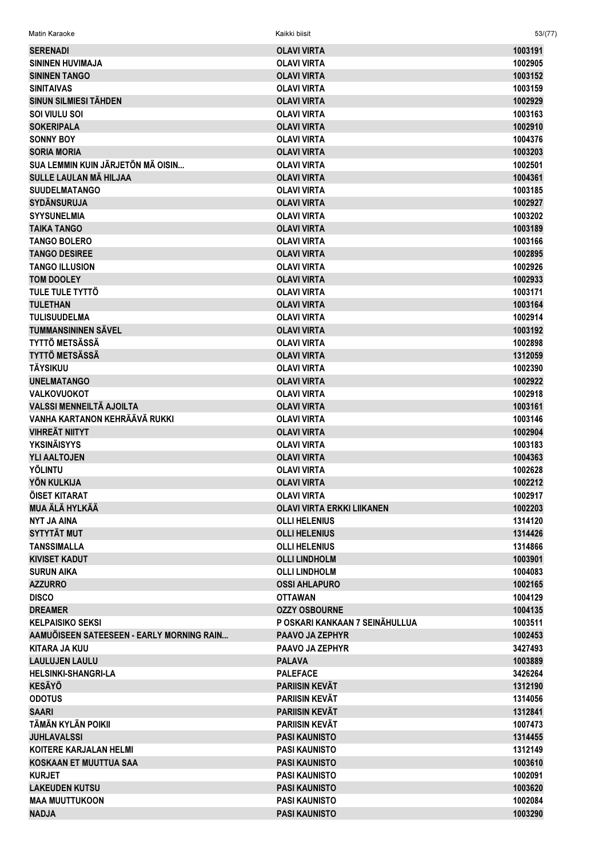| Matin Karaoke                             | Kaikki biisit                                  | 53/(77) |
|-------------------------------------------|------------------------------------------------|---------|
| <b>SERENADI</b>                           | <b>OLAVI VIRTA</b>                             | 1003191 |
| <b>SININEN HUVIMAJA</b>                   | <b>OLAVI VIRTA</b>                             | 1002905 |
| <b>SININEN TANGO</b>                      | <b>OLAVI VIRTA</b>                             | 1003152 |
| <b>SINITAIVAS</b>                         | <b>OLAVI VIRTA</b>                             | 1003159 |
| <b>SINUN SILMIESI TÄHDEN</b>              | <b>OLAVI VIRTA</b>                             | 1002929 |
| SOI VIULU SOI                             | <b>OLAVI VIRTA</b>                             | 1003163 |
| <b>SOKERIPALA</b>                         | <b>OLAVI VIRTA</b>                             | 1002910 |
| <b>SONNY BOY</b>                          | <b>OLAVI VIRTA</b>                             | 1004376 |
| <b>SORIA MORIA</b>                        | <b>OLAVI VIRTA</b>                             | 1003203 |
| SUA LEMMIN KUIN JÄRJETÖN MÄ OISIN         | <b>OLAVI VIRTA</b>                             | 1002501 |
| SULLE LAULAN MÄ HILJAA                    | <b>OLAVI VIRTA</b>                             | 1004361 |
| <b>SUUDELMATANGO</b>                      | <b>OLAVI VIRTA</b>                             | 1003185 |
| <b>SYDÄNSURUJA</b>                        | <b>OLAVI VIRTA</b>                             | 1002927 |
| <b>SYYSUNELMIA</b>                        | <b>OLAVI VIRTA</b>                             | 1003202 |
| <b>TAIKA TANGO</b>                        | <b>OLAVI VIRTA</b>                             | 1003189 |
| <b>TANGO BOLERO</b>                       | <b>OLAVI VIRTA</b>                             | 1003166 |
| <b>TANGO DESIREE</b>                      | <b>OLAVI VIRTA</b>                             | 1002895 |
| <b>TANGO ILLUSION</b>                     | <b>OLAVI VIRTA</b>                             | 1002926 |
| <b>TOM DOOLEY</b>                         | <b>OLAVI VIRTA</b>                             | 1002933 |
| <b>TULE TULE TYTTÖ</b>                    | <b>OLAVI VIRTA</b>                             | 1003171 |
| <b>TULETHAN</b>                           | <b>OLAVI VIRTA</b>                             | 1003164 |
| <b>TULISUUDELMA</b>                       | <b>OLAVI VIRTA</b>                             | 1002914 |
| <b>TUMMANSININEN SÄVEL</b>                | <b>OLAVI VIRTA</b>                             | 1003192 |
| <b>TYTTÖ METSÄSSÄ</b>                     | <b>OLAVI VIRTA</b>                             | 1002898 |
| <b>TYTTÖ METSÄSSÄ</b>                     | <b>OLAVI VIRTA</b>                             | 1312059 |
| <b>TÄYSIKUU</b>                           | <b>OLAVI VIRTA</b>                             | 1002390 |
| <b>UNELMATANGO</b>                        | <b>OLAVI VIRTA</b>                             | 1002922 |
| <b>VALKOVUOKOT</b>                        | <b>OLAVI VIRTA</b>                             | 1002918 |
| <b>VALSSI MENNEILTÄ AJOILTA</b>           | <b>OLAVI VIRTA</b>                             | 1003161 |
| VANHA KARTANON KEHRÄÄVÄ RUKKI             | <b>OLAVI VIRTA</b>                             | 1003146 |
| <b>VIHREÄT NIITYT</b>                     | <b>OLAVI VIRTA</b>                             | 1002904 |
| <b>YKSINÄISYYS</b>                        | <b>OLAVI VIRTA</b>                             | 1003183 |
| <b>YLI AALTOJEN</b>                       | <b>OLAVI VIRTA</b>                             | 1004363 |
| <b>YÖLINTU</b>                            | <b>OLAVI VIRTA</b>                             | 1002628 |
| <b>YÖN KULKIJA</b>                        | <b>OLAVI VIRTA</b>                             | 1002212 |
| ÖISET KITARAT                             | OLAVI VIRTA                                    | 1002917 |
| MUA ÄLÄ HYLKÄÄ                            | <b>OLAVI VIRTA ERKKI LIIKANEN</b>              | 1002203 |
| <b>NYT JA AINA</b>                        | <b>OLLI HELENIUS</b>                           | 1314120 |
| <b>SYTYTÄT MUT</b>                        | <b>OLLI HELENIUS</b>                           | 1314426 |
| <b>TANSSIMALLA</b>                        | <b>OLLI HELENIUS</b>                           | 1314866 |
| <b>KIVISET KADUT</b>                      | <b>OLLI LINDHOLM</b>                           | 1003901 |
| <b>SURUN AIKA</b>                         | <b>OLLI LINDHOLM</b>                           | 1004083 |
| <b>AZZURRO</b>                            | <b>OSSI AHLAPURO</b>                           | 1002165 |
| <b>DISCO</b>                              | <b>OTTAWAN</b>                                 | 1004129 |
| <b>DREAMER</b>                            | <b>OZZY OSBOURNE</b>                           | 1004135 |
| <b>KELPAISIKO SEKSI</b>                   | P OSKARI KANKAAN 7 SEINÄHULLUA                 | 1003511 |
| AAMUÖISEEN SATEESEEN - EARLY MORNING RAIN | <b>PAAVO JA ZEPHYR</b>                         | 1002453 |
| <b>KITARA JA KUU</b>                      | <b>PAAVO JA ZEPHYR</b>                         | 3427493 |
| <b>LAULUJEN LAULU</b>                     | <b>PALAVA</b>                                  | 1003889 |
| <b>HELSINKI-SHANGRI-LA</b>                | <b>PALEFACE</b>                                | 3426264 |
| <b>KESÄYÖ</b>                             | <b>PARIISIN KEVÄT</b>                          |         |
|                                           |                                                | 1312190 |
| <b>ODOTUS</b>                             | <b>PARIISIN KEVÄT</b>                          | 1314056 |
| <b>SAARI</b><br>TÄMÄN KYLÄN POIKII        | <b>PARIISIN KEVÄT</b><br><b>PARIISIN KEVÄT</b> | 1312841 |
|                                           |                                                | 1007473 |
| <b>JUHLAVALSSI</b>                        | <b>PASI KAUNISTO</b>                           | 1314455 |
| KOITERE KARJALAN HELMI                    | <b>PASI KAUNISTO</b>                           | 1312149 |
| <b>KOSKAAN ET MUUTTUA SAA</b>             | <b>PASI KAUNISTO</b>                           | 1003610 |
| <b>KURJET</b>                             | <b>PASI KAUNISTO</b>                           | 1002091 |
| <b>LAKEUDEN KUTSU</b>                     | <b>PASI KAUNISTO</b>                           | 1003620 |
| <b>MAA MUUTTUKOON</b>                     | <b>PASI KAUNISTO</b>                           | 1002084 |
| <b>NADJA</b>                              | <b>PASI KAUNISTO</b>                           | 1003290 |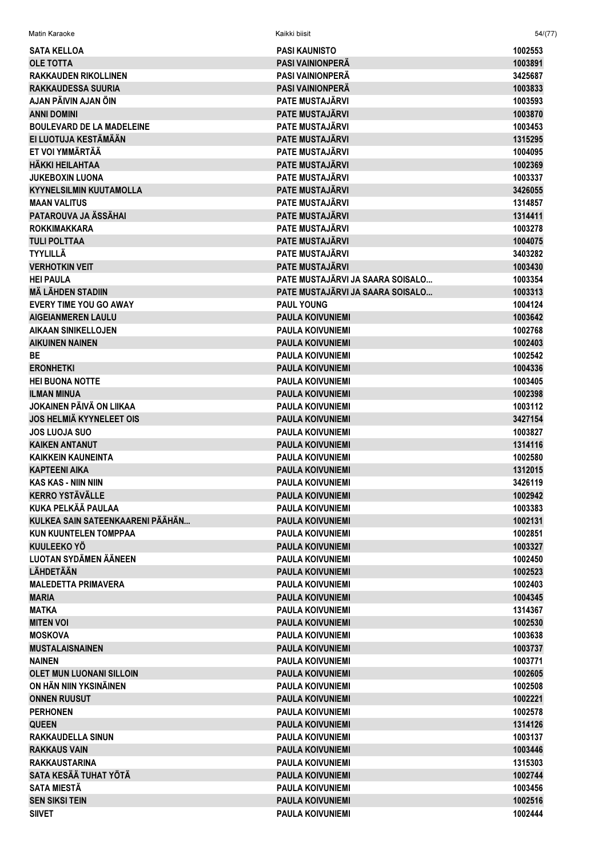| Matin Karaoke                    | Kaikki biisit                    | 54/(77)            |
|----------------------------------|----------------------------------|--------------------|
| <b>SATA KELLOA</b>               | <b>PASI KAUNISTO</b>             | 1002553            |
| <b>OLE TOTTA</b>                 | <b>PASI VAINIONPERÄ</b>          | 1003891            |
| <b>RAKKAUDEN RIKOLLINEN</b>      | <b>PASI VAINIONPERA</b>          | 3425687            |
| <b>RAKKAUDESSA SUURIA</b>        | <b>PASI VAINIONPERÄ</b>          | 1003833            |
| AJAN PÄIVIN AJAN ÖIN             | <b>PATE MUSTAJÄRVI</b>           | 1003593            |
| <b>ANNI DOMINI</b>               | <b>PATE MUSTAJÄRVI</b>           | 1003870            |
| <b>BOULEVARD DE LA MADELEINE</b> | <b>PATE MUSTAJÄRVI</b>           | 1003453            |
| EI LUOTUJA KESTÄMÄÄN             | <b>PATE MUSTAJÄRVI</b>           | 1315295            |
| ET VOI YMMÄRTÄÄ                  | <b>PATE MUSTAJÄRVI</b>           | 1004095            |
| HÄKKI HEILAHTAA                  | <b>PATE MUSTAJÄRVI</b>           | 1002369            |
| <b>JUKEBOXIN LUONA</b>           | <b>PATE MUSTAJÄRVI</b>           | 1003337            |
| <b>KYYNELSILMIN KUUTAMOLLA</b>   | <b>PATE MUSTAJÄRVI</b>           | 3426055            |
| <b>MAAN VALITUS</b>              | <b>PATE MUSTAJÄRVI</b>           | 1314857            |
| PATAROUVA JA ÄSSÄHAI             | <b>PATE MUSTAJÄRVI</b>           | 1314411            |
| <b>ROKKIMAKKARA</b>              | <b>PATE MUSTAJÄRVI</b>           | 1003278            |
| <b>TULI POLTTAA</b>              | <b>PATE MUSTAJÄRVI</b>           | 1004075            |
| <b>TYYLILLÄ</b>                  | <b>PATE MUSTAJÄRVI</b>           | 3403282            |
| <b>VERHOTKIN VEIT</b>            | <b>PATE MUSTAJÄRVI</b>           | 1003430            |
| <b>HEI PAULA</b>                 | PATE MUSTAJÄRVI JA SAARA SOISALO | 1003354            |
| <b>MÄ LÄHDEN STADIIN</b>         | PATE MUSTAJÄRVI JA SAARA SOISALO | 1003313            |
| <b>EVERY TIME YOU GO AWAY</b>    | <b>PAUL YOUNG</b>                | 1004124            |
| <b>AIGEIANMEREN LAULU</b>        | <b>PAULA KOIVUNIEMI</b>          | 1003642            |
| AIKAAN SINIKELLOJEN              | <b>PAULA KOIVUNIEMI</b>          | 1002768            |
| <b>AIKUINEN NAINEN</b>           | <b>PAULA KOIVUNIEMI</b>          | 1002403            |
| <b>BE</b>                        | <b>PAULA KOIVUNIEMI</b>          | 1002542            |
| <b>ERONHETKI</b>                 | <b>PAULA KOIVUNIEMI</b>          | 1004336            |
| <b>HEI BUONA NOTTE</b>           | <b>PAULA KOIVUNIEMI</b>          | 1003405            |
| <b>ILMAN MINUA</b>               | <b>PAULA KOIVUNIEMI</b>          | 1002398            |
| JOKAINEN PÄIVÄ ON LIIKAA         | <b>PAULA KOIVUNIEMI</b>          | 1003112            |
| <b>JOS HELMIÄ KYYNELEET OIS</b>  | <b>PAULA KOIVUNIEMI</b>          | 3427154            |
| <b>JOS LUOJA SUO</b>             | <b>PAULA KOIVUNIEMI</b>          | 1003827            |
| <b>KAIKEN ANTANUT</b>            | <b>PAULA KOIVUNIEMI</b>          | 1314116            |
| KAIKKEIN KAUNEINTA               | <b>PAULA KOIVUNIEMI</b>          | 1002580            |
| <b>KAPTEENI AIKA</b>             | <b>PAULA KOIVUNIEMI</b>          | 1312015            |
| KAS KAS - NIIN NIIN              | <b>PAULA KOIVUNIFMI</b>          | 3426119            |
| <b>KERRO YSTÄVÄLLE</b>           | <b>PAULA KOIVUNIEMI</b>          | 1002942            |
| KUKA PELKÄÄ PAULAA               | <b>PAULA KOIVUNIEMI</b>          | 1003383            |
| KULKEA SAIN SATEENKAARENI PÄÄHÄN | <b>PAULA KOIVUNIEMI</b>          | 1002131            |
| <b>KUN KUUNTELEN TOMPPAA</b>     | <b>PAULA KOIVUNIEMI</b>          | 1002851            |
| <b>KUULEEKO YÖ</b>               | <b>PAULA KOIVUNIEMI</b>          | 1003327            |
| <b>LUOTAN SYDÄMEN ÄÄNEEN</b>     | <b>PAULA KOIVUNIEMI</b>          | 1002450            |
| <b>LÄHDETÄÄN</b>                 | <b>PAULA KOIVUNIEMI</b>          | 1002523            |
| <b>MALEDETTA PRIMAVERA</b>       | <b>PAULA KOIVUNIEMI</b>          | 1002403            |
| <b>MARIA</b>                     | <b>PAULA KOIVUNIEMI</b>          | 1004345            |
| <b>MATKA</b>                     | <b>PAULA KOIVUNIEMI</b>          | 1314367            |
| <b>MITEN VOI</b>                 | <b>PAULA KOIVUNIEMI</b>          | 1002530            |
| <b>MOSKOVA</b>                   | <b>PAULA KOIVUNIEMI</b>          | 1003638            |
| <b>MUSTALAISNAINEN</b>           | <b>PAULA KOIVUNIEMI</b>          | 1003737            |
| <b>NAINEN</b>                    | <b>PAULA KOIVUNIEMI</b>          | 1003771            |
| <b>OLET MUN LUONANI SILLOIN</b>  | <b>PAULA KOIVUNIEMI</b>          | 1002605            |
| ON HÄN NIIN YKSINÄINEN           | <b>PAULA KOIVUNIEMI</b>          | 1002508            |
| <b>ONNEN RUUSUT</b>              | <b>PAULA KOIVUNIEMI</b>          | 1002221            |
| <b>PERHONEN</b>                  | <b>PAULA KOIVUNIEMI</b>          | 1002578            |
| <b>QUEEN</b>                     | <b>PAULA KOIVUNIEMI</b>          | 1314126            |
| <b>RAKKAUDELLA SINUN</b>         | <b>PAULA KOIVUNIEMI</b>          | 1003137            |
| <b>RAKKAUS VAIN</b>              | <b>PAULA KOIVUNIEMI</b>          | 1003446            |
| <b>RAKKAUSTARINA</b>             | <b>PAULA KOIVUNIEMI</b>          | 1315303            |
| SATA KESÄÄ TUHAT YÖTÄ            | <b>PAULA KOIVUNIEMI</b>          | 1002744            |
| <b>SATA MIESTÄ</b>               | <b>PAULA KOIVUNIEMI</b>          | 1003456            |
| <b>SEN SIKSI TEIN</b>            | <b>PAULA KOIVUNIEMI</b>          | 1002516<br>1002444 |
| <b>SIIVET</b>                    | <b>PAULA KOIVUNIEMI</b>          |                    |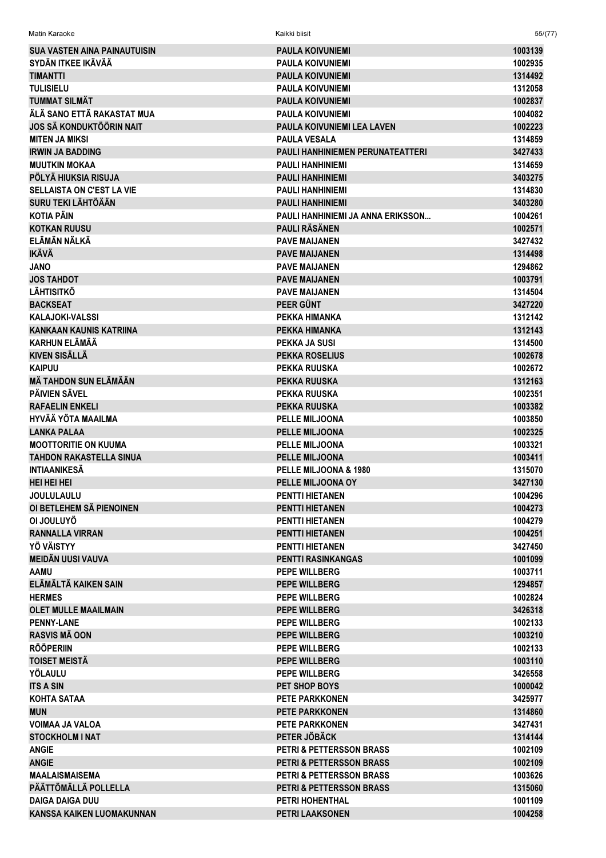| Matin Karaoke                       | Kaikki biisit                           | 55/(77) |
|-------------------------------------|-----------------------------------------|---------|
| <b>SUA VASTEN AINA PAINAUTUISIN</b> | <b>PAULA KOIVUNIEMI</b>                 | 1003139 |
| SYDÄN ITKEE IKÄVÄÄ                  | <b>PAULA KOIVUNIEMI</b>                 | 1002935 |
| <b>TIMANTTI</b>                     | <b>PAULA KOIVUNIEMI</b>                 | 1314492 |
| <b>TULISIELU</b>                    | <b>PAULA KOIVUNIEMI</b>                 | 1312058 |
| TUMMAT SILMÄT                       | <b>PAULA KOIVUNIEMI</b>                 | 1002837 |
| ÄLÄ SANO ETTÄ RAKASTAT MUA          | <b>PAULA KOIVUNIEMI</b>                 | 1004082 |
| <b>JOS SÄ KONDUKTÖÖRIN NAIT</b>     | <b>PAULA KOIVUNIEMI LEA LAVEN</b>       | 1002223 |
| <b>MITEN JA MIKSI</b>               | <b>PAULA VESALA</b>                     | 1314859 |
| <b>IRWIN JA BADDING</b>             | <b>PAULI HANHINIEMEN PERUNATEATTERI</b> | 3427433 |
| <b>MUUTKIN MOKAA</b>                | <b>PAULI HANHINIEMI</b>                 | 1314659 |
| PÖLYÄ HIUKSIA RISUJA                | <b>PAULI HANHINIEMI</b>                 | 3403275 |
| SELLAISTA ON C'EST LA VIE           | <b>PAULI HANHINIEMI</b>                 | 1314830 |
| <b>SURU TEKI LÄHTÖÄÄN</b>           | <b>PAULI HANHINIEMI</b>                 | 3403280 |
| <b>KOTIA PÄIN</b>                   | PAULI HANHINIEMI JA ANNA ERIKSSON       | 1004261 |
| <b>KOTKAN RUUSU</b>                 | <b>PAULI RÄSÄNEN</b>                    | 1002571 |
| ELÄMÄN NÄLKÄ                        | <b>PAVE MAIJANEN</b>                    | 3427432 |
| <b>IKÄVÄ</b>                        | <b>PAVE MAIJANEN</b>                    | 1314498 |
| <b>JANO</b>                         | <b>PAVE MAIJANEN</b>                    | 1294862 |
| <b>JOS TAHDOT</b>                   | <b>PAVE MAIJANEN</b>                    | 1003791 |
| <b>LÄHTISITKÖ</b>                   | <b>PAVE MAIJANEN</b>                    | 1314504 |
| <b>BACKSEAT</b>                     | <b>PEER GÜNT</b>                        | 3427220 |
| <b>KALAJOKI-VALSSI</b>              | PEKKA HIMANKA                           | 1312142 |
| <b>KANKAAN KAUNIS KATRIINA</b>      | PEKKA HIMANKA                           | 1312143 |
| <b>KARHUN ELÄMÄÄ</b>                | PEKKA JA SUSI                           | 1314500 |
| <b>KIVEN SISÄLLÄ</b>                | <b>PEKKA ROSELIUS</b>                   | 1002678 |
| <b>KAIPUU</b>                       | <b>PEKKA RUUSKA</b>                     | 1002672 |
| MÀ TAHDON SUN ELÄMÄÄN               | <b>PEKKA RUUSKA</b>                     | 1312163 |
| <b>PÄIVIEN SÄVEL</b>                | <b>PEKKA RUUSKA</b>                     | 1002351 |
| <b>RAFAELIN ENKELI</b>              | <b>PEKKA RUUSKA</b>                     | 1003382 |
| <b>HYVÄÄ YÖTA MAAILMA</b>           | <b>PELLE MILJOONA</b>                   | 1003850 |
| <b>LANKA PALAA</b>                  | PELLE MILJOONA                          | 1002325 |
| <b>MOOTTORITIE ON KUUMA</b>         | <b>PELLE MILJOONA</b>                   | 1003321 |
| <b>TAHDON RAKASTELLA SINUA</b>      | <b>PELLE MILJOONA</b>                   | 1003411 |
| <b>INTIAANIKESÄ</b>                 | PELLE MILJOONA & 1980                   | 1315070 |
| <b>HEI HEI HEI</b>                  | PELLE MILJOONA OY                       | 3427130 |
| <b>JOULULAULU</b>                   | <b>PENTTI HIETANEN</b>                  | 1004296 |
| OI BETLEHEM SÄ PIENOINEN            | <b>PENTTI HIETANEN</b>                  | 1004273 |
| OI JOULUYÖ                          | <b>PENTTI HIETANEN</b>                  | 1004279 |
| <b>RANNALLA VIRRAN</b>              | <b>PENTTI HIETANEN</b>                  | 1004251 |
| <b>YÖ VÄISTYY</b>                   | <b>PENTTI HIETANEN</b>                  | 3427450 |
| <b>MEIDÄN UUSI VAUVA</b>            | <b>PENTTI RASINKANGAS</b>               | 1001099 |
| <b>AAMU</b>                         | <b>PEPE WILLBERG</b>                    | 1003711 |
| ELÄMÄLTÄ KAIKEN SAIN                | <b>PEPE WILLBERG</b>                    | 1294857 |
| <b>HERMES</b>                       | <b>PEPE WILLBERG</b>                    | 1002824 |
| <b>OLET MULLE MAAILMAIN</b>         | <b>PEPE WILLBERG</b>                    | 3426318 |
| <b>PENNY-LANE</b>                   | <b>PEPE WILLBERG</b>                    | 1002133 |
| <b>RASVIS MÄ OON</b>                | <b>PEPE WILLBERG</b>                    | 1003210 |
| <b>RÖÖPERIIN</b>                    | PEPE WILLBERG                           | 1002133 |
| <b>TOISET MEISTÄ</b>                | <b>PEPE WILLBERG</b>                    | 1003110 |
| YÖLAULU                             | <b>PEPE WILLBERG</b>                    | 3426558 |
| <b>ITS A SIN</b>                    | PET SHOP BOYS                           | 1000042 |
| <b>KOHTA SATAA</b>                  | <b>PETE PARKKONEN</b>                   | 3425977 |
| <b>MUN</b>                          | <b>PETE PARKKONEN</b>                   | 1314860 |
| <b>VOIMAA JA VALOA</b>              | <b>PETE PARKKONEN</b>                   | 3427431 |
| <b>STOCKHOLM I NAT</b>              | PETER JÖBÄCK                            | 1314144 |
| <b>ANGIE</b>                        | <b>PETRI &amp; PETTERSSON BRASS</b>     | 1002109 |
| <b>ANGIE</b>                        | <b>PETRI &amp; PETTERSSON BRASS</b>     | 1002109 |
| MAALAISMAISEMA                      | <b>PETRI &amp; PETTERSSON BRASS</b>     | 1003626 |
| PÄÄTTÖMÄLLÄ POLLELLA                | <b>PETRI &amp; PETTERSSON BRASS</b>     | 1315060 |
| <b>DAIGA DAIGA DUU</b>              | PETRI HOHENTHAL                         | 1001109 |
| <b>KANSSA KAIKEN LUOMAKUNNAN</b>    | PETRI LAAKSONEN                         | 1004258 |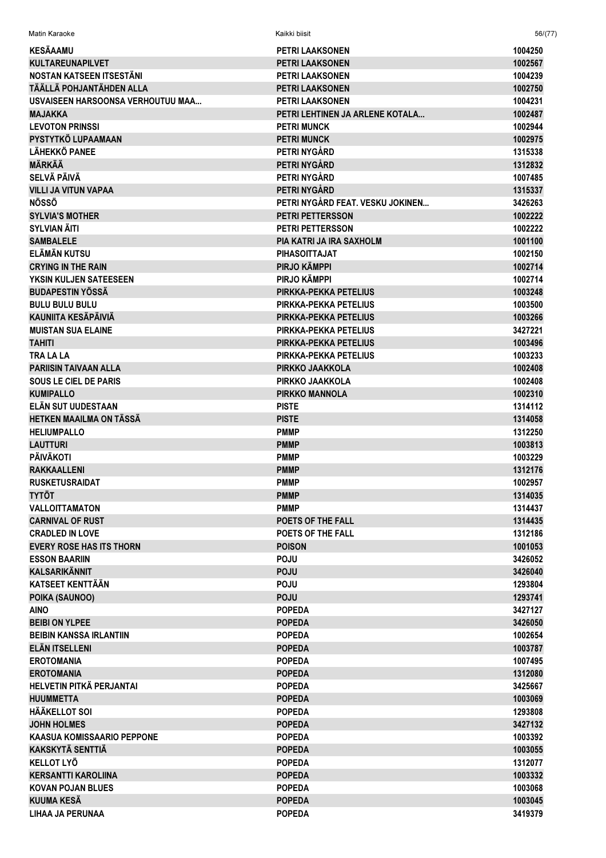| Matin Karaoke                     | Kaikki biisit                    | 56/(77) |
|-----------------------------------|----------------------------------|---------|
| <b>KESÄAAMU</b>                   | PETRI LAAKSONEN                  | 1004250 |
| <b>KULTAREUNAPILVET</b>           | <b>PETRI LAAKSONEN</b>           | 1002567 |
| NOSTAN KATSEEN ITSESTÄNI          | <b>PETRI LAAKSONEN</b>           | 1004239 |
| TÄÄLLÄ POHJANTÄHDEN ALLA          | <b>PETRI LAAKSONEN</b>           | 1002750 |
| USVAISEEN HARSOONSA VERHOUTUU MAA | <b>PETRI LAAKSONEN</b>           | 1004231 |
| <b>MAJAKKA</b>                    | PETRI LEHTINEN JA ARLENE KOTALA  | 1002487 |
| <b>LEVOTON PRINSSI</b>            | <b>PETRI MUNCK</b>               | 1002944 |
| PYSTYTKÖ LUPAAMAAN                | <b>PETRI MUNCK</b>               | 1002975 |
| <b>LÄHEKKÖ PANEE</b>              | PETRI NYGÅRD                     | 1315338 |
| <b>MÄRKÄÄ</b>                     | PETRI NYGÅRD                     | 1312832 |
| <b>SELVÄ PÄIVÄ</b>                | PETRI NYGÅRD                     | 1007485 |
| <b>VILLI JA VITUN VAPAA</b>       | PETRI NYGÅRD                     | 1315337 |
| <b>NÖSSÖ</b>                      | PETRI NYGÅRD FEAT. VESKU JOKINEN | 3426263 |
| <b>SYLVIA'S MOTHER</b>            | PETRI PETTERSSON                 | 1002222 |
| <b>SYLVIAN ÄITI</b>               | <b>PETRI PETTERSSON</b>          | 1002222 |
| <b>SAMBALELE</b>                  | PIA KATRI JA IRA SAXHOLM         | 1001100 |
| ELÄMÄN KUTSU                      | <b>PIHASOITTAJAT</b>             | 1002150 |
| <b>CRYING IN THE RAIN</b>         | PIRJO KÄMPPI                     | 1002714 |
| YKSIN KULJEN SATEESEEN            | PIRJO KÄMPPI                     | 1002714 |
| <b>BUDAPESTIN YÖSSÄ</b>           | PIRKKA-PEKKA PETELIUS            | 1003248 |
| <b>BULU BULU BULU</b>             | PIRKKA-PEKKA PETELIUS            | 1003500 |
| KAUNIITA KESÄPÄIVIÄ               | PIRKKA-PEKKA PETELIUS            | 1003266 |
| <b>MUISTAN SUA ELAINE</b>         | PIRKKA-PEKKA PETELIUS            | 3427221 |
| <b>TAHITI</b>                     | PIRKKA-PEKKA PETELIUS            | 1003496 |
| TRA LA LA                         | PIRKKA-PEKKA PETELIUS            | 1003233 |
| <b>PARIISIN TAIVAAN ALLA</b>      | PIRKKO JAAKKOLA                  | 1002408 |
| <b>SOUS LE CIEL DE PARIS</b>      | PIRKKO JAAKKOLA                  | 1002408 |
| <b>KUMIPALLO</b>                  | <b>PIRKKO MANNOLA</b>            | 1002310 |
| ELÄN SUT UUDESTAAN                | <b>PISTE</b>                     | 1314112 |
| HETKEN MAAILMA ON TÄSSÄ           | <b>PISTE</b>                     | 1314058 |
| <b>HELIUMPALLO</b>                | <b>PMMP</b>                      | 1312250 |
| <b>LAUTTURI</b>                   | <b>PMMP</b>                      | 1003813 |
| <b>PÄIVÄKOTI</b>                  | <b>PMMP</b>                      | 1003229 |
| <b>RAKKAALLENI</b>                | <b>PMMP</b>                      | 1312176 |
| <b>RUSKETUSRAIDAT</b>             | <b>PMMP</b>                      | 1002957 |
| <b>TYTÖT</b>                      | <b>PMMP</b>                      | 1314035 |
| <b>VALLOITTAMATON</b>             | <b>PMMP</b>                      | 1314437 |
| <b>CARNIVAL OF RUST</b>           | POETS OF THE FALL                | 1314435 |
| <b>CRADLED IN LOVE</b>            | <b>POETS OF THE FALL</b>         | 1312186 |
| <b>EVERY ROSE HAS ITS THORN</b>   | <b>POISON</b>                    | 1001053 |
| <b>ESSON BAARIIN</b>              | <b>POJU</b>                      | 3426052 |
| <b>KALSARIKÄNNIT</b>              | <b>POJU</b>                      | 3426040 |
| <b>KATSEET KENTTÄÄN</b>           | <b>POJU</b>                      | 1293804 |
| POIKA (SAUNOO)                    | <b>POJU</b>                      | 1293741 |
| <b>AINO</b>                       | <b>POPEDA</b>                    | 3427127 |
| <b>BEIBI ON YLPEE</b>             | <b>POPEDA</b>                    | 3426050 |
| <b>BEIBIN KANSSA IRLANTIIN</b>    | <b>POPEDA</b>                    | 1002654 |
| <b>ELÄN ITSELLENI</b>             | <b>POPEDA</b>                    | 1003787 |
| <b>EROTOMANIA</b>                 | <b>POPEDA</b>                    | 1007495 |
| <b>EROTOMANIA</b>                 | <b>POPEDA</b>                    | 1312080 |
| HELVETIN PITKÄ PERJANTAI          | <b>POPEDA</b>                    | 3425667 |
| <b>HUUMMETTA</b>                  | <b>POPEDA</b>                    | 1003069 |
| <b>HÄÄKELLOT SOI</b>              | <b>POPEDA</b>                    | 1293808 |
| <b>JOHN HOLMES</b>                | <b>POPEDA</b>                    | 3427132 |
| <b>KAASUA KOMISSAARIO PEPPONE</b> | <b>POPEDA</b>                    | 1003392 |
| <b>KAKSKYTÄ SENTTIÄ</b>           | <b>POPEDA</b>                    | 1003055 |
| <b>KELLOT LYÖ</b>                 | <b>POPEDA</b>                    | 1312077 |
| <b>KERSANTTI KAROLIINA</b>        | <b>POPEDA</b>                    | 1003332 |
| <b>KOVAN POJAN BLUES</b>          | <b>POPEDA</b>                    | 1003068 |
| KUUMA KESÄ                        | <b>POPEDA</b>                    | 1003045 |
| LIHAA JA PERUNAA                  | <b>POPEDA</b>                    | 3419379 |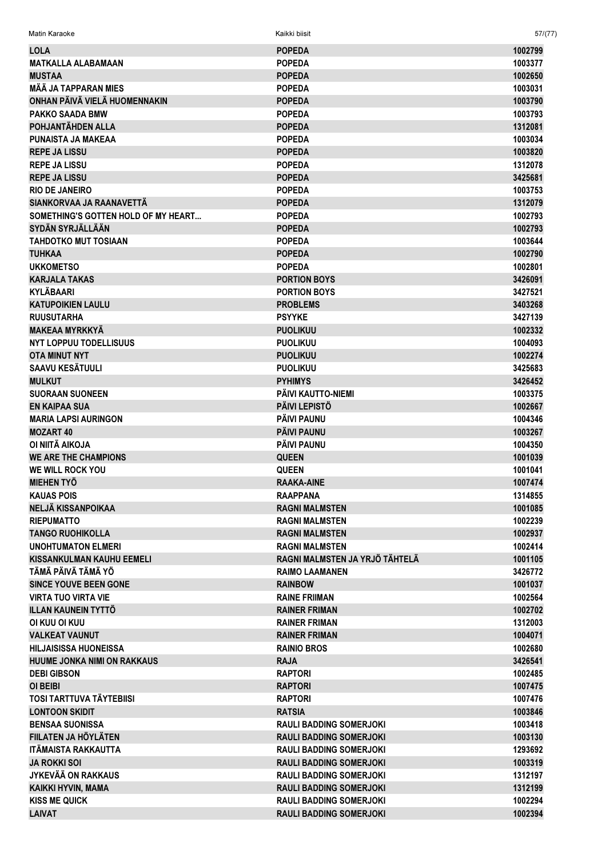| <b>LOLA</b>                                                   | <b>POPEDA</b>                  | 1002799            |
|---------------------------------------------------------------|--------------------------------|--------------------|
| <b>MATKALLA ALABAMAAN</b>                                     | <b>POPEDA</b>                  | 1003377            |
| <b>MUSTAA</b>                                                 | <b>POPEDA</b>                  | 1002650            |
| <b>MÄÄ JA TAPPARAN MIES</b>                                   | <b>POPEDA</b>                  | 1003031            |
| ONHAN PÄIVÄ VIELÄ HUOMENNAKIN                                 | <b>POPEDA</b>                  | 1003790            |
| <b>PAKKO SAADA BMW</b>                                        | <b>POPEDA</b>                  | 1003793            |
| POHJANTÄHDEN ALLA                                             | <b>POPEDA</b>                  | 1312081            |
| PUNAISTA JA MAKEAA                                            | <b>POPEDA</b>                  | 1003034            |
| <b>REPE JA LISSU</b>                                          | <b>POPEDA</b>                  | 1003820            |
| <b>REPE JA LISSU</b>                                          | <b>POPEDA</b>                  | 1312078            |
| <b>REPE JA LISSU</b>                                          | <b>POPEDA</b>                  | 3425681            |
| <b>RIO DE JANEIRO</b>                                         | <b>POPEDA</b>                  | 1003753            |
| SIANKORVAA JA RAANAVETTÄ                                      | <b>POPEDA</b>                  | 1312079            |
| SOMETHING'S GOTTEN HOLD OF MY HEART                           | <b>POPEDA</b>                  | 1002793            |
| <b>SYDÄN SYRJÄLLÄÄN</b>                                       | <b>POPEDA</b>                  | 1002793            |
| <b>TAHDOTKO MUT TOSIAAN</b>                                   | <b>POPEDA</b>                  | 1003644            |
| <b>TUHKAA</b>                                                 | <b>POPEDA</b>                  | 1002790            |
| <b>UKKOMETSO</b>                                              | <b>POPEDA</b>                  | 1002801            |
| <b>KARJALA TAKAS</b>                                          | <b>PORTION BOYS</b>            | 3426091            |
| <b>KYLÄBAARI</b>                                              | <b>PORTION BOYS</b>            | 3427521            |
| <b>KATUPOIKIEN LAULU</b>                                      | <b>PROBLEMS</b>                | 3403268            |
| <b>RUUSUTARHA</b>                                             | <b>PSYYKE</b>                  | 3427139            |
| <b>MAKEAA MYRKKYÄ</b>                                         | <b>PUOLIKUU</b>                | 1002332            |
| <b>NYT LOPPUU TODELLISUUS</b>                                 | <b>PUOLIKUU</b>                | 1004093            |
| <b>OTA MINUT NYT</b>                                          | <b>PUOLIKUU</b>                | 1002274            |
| <b>SAAVU KESÄTUULI</b>                                        | <b>PUOLIKUU</b>                | 3425683            |
| <b>MULKUT</b>                                                 | <b>PYHIMYS</b>                 | 3426452            |
| <b>SUORAAN SUONEEN</b>                                        | PÄIVI KAUTTO-NIEMI             | 1003375            |
| <b>EN KAIPAA SUA</b>                                          | <b>PÄIVI LEPISTÖ</b>           | 1002667            |
| <b>MARIA LAPSI AURINGON</b>                                   | PÄIVI PAUNU                    | 1004346            |
| <b>MOZART 40</b>                                              | <b>PÄIVI PAUNU</b>             | 1003267            |
| OI NIITÄ AIKOJA                                               | <b>PÄIVI PAUNU</b>             | 1004350            |
| <b>WE ARE THE CHAMPIONS</b>                                   | <b>QUEEN</b>                   | 1001039            |
| WE WILL ROCK YOU                                              | <b>QUEEN</b>                   | 1001041            |
| <b>MIEHEN TYÖ</b>                                             | <b>RAAKA-AINE</b>              | 1007474            |
| <b>KAUAS POIS</b>                                             | <b>RAAPPANA</b>                | 1314855            |
|                                                               |                                |                    |
| NELJÄ KISSANPOIKAA<br><b>RIEPUMATTO</b>                       | <b>RAGNI MALMSTEN</b>          | 1001085            |
|                                                               | <b>RAGNI MALMSTEN</b>          | 1002239            |
| <b>TANGO RUOHIKOLLA</b>                                       | <b>RAGNI MALMSTEN</b>          | 1002937<br>1002414 |
| <b>UNOHTUMATON ELMERI</b><br><b>KISSANKULMAN KAUHU EEMELI</b> | <b>RAGNI MALMSTEN</b>          |                    |
| TÄMÄ PÄIVÄ TÄMÄ YÖ                                            | RAGNI MALMSTEN JA YRJÖ TÄHTELÄ | 1001105            |
|                                                               | <b>RAIMO LAAMANEN</b>          | 3426772            |
| <b>SINCE YOUVE BEEN GONE</b>                                  | <b>RAINBOW</b>                 | 1001037            |
| <b>VIRTA TUO VIRTA VIE</b>                                    | <b>RAINE FRIIMAN</b>           | 1002564            |
| <b>ILLAN KAUNEIN TYTTÖ</b>                                    | <b>RAINER FRIMAN</b>           | 1002702            |
| OI KUU OI KUU                                                 | <b>RAINER FRIMAN</b>           | 1312003            |
| <b>VALKEAT VAUNUT</b>                                         | <b>RAINER FRIMAN</b>           | 1004071            |
| <b>HILJAISISSA HUONEISSA</b>                                  | <b>RAINIO BROS</b>             | 1002680            |
| <b>HUUME JONKA NIMI ON RAKKAUS</b>                            | <b>RAJA</b>                    | 3426541            |
| <b>DEBI GIBSON</b>                                            | <b>RAPTORI</b>                 | 1002485            |
| <b>OI BEIBI</b>                                               | <b>RAPTORI</b>                 | 1007475            |
| <b>TOSI TARTTUVA TÄYTEBIISI</b>                               | <b>RAPTORI</b>                 | 1007476            |
| <b>LONTOON SKIDIT</b>                                         | <b>RATSIA</b>                  | 1003846            |
| <b>BENSAA SUONISSA</b>                                        | <b>RAULI BADDING SOMERJOKI</b> | 1003418            |
| FIILATEN JA HÖYLÄTEN                                          | <b>RAULI BADDING SOMERJOKI</b> | 1003130            |
| ITÄMAISTA RAKKAUTTA                                           | <b>RAULI BADDING SOMERJOKI</b> | 1293692            |
| <b>JA ROKKI SOI</b>                                           | <b>RAULI BADDING SOMERJOKI</b> | 1003319            |
| JYKEVÄÄ ON RAKKAUS                                            | <b>RAULI BADDING SOMERJOKI</b> | 1312197            |
| KAIKKI HYVIN, MAMA                                            | <b>RAULI BADDING SOMERJOKI</b> | 1312199            |
| <b>KISS ME QUICK</b>                                          | <b>RAULI BADDING SOMERJOKI</b> | 1002294            |
| <b>LAIVAT</b>                                                 | <b>RAULI BADDING SOMERJOKI</b> | 1002394            |

 $57/(77)$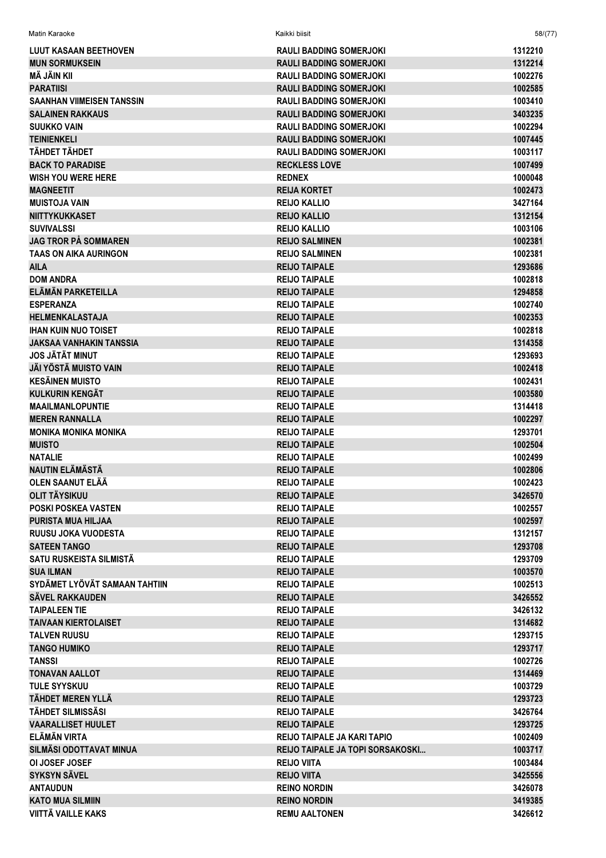| LUUT KASAAN BEETHOVEN                  | <b>RAULI BADDING SOMERJOKI</b>     | 1312210            |
|----------------------------------------|------------------------------------|--------------------|
| <b>MUN SORMUKSEIN</b>                  | RAULI BADDING SOMERJOKI            | 1312214            |
| MÄ JÄIN KII                            | <b>RAULI BADDING SOMERJOKI</b>     | 1002276            |
| <b>PARATIISI</b>                       | <b>RAULI BADDING SOMERJOKI</b>     | 1002585            |
| SAANHAN VIIMEISEN TANSSIN              | <b>RAULI BADDING SOMERJOKI</b>     | 1003410            |
| <b>SALAINEN RAKKAUS</b>                | <b>RAULI BADDING SOMERJOKI</b>     | 3403235            |
| <b>SUUKKO VAIN</b>                     | <b>RAULI BADDING SOMERJOKI</b>     | 1002294            |
| <b>TEINIENKELI</b>                     | <b>RAULI BADDING SOMERJOKI</b>     | 1007445            |
| TÄHDET TÄHDET                          | <b>RAULI BADDING SOMERJOKI</b>     | 1003117            |
| <b>BACK TO PARADISE</b>                | <b>RECKLESS LOVE</b>               | 1007499            |
| WISH YOU WERE HERE                     | <b>REDNEX</b>                      | 1000048            |
| <b>MAGNEETIT</b>                       | <b>REIJA KORTET</b>                | 1002473            |
| <b>MUISTOJA VAIN</b>                   | <b>REIJO KALLIO</b>                | 3427164            |
| NIITTYKUKKASET                         | <b>REIJO KALLIO</b>                | 1312154            |
| <b>SUVIVALSSI</b>                      | <b>REIJO KALLIO</b>                | 1003106            |
| JAG TROR PÅ SOMMAREN                   | <b>REIJO SALMINEN</b>              | 1002381            |
| TAAS ON AIKA AURINGON                  | <b>REIJO SALMINEN</b>              | 1002381            |
| AILA                                   | <b>REIJO TAIPALE</b>               | 1293686            |
| <b>DOM ANDRA</b>                       | <b>REIJO TAIPALE</b>               | 1002818            |
| ELÄMÄN PARKETEILLA                     | <b>REIJO TAIPALE</b>               | 1294858            |
| <b>ESPERANZA</b>                       | <b>REIJO TAIPALE</b>               | 1002740            |
| HELMENKALASTAJA                        | <b>REIJO TAIPALE</b>               | 1002353            |
| IHAN KUIN NUO TOISET                   | <b>REIJO TAIPALE</b>               |                    |
|                                        |                                    | 1002818            |
| JAKSAA VANHAKIN TANSSIA                | <b>REIJO TAIPALE</b>               | 1314358            |
| JOS JÄTÄT MINUT                        | <b>REIJO TAIPALE</b>               | 1293693            |
| JÄI YÖSTÄ MUISTO VAIN                  | <b>REIJO TAIPALE</b>               | 1002418            |
| KESÄINEN MUISTO                        | <b>REIJO TAIPALE</b>               | 1002431            |
| KULKURIN KENGÄT                        | <b>REIJO TAIPALE</b>               | 1003580            |
| <b>MAAILMANLOPUNTIE</b>                | <b>REIJO TAIPALE</b>               | 1314418            |
| <b>MEREN RANNALLA</b>                  | <b>REIJO TAIPALE</b>               | 1002297            |
| <b>MONIKA MONIKA MONIKA</b>            | <b>REIJO TAIPALE</b>               | 1293701            |
| <b>MUISTO</b>                          | <b>REIJO TAIPALE</b>               | 1002504            |
| <b>NATALIE</b>                         | <b>REIJO TAIPALE</b>               | 1002499            |
| NAUTIN ELÄMÄSTÄ                        | <b>REIJO TAIPALE</b>               | 1002806            |
| OLEN SAANUT ELÄÄ                       | <b>REIJO TAIPALE</b>               | 1002423            |
| OLIT TÄYSIKUU                          | <b>REIJO TAIPALE</b>               | 3426570            |
| POSKI POSKEA VASTEN                    | <b>REIJO TAIPALE</b>               | 1002557            |
| PURISTA MUA HILJAA                     | <b>REIJO TAIPALE</b>               | 1002597            |
| RUUSU JOKA VUODESTA                    | <b>REIJO TAIPALE</b>               | 1312157            |
| <b>SATEEN TANGO</b>                    | <b>REIJO TAIPALE</b>               | 1293708            |
| SATU RUSKEISTA SILMISTÄ                | <b>REIJO TAIPALE</b>               | 1293709            |
| <b>SUA ILMAN</b>                       | <b>REIJO TAIPALE</b>               | 1003570            |
| SYDÄMET LYÖVÄT SAMAAN TAHTIIN          | <b>REIJO TAIPALE</b>               | 1002513            |
| SÄVEL RAKKAUDEN                        | <b>REIJO TAIPALE</b>               | 3426552            |
| <b>TAIPALEEN TIE</b>                   | <b>REIJO TAIPALE</b>               | 3426132            |
| TAIVAAN KIERTOLAISET                   | <b>REIJO TAIPALE</b>               | 1314682            |
| <b>TALVEN RUUSU</b>                    | <b>REIJO TAIPALE</b>               | 1293715            |
| <b>TANGO HUMIKO</b>                    | <b>REIJO TAIPALE</b>               | 1293717            |
| <b>TANSSI</b>                          | <b>REIJO TAIPALE</b>               | 1002726            |
| <b>TONAVAN AALLOT</b>                  | <b>REIJO TAIPALE</b>               | 1314469            |
| <b>TULE SYYSKUU</b>                    | <b>REIJO TAIPALE</b>               | 1003729            |
| TÄHDET MEREN YLLÄ                      | <b>REIJO TAIPALE</b>               | 1293723            |
| TÄHDET SILMISSÄSI                      | <b>REIJO TAIPALE</b>               | 3426764            |
| VAARALLISET HUULET                     | <b>REIJO TAIPALE</b>               | 1293725            |
| ELÄMÄN VIRTA                           | <b>REIJO TAIPALE JA KARI TAPIO</b> | 1002409            |
| SILMÄSI ODOTTAVAT MINUA                | REIJO TAIPALE JA TOPI SORSAKOSKI   | 1003717            |
| <b>OI JOSEF JOSEF</b>                  | <b>REIJO VIITA</b>                 | 1003484            |
| SYKSYN SÄVEL                           | <b>REIJO VIITA</b>                 | 3425556            |
| ANTAUDUN                               | <b>REINO NORDIN</b>                | 3426078            |
|                                        |                                    |                    |
| KATO MUA SILMIIN<br>VIITTÄ VAILLE KAKS | <b>REINO NORDIN</b>                | 3419385<br>3426612 |
|                                        | <b>REMU AALTONEN</b>               |                    |

 $58/(77)$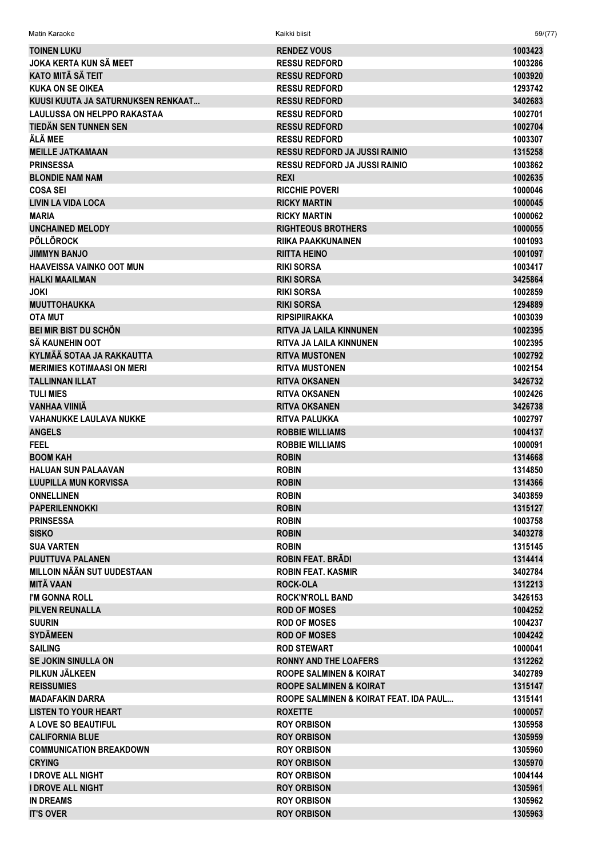| Matin Karaoke                      | Kaikki biisit                          | 59/(77) |
|------------------------------------|----------------------------------------|---------|
| <b>TOINEN LUKU</b>                 | <b>RENDEZ VOUS</b>                     | 1003423 |
| JOKA KERTA KUN SÄ MEET             | <b>RESSU REDFORD</b>                   | 1003286 |
| <b>KATO MITÄ SÄ TEIT</b>           | <b>RESSU REDFORD</b>                   | 1003920 |
| <b>KUKA ON SE OIKEA</b>            | <b>RESSU REDFORD</b>                   | 1293742 |
| KUUSI KUUTA JA SATURNUKSEN RENKAAT | <b>RESSU REDFORD</b>                   | 3402683 |
| <b>LAULUSSA ON HELPPO RAKASTAA</b> | <b>RESSU REDFORD</b>                   | 1002701 |
| TIEDÄN SEN TUNNEN SEN              | <b>RESSU REDFORD</b>                   | 1002704 |
| ÄLÄ MEE                            | <b>RESSU REDFORD</b>                   | 1003307 |
| <b>MEILLE JATKAMAAN</b>            | <b>RESSU REDFORD JA JUSSI RAINIO</b>   | 1315258 |
| <b>PRINSESSA</b>                   | <b>RESSU REDFORD JA JUSSI RAINIO</b>   | 1003862 |
| <b>BLONDIE NAM NAM</b>             | <b>REXI</b>                            | 1002635 |
| <b>COSA SEI</b>                    | <b>RICCHIE POVERI</b>                  | 1000046 |
| <b>LIVIN LA VIDA LOCA</b>          | <b>RICKY MARTIN</b>                    | 1000045 |
| <b>MARIA</b>                       | <b>RICKY MARTIN</b>                    | 1000062 |
| <b>UNCHAINED MELODY</b>            | <b>RIGHTEOUS BROTHERS</b>              | 1000055 |
| <b>PÖLLÖROCK</b>                   | <b>RIIKA PAAKKUNAINEN</b>              | 1001093 |
| <b>JIMMYN BANJO</b>                | <b>RIITTA HEINO</b>                    | 1001097 |
| <b>HAAVEISSA VAINKO OOT MUN</b>    | <b>RIKI SORSA</b>                      | 1003417 |
| <b>HALKI MAAILMAN</b>              | <b>RIKI SORSA</b>                      | 3425864 |
| <b>JOKI</b>                        | <b>RIKI SORSA</b>                      | 1002859 |
| <b>MUUTTOHAUKKA</b>                | <b>RIKI SORSA</b>                      | 1294889 |
| <b>OTA MUT</b>                     | <b>RIPSIPIIRAKKA</b>                   | 1003039 |
| <b>BEI MIR BIST DU SCHÖN</b>       | <b>RITVA JA LAILA KINNUNEN</b>         | 1002395 |
| SÄ KAUNEHIN OOT                    | RITVA JA LAILA KINNUNEN                | 1002395 |
| KYLMÄÄ SOTAA JA RAKKAUTTA          | <b>RITVA MUSTONEN</b>                  | 1002792 |
| <b>MERIMIES KOTIMAASI ON MERI</b>  | <b>RITVA MUSTONEN</b>                  | 1002154 |
| <b>TALLINNAN ILLAT</b>             | <b>RITVA OKSANEN</b>                   | 3426732 |
| <b>TULI MIES</b>                   | <b>RITVA OKSANEN</b>                   | 1002426 |
| VANHAA VIINIÄ                      | <b>RITVA OKSANEN</b>                   | 3426738 |
| <b>VAHANUKKE LAULAVA NUKKE</b>     | <b>RITVA PALUKKA</b>                   | 1002797 |
| <b>ANGELS</b>                      | <b>ROBBIE WILLIAMS</b>                 | 1004137 |
| FEEL                               | <b>ROBBIE WILLIAMS</b>                 | 1000091 |
| <b>BOOM KAH</b>                    | <b>ROBIN</b>                           | 1314668 |
| <b>HALUAN SUN PALAAVAN</b>         | <b>ROBIN</b>                           | 1314850 |
| <b>LUUPILLA MUN KORVISSA</b>       | <b>ROBIN</b>                           | 1314366 |
| <b>ONNELLINEN</b>                  | <b>ROBIN</b>                           | 3403859 |
| <b>PAPERILENNOKKI</b>              | <b>ROBIN</b>                           | 1315127 |
| <b>PRINSESSA</b>                   | <b>ROBIN</b>                           | 1003758 |
| <b>SISKO</b>                       | <b>ROBIN</b>                           | 3403278 |
| <b>SUA VARTEN</b>                  | <b>ROBIN</b>                           | 1315145 |
| <b>PUUTTUVA PALANEN</b>            | ROBIN FEAT, BRADI                      | 1314414 |
| <b>MILLOIN NÄÄN SUT UUDESTAAN</b>  | <b>ROBIN FEAT, KASMIR</b>              | 3402784 |
| <b>MITÄ VAAN</b>                   | <b>ROCK-OLA</b>                        | 1312213 |
| I'M GONNA ROLL                     | <b>ROCK'N'ROLL BAND</b>                | 3426153 |
| <b>PILVEN REUNALLA</b>             | <b>ROD OF MOSES</b>                    | 1004252 |
| <b>SUURIN</b>                      | <b>ROD OF MOSES</b>                    | 1004237 |
| <b>SYDÄMEEN</b>                    | <b>ROD OF MOSES</b>                    | 1004242 |
| <b>SAILING</b>                     | <b>ROD STEWART</b>                     | 1000041 |
| <b>SE JOKIN SINULLA ON</b>         | <b>RONNY AND THE LOAFERS</b>           | 1312262 |
| PILKUN JÄLKEEN                     | <b>ROOPE SALMINEN &amp; KOIRAT</b>     | 3402789 |
| <b>REISSUMIES</b>                  | <b>ROOPE SALMINEN &amp; KOIRAT</b>     | 1315147 |
| <b>MADAFAKIN DARRA</b>             | ROOPE SALMINEN & KOIRAT FEAT. IDA PAUL | 1315141 |
| <b>LISTEN TO YOUR HEART</b>        | <b>ROXETTE</b>                         | 1000057 |
| A LOVE SO BEAUTIFUL                | <b>ROY ORBISON</b>                     | 1305958 |
| <b>CALIFORNIA BLUE</b>             | <b>ROY ORBISON</b>                     | 1305959 |
| <b>COMMUNICATION BREAKDOWN</b>     | <b>ROY ORBISON</b>                     | 1305960 |
| <b>CRYING</b>                      | <b>ROY ORBISON</b>                     | 1305970 |
| <b>I DROVE ALL NIGHT</b>           | <b>ROY ORBISON</b>                     | 1004144 |
| <b>I DROVE ALL NIGHT</b>           | <b>ROY ORBISON</b>                     | 1305961 |
| <b>IN DREAMS</b>                   | <b>ROY ORBISON</b>                     | 1305962 |
| <b>IT'S OVER</b>                   | <b>ROY ORBISON</b>                     | 1305963 |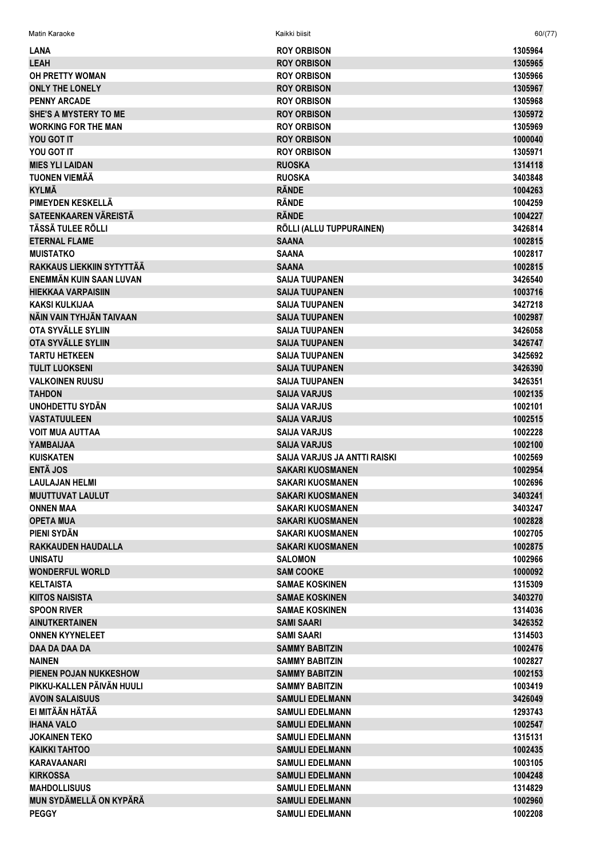|                                  | <b>ROY ORBISON</b>           | 1305964 |
|----------------------------------|------------------------------|---------|
| LANA                             |                              |         |
| <b>LEAH</b>                      | <b>ROY ORBISON</b>           | 1305965 |
| <b>OH PRETTY WOMAN</b>           | <b>ROY ORBISON</b>           | 1305966 |
| <b>ONLY THE LONELY</b>           | <b>ROY ORBISON</b>           | 1305967 |
| <b>PENNY ARCADE</b>              | <b>ROY ORBISON</b>           | 1305968 |
| <b>SHE'S A MYSTERY TO ME</b>     | <b>ROY ORBISON</b>           | 1305972 |
| <b>WORKING FOR THE MAN</b>       | <b>ROY ORBISON</b>           | 1305969 |
| YOU GOT IT                       | <b>ROY ORBISON</b>           | 1000040 |
| YOU GOT IT                       | <b>ROY ORBISON</b>           | 1305971 |
| <b>MIES YLI LAIDAN</b>           | <b>RUOSKA</b>                | 1314118 |
| <b>TUONEN VIEMÄÄ</b>             | <b>RUOSKA</b>                | 3403848 |
| <b>KYLMÄ</b>                     | <b>RÄNDE</b>                 | 1004263 |
| PIMEYDEN KESKELLÄ                | <b>RÄNDE</b>                 | 1004259 |
| SATEENKAAREN VÄREISTÄ            | <b>RÄNDE</b>                 | 1004227 |
| TÄSSÄ TULEE RÖLLI                | RÖLLI (ALLU TUPPURAINEN)     | 3426814 |
| <b>ETERNAL FLAME</b>             | <b>SAANA</b>                 | 1002815 |
| <b>MUISTATKO</b>                 | <b>SAANA</b>                 | 1002817 |
| <b>RAKKAUS LIEKKIIN SYTYTTÄÄ</b> | <b>SAANA</b>                 | 1002815 |
| ENEMMÄN KUIN SAAN LUVAN          | <b>SAIJA TUUPANEN</b>        | 3426540 |
| <b>HIEKKAA VARPAISIIN</b>        | <b>SAIJA TUUPANEN</b>        | 1003716 |
| <b>KAKSI KULKIJAA</b>            | <b>SAIJA TUUPANEN</b>        | 3427218 |
| NÄIN VAIN TYHJÄN TAIVAAN         | <b>SAIJA TUUPANEN</b>        | 1002987 |
| OTA SYVÄLLE SYLIIN               | <b>SAIJA TUUPANEN</b>        | 3426058 |
| OTA SYVÄLLE SYLIIN               | <b>SAIJA TUUPANEN</b>        | 3426747 |
| <b>TARTU HETKEEN</b>             | <b>SAIJA TUUPANEN</b>        | 3425692 |
| <b>TULIT LUOKSENI</b>            | <b>SAIJA TUUPANEN</b>        | 3426390 |
| <b>VALKOINEN RUUSU</b>           | <b>SAIJA TUUPANEN</b>        | 3426351 |
| <b>TAHDON</b>                    | <b>SAIJA VARJUS</b>          | 1002135 |
| <b>UNOHDETTU SYDÄN</b>           |                              |         |
|                                  | <b>SAIJA VARJUS</b>          | 1002101 |
| <b>VASTATUULEEN</b>              | <b>SAIJA VARJUS</b>          | 1002515 |
| <b>VOIT MUA AUTTAA</b>           | <b>SAIJA VARJUS</b>          | 1002228 |
| YAMBAIJAA                        | <b>SAIJA VARJUS</b>          | 1002100 |
| <b>KUISKATEN</b>                 | SAIJA VARJUS JA ANTTI RAISKI | 1002569 |
| <b>ENTÄ JOS</b>                  | <b>SAKARI KUOSMANEN</b>      | 1002954 |
| <b>LAULAJAN HELMI</b>            | <b>SAKARI KUOSMANEN</b>      | 1002696 |
| <b>MUUTTUVAT LAULUT</b>          | SAKARI KUOSMANEN             | 3403241 |
| <b>ONNEN MAA</b>                 | <b>SAKARI KUOSMANEN</b>      | 3403247 |
| <b>OPETA MUA</b>                 | <b>SAKARI KUOSMANEN</b>      | 1002828 |
| PIENI SYDÄN                      | <b>SAKARI KUOSMANEN</b>      | 1002705 |
| <b>RAKKAUDEN HAUDALLA</b>        | <b>SAKARI KUOSMANEN</b>      | 1002875 |
| <b>UNISATU</b>                   | <b>SALOMON</b>               | 1002966 |
| <b>WONDERFUL WORLD</b>           | <b>SAM COOKE</b>             | 1000092 |
| <b>KELTAISTA</b>                 | <b>SAMAE KOSKINEN</b>        | 1315309 |
| <b>KIITOS NAISISTA</b>           | <b>SAMAE KOSKINEN</b>        | 3403270 |
| <b>SPOON RIVER</b>               | <b>SAMAE KOSKINEN</b>        | 1314036 |
| <b>AINUTKERTAINEN</b>            | SAMI SAARI                   | 3426352 |
| <b>ONNEN KYYNELEET</b>           | <b>SAMI SAARI</b>            | 1314503 |
| DAA DA DAA DA                    | <b>SAMMY BABITZIN</b>        | 1002476 |
| <b>NAINEN</b>                    | <b>SAMMY BABITZIN</b>        | 1002827 |
| <b>PIENEN POJAN NUKKESHOW</b>    | <b>SAMMY BABITZIN</b>        | 1002153 |
| PIKKU-KALLEN PÄIVÄN HUULI        | <b>SAMMY BABITZIN</b>        | 1003419 |
|                                  |                              |         |
| <b>AVOIN SALAISUUS</b>           | <b>SAMULI EDELMANN</b>       | 3426049 |
| EI MITÄÄN HÄTÄÄ                  | <b>SAMULI EDELMANN</b>       | 1293743 |
| <b>IHANA VALO</b>                | <b>SAMULI EDELMANN</b>       | 1002547 |
| <b>JOKAINEN TEKO</b>             | <b>SAMULI EDELMANN</b>       | 1315131 |
| <b>KAIKKI TAHTOO</b>             | <b>SAMULI EDELMANN</b>       | 1002435 |
| KARAVAANARI                      | <b>SAMULI EDELMANN</b>       | 1003105 |
| <b>KIRKOSSA</b>                  | <b>SAMULI EDELMANN</b>       | 1004248 |
| <b>MAHDOLLISUUS</b>              | <b>SAMULI EDELMANN</b>       | 1314829 |
| <b>MUN SYDÄMELLÄ ON KYPÄRÄ</b>   | <b>SAMULI EDELMANN</b>       | 1002960 |
| <b>PEGGY</b>                     | <b>SAMULI EDELMANN</b>       | 1002208 |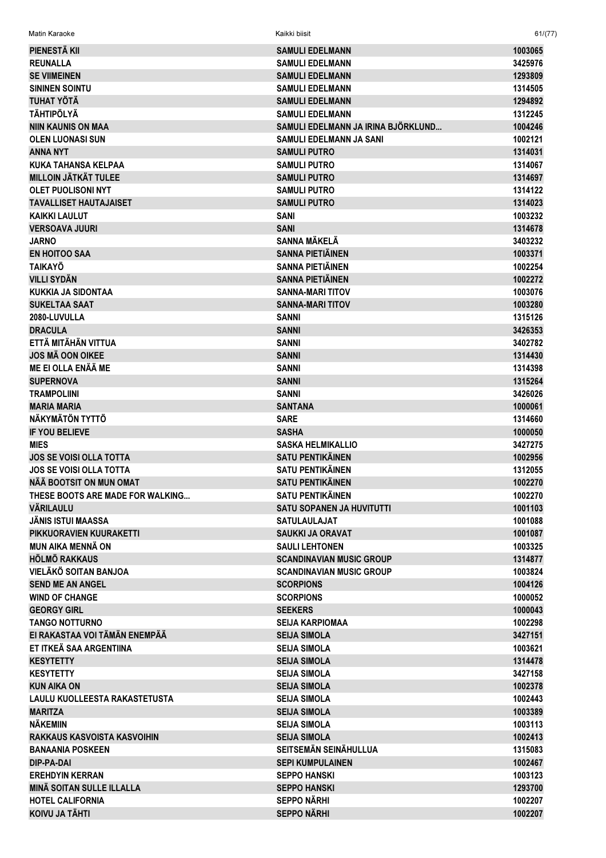| Matin Karaoke                    | Kaikki biisit                      | 61/(77) |
|----------------------------------|------------------------------------|---------|
| PIENESTÄ KII                     | <b>SAMULI EDELMANN</b>             | 1003065 |
| <b>REUNALLA</b>                  | <b>SAMULI EDELMANN</b>             | 3425976 |
| <b>SE VIIMEINEN</b>              | <b>SAMULI EDELMANN</b>             | 1293809 |
| <b>SININEN SOINTU</b>            | <b>SAMULI EDELMANN</b>             | 1314505 |
| <b>TUHAT YÖTÄ</b>                | <b>SAMULI EDELMANN</b>             | 1294892 |
| <b>TÄHTIPÖLYÄ</b>                | <b>SAMULI EDELMANN</b>             | 1312245 |
| <b>NIIN KAUNIS ON MAA</b>        | SAMULI EDELMANN JA IRINA BJÖRKLUND | 1004246 |
| <b>OLEN LUONASI SUN</b>          | SAMULI EDELMANN JA SANI            | 1002121 |
| <b>ANNA NYT</b>                  | <b>SAMULI PUTRO</b>                | 1314031 |
| <b>KUKA TAHANSA KELPAA</b>       | <b>SAMULI PUTRO</b>                | 1314067 |
| <b>MILLOIN JÄTKÄT TULEE</b>      | <b>SAMULI PUTRO</b>                | 1314697 |
| <b>OLET PUOLISONI NYT</b>        | <b>SAMULI PUTRO</b>                | 1314122 |
| <b>TAVALLISET HAUTAJAISET</b>    | <b>SAMULI PUTRO</b>                | 1314023 |
| <b>KAIKKI LAULUT</b>             | SANI                               | 1003232 |
| <b>VERSOAVA JUURI</b>            | <b>SANI</b>                        | 1314678 |
| <b>JARNO</b>                     | <b>SANNA MÄKELÄ</b>                | 3403232 |
| <b>EN HOITOO SAA</b>             | <b>SANNA PIETIÄINEN</b>            | 1003371 |
| <b>TAIKAYÖ</b>                   | <b>SANNA PIETIÄINEN</b>            | 1002254 |
| <b>VILLI SYDÄN</b>               | <b>SANNA PIETIÄINEN</b>            | 1002272 |
| KUKKIA JA SIDONTAA               | <b>SANNA-MARI TITOV</b>            | 1003076 |
| <b>SUKELTAA SAAT</b>             | <b>SANNA-MARI TITOV</b>            | 1003280 |
| 2080-LUVULLA                     | SANNI                              | 1315126 |
| <b>DRACULA</b>                   | <b>SANNI</b>                       | 3426353 |
| ETTÄ MITÄHÄN VITTUA              | <b>SANNI</b>                       | 3402782 |
| <b>JOS MÄ OON OIKEE</b>          | <b>SANNI</b>                       | 1314430 |
| ME EI OLLA ENÄÄ ME               | <b>SANNI</b>                       | 1314398 |
| <b>SUPERNOVA</b>                 | <b>SANNI</b>                       | 1315264 |
| <b>TRAMPOLIINI</b>               | <b>SANNI</b>                       | 3426026 |
| <b>MARIA MARIA</b>               | <b>SANTANA</b>                     | 1000061 |
| NÄKYMÄTÖN TYTTÖ                  | <b>SARE</b>                        | 1314660 |
| <b>IF YOU BELIEVE</b>            | <b>SASHA</b>                       | 1000050 |
| <b>MIES</b>                      | <b>SASKA HELMIKALLIO</b>           | 3427275 |
| <b>JOS SE VOISI OLLA TOTTA</b>   | <b>SATU PENTIKÄINEN</b>            | 1002956 |
| <b>JOS SE VOISI OLLA TOTTA</b>   | <b>SATU PENTIKÄINEN</b>            | 1312055 |
| NÄÄ BOOTSIT ON MUN OMAT          | <b>SATU PENTIKÄINEN</b>            | 1002270 |
| THESE BOOTS ARE MADE FOR WALKING | <b>SATU PENTIKÄINEN</b>            | 1002270 |
| <b>VÄRILAULU</b>                 | <b>SATU SOPANEN JA HUVITUTTI</b>   | 1001103 |
| <b>JÄNIS ISTUI MAASSA</b>        | <b>SATULAULAJAT</b>                | 1001088 |
| PIKKUORAVIEN KUURAKETTI          | <b>SAUKKI JA ORAVAT</b>            | 1001087 |
| <b>MUN AIKA MENNÄ ON</b>         | <b>SAULI LEHTONEN</b>              | 1003325 |
| <b>HÖLMÖ RAKKAUS</b>             | <b>SCANDINAVIAN MUSIC GROUP</b>    | 1314877 |
| VIELÄKÖ SOITAN BANJOA            | <b>SCANDINAVIAN MUSIC GROUP</b>    | 1003824 |
| <b>SEND ME AN ANGEL</b>          | <b>SCORPIONS</b>                   | 1004126 |
| <b>WIND OF CHANGE</b>            | <b>SCORPIONS</b>                   | 1000052 |
| <b>GEORGY GIRL</b>               | <b>SEEKERS</b>                     | 1000043 |
| <b>TANGO NOTTURNO</b>            | <b>SEIJA KARPIOMAA</b>             | 1002298 |
| EI RAKASTAA VOI TÄMÄN ENEMPÄÄ    | <b>SEIJA SIMOLA</b>                | 3427151 |
| ET ITKEÄ SAA ARGENTIINA          | <b>SEIJA SIMOLA</b>                | 1003621 |
| <b>KESYTETTY</b>                 | <b>SEIJA SIMOLA</b>                | 1314478 |
| <b>KESYTETTY</b>                 | <b>SEIJA SIMOLA</b>                | 3427158 |
| <b>KUN AIKA ON</b>               | <b>SEIJA SIMOLA</b>                | 1002378 |
| LAULU KUOLLEESTA RAKASTETUSTA    | <b>SEIJA SIMOLA</b>                | 1002443 |
| <b>MARITZA</b>                   | <b>SEIJA SIMOLA</b>                | 1003389 |
| <b>NÄKEMIIN</b>                  | <b>SEIJA SIMOLA</b>                | 1003113 |
| RAKKAUS KASVOISTA KASVOIHIN      | <b>SEIJA SIMOLA</b>                | 1002413 |
| <b>BANAANIA POSKEEN</b>          | <b>SEITSEMÄN SEINÄHULLUA</b>       | 1315083 |
| DIP-PA-DAI                       | <b>SEPI KUMPULAINEN</b>            | 1002467 |
| <b>EREHDYIN KERRAN</b>           | <b>SEPPO HANSKI</b>                | 1003123 |
| <b>MINÄ SOITAN SULLE ILLALLA</b> | <b>SEPPO HANSKI</b>                | 1293700 |
| <b>HOTEL CALIFORNIA</b>          | <b>SEPPO NÄRHI</b>                 | 1002207 |
| KOIVII JA TÄHTI                  | <b>SEPPO NÄRHI</b>                 | 1002207 |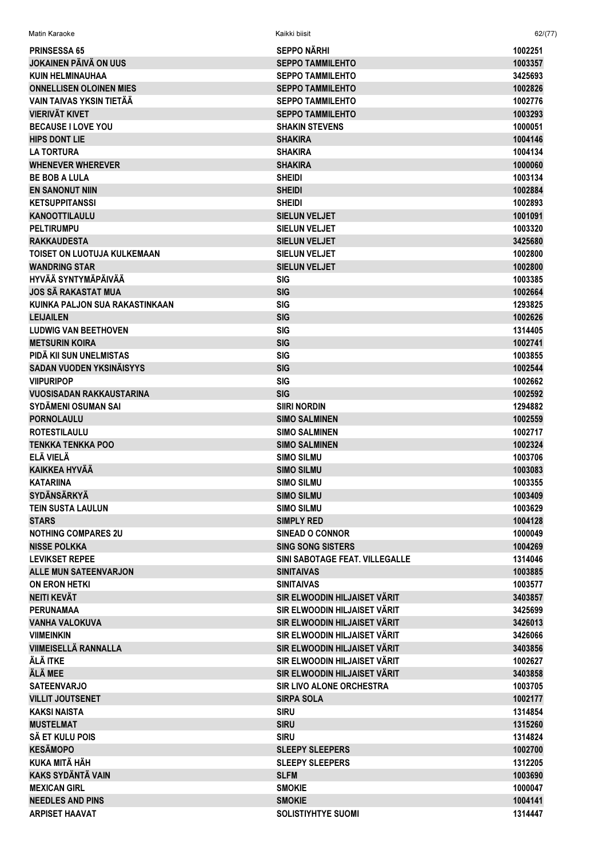| Matin Karaoke                                  | Kaikki biisit                         | 62/(77)            |
|------------------------------------------------|---------------------------------------|--------------------|
| <b>PRINSESSA 65</b>                            | <b>SEPPO NÄRHI</b>                    | 1002251            |
| <b>JOKAINEN PÄIVÄ ON UUS</b>                   | <b>SEPPO TAMMILEHTO</b>               | 1003357            |
| <b>KUIN HELMINAUHAA</b>                        | <b>SEPPO TAMMILEHTO</b>               | 3425693            |
| <b>ONNELLISEN OLOINEN MIES</b>                 | <b>SEPPO TAMMILEHTO</b>               | 1002826            |
| VAIN TAIVAS YKSIN TIETÄÄ                       | <b>SEPPO TAMMILEHTO</b>               | 1002776            |
| <b>VIERIVÄT KIVET</b>                          | <b>SEPPO TAMMILEHTO</b>               | 1003293            |
| <b>BECAUSE I LOVE YOU</b>                      | <b>SHAKIN STEVENS</b>                 | 1000051            |
| <b>HIPS DONT LIE</b>                           | <b>SHAKIRA</b>                        | 1004146            |
| <b>LA TORTURA</b>                              | <b>SHAKIRA</b>                        | 1004134            |
| <b>WHENEVER WHEREVER</b>                       | <b>SHAKIRA</b>                        | 1000060            |
| <b>BE BOB A LULA</b>                           | <b>SHEIDI</b>                         | 1003134            |
| <b>EN SANONUT NIIN</b>                         | <b>SHEIDI</b>                         | 1002884            |
| <b>KETSUPPITANSSI</b>                          | <b>SHEIDI</b>                         | 1002893            |
| <b>KANOOTTILAULU</b>                           | <b>SIELUN VELJET</b>                  | 1001091            |
| <b>PELTIRUMPU</b>                              | <b>SIELUN VELJET</b>                  | 1003320            |
| <b>RAKKAUDESTA</b>                             | <b>SIELUN VELJET</b>                  | 3425680            |
| TOISET ON LUOTUJA KULKEMAAN                    | <b>SIELUN VELJET</b>                  | 1002800            |
| <b>WANDRING STAR</b>                           | <b>SIELUN VELJET</b>                  | 1002800            |
| <b>HYVÄÄ SYNTYMÄPÄIVÄÄ</b>                     | <b>SIG</b>                            | 1003385            |
| <b>JOS SÄ RAKASTAT MUA</b>                     | <b>SIG</b>                            | 1002664            |
| KUINKA PALJON SUA RAKASTINKAAN                 | <b>SIG</b>                            | 1293825            |
| <b>LEIJAILEN</b>                               | <b>SIG</b>                            | 1002626            |
| <b>LUDWIG VAN BEETHOVEN</b>                    | <b>SIG</b>                            | 1314405            |
| <b>METSURIN KOIRA</b>                          | <b>SIG</b>                            | 1002741            |
| PIDÄ KII SUN UNELMISTAS                        | <b>SIG</b>                            | 1003855            |
| SADAN VUODEN YKSINÄISYYS                       | <b>SIG</b>                            | 1002544            |
| <b>VIIPURIPOP</b>                              | <b>SIG</b>                            | 1002662            |
| <b>VUOSISADAN RAKKAUSTARINA</b>                | <b>SIG</b>                            | 1002592            |
| SYDÄMENI OSUMAN SAI                            | <b>SIIRI NORDIN</b>                   | 1294882            |
| <b>PORNOLAULU</b>                              | <b>SIMO SALMINEN</b>                  | 1002559            |
| <b>ROTESTILAULU</b>                            | <b>SIMO SALMINEN</b>                  | 1002717            |
| <b>TENKKA TENKKA POO</b>                       | <b>SIMO SALMINEN</b>                  | 1002324            |
| ELÄ VIELÄ                                      | <b>SIMO SILMU</b>                     | 1003706            |
| <b>KAIKKEA HYVÄÄ</b>                           | <b>SIMO SILMU</b>                     | 1003083            |
| <b>KATARIINA</b>                               | <b>SIMO SILMU</b>                     | 1003355            |
| <b>SYDÄNSÄRKYÄ</b>                             | <b>SIMO SILMU</b>                     | 1003409            |
| <b>TEIN SUSTA LAULUN</b>                       | <b>SIMO SILMU</b>                     | 1003629            |
| <b>STARS</b>                                   | <b>SIMPLY RED</b>                     | 1004128            |
| <b>NOTHING COMPARES 2U</b>                     | <b>SINEAD O CONNOR</b>                | 1000049            |
| <b>NISSE POLKKA</b>                            | <b>SING SONG SISTERS</b>              | 1004269            |
| <b>LEVIKSET REPEE</b>                          | SINI SABOTAGE FEAT. VILLEGALLE        | 1314046            |
| <b>ALLE MUN SATEENVARJON</b>                   | <b>SINITAIVAS</b>                     | 1003885            |
| <b>ON ERON HETKI</b>                           | <b>SINITAIVAS</b>                     | 1003577            |
| <b>NEITI KEVÄT</b>                             | SIR ELWOODIN HILJAISET VÄRIT          | 3403857            |
| <b>PERUNAMAA</b>                               | SIR ELWOODIN HILJAISET VÄRIT          | 3425699            |
| <b>VANHA VALOKUVA</b>                          | SIR ELWOODIN HILJAISET VÄRIT          | 3426013            |
| <b>VIIMEINKIN</b>                              | SIR ELWOODIN HILJAISET VÄRIT          | 3426066            |
| <b>VIIMEISELLÄ RANNALLA</b>                    | SIR ELWOODIN HILJAISET VÄRIT          | 3403856            |
| ÄLÄ ITKE                                       | SIR ELWOODIN HILJAISET VÄRIT          | 1002627            |
| ÄLÄ MEE                                        | SIR ELWOODIN HILJAISET VÄRIT          | 3403858            |
| <b>SATEENVARJO</b>                             | <b>SIR LIVO ALONE ORCHESTRA</b>       | 1003705            |
| <b>VILLIT JOUTSENET</b>                        | <b>SIRPA SOLA</b>                     | 1002177            |
| <b>KAKSI NAISTA</b>                            | <b>SIRU</b>                           | 1314854            |
| <b>MUSTELMAT</b>                               | <b>SIRU</b>                           | 1315260            |
| SÄ ET KULU POIS                                | <b>SIRU</b>                           | 1314824            |
| <b>KESÄMOPO</b><br><b>KUKA MITÄ HÄH</b>        | <b>SLEEPY SLEEPERS</b>                | 1002700            |
| <b>KAKS SYDÄNTÄ VAIN</b>                       | <b>SLEEPY SLEEPERS</b><br><b>SLFM</b> | 1312205            |
|                                                |                                       | 1003690            |
| <b>MEXICAN GIRL</b><br><b>NEEDLES AND PINS</b> | <b>SMOKIE</b><br><b>SMOKIE</b>        | 1000047            |
| <b>ARPISET HAAVAT</b>                          | <b>SOLISTIYHTYE SUOMI</b>             | 1004141<br>1314447 |
|                                                |                                       |                    |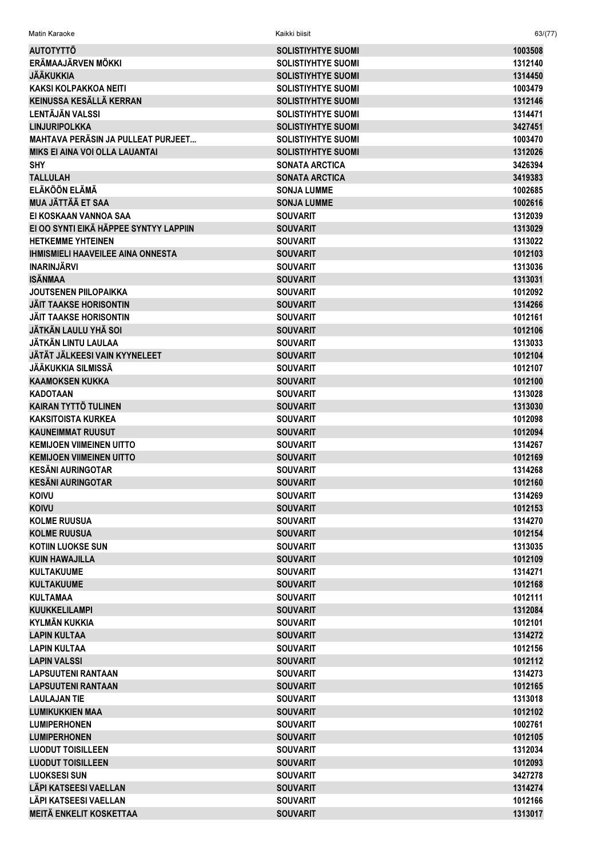| Matin Karaoke                                           | Kaikki biisit                      | 63/(77)            |
|---------------------------------------------------------|------------------------------------|--------------------|
| <b>AUTOTYTTÖ</b>                                        | <b>SOLISTIYHTYE SUOMI</b>          | 1003508            |
| ERÄMAAJÄRVEN MÖKKI                                      | <b>SOLISTIYHTYE SUOMI</b>          | 1312140            |
| <b>JÄÄKUKKIA</b>                                        | <b>SOLISTIYHTYE SUOMI</b>          | 1314450            |
| <b>KAKSI KOLPAKKOA NEITI</b>                            | <b>SOLISTIYHTYE SUOMI</b>          | 1003479            |
| KEINUSSA KESÄLLÄ KERRAN                                 | <b>SOLISTIYHTYE SUOMI</b>          | 1312146            |
| LENTÄJÄN VALSSI                                         | <b>SOLISTIYHTYE SUOMI</b>          | 1314471            |
| <b>LINJURIPOLKKA</b>                                    | <b>SOLISTIYHTYE SUOMI</b>          | 3427451            |
| <b>MAHTAVA PERÄSIN JA PULLEAT PURJEET</b>               | <b>SOLISTIYHTYE SUOMI</b>          | 1003470            |
| <b>MIKS EI AINA VOI OLLA LAUANTAI</b>                   | <b>SOLISTIYHTYE SUOMI</b>          | 1312026            |
| <b>SHY</b>                                              | <b>SONATA ARCTICA</b>              | 3426394            |
| <b>TALLULAH</b>                                         | <b>SONATA ARCTICA</b>              | 3419383            |
| <b>ELÄKÖÖN ELÄMÄ</b>                                    | <b>SONJA LUMME</b>                 | 1002685            |
| <b>MUA JÄTTÄÄ ET SAA</b>                                | <b>SONJA LUMME</b>                 | 1002616            |
| EI KOSKAAN VANNOA SAA                                   | <b>SOUVARIT</b>                    | 1312039            |
| EI OO SYNTI EIKÄ HÄPPEE SYNTYY LAPPIIN                  | <b>SOUVARIT</b>                    | 1313029            |
| <b>HETKEMME YHTEINEN</b>                                | <b>SOUVARIT</b>                    | 1313022            |
| <b>IHMISMIELI HAAVEILEE AINA ONNESTA</b>                | <b>SOUVARIT</b>                    | 1012103            |
| <b>INARINJÄRVI</b>                                      | <b>SOUVARIT</b>                    | 1313036            |
| <b>ISÄNMAA</b>                                          | <b>SOUVARIT</b>                    | 1313031            |
| <b>JOUTSENEN PIILOPAIKKA</b>                            | <b>SOUVARIT</b>                    | 1012092            |
| <b>JÄIT TAAKSE HORISONTIN</b>                           | <b>SOUVARIT</b>                    | 1314266            |
| <b>JÄIT TAAKSE HORISONTIN</b>                           | <b>SOUVARIT</b>                    | 1012161            |
| JÄTKÄN LAULU YHÄ SOI                                    | <b>SOUVARIT</b>                    | 1012106            |
| JÄTKÄN LINTU LAULAA                                     | <b>SOUVARIT</b>                    | 1313033            |
| JÄTÄT JÄLKEESI VAIN KYYNELEET                           | <b>SOUVARIT</b>                    | 1012104            |
| JÄÄKUKKIA SILMISSÄ                                      | <b>SOUVARIT</b>                    | 1012107            |
| <b>KAAMOKSEN KUKKA</b>                                  | <b>SOUVARIT</b>                    | 1012100            |
| <b>KADOTAAN</b>                                         | <b>SOUVARIT</b>                    | 1313028            |
| <b>KAIRAN TYTTÖ TULINEN</b>                             | <b>SOUVARIT</b>                    | 1313030            |
| <b>KAKSITOISTA KURKEA</b>                               | <b>SOUVARIT</b>                    | 1012098            |
| <b>KAUNEIMMAT RUUSUT</b>                                | <b>SOUVARIT</b>                    | 1012094            |
| <b>KEMIJOEN VIIMEINEN UITTO</b>                         | <b>SOUVARIT</b>                    | 1314267            |
| <b>KEMIJOEN VIIMEINEN UITTO</b>                         | <b>SOUVARIT</b>                    | 1012169            |
| <b>KESÄNI AURINGOTAR</b>                                | <b>SOUVARIT</b>                    | 1314268            |
| <b>KESÄNI AURINGOTAR</b>                                | <b>SOUVARIT</b>                    | 1012160            |
| <b>KOIVU</b>                                            | <b>SOUVARIT</b>                    | 1314269            |
| <b>KOIVU</b>                                            | <b>SOUVARIT</b>                    | 1012153            |
| <b>KOLME RUUSUA</b>                                     | <b>SOUVARIT</b>                    | 1314270            |
| <b>KOLME RUUSUA</b>                                     | <b>SOUVARIT</b>                    | 1012154            |
| <b>KOTIIN LUOKSE SUN</b>                                | <b>SOUVARIT</b>                    | 1313035            |
| <b>KUIN HAWAJILLA</b>                                   | <b>SOUVARIT</b>                    | 1012109            |
| <b>KULTAKUUME</b>                                       | <b>SOUVARIT</b>                    | 1314271            |
| <b>KULTAKUUME</b>                                       | <b>SOUVARIT</b>                    | 1012168            |
| <b>KULTAMAA</b>                                         | <b>SOUVARIT</b>                    | 1012111            |
| <b>KUUKKELILAMPI</b>                                    | <b>SOUVARIT</b>                    | 1312084            |
| <b>KYLMÄN KUKKIA</b>                                    | <b>SOUVARIT</b>                    | 1012101            |
| <b>LAPIN KULTAA</b>                                     | <b>SOUVARIT</b>                    | 1314272            |
| <b>LAPIN KULTAA</b>                                     | <b>SOUVARIT</b>                    | 1012156            |
| <b>LAPIN VALSSI</b>                                     | <b>SOUVARIT</b>                    | 1012112            |
| <b>LAPSUUTENI RANTAAN</b>                               | <b>SOUVARIT</b>                    | 1314273            |
| <b>LAPSUUTENI RANTAAN</b>                               | <b>SOUVARIT</b>                    | 1012165            |
| <b>LAULAJAN TIE</b>                                     | <b>SOUVARIT</b>                    | 1313018            |
| <b>LUMIKUKKIEN MAA</b>                                  | <b>SOUVARIT</b>                    | 1012102            |
| <b>LUMIPERHONEN</b>                                     | <b>SOUVARIT</b>                    | 1002761            |
| <b>LUMIPERHONEN</b>                                     | <b>SOUVARIT</b>                    | 1012105            |
| <b>LUODUT TOISILLEEN</b>                                | <b>SOUVARIT</b>                    | 1312034            |
| <b>LUODUT TOISILLEEN</b>                                | <b>SOUVARIT</b>                    | 1012093            |
| <b>LUOKSESI SUN</b>                                     | <b>SOUVARIT</b>                    | 3427278            |
| LÄPI KATSEESI VAELLAN                                   | <b>SOUVARIT</b>                    | 1314274            |
| LÄPI KATSEESI VAELLAN<br><b>MEITÄ ENKELIT KOSKETTAA</b> | <b>SOUVARIT</b><br><b>SOUVARIT</b> | 1012166<br>1313017 |
|                                                         |                                    |                    |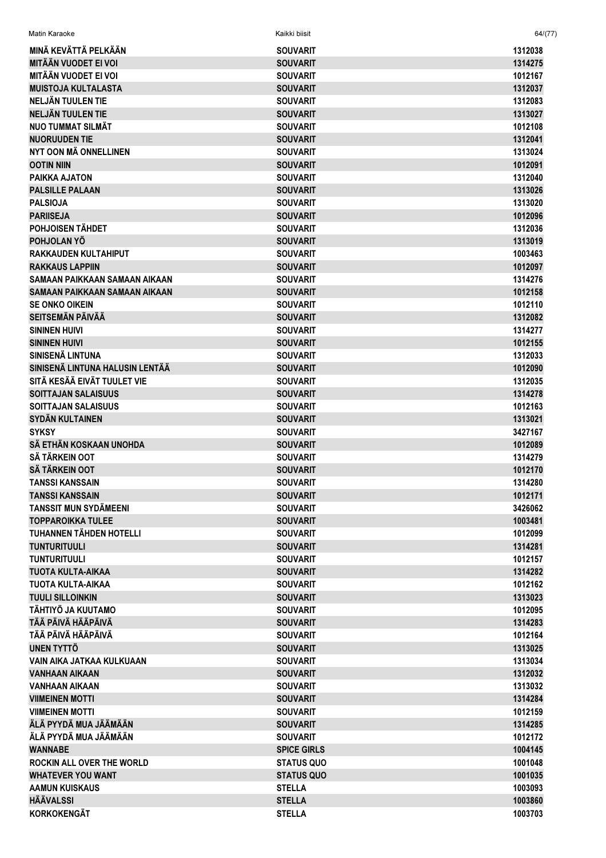| Matin Karaoke                   | Kaikki biisit      | 64/(77) |
|---------------------------------|--------------------|---------|
| MINÄ KEVÄTTÄ PELKÄÄN            | <b>SOUVARIT</b>    | 1312038 |
| <b>MITÄÄN VUODET EI VOI</b>     | <b>SOUVARIT</b>    | 1314275 |
| <b>MITÄÄN VUODET EI VOI</b>     | <b>SOUVARIT</b>    | 1012167 |
| <b>MUISTOJA KULTALASTA</b>      | <b>SOUVARIT</b>    | 1312037 |
| NELJÄN TUULEN TIE               | <b>SOUVARIT</b>    | 1312083 |
| NELJÄN TUULEN TIE               | <b>SOUVARIT</b>    | 1313027 |
| <b>NUO TUMMAT SILMÄT</b>        | <b>SOUVARIT</b>    | 1012108 |
| <b>NUORUUDEN TIE</b>            | <b>SOUVARIT</b>    | 1312041 |
| NYT OON MÄ ONNELLINEN           | <b>SOUVARIT</b>    | 1313024 |
| <b>OOTIN NIIN</b>               | <b>SOUVARIT</b>    | 1012091 |
| PAIKKA AJATON                   | <b>SOUVARIT</b>    | 1312040 |
| <b>PALSILLE PALAAN</b>          | <b>SOUVARIT</b>    | 1313026 |
| <b>PALSIOJA</b>                 | <b>SOUVARIT</b>    | 1313020 |
| <b>PARIISEJA</b>                | <b>SOUVARIT</b>    | 1012096 |
| POHJOISEN TÄHDET                | <b>SOUVARIT</b>    | 1312036 |
| POHJOLAN YÖ                     | <b>SOUVARIT</b>    | 1313019 |
| <b>RAKKAUDEN KULTAHIPUT</b>     | <b>SOUVARIT</b>    | 1003463 |
| <b>RAKKAUS LAPPIIN</b>          | <b>SOUVARIT</b>    | 1012097 |
| SAMAAN PAIKKAAN SAMAAN AIKAAN   | <b>SOUVARIT</b>    | 1314276 |
| SAMAAN PAIKKAAN SAMAAN AIKAAN   | <b>SOUVARIT</b>    | 1012158 |
| <b>SE ONKO OIKEIN</b>           | <b>SOUVARIT</b>    | 1012110 |
| <b>SEITSEMÄN PÄIVÄÄ</b>         | <b>SOUVARIT</b>    | 1312082 |
| <b>SININEN HUIVI</b>            | <b>SOUVARIT</b>    | 1314277 |
| <b>SININEN HUIVI</b>            | <b>SOUVARIT</b>    | 1012155 |
| SINISENÄ LINTUNA                | <b>SOUVARIT</b>    | 1312033 |
| SINISENÄ LINTUNA HALUSIN LENTÄÄ | <b>SOUVARIT</b>    | 1012090 |
| SITÄ KESÄÄ EIVÄT TUULET VIE     | <b>SOUVARIT</b>    | 1312035 |
| <b>SOITTAJAN SALAISUUS</b>      | <b>SOUVARIT</b>    | 1314278 |
| SOITTAJAN SALAISUUS             | <b>SOUVARIT</b>    | 1012163 |
| <b>SYDÄN KULTAINEN</b>          | <b>SOUVARIT</b>    | 1313021 |
| <b>SYKSY</b>                    | <b>SOUVARIT</b>    | 3427167 |
| SÄ ETHÄN KOSKAAN UNOHDA         | <b>SOUVARIT</b>    | 1012089 |
| <b>SÄ TÄRKEIN OOT</b>           | <b>SOUVARIT</b>    | 1314279 |
| <b>SÄ TÄRKEIN OOT</b>           | <b>SOUVARIT</b>    | 1012170 |
| <b>TANSSI KANSSAIN</b>          | <b>SOUVARIT</b>    | 1314280 |
| <b>TANSSI KANSSAIN</b>          | <b>SOUVARIT</b>    | 1012171 |
| <b>TANSSIT MUN SYDÄMEENI</b>    | <b>SOUVARIT</b>    | 3426062 |
| <b>TOPPAROIKKA TULEE</b>        | <b>SOUVARIT</b>    | 1003481 |
| <b>TUHANNEN TÄHDEN HOTELLI</b>  | <b>SOUVARIT</b>    | 1012099 |
| <b>TUNTURITUULI</b>             | <b>SOUVARIT</b>    | 1314281 |
| <b>TUNTURITUULI</b>             | <b>SOUVARIT</b>    | 1012157 |
| <b>TUOTA KULTA-AIKAA</b>        | <b>SOUVARIT</b>    | 1314282 |
| TUOTA KULTA-AIKAA               | <b>SOUVARIT</b>    | 1012162 |
| <b>TUULI SILLOINKIN</b>         | <b>SOUVARIT</b>    | 1313023 |
| TÄHTIYÖ JA KUUTAMO              | <b>SOUVARIT</b>    | 1012095 |
| TÄÄ PÄIVÄ HÄÄPÄIVÄ              | <b>SOUVARIT</b>    | 1314283 |
| TÄÄ PÄIVÄ HÄÄPÄIVÄ              | <b>SOUVARIT</b>    | 1012164 |
| UNEN TYTTÖ                      | <b>SOUVARIT</b>    | 1313025 |
| VAIN AIKA JATKAA KULKUAAN       | <b>SOUVARIT</b>    | 1313034 |
| VANHAAN AIKAAN                  | <b>SOUVARIT</b>    | 1312032 |
| VANHAAN AIKAAN                  | <b>SOUVARIT</b>    | 1313032 |
| <b>VIIMEINEN MOTTI</b>          | <b>SOUVARIT</b>    | 1314284 |
| <b>VIIMEINEN MOTTI</b>          | <b>SOUVARIT</b>    | 1012159 |
| ÄLÄ PYYDÄ MUA JÄÄMÄÄN           | <b>SOUVARIT</b>    | 1314285 |
| ÄLÄ PYYDÄ MUA JÄÄMÄÄN           | <b>SOUVARIT</b>    | 1012172 |
| <b>WANNABE</b>                  | <b>SPICE GIRLS</b> | 1004145 |
| ROCKIN ALL OVER THE WORLD       | <b>STATUS QUO</b>  | 1001048 |
| <b>WHATEVER YOU WANT</b>        | <b>STATUS QUO</b>  | 1001035 |
| <b>AAMUN KUISKAUS</b>           | <b>STELLA</b>      | 1003093 |
| <b>HÄÄVALSSI</b>                | <b>STELLA</b>      | 1003860 |
| <b>KORKOKENGÄT</b>              | <b>STELLA</b>      | 1003703 |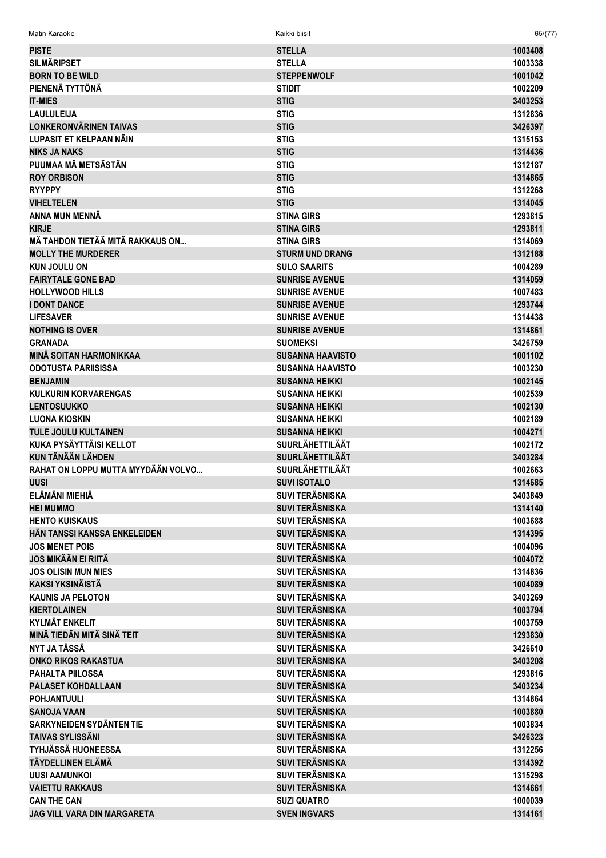| <b>Matin Karaoke</b> | Kaikki biisit | 65/(77) |
|----------------------|---------------|---------|
|                      |               |         |

| <b>PISTE</b>                       | <b>STELLA</b>           | 1003408 |
|------------------------------------|-------------------------|---------|
| <b>SILMÄRIPSET</b>                 | <b>STELLA</b>           | 1003338 |
| <b>BORN TO BE WILD</b>             | <b>STEPPENWOLF</b>      | 1001042 |
| PIENENÄ TYTTÖNÄ                    | <b>STIDIT</b>           | 1002209 |
| <b>IT-MIES</b>                     | <b>STIG</b>             | 3403253 |
| <b>LAULULEIJA</b>                  | <b>STIG</b>             | 1312836 |
| <b>LONKERONVÄRINEN TAIVAS</b>      | <b>STIG</b>             | 3426397 |
| LUPASIT ET KELPAAN NÄIN            | <b>STIG</b>             | 1315153 |
| <b>NIKS JA NAKS</b>                | <b>STIG</b>             | 1314436 |
| PUUMAA MÄ METSÄSTÄN                | <b>STIG</b>             | 1312187 |
| <b>ROY ORBISON</b>                 | <b>STIG</b>             | 1314865 |
| <b>RYYPPY</b>                      | <b>STIG</b>             | 1312268 |
| <b>VIHELTELEN</b>                  | <b>STIG</b>             | 1314045 |
| <b>ANNA MUN MENNÄ</b>              | <b>STINA GIRS</b>       | 1293815 |
| <b>KIRJE</b>                       | <b>STINA GIRS</b>       | 1293811 |
| MÄ TAHDON TIETÄÄ MITÄ RAKKAUS ON   | <b>STINA GIRS</b>       | 1314069 |
| <b>MOLLY THE MURDERER</b>          | <b>STURM UND DRANG</b>  | 1312188 |
| <b>KUN JOULU ON</b>                | <b>SULO SAARITS</b>     | 1004289 |
| <b>FAIRYTALE GONE BAD</b>          | <b>SUNRISE AVENUE</b>   | 1314059 |
| <b>HOLLYWOOD HILLS</b>             | <b>SUNRISE AVENUE</b>   | 1007483 |
| <b>I DONT DANCE</b>                | <b>SUNRISE AVENUE</b>   | 1293744 |
| <b>LIFESAVER</b>                   | <b>SUNRISE AVENUE</b>   | 1314438 |
| <b>NOTHING IS OVER</b>             | <b>SUNRISE AVENUE</b>   | 1314861 |
| <b>GRANADA</b>                     | <b>SUOMEKSI</b>         | 3426759 |
| <b>MINÄ SOITAN HARMONIKKAA</b>     | <b>SUSANNA HAAVISTO</b> | 1001102 |
| <b>ODOTUSTA PARIISISSA</b>         | <b>SUSANNA HAAVISTO</b> | 1003230 |
| <b>BENJAMIN</b>                    | <b>SUSANNA HEIKKI</b>   | 1002145 |
| <b>KULKURIN KORVARENGAS</b>        | <b>SUSANNA HEIKKI</b>   | 1002539 |
| <b>LENTOSUUKKO</b>                 | <b>SUSANNA HEIKKI</b>   | 1002130 |
| <b>LUONA KIOSKIN</b>               | <b>SUSANNA HEIKKI</b>   | 1002189 |
| <b>TULE JOULU KULTAINEN</b>        | <b>SUSANNA HEIKKI</b>   | 1004271 |
| <b>KUKA PYSÄYTTÄISI KELLOT</b>     | <b>SUURLÄHETTILÄÄT</b>  | 1002172 |
| <b>KUN TÄNÄÄN LÄHDEN</b>           | <b>SUURLÄHETTILÄÄT</b>  | 3403284 |
| RAHAT ON LOPPU MUTTA MYYDÄÄN VOLVO | <b>SUURLÄHETTILÄÄT</b>  | 1002663 |
| <b>UUSI</b>                        | <b>SUVI ISOTALO</b>     | 1314685 |
| ELÄMÄNI MIEHIÄ                     | <b>SUVI TERÄSNISKA</b>  | 3403849 |
| <b>HEI MUMMO</b>                   | <b>SUVI TERÄSNISKA</b>  | 1314140 |
| <b>HENTO KUISKAUS</b>              | <b>SUVI TERÄSNISKA</b>  | 1003688 |
| HÄN TANSSI KANSSA ENKELEIDEN       | <b>SUVI TERÄSNISKA</b>  | 1314395 |
| <b>JOS MENET POIS</b>              | <b>SUVI TERÄSNISKA</b>  | 1004096 |
| <b>JOS MIKÄÄN EI RIITÄ</b>         | <b>SUVI TERÄSNISKA</b>  | 1004072 |
| <b>JOS OLISIN MUN MIES</b>         | <b>SUVI TERÄSNISKA</b>  | 1314836 |
| <b>KAKSI YKSINÄISTÄ</b>            | <b>SUVI TERÄSNISKA</b>  | 1004089 |
| <b>KAUNIS JA PELOTON</b>           | <b>SUVI TERÄSNISKA</b>  | 3403269 |
| <b>KIERTOLAINEN</b>                | <b>SUVI TERÄSNISKA</b>  | 1003794 |
| <b>KYLMÄT ENKELIT</b>              | <b>SUVI TERÄSNISKA</b>  | 1003759 |
| MINÄ TIEDÄN MITÄ SINÄ TEIT         | <b>SUVI TERÄSNISKA</b>  | 1293830 |
| <b>NYT JA TÄSSÄ</b>                | <b>SUVI TERÄSNISKA</b>  | 3426610 |
| <b>ONKO RIKOS RAKASTUA</b>         | <b>SUVI TERÄSNISKA</b>  | 3403208 |
| PAHALTA PIILOSSA                   | <b>SUVI TERÄSNISKA</b>  | 1293816 |
| <b>PALASET KOHDALLAAN</b>          | <b>SUVI TERÄSNISKA</b>  | 3403234 |
|                                    |                         |         |
| <b>POHJANTUULI</b>                 | <b>SUVI TERÄSNISKA</b>  | 1314864 |
| <b>SANOJA VAAN</b>                 | <b>SUVI TERÄSNISKA</b>  | 1003880 |
| SARKYNEIDEN SYDÄNTEN TIE           | <b>SUVI TERÄSNISKA</b>  | 1003834 |
| <b>TAIVAS SYLISSÄNI</b>            | <b>SUVI TERÄSNISKA</b>  | 3426323 |
| TYHJÄSSÄ HUONEESSA                 | <b>SUVI TERÄSNISKA</b>  | 1312256 |
| TÄYDELLINEN ELÄMÄ                  | <b>SUVI TERÄSNISKA</b>  | 1314392 |
| <b>UUSI AAMUNKOI</b>               | <b>SUVI TERÄSNISKA</b>  | 1315298 |
| <b>VAIETTU RAKKAUS</b>             | <b>SUVI TERÄSNISKA</b>  | 1314661 |
| <b>CAN THE CAN</b>                 | <b>SUZI QUATRO</b>      | 1000039 |
| JAG VILL VARA DIN MARGARETA        | <b>SVEN INGVARS</b>     | 1314161 |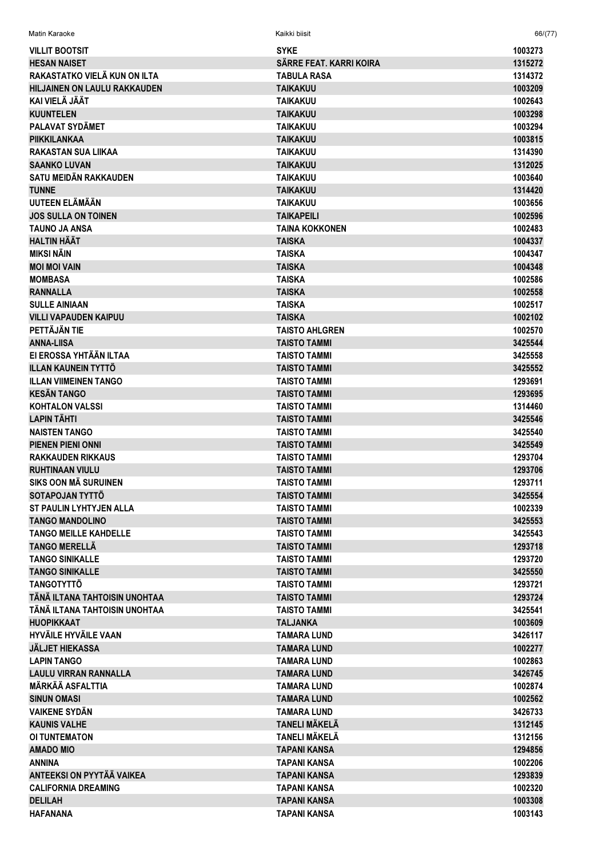SVKF 1003273 **VILL IT ROOTSIT** SÄRRE FEAT, KARRI KOIRA 1315272 **HESAN NAISET** RAKASTATKO VIELÄ KUN ON ILTA 1314372 **TABULA RASA HILJAINEN ON LAULU RAKKAUDEN TAIKAKUU** 1003209 KAI VIFI Ä JÄÄT **TAIKAKUU** 1002643 **KUUNTELEN TAIKAKUU** 1003298 **PALAVAT SYDÄMET TAIKAKUU** 1003294 **PIIKKILANKAA TAIKAKUU** 1003815 **RAKASTAN SUA LIIKAA TAIKAKUU** 1314390 **SAANKO LUVAN TAIKAKUU** 1312025 **SATU MEIDÄN RAKKAUDEN TAIKAKUU** 1003640 **TUNNE TAIKAKUU** 1314420 UUTEEN ELÄMÄÄN **TAIKAKUU** 1003656 **JOS SULLA ON TOINEN** ΤΔΙΚΔΡΕΙΙ Ι 1002596 **TAUNO JA ANSA TAINA KOKKONEN** 1002483 **HALTIN HÄÄT TAISKA** 1004337 **MIKSI NÄIN TAISKA** 1004347 **MOI MOI VAIN TAISKA** 1004348 **MOMBASA TAISKA** 1002586 **RANNALLA TAISKA** 1002558 **SULLE AINIAAN TAISKA** 1002517 **VILLI VAPAUDEN KAIPUU TAISKA** 1002102 PETTÄJÄN TIE **TAISTO AHLGREN** 1002570 **ANNA-LIISA TAISTO TAMMI** 3425544 FI FROSSA YHTÄÄN II TAA 3425558 **TAISTO TAMMI ILLAN KAUNEIN TYTTÖ TAISTO TAMMI** 3425552 **ILLAN VIIMEINEN TANGO TAISTO TAMMI** 1293691 **KESÄN TANGO TAISTO TAMMI** 1293695 **KOHTALON VALSSI** 1314460 **TAISTO TAMMI LAPIN TÄHTI TAISTO TAMMI** 3425546 **NAISTEN TANGO TAISTO TAMMI** 3425540 **PIFNEN PIFNI ONNI TAISTO TAMMI** 3425549 **RAKKAUDEN RIKKAUS TAISTO TAMMI** 1293704 **RUHTINAAN VIULU TAISTO TAMMI** 1293706 **SIKS OON MÄ SURUINEN TAISTO TAMMI** 1293711 SOTAPOJAN TYTTÖ **TAISTO TAMMI** 3425554 **ST PAULIN LYHTYJEN ALLA TAISTO TAMMI** 1002339 **TANGO MANDOLINO** 3425553 **TAISTO TAMMI TANGO MEILLE KAHDELLE TAISTO TAMMI** 3425543 **TANGO MERELLÄ TAISTO TAMMI** 1293718 **TANGO SINIKALLE TAISTO TAMMI** 1293720 **TANGO SINIKALLE TAISTO TAMMI** 3425550 **TANGOTYTTÖ TAISTO TAMMI** 1293721 TÄNÄ ILTANA TAHTOISIN UNOHTAA **TAISTO TAMMI** 1293724 TÄNÄ II TANA TAHTOISIN UNOHTAA **TAISTO TAMMI** 3425541 **HIIOPIKKAAT TALJANKA** 1003609 **HYVÄILE HYVÄILE VAAN TAMARA LUND** 3426117 **JÄLJET HIEKASSA TAMARA LUND** 1002277 **LAPIN TANGO TAMARA LUND** 1002863 **LAULU VIRRAN RANNALLA TAMARA LUND** 3426745 **MÄRKÄÄ ASFALTTIA TAMARA LUND** 1002874 SINIJN OMASI **TAMARA I LIND** 1002562 **VAIKENE SYDÄN TAMARA LUND** 3426733 **KAUNIS VALHE TANELI MÄKELÄ** 1312145 **TANELI MÄKELÄ OI TUNTEMATON** 1312156 **AMADO MIO TAPANI KANSA** 1294856 **ANNINA TAPANI KANSA** 1002206 **ANTEEKSI ON PYYTÄÄ VAIKEA TAPANI KANSA** 1293839 **CALIFORNIA DREAMING TAPANI KANSA** 1002320 **DELILAH TAPANI KANSA** 1003308

**TAPANI KANSA** 

Kaikki biisit

**Matin Karaoke** 

**HAFANANA** 

 $66/(77)$ 

1003143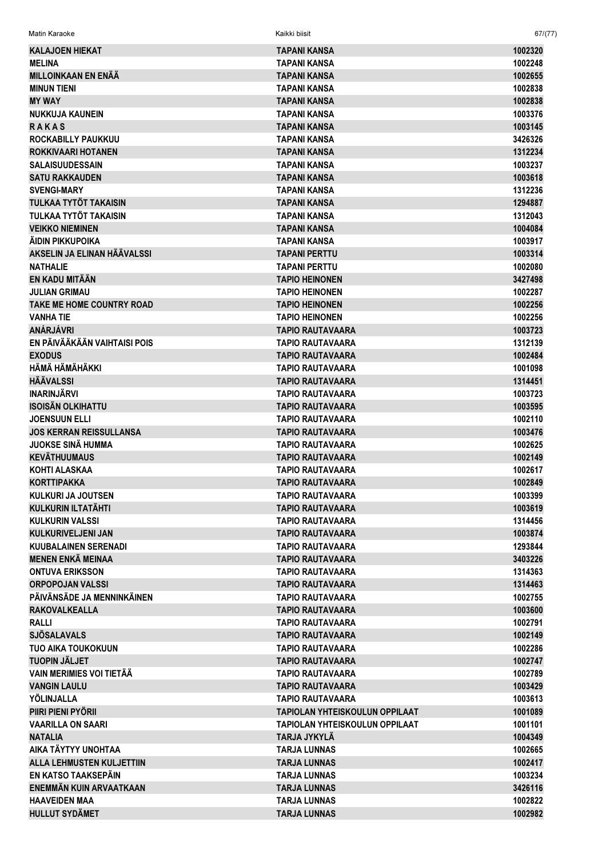| Matin Karaoke                    | Kaikki biisit                  | 67/(77) |
|----------------------------------|--------------------------------|---------|
| <b>KALAJOEN HIEKAT</b>           | <b>TAPANI KANSA</b>            | 1002320 |
| <b>MELINA</b>                    | TAPANI KANSA                   | 1002248 |
| <b>MILLOINKAAN EN ENÄÄ</b>       | TAPANI KANSA                   | 1002655 |
| <b>MINUN TIENI</b>               | TAPANI KANSA                   | 1002838 |
| <b>MY WAY</b>                    | <b>TAPANI KANSA</b>            | 1002838 |
| <b>NUKKUJA KAUNEIN</b>           | TAPANI KANSA                   | 1003376 |
| <b>RAKAS</b>                     | <b>TAPANI KANSA</b>            | 1003145 |
| ROCKABILLY PAUKKUU               | TAPANI KANSA                   | 3426326 |
| <b>ROKKIVAARI HOTANEN</b>        | <b>TAPANI KANSA</b>            | 1312234 |
| <b>SALAISUUDESSAIN</b>           | TAPANI KANSA                   | 1003237 |
| <b>SATU RAKKAUDEN</b>            | <b>TAPANI KANSA</b>            | 1003618 |
| <b>SVENGI-MARY</b>               | TAPANI KANSA                   | 1312236 |
| TULKAA TYTÖT TAKAISIN            | <b>TAPANI KANSA</b>            | 1294887 |
| TULKAA TYTÖT TAKAISIN            | TAPANI KANSA                   | 1312043 |
| <b>VEIKKO NIEMINEN</b>           | <b>TAPANI KANSA</b>            | 1004084 |
| ÄIDIN PIKKUPOIKA                 | TAPANI KANSA                   | 1003917 |
| AKSELIN JA ELINAN HÄÄVALSSI      | <b>TAPANI PERTTU</b>           | 1003314 |
| <b>NATHALIE</b>                  | <b>TAPANI PERTTU</b>           | 1002080 |
| EN KADU MITÄÄN                   | <b>TAPIO HEINONEN</b>          | 3427498 |
| <b>JULIAN GRIMAU</b>             | <b>TAPIO HEINONEN</b>          | 1002287 |
| TAKE ME HOME COUNTRY ROAD        | <b>TAPIO HEINONEN</b>          | 1002256 |
| <b>VANHA TIE</b>                 | <b>TAPIO HEINONEN</b>          | 1002256 |
| <b>ANÁRJÁVRI</b>                 | <b>TAPIO RAUTAVAARA</b>        | 1003723 |
| EN PÄIVÄÄKÄÄN VAIHTAISI POIS     | <b>TAPIO RAUTAVAARA</b>        | 1312139 |
| <b>EXODUS</b>                    | <b>TAPIO RAUTAVAARA</b>        | 1002484 |
| HÄMÄ HÄMÄHÄKKI                   | <b>TAPIO RAUTAVAARA</b>        | 1001098 |
| <b>HÄÄVALSSI</b>                 | <b>TAPIO RAUTAVAARA</b>        | 1314451 |
| <b>INARINJÄRVI</b>               | TAPIO RAUTAVAARA               | 1003723 |
| <b>ISOISÄN OLKIHATTU</b>         | <b>TAPIO RAUTAVAARA</b>        | 1003595 |
| <b>JOENSUUN ELLI</b>             | TAPIO RAUTAVAARA               | 1002110 |
| <b>JOS KERRAN REISSULLANSA</b>   | <b>TAPIO RAUTAVAARA</b>        | 1003476 |
| <b>JUOKSE SINÄ HUMMA</b>         | <b>TAPIO RAUTAVAARA</b>        | 1002625 |
| <b>KEVÄTHUUMAUS</b>              | <b>TAPIO RAUTAVAARA</b>        | 1002149 |
| KOHTI ALASKAA                    | <b>TAPIO RAUTAVAARA</b>        | 1002617 |
| <b>KORTTIPAKKA</b>               | <b>TAPIO RAUTAVAARA</b>        | 1002849 |
| <b>KULKURI JA JOUTSEN</b>        | TAPIO RAUTAVAARA               | 1003399 |
| <b>KULKURIN ILTATÄHTI</b>        | <b>TAPIO RAUTAVAARA</b>        | 1003619 |
| <b>KULKURIN VALSSI</b>           | <b>TAPIO RAUTAVAARA</b>        | 1314456 |
| <b>KULKURIVELJENI JAN</b>        | <b>TAPIO RAUTAVAARA</b>        | 1003874 |
| <b>KUUBALAINEN SERENADI</b>      | <b>TAPIO RAUTAVAARA</b>        | 1293844 |
| <b>MENEN ENKÄ MEINAA</b>         | TAPIO RAUTAVAARA               | 3403226 |
| <b>ONTUVA ERIKSSON</b>           | <b>TAPIO RAUTAVAARA</b>        | 1314363 |
| <b>ORPOPOJAN VALSSI</b>          | <b>TAPIO RAUTAVAARA</b>        | 1314463 |
| PÄIVÄNSÄDE JA MENNINKÄINEN       | <b>TAPIO RAUTAVAARA</b>        | 1002755 |
| <b>RAKOVALKEALLA</b>             | <b>TAPIO RAUTAVAARA</b>        | 1003600 |
| <b>RALLI</b>                     | <b>TAPIO RAUTAVAARA</b>        | 1002791 |
| <b>SJÖSALAVALS</b>               | <b>TAPIO RAUTAVAARA</b>        | 1002149 |
| <b>TUO AIKA TOUKOKUUN</b>        | TAPIO RAUTAVAARA               | 1002286 |
| <b>TUOPIN JÄLJET</b>             | <b>TAPIO RAUTAVAARA</b>        | 1002747 |
| <b>VAIN MERIMIES VOI TIETÃA</b>  | <b>TAPIO RAUTAVAARA</b>        | 1002789 |
| <b>VANGIN LAULU</b>              | <b>TAPIO RAUTAVAARA</b>        | 1003429 |
| YÖLINJALLA                       | <b>TAPIO RAUTAVAARA</b>        | 1003613 |
| PIIRI PIENI PYÖRII               | TAPIOLAN YHTEISKOULUN OPPILAAT | 1001089 |
| <b>VAARILLA ON SAARI</b>         | TAPIOLAN YHTEISKOULUN OPPILAAT | 1001101 |
| <b>NATALIA</b>                   | TARJA JYKYLÄ                   | 1004349 |
| AIKA TÄYTYY UNOHTAA              | <b>TARJA LUNNAS</b>            | 1002665 |
| <b>ALLA LEHMUSTEN KULJETTIIN</b> | <b>TARJA LUNNAS</b>            | 1002417 |
| EN KATSO TAAKSEPÄIN              | <b>TARJA LUNNAS</b>            | 1003234 |
| <b>ENEMMÄN KUIN ARVAATKAAN</b>   | <b>TARJA LUNNAS</b>            | 3426116 |
| <b>HAAVEIDEN MAA</b>             | <b>TARJA LUNNAS</b>            | 1002822 |
| <b>HULLUT SYDÄMET</b>            | <b>TARJA LUNNAS</b>            | 1002982 |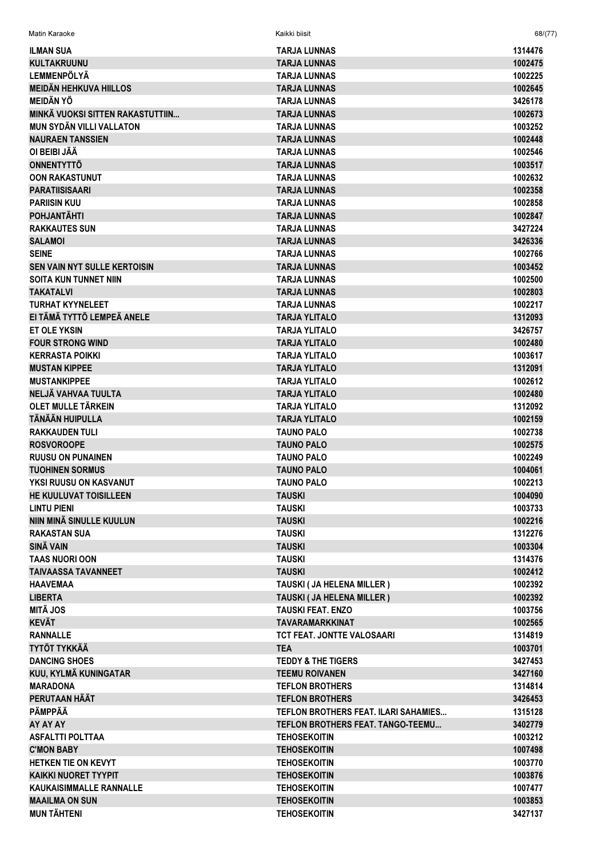| <b>ILMAN SUA</b>                    | <b>TARJA LUNNAS</b>                  | 1314476 |
|-------------------------------------|--------------------------------------|---------|
| <b>KULTAKRUUNU</b>                  | <b>TARJA LUNNAS</b>                  | 1002475 |
| <b>LEMMENPÖLYÄ</b>                  | <b>TARJA LUNNAS</b>                  | 1002225 |
| <b>MEIDÄN HEHKUVA HIILLOS</b>       | <b>TARJA LUNNAS</b>                  | 1002645 |
| <b>MEIDÄN YÖ</b>                    | <b>TARJA LUNNAS</b>                  | 3426178 |
| MINKÄ VUOKSI SITTEN RAKASTUTTIIN    | <b>TARJA LUNNAS</b>                  | 1002673 |
| <b>MUN SYDÄN VILLI VALLATON</b>     | <b>TARJA LUNNAS</b>                  | 1003252 |
| <b>NAURAEN TANSSIEN</b>             | <b>TARJA LUNNAS</b>                  | 1002448 |
| OI BEIBI JÄÄ                        | <b>TARJA LUNNAS</b>                  | 1002546 |
| <b>ONNENTYTTÖ</b>                   | <b>TARJA LUNNAS</b>                  | 1003517 |
| <b>OON RAKASTUNUT</b>               | <b>TARJA LUNNAS</b>                  | 1002632 |
| <b>PARATIISISAARI</b>               | <b>TARJA LUNNAS</b>                  | 1002358 |
| <b>PARIISIN KUU</b>                 | <b>TARJA LUNNAS</b>                  | 1002858 |
| <b>POHJANTÄHTI</b>                  | <b>TARJA LUNNAS</b>                  | 1002847 |
| <b>RAKKAUTES SUN</b>                | <b>TARJA LUNNAS</b>                  | 3427224 |
| <b>SALAMOI</b>                      | <b>TARJA LUNNAS</b>                  | 3426336 |
| <b>SEINE</b>                        | <b>TARJA LUNNAS</b>                  | 1002766 |
| <b>SEN VAIN NYT SULLE KERTOISIN</b> | <b>TARJA LUNNAS</b>                  | 1003452 |
| <b>SOITA KUN TUNNET NIIN</b>        | <b>TARJA LUNNAS</b>                  | 1002500 |
| <b>TAKATALVI</b>                    | <b>TARJA LUNNAS</b>                  | 1002803 |
| <b>TURHAT KYYNELEET</b>             | <b>TARJA LUNNAS</b>                  | 1002217 |
| EI TÄMÄ TYTTÖ LEMPEÄ ANELE          | <b>TARJA YLITALO</b>                 | 1312093 |
| <b>ET OLE YKSIN</b>                 | <b>TARJA YLITALO</b>                 | 3426757 |
| <b>FOUR STRONG WIND</b>             | <b>TARJA YLITALO</b>                 | 1002480 |
| <b>KERRASTA POIKKI</b>              | <b>TARJA YLITALO</b>                 | 1003617 |
| <b>MUSTAN KIPPEE</b>                | <b>TARJA YLITALO</b>                 | 1312091 |
|                                     |                                      |         |
| <b>MUSTANKIPPEE</b>                 | <b>TARJA YLITALO</b>                 | 1002612 |
| NELJÄ VAHVAA TUULTA                 | <b>TARJA YLITALO</b>                 | 1002480 |
| OLET MULLE TÄRKEIN                  | <b>TARJA YLITALO</b>                 | 1312092 |
| TÄNÄÄN HUIPULLA                     | <b>TARJA YLITALO</b>                 | 1002159 |
| <b>RAKKAUDEN TULI</b>               | <b>TAUNO PALO</b>                    | 1002738 |
| <b>ROSVOROOPE</b>                   | <b>TAUNO PALO</b>                    | 1002575 |
| <b>RUUSU ON PUNAINEN</b>            | <b>TAUNO PALO</b>                    | 1002249 |
| <b>TUOHINEN SORMUS</b>              | <b>TAUNO PALO</b>                    | 1004061 |
| YKSI RUUSU ON KASVANUT              | <b>TAUNO PALO</b>                    | 1002213 |
| HE KUULUVAT TOISILLEEN              | <b>TAUSKI</b>                        | 1004090 |
| <b>LINTU PIENI</b>                  | <b>TAUSKI</b>                        | 1003733 |
| NIIN MINÄ SINULLE KUULUN            | <b>TAUSKI</b>                        | 1002216 |
| <b>RAKASTAN SUA</b>                 | <b>TAUSKI</b>                        | 1312276 |
| SINÄ VAIN                           | <b>TAUSKI</b>                        | 1003304 |
| <b>TAAS NUORI OON</b>               | <b>TAUSKI</b>                        | 1314376 |
| <b>TAIVAASSA TAVANNEET</b>          | <b>TAUSKI</b>                        | 1002412 |
| <b>HAAVEMAA</b>                     | TAUSKI (JA HELENA MILLER)            | 1002392 |
| <b>LIBERTA</b>                      | TAUSKI (JA HELENA MILLER)            | 1002392 |
| <b>MITÄ JOS</b>                     | <b>TAUSKI FEAT, ENZO</b>             | 1003756 |
| <b>KEVÄT</b>                        | <b>TAVARAMARKKINAT</b>               | 1002565 |
| <b>RANNALLE</b>                     | TCT FEAT. JONTTE VALOSAARI           | 1314819 |
| <b>TYTÖT TYKKÄÄ</b>                 | <b>TEA</b>                           | 1003701 |
| <b>DANCING SHOES</b>                | <b>TEDDY &amp; THE TIGERS</b>        | 3427453 |
| KUU, KYLMÄ KUNINGATAR               | <b>TEEMU ROIVANEN</b>                | 3427160 |
| <b>MARADONA</b>                     | <b>TEFLON BROTHERS</b>               | 1314814 |
| PERUTAAN HÄÄT                       | <b>TEFLON BROTHERS</b>               | 3426453 |
| PÄMPPÄÄ                             | TEFLON BROTHERS FEAT. ILARI SAHAMIES | 1315128 |
| AY AY AY                            | TEFLON BROTHERS FEAT. TANGO-TEEMU    | 3402779 |
| <b>ASFALTTI POLTTAA</b>             | <b>TEHOSEKOITIN</b>                  | 1003212 |
| <b>C'MON BABY</b>                   | <b>TEHOSEKOITIN</b>                  | 1007498 |
| HETKEN TIE ON KEVYT                 | <b>TEHOSEKOITIN</b>                  | 1003770 |
| <b>KAIKKI NUORET TYYPIT</b>         | <b>TEHOSEKOITIN</b>                  | 1003876 |
| <b>KAUKAISIMMALLE RANNALLE</b>      | <b>TEHOSEKOITIN</b>                  | 1007477 |
| <b>MAAILMA ON SUN</b>               | <b>TEHOSEKOITIN</b>                  | 1003853 |
| <b>MUN TÄHTENI</b>                  | <b>TEHOSEKOITIN</b>                  | 3427137 |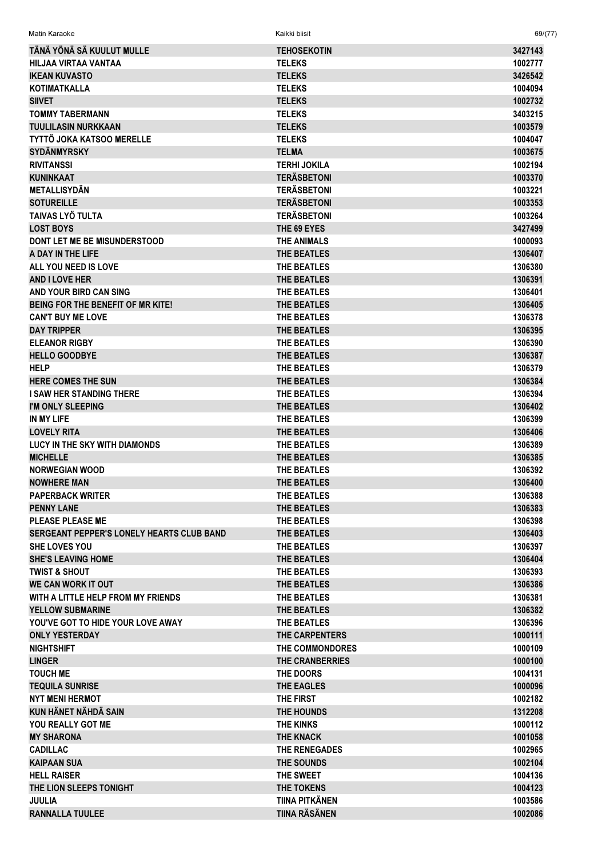| TÄNÄ YÖNÄ SÄ KUULUT MULLE                 | <b>TEHOSEKOTIN</b>     | 3427143 |
|-------------------------------------------|------------------------|---------|
| HILJAA VIRTAA VANTAA                      | <b>TELEKS</b>          | 1002777 |
| <b>IKEAN KUVASTO</b>                      | <b>TELEKS</b>          | 3426542 |
| <b>KOTIMATKALLA</b>                       | <b>TELEKS</b>          | 1004094 |
| <b>SIIVET</b>                             | <b>TELEKS</b>          | 1002732 |
| <b>TOMMY TABERMANN</b>                    | <b>TELEKS</b>          | 3403215 |
| <b>TUULILASIN NURKKAAN</b>                | <b>TELEKS</b>          | 1003579 |
| <b>TYTTÖ JOKA KATSOO MERELLE</b>          | <b>TELEKS</b>          | 1004047 |
| <b>SYDÄNMYRSKY</b>                        | <b>TELMA</b>           | 1003675 |
| <b>RIVITANSSI</b>                         | <b>TERHI JOKILA</b>    | 1002194 |
| <b>KUNINKAAT</b>                          | <b>TERÄSBETONI</b>     | 1003370 |
| <b>METALLISYDÄN</b>                       | <b>TERÄSBETONI</b>     | 1003221 |
| <b>SOTUREILLE</b>                         | <b>TERÄSBETONI</b>     | 1003353 |
| TAIVAS LYÖ TULTA                          | <b>TERÄSBETONI</b>     | 1003264 |
| <b>LOST BOYS</b>                          | THE 69 EYES            | 3427499 |
| <b>DONT LET ME BE MISUNDERSTOOD</b>       | <b>THE ANIMALS</b>     | 1000093 |
| A DAY IN THE LIFE                         | THE BEATLES            | 1306407 |
| ALL YOU NEED IS LOVE                      | THE BEATLES            | 1306380 |
| <b>AND I LOVE HER</b>                     | <b>THE BEATLES</b>     | 1306391 |
| AND YOUR BIRD CAN SING                    | THE BEATLES            | 1306401 |
| BEING FOR THE BENEFIT OF MR KITE!         | <b>THE BEATLES</b>     | 1306405 |
| <b>CAN'T BUY ME LOVE</b>                  | THE BEATLES            | 1306378 |
| <b>DAY TRIPPER</b>                        | <b>THE BEATLES</b>     | 1306395 |
| <b>ELEANOR RIGBY</b>                      | THE BEATLES            | 1306390 |
| <b>HELLO GOODBYE</b>                      | <b>THE BEATLES</b>     | 1306387 |
| <b>HELP</b>                               | THE BEATLES            | 1306379 |
| <b>HERE COMES THE SUN</b>                 | <b>THE BEATLES</b>     | 1306384 |
| <b>I SAW HER STANDING THERE</b>           | THE BEATLES            | 1306394 |
| I'M ONLY SLEEPING                         | <b>THE BEATLES</b>     | 1306402 |
| IN MY LIFE                                | THE BEATLES            | 1306399 |
| <b>LOVELY RITA</b>                        | THE BEATLES            | 1306406 |
| <b>LUCY IN THE SKY WITH DIAMONDS</b>      | THE BEATLES            | 1306389 |
| <b>MICHELLE</b>                           | <b>THE BEATLES</b>     | 1306385 |
| <b>NORWEGIAN WOOD</b>                     | THE BEATLES            | 1306392 |
| <b>NOWHERE MAN</b>                        | THE BEATLES            | 1306400 |
| <b>PAPERBACK WRITER</b>                   | THE BEATLES            | 1306388 |
| <b>PENNY LANE</b>                         | THE BEATLES            | 1306383 |
| <b>PLEASE PLEASE ME</b>                   | THE BEATLES            | 1306398 |
| SERGEANT PEPPER'S LONELY HEARTS CLUB BAND | THE BEATLES            | 1306403 |
| SHE LOVES YOU                             | THE BEATLES            | 1306397 |
| <b>SHE'S LEAVING HOME</b>                 | THE BEATLES            | 1306404 |
|                                           | THE BEATLES            |         |
| <b>TWIST &amp; SHOUT</b>                  |                        | 1306393 |
| <b>WE CAN WORK IT OUT</b>                 | THE BEATLES            | 1306386 |
| WITH A LITTLE HELP FROM MY FRIENDS        | THE BEATLES            | 1306381 |
| <b>YELLOW SUBMARINE</b>                   | THE BEATLES            | 1306382 |
| YOU'VE GOT TO HIDE YOUR LOVE AWAY         | <b>THE BEATLES</b>     | 1306396 |
| <b>ONLY YESTERDAY</b>                     | THE CARPENTERS         | 1000111 |
| <b>NIGHTSHIFT</b>                         | THE COMMONDORES        | 1000109 |
| <b>LINGER</b>                             | <b>THE CRANBERRIES</b> | 1000100 |
| <b>TOUCH ME</b>                           | THE DOORS              | 1004131 |
| <b>TEQUILA SUNRISE</b>                    | <b>THE EAGLES</b>      | 1000096 |
| <b>NYT MENI HERMOT</b>                    | THE FIRST              | 1002182 |
| <b>KUN HÄNET NÄHDÄ SAIN</b>               | THE HOUNDS             | 1312208 |
| YOU REALLY GOT ME                         | <b>THE KINKS</b>       | 1000112 |
| <b>MY SHARONA</b>                         | <b>THE KNACK</b>       | 1001058 |
| <b>CADILLAC</b>                           | THE RENEGADES          | 1002965 |
| <b>KAIPAAN SUA</b>                        | THE SOUNDS             | 1002104 |
| <b>HELL RAISER</b>                        | THE SWEET              | 1004136 |
| THE LION SLEEPS TONIGHT                   | THE TOKENS             | 1004123 |
| <b>JUULIA</b>                             | TIINA PITKÄNEN         | 1003586 |
| <b>RANNALLA TUULEE</b>                    | <b>TIINA RÄSÄNEN</b>   | 1002086 |

Matin Karaoke Kaikki biisit 69/(77)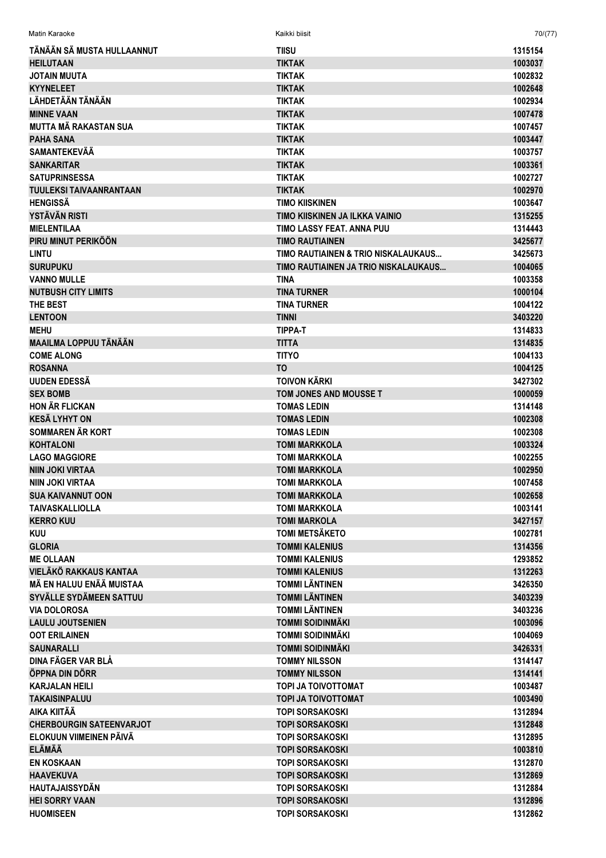| Matin Karaoke                   | Kaikki biisit                        | 70/(77) |
|---------------------------------|--------------------------------------|---------|
| TÄNÄÄN SÄ MUSTA HULLAANNUT      | <b>TIISU</b>                         | 1315154 |
| <b>HEILUTAAN</b>                | <b>TIKTAK</b>                        | 1003037 |
| <b>JOTAIN MUUTA</b>             | <b>TIKTAK</b>                        | 1002832 |
| <b>KYYNELEET</b>                | <b>TIKTAK</b>                        | 1002648 |
| LÄHDETÄÄN TÄNÄÄN                | <b>TIKTAK</b>                        | 1002934 |
| <b>MINNE VAAN</b>               | <b>TIKTAK</b>                        | 1007478 |
| <b>MUTTA MÄ RAKASTAN SUA</b>    | <b>TIKTAK</b>                        | 1007457 |
| <b>PAHA SANA</b>                | <b>TIKTAK</b>                        | 1003447 |
| <b>SAMANTEKEVÄÄ</b>             | <b>TIKTAK</b>                        | 1003757 |
| <b>SANKARITAR</b>               | <b>TIKTAK</b>                        | 1003361 |
| <b>SATUPRINSESSA</b>            | <b>TIKTAK</b>                        | 1002727 |
| <b>TUULEKSI TAIVAANRANTAAN</b>  | <b>TIKTAK</b>                        | 1002970 |
| <b>HENGISSÄ</b>                 | TIMO KIISKINEN                       | 1003647 |
| <b>YSTÄVÄN RISTI</b>            | TIMO KIISKINEN JA ILKKA VAINIO       | 1315255 |
| <b>MIELENTILAA</b>              | TIMO LASSY FEAT. ANNA PUU            | 1314443 |
| PIRU MINUT PERIKÖÖN             | <b>TIMO RAUTIAINEN</b>               | 3425677 |
| <b>LINTU</b>                    | TIMO RAUTIAINEN & TRIO NISKALAUKAUS  | 3425673 |
| <b>SURUPUKU</b>                 | TIMO RAUTIAINEN JA TRIO NISKALAUKAUS | 1004065 |
| <b>VANNO MULLE</b>              | TINA                                 | 1003358 |
| <b>NUTBUSH CITY LIMITS</b>      | <b>TINA TURNER</b>                   | 1000104 |
| THE BEST                        | <b>TINA TURNER</b>                   | 1004122 |
| <b>LENTOON</b>                  | <b>TINNI</b>                         | 3403220 |
| <b>MEHU</b>                     | <b>TIPPA-T</b>                       | 1314833 |
| MAAILMA LOPPUU TÄNÄÄN           | <b>TITTA</b>                         | 1314835 |
| <b>COME ALONG</b>               | <b>TITYO</b>                         | 1004133 |
| <b>ROSANNA</b>                  | T <sub>O</sub>                       | 1004125 |
| UUDEN EDESSÄ                    | <b>TOIVON KÄRKI</b>                  | 3427302 |
| <b>SEX BOMB</b>                 | TOM JONES AND MOUSSE T               | 1000059 |
| <b>HON ÄR FLICKAN</b>           | <b>TOMAS LEDIN</b>                   | 1314148 |
| <b>KESÄ LYHYT ON</b>            | <b>TOMAS LEDIN</b>                   | 1002308 |
| <b>SOMMAREN ÄR KORT</b>         | <b>TOMAS LEDIN</b>                   | 1002308 |
| <b>KOHTALONI</b>                | <b>TOMI MARKKOLA</b>                 | 1003324 |
| <b>LAGO MAGGIORE</b>            | <b>TOMI MARKKOLA</b>                 | 1002255 |
| <b>NIIN JOKI VIRTAA</b>         | <b>TOMI MARKKOLA</b>                 | 1002950 |
| <b>NIIN JOKI VIRTAA</b>         | <b>TOMI MARKKOLA</b>                 | 1007458 |
| <b>SUA KAIVANNUT OON</b>        | <b>TOMI MARKKOLA</b>                 | 1002658 |
| <b>TAIVASKALLIOLLA</b>          | <b>TOMI MARKKOLA</b>                 | 1003141 |
| <b>KERRO KUU</b>                | <b>TOMI MARKOLA</b>                  | 3427157 |
| <b>KUU</b>                      | <b>TOMI METSÄKETO</b>                | 1002781 |
| <b>GLORIA</b>                   | <b>TOMMI KALENIUS</b>                | 1314356 |
| <b>ME OLLAAN</b>                | <b>TOMMI KALENIUS</b>                | 1293852 |
| <b>VIELÄKÖ RAKKAUS KANTAA</b>   | <b>TOMMI KALENIUS</b>                | 1312263 |
| MÄ EN HALUU ENÄÄ MUISTAA        | <b>TOMMI LÄNTINEN</b>                | 3426350 |
| <b>SYVÄLLE SYDÄMEEN SATTUU</b>  | <b>TOMMI LÄNTINEN</b>                | 3403239 |
| <b>VIA DOLOROSA</b>             | <b>TOMMI LÄNTINEN</b>                | 3403236 |
| <b>LAULU JOUTSENIEN</b>         | <b>TOMMI SOIDINMÄKI</b>              | 1003096 |
| <b>OOT ERILAINEN</b>            | <b>TOMMI SOIDINMÄKI</b>              | 1004069 |
| <b>SAUNARALLI</b>               | <b>TOMMI SOIDINMÄKI</b>              | 3426331 |
| DINA FÄGER VAR BLÅ              | <b>TOMMY NILSSON</b>                 | 1314147 |
| ÖPPNA DIN DÖRR                  | <b>TOMMY NILSSON</b>                 | 1314141 |
| <b>KARJALAN HEILI</b>           | TOPI JA TOIVOTTOMAT                  | 1003487 |
| <b>TAKAISINPALUU</b>            | <b>TOPI JA TOIVOTTOMAT</b>           | 1003490 |
| AIKA KIITÄÄ                     | <b>TOPI SORSAKOSKI</b>               | 1312894 |
| <b>CHERBOURGIN SATEENVARJOT</b> | <b>TOPI SORSAKOSKI</b>               | 1312848 |
| ELOKUUN VIIMEINEN PÄIVÄ         | <b>TOPI SORSAKOSKI</b>               | 1312895 |
| <b>ELÄMÄÄ</b>                   | <b>TOPI SORSAKOSKI</b>               | 1003810 |
| <b>EN KOSKAAN</b>               | <b>TOPI SORSAKOSKI</b>               | 1312870 |
| <b>HAAVEKUVA</b>                | <b>TOPI SORSAKOSKI</b>               | 1312869 |
| <b>HAUTAJAISSYDÄN</b>           | <b>TOPI SORSAKOSKI</b>               | 1312884 |
| <b>HEI SORRY VAAN</b>           | <b>TOPI SORSAKOSKI</b>               | 1312896 |
| <b>HUOMISEEN</b>                | <b>TOPI SORSAKOSKI</b>               | 1312862 |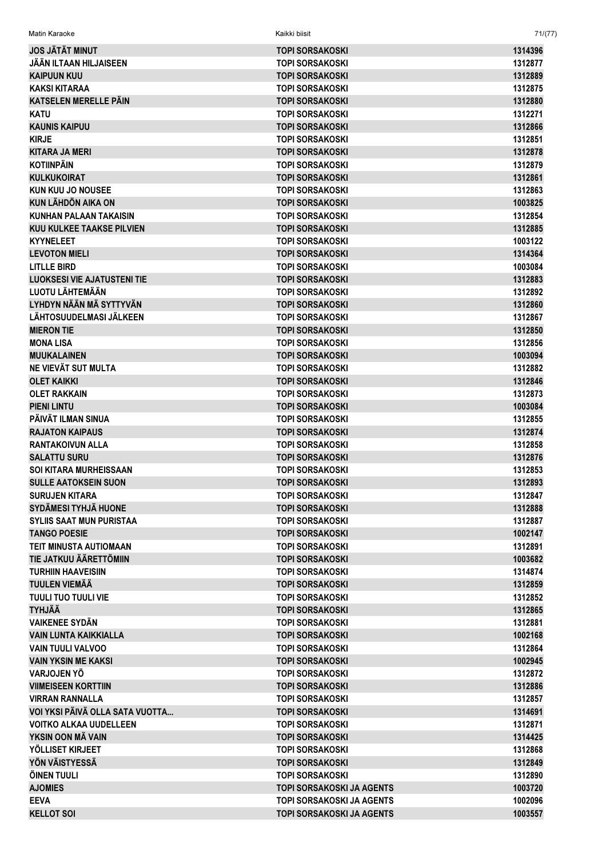| <b>JOS JÄTÄT MINUT</b>             | <b>TOPI SORSAKOSKI</b>           | 1314396 |
|------------------------------------|----------------------------------|---------|
| JÄÄN ILTAAN HILJAISEEN             | <b>TOPI SORSAKOSKI</b>           | 1312877 |
| <b>KAIPUUN KUU</b>                 | <b>TOPI SORSAKOSKI</b>           | 1312889 |
| <b>KAKSI KITARAA</b>               | <b>TOPI SORSAKOSKI</b>           | 1312875 |
| KATSELEN MERELLE PÄIN              | <b>TOPI SORSAKOSKI</b>           | 1312880 |
| <b>KATU</b>                        | <b>TOPI SORSAKOSKI</b>           | 1312271 |
| <b>KAUNIS KAIPUU</b>               | <b>TOPI SORSAKOSKI</b>           | 1312866 |
| <b>KIRJE</b>                       | <b>TOPI SORSAKOSKI</b>           | 1312851 |
| <b>KITARA JA MERI</b>              | <b>TOPI SORSAKOSKI</b>           | 1312878 |
| <b>KOTIINPÄIN</b>                  | <b>TOPI SORSAKOSKI</b>           | 1312879 |
| <b>KULKUKOIRAT</b>                 | <b>TOPI SORSAKOSKI</b>           | 1312861 |
| KUN KUU JO NOUSEE                  | <b>TOPI SORSAKOSKI</b>           | 1312863 |
| <b>KUN LÄHDÖN AIKA ON</b>          | <b>TOPI SORSAKOSKI</b>           | 1003825 |
| <b>KUNHAN PALAAN TAKAISIN</b>      | <b>TOPI SORSAKOSKI</b>           | 1312854 |
| <b>KUU KULKEE TAAKSE PILVIEN</b>   | <b>TOPI SORSAKOSKI</b>           | 1312885 |
| <b>KYYNELEET</b>                   | <b>TOPI SORSAKOSKI</b>           | 1003122 |
| <b>LEVOTON MIELI</b>               | <b>TOPI SORSAKOSKI</b>           | 1314364 |
| <b>LITLLE BIRD</b>                 | <b>TOPI SORSAKOSKI</b>           | 1003084 |
| <b>LUOKSESI VIE AJATUSTENI TIE</b> | <b>TOPI SORSAKOSKI</b>           | 1312883 |
| LUOTU LÄHTEMÄÄN                    | <b>TOPI SORSAKOSKI</b>           | 1312892 |
| LYHDYN NÄÄN MÄ SYTTYVÄN            | <b>TOPI SORSAKOSKI</b>           | 1312860 |
| LÄHTOSUUDELMASI JÄLKEEN            | <b>TOPI SORSAKOSKI</b>           | 1312867 |
| <b>MIERON TIE</b>                  | <b>TOPI SORSAKOSKI</b>           | 1312850 |
|                                    |                                  |         |
| <b>MONA LISA</b>                   | <b>TOPI SORSAKOSKI</b>           | 1312856 |
| <b>MUUKALAINEN</b>                 | <b>TOPI SORSAKOSKI</b>           | 1003094 |
| NE VIEVÄT SUT MULTA                | <b>TOPI SORSAKOSKI</b>           | 1312882 |
| <b>OLET KAIKKI</b>                 | <b>TOPI SORSAKOSKI</b>           | 1312846 |
| <b>OLET RAKKAIN</b>                | <b>TOPI SORSAKOSKI</b>           | 1312873 |
| <b>PIENI LINTU</b>                 | <b>TOPI SORSAKOSKI</b>           | 1003084 |
| PÄIVÄT ILMAN SINUA                 | <b>TOPI SORSAKOSKI</b>           | 1312855 |
| <b>RAJATON KAIPAUS</b>             | <b>TOPI SORSAKOSKI</b>           | 1312874 |
| <b>RANTAKOIVUN ALLA</b>            | <b>TOPI SORSAKOSKI</b>           | 1312858 |
| <b>SALATTU SURU</b>                | <b>TOPI SORSAKOSKI</b>           | 1312876 |
| <b>SOI KITARA MURHEISSAAN</b>      | <b>TOPI SORSAKOSKI</b>           | 1312853 |
| <b>SULLE AATOKSEIN SUON</b>        | <b>TOPI SORSAKOSKI</b>           | 1312893 |
| <b>SURUJEN KITARA</b>              | <b>TOPI SORSAKOSKI</b>           | 1312847 |
| SYDÄMESI TYHJÄ HUONE               | <b>TOPI SORSAKOSKI</b>           | 1312888 |
| <b>SYLIIS SAAT MUN PURISTAA</b>    | <b>TOPI SORSAKOSKI</b>           | 1312887 |
| <b>TANGO POESIE</b>                | <b>TOPI SORSAKOSKI</b>           | 1002147 |
| <b>TEIT MINUSTA AUTIOMAAN</b>      | <b>TOPI SORSAKOSKI</b>           | 1312891 |
| TIE JATKUU ÄÄRETTÖMIIN             | <b>TOPI SORSAKOSKI</b>           | 1003682 |
| <b>TURHIIN HAAVEISIIN</b>          | <b>TOPI SORSAKOSKI</b>           | 1314874 |
| <b>TUULEN VIEMÄÄ</b>               | <b>TOPI SORSAKOSKI</b>           | 1312859 |
| <b>TUULI TUO TUULI VIE</b>         | <b>TOPI SORSAKOSKI</b>           | 1312852 |
| <b>TYHJÄÄ</b>                      | <b>TOPI SORSAKOSKI</b>           | 1312865 |
| <b>VAIKENEE SYDÄN</b>              | <b>TOPI SORSAKOSKI</b>           | 1312881 |
| <b>VAIN LUNTA KAIKKIALLA</b>       | <b>TOPI SORSAKOSKI</b>           | 1002168 |
| <b>VAIN TUULI VALVOO</b>           | <b>TOPI SORSAKOSKI</b>           | 1312864 |
| <b>VAIN YKSIN ME KAKSI</b>         | <b>TOPI SORSAKOSKI</b>           | 1002945 |
| VARJOJEN YÖ                        | <b>TOPI SORSAKOSKI</b>           | 1312872 |
| <b>VIIMEISEEN KORTTIIN</b>         | <b>TOPI SORSAKOSKI</b>           | 1312886 |
| <b>VIRRAN RANNALLA</b>             | <b>TOPI SORSAKOSKI</b>           | 1312857 |
| VOI YKSI PÄIVÄ OLLA SATA VUOTTA    | <b>TOPI SORSAKOSKI</b>           | 1314691 |
| <b>VOITKO ALKAA UUDELLEEN</b>      | <b>TOPI SORSAKOSKI</b>           | 1312871 |
| YKSIN OON MÄ VAIN                  | <b>TOPI SORSAKOSKI</b>           | 1314425 |
| YÖLLISET KIRJEET                   | <b>TOPI SORSAKOSKI</b>           | 1312868 |
| YÖN VÄISTYESSÄ                     | <b>TOPI SORSAKOSKI</b>           | 1312849 |
| ÖINEN TUULI                        | <b>TOPI SORSAKOSKI</b>           | 1312890 |
| <b>AJOMIES</b>                     | <b>TOPI SORSAKOSKI JA AGENTS</b> | 1003720 |
| <b>EEVA</b>                        | <b>TOPI SORSAKOSKI JA AGENTS</b> | 1002096 |
| <b>KELLOT SOI</b>                  | <b>TOPI SORSAKOSKI JA AGENTS</b> | 1003557 |

Matin Karaoke Kaikki biisit 71/(77)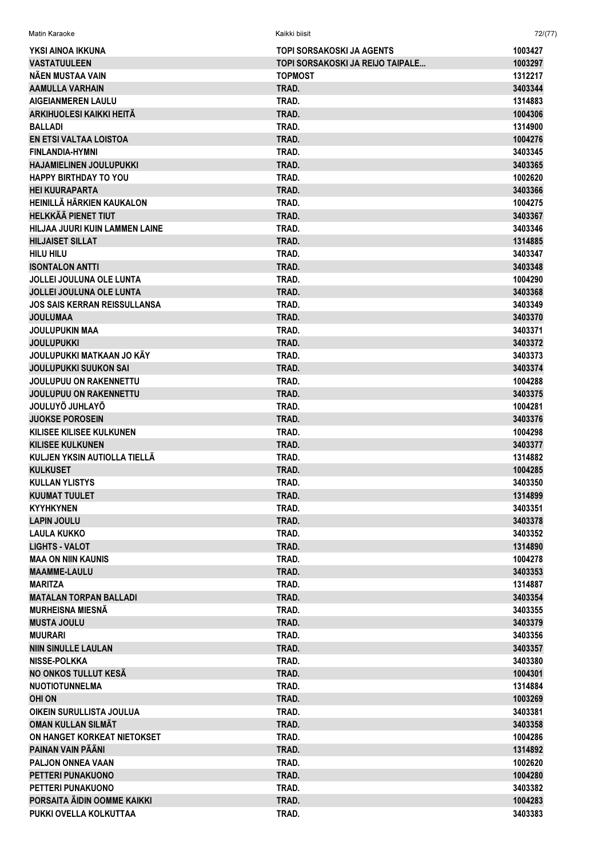| Matin Karaoke                                           | Kaikki biisit                    | 72/(77)            |
|---------------------------------------------------------|----------------------------------|--------------------|
| YKSI AINOA IKKUNA                                       | TOPI SORSAKOSKI JA AGENTS        | 1003427            |
| <b>VASTATUULEEN</b>                                     | TOPI SORSAKOSKI JA REIJO TAIPALE | 1003297            |
| NÄEN MUSTAA VAIN                                        | <b>TOPMOST</b>                   | 1312217            |
| <b>AAMULLA VARHAIN</b>                                  | TRAD.                            | 3403344            |
| <b>AIGEIANMEREN LAULU</b>                               | TRAD.                            | 1314883            |
| ARKIHUOLESI KAIKKI HEITÄ                                | TRAD.                            | 1004306            |
| <b>BALLADI</b>                                          | TRAD.                            | 1314900            |
| EN ETSI VALTAA LOISTOA                                  | TRAD.                            | 1004276            |
| <b>FINLANDIA-HYMNI</b>                                  | TRAD.                            | 3403345            |
| <b>HAJAMIELINEN JOULUPUKKI</b>                          | TRAD.                            | 3403365            |
| <b>HAPPY BIRTHDAY TO YOU</b>                            | TRAD.                            | 1002620            |
| <b>HEI KUURAPARTA</b>                                   | TRAD.                            | 3403366            |
| HEINILLÄ HÄRKIEN KAUKALON                               | TRAD.                            | 1004275            |
| <b>HELKKÄÄ PIENET TIUT</b>                              | TRAD.                            | 3403367            |
| HILJAA JUURI KUIN LAMMEN LAINE                          | TRAD.                            | 3403346            |
| <b>HILJAISET SILLAT</b>                                 | TRAD.                            | 1314885            |
| <b>HILU HILU</b>                                        | TRAD.                            | 3403347            |
| <b>ISONTALON ANTTI</b>                                  | TRAD.                            | 3403348            |
| <b>JOLLEI JOULUNA OLE LUNTA</b>                         | TRAD.                            | 1004290            |
| <b>JOLLEI JOULUNA OLE LUNTA</b>                         | TRAD.                            | 3403368            |
| <b>JOS SAIS KERRAN REISSULLANSA</b>                     | TRAD.                            | 3403349            |
| <b>JOULUMAA</b>                                         | TRAD.                            | 3403370            |
| <b>JOULUPUKIN MAA</b>                                   | TRAD.                            | 3403371            |
| <b>JOULUPUKKI</b>                                       | TRAD.                            | 3403372            |
| JOULUPUKKI MATKAAN JO KÄY                               | TRAD.                            | 3403373            |
| <b>JOULUPUKKI SUUKON SAI</b>                            | TRAD.                            | 3403374            |
| <b>JOULUPUU ON RAKENNETTU</b>                           | TRAD.                            | 1004288            |
| <b>JOULUPUU ON RAKENNETTU</b><br><b>JOULUYÖ JUHLAYÖ</b> | TRAD.<br>TRAD.                   | 3403375<br>1004281 |
| <b>JUOKSE POROSEIN</b>                                  | TRAD.                            | 3403376            |
| KILISEE KILISEE KULKUNEN                                | TRAD.                            | 1004298            |
| <b>KILISEE KULKUNEN</b>                                 | TRAD.                            | 3403377            |
| KULJEN YKSIN AUTIOLLA TIELLÄ                            | TRAD.                            | 1314882            |
| <b>KULKUSET</b>                                         | TRAD.                            | 1004285            |
| KULLAN YLISTYS                                          | TRAD.                            | 3403350            |
| <b>KUUMAT TUULET</b>                                    | TRAD.                            | 1314899            |
| <b>KYYHKYNEN</b>                                        | TRAD.                            | 3403351            |
| <b>LAPIN JOULU</b>                                      | TRAD.                            | 3403378            |
| <b>LAULA KUKKO</b>                                      | TRAD.                            | 3403352            |
| <b>LIGHTS - VALOT</b>                                   | TRAD.                            | 1314890            |
| <b>MAA ON NIIN KAUNIS</b>                               | TRAD.                            | 1004278            |
| <b>MAAMME-LAULU</b>                                     | TRAD.                            | 3403353            |
| <b>MARITZA</b>                                          | TRAD.                            | 1314887            |
| <b>MATALAN TORPAN BALLADI</b>                           | TRAD.                            | 3403354            |
| <b>MURHEISNA MIESNÄ</b>                                 | TRAD.                            | 3403355            |
| <b>MUSTA JOULU</b>                                      | TRAD.                            | 3403379            |
| <b>MUURARI</b>                                          | TRAD.                            | 3403356            |
| <b>NIIN SINULLE LAULAN</b>                              | TRAD.                            | 3403357            |
| <b>NISSE-POLKKA</b>                                     | TRAD.                            | 3403380            |
| NO ONKOS TULLUT KESÄ                                    | TRAD.                            | 1004301            |
| <b>NUOTIOTUNNELMA</b>                                   | TRAD.                            | 1314884            |
| <b>OHI ON</b>                                           | TRAD.                            | 1003269            |
| OIKEIN SURULLISTA JOULUA                                | TRAD.                            | 3403381            |
| <b>OMAN KULLAN SILMÄT</b>                               | TRAD.                            | 3403358            |
| ON HANGET KORKEAT NIETOKSET                             | TRAD.                            | 1004286            |
| PAINAN VAIN PÄÄNI                                       | TRAD.                            | 1314892            |
| PALJON ONNEA VAAN                                       | TRAD.                            | 1002620            |
| PETTERI PUNAKUONO                                       | TRAD.                            | 1004280            |
| PETTERI PUNAKUONO                                       | TRAD.                            | 3403382            |
| PORSAITA ÄIDIN OOMME KAIKKI                             | TRAD.                            | 1004283            |
| PUKKI OVELLA KOLKUTTAA                                  | TRAD.                            | 3403383            |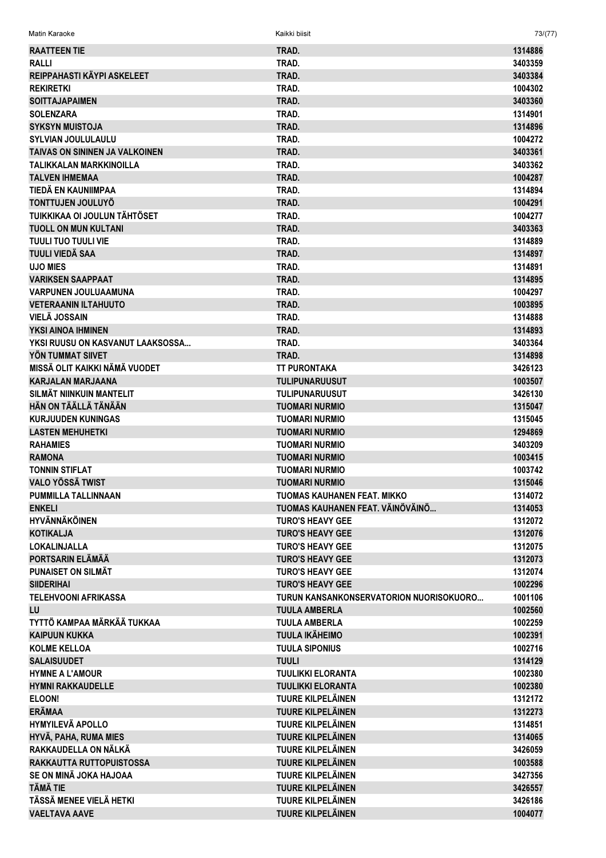Matin Karaoke Kaikki biisit 73/(77)

| <b>RAATTEEN TIE</b>              | TRAD.                                   | 1314886 |
|----------------------------------|-----------------------------------------|---------|
| <b>RALLI</b>                     | TRAD.                                   | 3403359 |
| REIPPAHASTI KÄYPI ASKELEET       | TRAD.                                   | 3403384 |
| <b>REKIRETKI</b>                 | TRAD.                                   | 1004302 |
| <b>SOITTAJAPAIMEN</b>            | TRAD.                                   | 3403360 |
| <b>SOLENZARA</b>                 | TRAD.                                   | 1314901 |
| <b>SYKSYN MUISTOJA</b>           | TRAD.                                   | 1314896 |
| <b>SYLVIAN JOULULAULU</b>        | TRAD.                                   | 1004272 |
| TAIVAS ON SININEN JA VALKOINEN   | TRAD.                                   | 3403361 |
| <b>TALIKKALAN MARKKINOILLA</b>   | TRAD.                                   | 3403362 |
| <b>TALVEN IHMEMAA</b>            | TRAD.                                   | 1004287 |
| TIEDÄ EN KAUNIIMPAA              | TRAD.                                   | 1314894 |
| <b>TONTTUJEN JOULUYÖ</b>         | TRAD.                                   | 1004291 |
| TUIKKIKAA OI JOULUN TÄHTÖSET     | TRAD.                                   | 1004277 |
| <b>TUOLL ON MUN KULTANI</b>      | TRAD.                                   | 3403363 |
| <b>TUULI TUO TUULI VIE</b>       | TRAD.                                   | 1314889 |
| TUULI VIEDÄ SAA                  | TRAD.                                   | 1314897 |
| <b>UJO MIES</b>                  | TRAD.                                   | 1314891 |
| <b>VARIKSEN SAAPPAAT</b>         | TRAD.                                   | 1314895 |
| <b>VARPUNEN JOULUAAMUNA</b>      | TRAD.                                   | 1004297 |
| <b>VETERAANIN ILTAHUUTO</b>      | TRAD.                                   | 1003895 |
| <b>VIELÄ JOSSAIN</b>             | TRAD.                                   | 1314888 |
| YKSI AINOA IHMINEN               | TRAD.                                   | 1314893 |
| YKSI RUUSU ON KASVANUT LAAKSOSSA | TRAD.                                   | 3403364 |
| YÖN TUMMAT SIIVET                | TRAD.                                   | 1314898 |
| MISSÄ OLIT KAIKKI NÄMÄ VUODET    | <b>TT PURONTAKA</b>                     | 3426123 |
| <b>KARJALAN MARJAANA</b>         | <b>TULIPUNARUUSUT</b>                   | 1003507 |
| SILMÄT NIINKUIN MANTELIT         | <b>TULIPUNARUUSUT</b>                   | 3426130 |
| HÄN ON TÄÄLLÄ TÄNÄÄN             | <b>TUOMARI NURMIO</b>                   | 1315047 |
| <b>KURJUUDEN KUNINGAS</b>        | <b>TUOMARI NURMIO</b>                   | 1315045 |
| <b>LASTEN MEHUHETKI</b>          | <b>TUOMARI NURMIO</b>                   | 1294869 |
| <b>RAHAMIES</b>                  | <b>TUOMARI NURMIO</b>                   | 3403209 |
|                                  |                                         |         |
| <b>RAMONA</b>                    | <b>TUOMARI NURMIO</b>                   | 1003415 |
| <b>TONNIN STIFLAT</b>            | <b>TUOMARI NURMIO</b>                   | 1003742 |
| <b>VALO YÖSSÄ TWIST</b>          | <b>TUOMARI NURMIO</b>                   | 1315046 |
| PUMMILLA TALLINNAAN              | TUOMAS KAUHANEN FEAT. MIKKO             | 1314072 |
| <b>ENKELI</b>                    | TUOMAS KAUHANEN FEAT. VÄINÖVÄINÖ        | 1314053 |
| <b>HYVÄNNÄKÖINEN</b>             | <b>TURO'S HEAVY GEE</b>                 | 1312072 |
| <b>KOTIKALJA</b>                 | <b>TURO'S HEAVY GEE</b>                 | 1312076 |
| LOKALINJALLA                     | <b>TURO'S HEAVY GEE</b>                 | 1312075 |
| PORTSARIN ELÄMÄÄ                 | <b>TURO'S HEAVY GEE</b>                 | 1312073 |
| PUNAISET ON SILMÄT               | <b>TURO'S HEAVY GEE</b>                 | 1312074 |
| <b>SIIDERIHAI</b>                | <b>TURO'S HEAVY GEE</b>                 | 1002296 |
| <b>TELEHVOONI AFRIKASSA</b>      | TURUN KANSANKONSERVATORION NUORISOKUORO | 1001106 |
| LU                               | <b>TUULA AMBERLA</b>                    | 1002560 |
| TYTTÖ KAMPAA MÄRKÄÄ TUKKAA       | <b>TUULA AMBERLA</b>                    | 1002259 |
| <b>KAIPUUN KUKKA</b>             | <b>TUULA IKÄHEIMO</b>                   | 1002391 |
| <b>KOLME KELLOA</b>              | <b>TUULA SIPONIUS</b>                   | 1002716 |
| <b>SALAISUUDET</b>               | <b>TUULI</b>                            | 1314129 |
| <b>HYMNE A L'AMOUR</b>           | <b>TUULIKKI ELORANTA</b>                | 1002380 |
| <b>HYMNI RAKKAUDELLE</b>         | <b>TUULIKKI ELORANTA</b>                | 1002380 |
| ELOON!                           | <b>TUURE KILPELÄINEN</b>                | 1312172 |
| <b>ERÄMAA</b>                    | <b>TUURE KILPELÄINEN</b>                | 1312273 |
| <b>HYMYILEVÄ APOLLO</b>          | TUURE KILPELÄINEN                       | 1314851 |
| HYVÄ, PAHA, RUMA MIES            | <b>TUURE KILPELÄINEN</b>                | 1314065 |
| RAKKAUDELLA ON NÄLKÄ             | TUURE KILPELÄINEN                       | 3426059 |
| RAKKAUTTA RUTTOPUISTOSSA         | <b>TUURE KILPELÄINEN</b>                | 1003588 |
| SE ON MINÄ JOKA HAJOAA           | TUURE KILPELÄINEN                       | 3427356 |
| <b>TÄMÄ TIE</b>                  | <b>TUURE KILPELÄINEN</b>                | 3426557 |
| TÄSSÄ MENEE VIELÄ HETKI          | <b>TUURE KILPELÄINEN</b>                | 3426186 |
| <b>VAELTAVA AAVE</b>             | <b>TUURE KILPELÄINEN</b>                | 1004077 |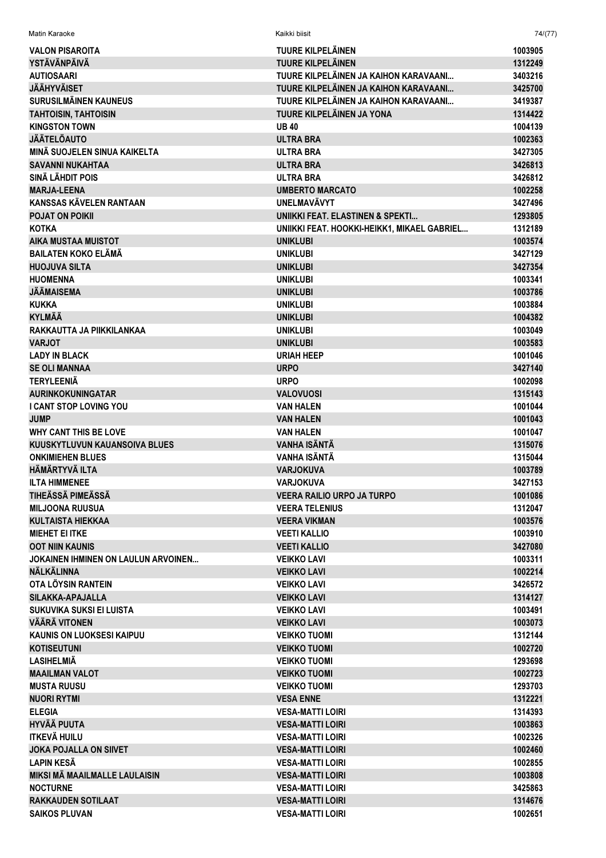| Matin Karaoke                                             | Kaikki biisit                               | 74/(77)            |
|-----------------------------------------------------------|---------------------------------------------|--------------------|
| <b>VALON PISAROITA</b>                                    | TUURE KILPELÄINEN                           | 1003905            |
| YSTÄVÄNPÄIVÄ                                              | <b>TUURE KILPELÄINEN</b>                    | 1312249            |
| <b>AUTIOSAARI</b>                                         | TUURE KILPELÄINEN JA KAIHON KARAVAANI       | 3403216            |
| <b>JÄÄHYVÄISET</b>                                        | TUURE KILPELÄINEN JA KAIHON KARAVAANI       | 3425700            |
| <b>SURUSILMÄINEN KAUNEUS</b>                              | TUURE KILPELÄINEN JA KAIHON KARAVAANI       | 3419387            |
| <b>TAHTOISIN, TAHTOISIN</b>                               | TUURE KILPELÄINEN JA YONA                   | 1314422            |
| <b>KINGSTON TOWN</b>                                      | <b>UB40</b>                                 | 1004139            |
| <b>JÄÄTELÖAUTO</b>                                        | <b>ULTRA BRA</b>                            | 1002363            |
| MINÄ SUOJELEN SINUA KAIKELTA                              | <b>ULTRA BRA</b>                            | 3427305            |
| <b>SAVANNI NUKAHTAA</b>                                   | <b>ULTRA BRA</b>                            | 3426813            |
| <b>SINÄ LÄHDIT POIS</b>                                   | <b>ULTRA BRA</b>                            | 3426812            |
| <b>MARJA-LEENA</b>                                        | <b>UMBERTO MARCATO</b>                      | 1002258            |
| KANSSAS KÄVELEN RANTAAN                                   | <b>UNELMAVÄVYT</b>                          | 3427496            |
| <b>POJAT ON POIKII</b>                                    | UNIIKKI FEAT. ELASTINEN & SPEKTI            | 1293805            |
| <b>KOTKA</b>                                              | UNIIKKI FEAT. HOOKKI-HEIKK1, MIKAEL GABRIEL | 1312189            |
| <b>AIKA MUSTAA MUISTOT</b>                                | <b>UNIKLUBI</b>                             | 1003574            |
| <b>BAILATEN KOKO ELÄMÄ</b>                                | <b>UNIKLUBI</b>                             | 3427129            |
| <b>HUOJUVA SILTA</b>                                      | <b>UNIKLUBI</b>                             | 3427354            |
| <b>HUOMENNA</b>                                           | <b>UNIKLUBI</b>                             | 1003341            |
| <b>JÄÄMAISEMA</b>                                         | <b>UNIKLUBI</b>                             | 1003786            |
| <b>KUKKA</b>                                              | <b>UNIKLUBI</b>                             | 1003884            |
| <b>KYLMÄÄ</b>                                             | <b>UNIKLUBI</b>                             | 1004382            |
| RAKKAUTTA JA PIIKKILANKAA                                 | <b>UNIKLUBI</b>                             | 1003049            |
| <b>VARJOT</b>                                             | <b>UNIKLUBI</b>                             | 1003583            |
| <b>LADY IN BLACK</b>                                      | <b>URIAH HEEP</b>                           | 1001046            |
| <b>SE OLI MANNAA</b>                                      | <b>URPO</b>                                 | 3427140            |
| <b>TERYLEENIÄ</b>                                         | <b>URPO</b>                                 | 1002098            |
| <b>AURINKOKUNINGATAR</b><br><b>I CANT STOP LOVING YOU</b> | <b>VALOVUOSI</b><br><b>VAN HALEN</b>        | 1315143<br>1001044 |
| <b>JUMP</b>                                               | <b>VAN HALEN</b>                            | 1001043            |
| <b>WHY CANT THIS BE LOVE</b>                              | <b>VAN HALEN</b>                            | 1001047            |
| KUUSKYTLUVUN KAUANSOIVA BLUES                             | <b>VANHA ISÄNTÄ</b>                         | 1315076            |
| <b>ONKIMIEHEN BLUES</b>                                   | <b>VANHA ISÄNTÄ</b>                         | 1315044            |
| <b>HÄMÄRTYVÄ ILTA</b>                                     | <b>VARJOKUVA</b>                            | 1003789            |
| <b>ILTA HIMMENEE</b>                                      | VARJOKUVA                                   | 3427153            |
| TIHEÄSSÄ PIMEÄSSÄ                                         | <b>VEERA RAILIO URPO JA TURPO</b>           | 1001086            |
| <b>MILJOONA RUUSUA</b>                                    | <b>VEERA TELENIUS</b>                       | 1312047            |
| <b>KULTAISTA HIEKKAA</b>                                  | <b>VEERA VIKMAN</b>                         | 1003576            |
| <b>MIEHET EI ITKE</b>                                     | <b>VEETI KALLIO</b>                         | 1003910            |
| <b>OOT NIIN KAUNIS</b>                                    | <b>VEETI KALLIO</b>                         | 3427080            |
| <b>JOKAINEN IHMINEN ON LAULUN ARVOINEN</b>                | <b>VEIKKO LAVI</b>                          | 1003311            |
| <b>NÄLKÄLINNA</b>                                         | <b>VEIKKO LAVI</b>                          | 1002214            |
| OTA LÖYSIN RANTEIN                                        | <b>VEIKKO LAVI</b>                          | 3426572            |
| SILAKKA-APAJALLA                                          | <b>VEIKKO LAVI</b>                          | 1314127            |
| SUKUVIKA SUKSI EI LUISTA                                  | <b>VEIKKO LAVI</b>                          | 1003491            |
| VÄÄRÄ VITONEN                                             | <b>VEIKKO LAVI</b>                          | 1003073            |
| <b>KAUNIS ON LUOKSESI KAIPUU</b>                          | <b>VEIKKO TUOMI</b>                         | 1312144            |
| <b>KOTISEUTUNI</b>                                        | <b>VEIKKO TUOMI</b>                         | 1002720            |
| <b>LASIHELMIÄ</b>                                         | <b>VEIKKO TUOMI</b>                         | 1293698            |
| <b>MAAILMAN VALOT</b>                                     | <b>VEIKKO TUOMI</b>                         | 1002723            |
| <b>MUSTA RUUSU</b>                                        | <b>VEIKKO TUOMI</b>                         | 1293703            |
| <b>NUORI RYTMI</b>                                        | <b>VESA ENNE</b>                            | 1312221            |
| <b>ELEGIA</b>                                             | <b>VESA-MATTI LOIRI</b>                     | 1314393            |
| <b>HYVÄÄ PUUTA</b>                                        | <b>VESA-MATTI LOIRI</b>                     | 1003863            |
| <b>ITKEVÄ HUILU</b>                                       | <b>VESA-MATTI LOIRI</b>                     | 1002326            |
| <b>JOKA POJALLA ON SIIVET</b>                             | <b>VESA-MATTI LOIRI</b>                     | 1002460            |
| <b>LAPIN KESÄ</b>                                         | <b>VESA-MATTI LOIRI</b>                     | 1002855            |
| MIKSI MÄ MAAILMALLE LAULAISIN                             | <b>VESA-MATTI LOIRI</b>                     | 1003808            |
| <b>NOCTURNE</b>                                           | <b>VESA-MATTI LOIRI</b>                     | 3425863            |
| <b>RAKKAUDEN SOTILAAT</b>                                 | <b>VESA-MATTI LOIRI</b>                     | 1314676            |
| <b>SAIKOS PLUVAN</b>                                      | <b>VESA-MATTI LOIRI</b>                     | 1002651            |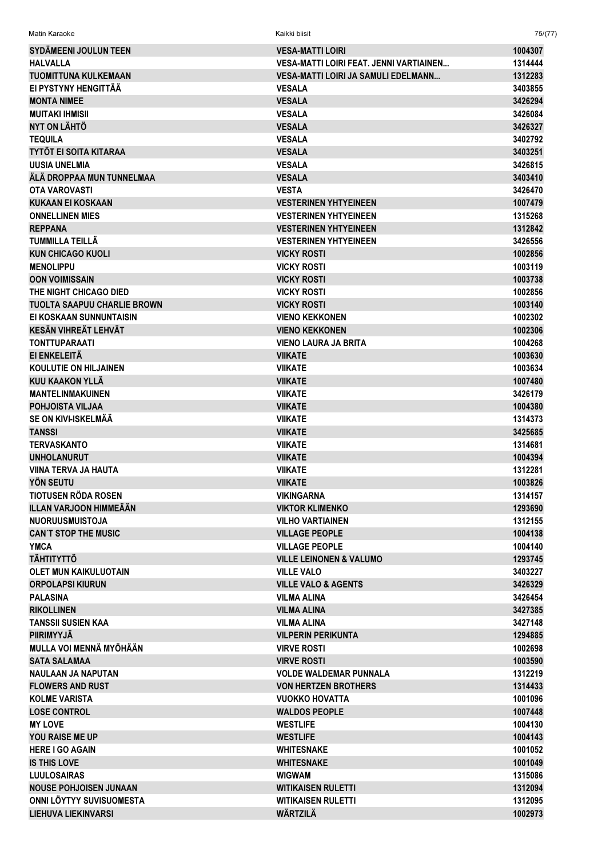| <b>Matin Karaoke</b>                              | Kaikki biisit                                           | 75/(77)            |
|---------------------------------------------------|---------------------------------------------------------|--------------------|
| <b>SYDÄMEENI JOULUN TEEN</b>                      | <b>VESA-MATTI LOIRI</b>                                 | 1004307            |
| <b>HALVALLA</b>                                   | VESA-MATTI LOIRI FEAT. JENNI VARTIAINEN                 | 1314444            |
| <b>TUOMITTUNA KULKEMAAN</b>                       | <b>VESA-MATTI LOIRI JA SAMULI EDELMANN</b>              | 1312283            |
| EI PYSTYNY HENGITTÄÄ                              | <b>VESALA</b>                                           | 3403855            |
| <b>MONTA NIMEE</b>                                | <b>VESALA</b>                                           | 3426294            |
| <b>MUITAKI IHMISII</b>                            | <b>VESALA</b>                                           | 3426084            |
| NYT ON LÄHTÖ                                      | <b>VESALA</b>                                           | 3426327            |
| <b>TEQUILA</b>                                    | <b>VESALA</b>                                           | 3402792            |
| <b>TYTÖT EI SOITA KITARAA</b>                     | <b>VESALA</b>                                           | 3403251            |
| <b>UUSIA UNELMIA</b>                              | <b>VESALA</b>                                           | 3426815            |
| ÄLÄ DROPPAA MUN TUNNELMAA                         | <b>VESALA</b>                                           | 3403410            |
| <b>OTA VAROVASTI</b>                              | <b>VESTA</b>                                            | 3426470            |
| <b>KUKAAN EI KOSKAAN</b>                          | <b>VESTERINEN YHTYEINEEN</b>                            | 1007479            |
| <b>ONNELLINEN MIES</b>                            | <b>VESTERINEN YHTYEINEEN</b>                            | 1315268            |
| <b>REPPANA</b>                                    | <b>VESTERINEN YHTYEINEEN</b>                            | 1312842            |
| TUMMILLA TEILLÄ                                   | <b>VESTERINEN YHTYEINEEN</b>                            | 3426556            |
| <b>KUN CHICAGO KUOLI</b>                          | <b>VICKY ROSTI</b>                                      | 1002856            |
| <b>MENOLIPPU</b>                                  | <b>VICKY ROSTI</b>                                      | 1003119            |
| <b>OON VOIMISSAIN</b>                             | <b>VICKY ROSTI</b>                                      | 1003738            |
| THE NIGHT CHICAGO DIED                            | <b>VICKY ROSTI</b>                                      | 1002856            |
| <b>TUOLTA SAAPUU CHARLIE BROWN</b>                | <b>VICKY ROSTI</b>                                      | 1003140            |
| EI KOSKAAN SUNNUNTAISIN                           | <b>VIENO KEKKONEN</b>                                   | 1002302            |
| <b>KESÄN VIHREÄT LEHVÄT</b>                       | <b>VIENO KEKKONEN</b>                                   | 1002306            |
| <b>TONTTUPARAATI</b>                              | <b>VIENO LAURA JA BRITA</b>                             | 1004268            |
| EI ENKELEITÄ                                      | <b>VIIKATE</b>                                          | 1003630            |
| <b>KOULUTIE ON HILJAINEN</b>                      | <b>VIIKATE</b>                                          | 1003634            |
| KUU KAAKON YLLÄ                                   | <b>VIIKATE</b>                                          | 1007480            |
| <b>MANTELINMAKUINEN</b>                           | <b>VIIKATE</b>                                          | 3426179            |
| <b>POHJOISTA VILJAA</b>                           | <b>VIIKATE</b>                                          | 1004380            |
| SE ON KIVI-ISKELMÄÄ                               | <b>VIIKATE</b>                                          | 1314373            |
| <b>TANSSI</b>                                     | <b>VIIKATE</b>                                          | 3425685            |
| <b>TERVASKANTO</b>                                | <b>VIIKATE</b>                                          | 1314681            |
| <b>UNHOLANURUT</b>                                | <b>VIIKATE</b>                                          | 1004394            |
| <b>VIINA TERVA JA HAUTA</b>                       | <b>VIIKATE</b>                                          | 1312281            |
| <b>YÖN SEUTU</b>                                  | <b>VIIKATE</b>                                          | 1003826            |
| TIOTUSEN RÖDA ROSEN                               | <b>VIKINGARNA</b>                                       | 1314157            |
| ILLAN VARJOON HIMMEÄÄN                            | <b>VIKTOR KLIMENKO</b>                                  | 1293690            |
| <b>NUORUUSMUISTOJA</b>                            | <b>VILHO VARTIAINEN</b>                                 | 1312155            |
| <b>CAN'T STOP THE MUSIC</b>                       | <b>VILLAGE PEOPLE</b>                                   | 1004138            |
| <b>YMCA</b>                                       | <b>VILLAGE PEOPLE</b>                                   | 1004140            |
| <b>TÄHTITYTTÖ</b><br><b>OLET MUN KAIKULUOTAIN</b> | <b>VILLE LEINONEN &amp; VALUMO</b><br><b>VILLE VALO</b> | 1293745<br>3403227 |
| <b>ORPOLAPSI KIURUN</b>                           | <b>VILLE VALO &amp; AGENTS</b>                          | 3426329            |
| <b>PALASINA</b>                                   | <b>VILMA ALINA</b>                                      | 3426454            |
| <b>RIKOLLINEN</b>                                 | <b>VILMA ALINA</b>                                      | 3427385            |
| <b>TANSSII SUSIEN KAA</b>                         | <b>VILMA ALINA</b>                                      | 3427148            |
| <b>PIIRIMYYJÄ</b>                                 | <b>VILPERIN PERIKUNTA</b>                               | 1294885            |
| MULLA VOI MENNÄ MYÖHÄÄN                           | <b>VIRVE ROSTI</b>                                      | 1002698            |
| <b>SATA SALAMAA</b>                               | <b>VIRVE ROSTI</b>                                      | 1003590            |
| <b>NAULAAN JA NAPUTAN</b>                         | <b>VOLDE WALDEMAR PUNNALA</b>                           | 1312219            |
| <b>FLOWERS AND RUST</b>                           | <b>VON HERTZEN BROTHERS</b>                             | 1314433            |
| <b>KOLME VARISTA</b>                              | <b>VUOKKO HOVATTA</b>                                   | 1001096            |
| <b>LOSE CONTROL</b>                               | <b>WALDOS PEOPLE</b>                                    | 1007448            |
| <b>MY LOVE</b>                                    | <b>WESTLIFE</b>                                         | 1004130            |
| <b>YOU RAISE ME UP</b>                            | <b>WESTLIFE</b>                                         | 1004143            |
| <b>HERE I GO AGAIN</b>                            | <b>WHITESNAKE</b>                                       | 1001052            |
| <b>IS THIS LOVE</b>                               | <b>WHITESNAKE</b>                                       | 1001049            |
| <b>LUULOSAIRAS</b>                                | <b>WIGWAM</b>                                           | 1315086            |
| <b>NOUSE POHJOISEN JUNAAN</b>                     | <b>WITIKAISEN RULETTI</b>                               | 1312094            |
| ONNI LÖYTYY SUVISUOMESTA                          | <b>WITIKAISEN RULETTI</b>                               | 1312095            |
| <b>LIEHUVA LIEKINVARSI</b>                        | WÄRTZILÄ                                                | 1002973            |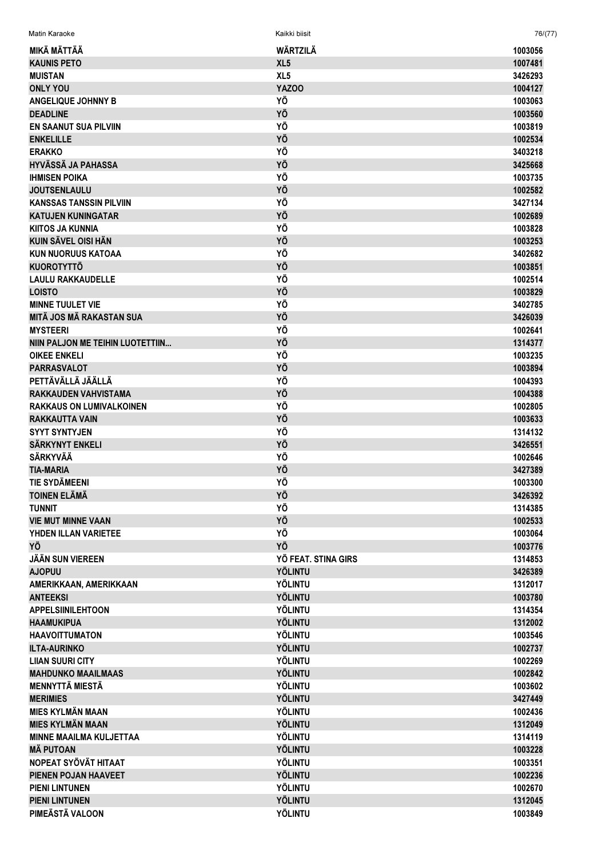| Matin Karaoke                    | Kaikki biisit       | 76/(77) |
|----------------------------------|---------------------|---------|
| MIKÄ MÄTTÄÄ                      | WÄRTZILÄ            | 1003056 |
| <b>KAUNIS PETO</b>               | XL <sub>5</sub>     | 1007481 |
| <b>MUISTAN</b>                   | XL <sub>5</sub>     | 3426293 |
| <b>ONLY YOU</b>                  | YAZOO               | 1004127 |
| <b>ANGELIQUE JOHNNY B</b>        | ΥÖ                  | 1003063 |
| <b>DEADLINE</b>                  | YÖ                  | 1003560 |
| <b>EN SAANUT SUA PILVIIN</b>     | YÖ                  | 1003819 |
| <b>ENKELILLE</b>                 | YÖ                  | 1002534 |
| <b>ERAKKO</b>                    | YÖ                  | 3403218 |
| <b>HYVÄSSÄ JA PAHASSA</b>        | YÖ                  | 3425668 |
| <b>IHMISEN POIKA</b>             | YÖ                  | 1003735 |
| <b>JOUTSENLAULU</b>              | YÖ                  | 1002582 |
| <b>KANSSAS TANSSIN PILVIIN</b>   | YÖ                  | 3427134 |
| <b>KATUJEN KUNINGATAR</b>        | YÖ                  | 1002689 |
| <b>KIITOS JA KUNNIA</b>          | YÖ                  | 1003828 |
| <b>KUIN SÄVEL OISI HÄN</b>       | YÖ                  | 1003253 |
| <b>KUN NUORUUS KATOAA</b>        | YÖ                  | 3402682 |
| <b>KUOROTYTTÖ</b>                | YÖ                  | 1003851 |
| <b>LAULU RAKKAUDELLE</b>         | YÖ                  | 1002514 |
| <b>LOISTO</b>                    | YÖ                  | 1003829 |
| <b>MINNE TUULET VIE</b>          | YÖ                  | 3402785 |
| <b>MITÄ JOS MÄ RAKASTAN SUA</b>  | YÖ                  | 3426039 |
| <b>MYSTEERI</b>                  | YÖ                  | 1002641 |
| NIIN PALJON ME TEIHIN LUOTETTIIN | YÖ                  | 1314377 |
| <b>OIKEE ENKELI</b>              | YÖ                  | 1003235 |
| <b>PARRASVALOT</b>               | YÖ                  | 1003894 |
| PETTÄVÄLLÄ JÄÄLLÄ                | YÖ                  | 1004393 |
| <b>RAKKAUDEN VAHVISTAMA</b>      | YÖ                  | 1004388 |
| <b>RAKKAUS ON LUMIVALKOINEN</b>  | ΥÖ                  | 1002805 |
| <b>RAKKAUTTA VAIN</b>            | YÖ                  | 1003633 |
| <b>SYYT SYNTYJEN</b>             | YÖ                  | 1314132 |
| SÄRKYNYT ENKELI                  | YÖ                  | 3426551 |
| <b>SÄRKYVÄÄ</b>                  | YÖ                  | 1002646 |
| <b>TIA-MARIA</b>                 | YÖ                  | 3427389 |
| <b>TIE SYDÄMEENI</b>             | YÖ                  | 1003300 |
| <b>TOINEN ELÄMÄ</b>              | YÖ                  | 3426392 |
| <b>TUNNIT</b>                    | ΥÖ                  | 1314385 |
| <b>VIE MUT MINNE VAAN</b>        | YÖ                  | 1002533 |
| YHDEN ILLAN VARIETEE             | ΥÖ                  | 1003064 |
| ΥÖ                               | YÖ                  | 1003776 |
| JÄÄN SUN VIEREEN                 | YÖ FEAT. STINA GIRS | 1314853 |
| <b>AJOPUU</b>                    | <b>YÖLINTU</b>      | 3426389 |
| AMERIKKAAN, AMERIKKAAN           | <b>YÖLINTU</b>      | 1312017 |
| <b>ANTEEKSI</b>                  | <b>YÖLINTU</b>      | 1003780 |
| <b>APPELSIINILEHTOON</b>         | <b>YÖLINTU</b>      | 1314354 |
| <b>HAAMUKIPUA</b>                | <b>YÖLINTU</b>      | 1312002 |
| <b>HAAVOITTUMATON</b>            | <b>YÖLINTU</b>      | 1003546 |
| <b>ILTA-AURINKO</b>              | <b>YÖLINTU</b>      | 1002737 |
| <b>LIIAN SUURI CITY</b>          | <b>YÖLINTU</b>      | 1002269 |
| <b>MAHDUNKO MAAILMAAS</b>        | <b>YÖLINTU</b>      | 1002842 |
| <b>MENNYTTÄ MIESTÄ</b>           | YÖLINTU             | 1003602 |
| <b>MERIMIES</b>                  | <b>YÖLINTU</b>      | 3427449 |
| <b>MIES KYLMÄN MAAN</b>          | <b>YÖLINTU</b>      | 1002436 |
| <b>MIES KYLMÄN MAAN</b>          | <b>YÖLINTU</b>      | 1312049 |
| <b>MINNE MAAILMA KULJETTAA</b>   | YÖLINTU             | 1314119 |
| <b>MÄ PUTOAN</b>                 | <b>YÖLINTU</b>      | 1003228 |
| NOPEAT SYÖVÄT HITAAT             | <b>YÖLINTU</b>      | 1003351 |
| PIENEN POJAN HAAVEET             | YÖLINTU             | 1002236 |
| <b>PIENI LINTUNEN</b>            | <b>YÖLINTU</b>      | 1002670 |
| <b>PIENI LINTUNEN</b>            | <b>YÖLINTU</b>      | 1312045 |
| PIMEÄSTÄ VALOON                  | YÖLINTU             | 1003849 |